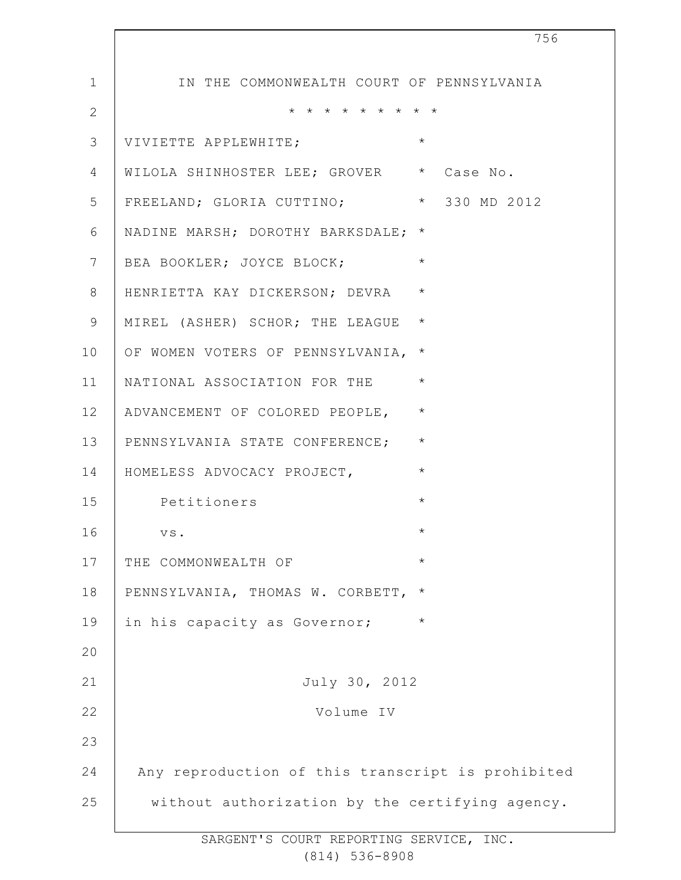| 756                                               |
|---------------------------------------------------|
| IN THE COMMONWEALTH COURT OF PENNSYLVANIA         |
| * * * * * * * * *                                 |
| $\star$<br>VIVIETTE APPLEWHITE;                   |
| WILOLA SHINHOSTER LEE; GROVER * Case No.          |
| FREELAND; GLORIA CUTTINO; * 330 MD 2012           |
| NADINE MARSH; DOROTHY BARKSDALE; *                |
| $\star$<br>BEA BOOKLER; JOYCE BLOCK;              |
| $\star$<br>HENRIETTA KAY DICKERSON; DEVRA         |
| $\star$<br>MIREL (ASHER) SCHOR; THE LEAGUE        |
| $\star$<br>OF WOMEN VOTERS OF PENNSYLVANIA,       |
| $\star$<br>NATIONAL ASSOCIATION FOR THE           |
| $\star$<br>ADVANCEMENT OF COLORED PEOPLE,         |
| $\star$<br>PENNSYLVANIA STATE CONFERENCE;         |
| $\star$<br>HOMELESS ADVOCACY PROJECT,             |
| $\star$<br>Petitioners                            |
| VS.<br>$^\star$                                   |
| $\star$<br>THE COMMONWEALTH OF                    |
| PENNSYLVANIA, THOMAS W. CORBETT,<br>$^\star$      |
| in his capacity as Governor;<br>$\star$           |
|                                                   |
| July 30, 2012                                     |
| Volume IV                                         |
|                                                   |
| Any reproduction of this transcript is prohibited |
| without authorization by the certifying agency.   |
|                                                   |

 $\overline{\phantom{a}}$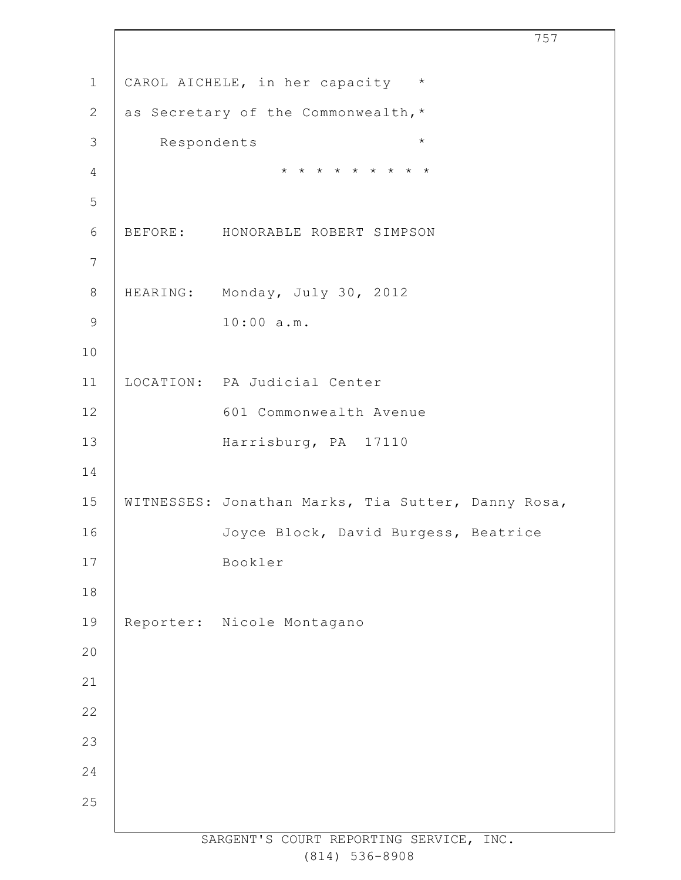SARGENT'S COURT REPORTING SERVICE, INC. CAROL AICHELE, in her capacity \* as Secretary of the Commonwealth,\* Respondents \* \* \* \* \* \* \* \* \* \* BEFORE: HONORABLE ROBERT SIMPSON HEARING: Monday, July 30, 2012 10:00 a.m. LOCATION: PA Judicial Center 601 Commonwealth Avenue Harrisburg, PA 17110 WITNESSES: Jonathan Marks, Tia Sutter, Danny Rosa, Joyce Block, David Burgess, Beatrice Bookler Reporter: Nicole Montagano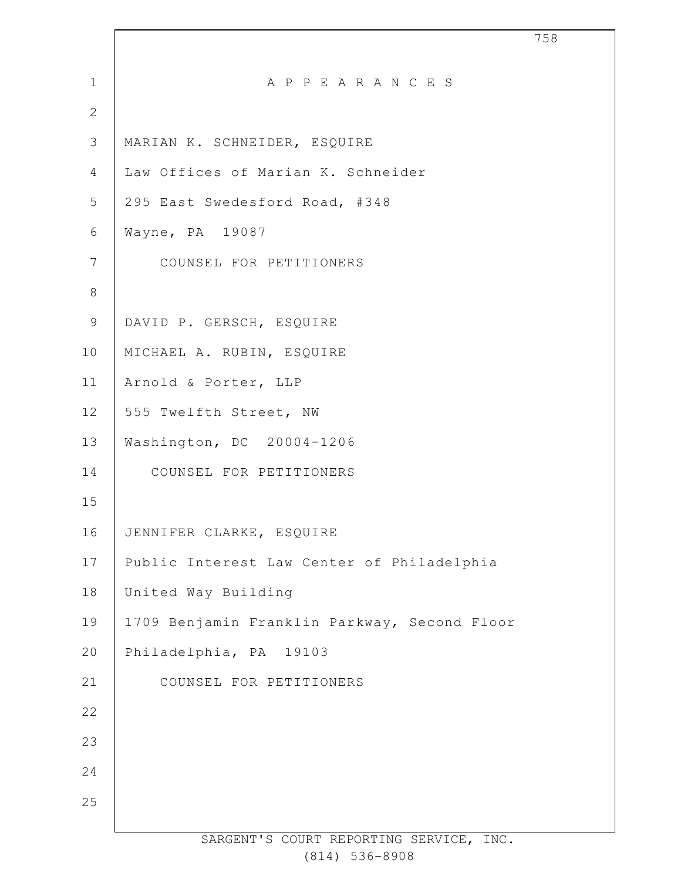| $\mathbf 1$    | A P P E A R A N C E S                        |
|----------------|----------------------------------------------|
| $\overline{2}$ |                                              |
| $\mathcal{S}$  | MARIAN K. SCHNEIDER, ESQUIRE                 |
| $\overline{4}$ | Law Offices of Marian K. Schneider           |
| 5              | 295 East Swedesford Road, #348               |
| $6\,$          | Wayne, PA 19087                              |
| $7\phantom{.}$ | COUNSEL FOR PETITIONERS                      |
| $\,8\,$        |                                              |
| $\mathsf 9$    | DAVID P. GERSCH, ESQUIRE                     |
| 10             | MICHAEL A. RUBIN, ESQUIRE                    |
| 11             | Arnold & Porter, LLP                         |
| 12             | 555 Twelfth Street, NW                       |
| 13             | Washington, DC 20004-1206                    |
| 14             | COUNSEL FOR PETITIONERS                      |
| 15             |                                              |
| 16             | JENNIFER CLARKE, ESQUIRE                     |
| 17             | Public Interest Law Center of Philadelphia   |
| 18             | United Way Building                          |
| 19             | 1709 Benjamin Franklin Parkway, Second Floor |
| 20             | Philadelphia, PA 19103                       |
| 21             | COUNSEL FOR PETITIONERS                      |
| 22             |                                              |
| 23             |                                              |
| 24             |                                              |
| 25             |                                              |
|                | SARGENT'S COURT REPORTING SERVICE, INC.      |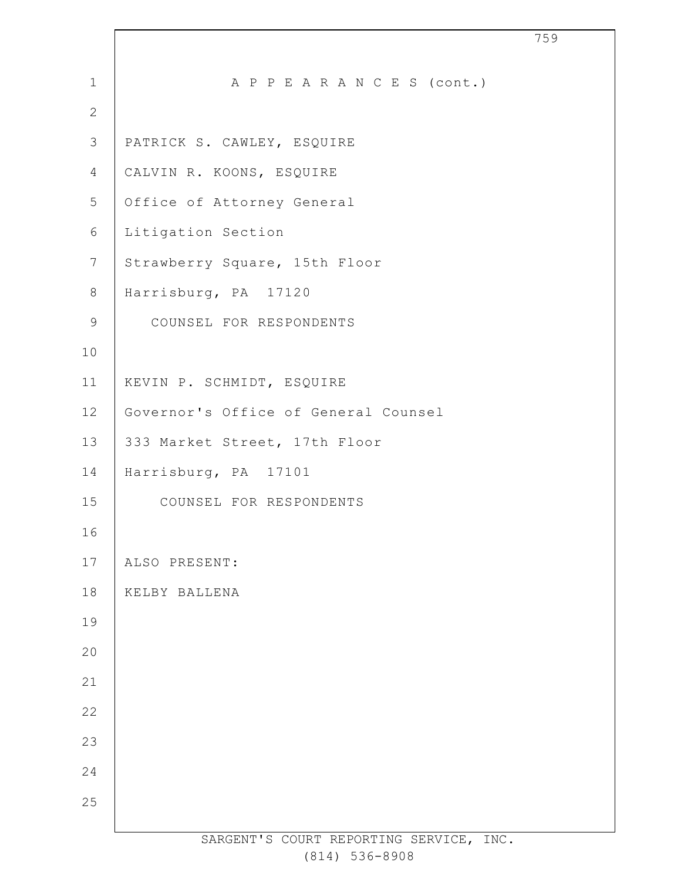| $\mathbf 1$    | A P P E A R A N C E S (cont.)           |
|----------------|-----------------------------------------|
| $\mathbf{2}$   |                                         |
| 3              | PATRICK S. CAWLEY, ESQUIRE              |
| 4              | CALVIN R. KOONS, ESQUIRE                |
| 5              | Office of Attorney General              |
| 6              | Litigation Section                      |
| $7\phantom{.}$ | Strawberry Square, 15th Floor           |
| 8              | Harrisburg, PA 17120                    |
| 9              | COUNSEL FOR RESPONDENTS                 |
| 10             |                                         |
| 11             | KEVIN P. SCHMIDT, ESQUIRE               |
| 12             | Governor's Office of General Counsel    |
| 13             | 333 Market Street, 17th Floor           |
| 14             | Harrisburg, PA 17101                    |
| 15             | COUNSEL FOR RESPONDENTS                 |
| 16             |                                         |
| 17             | ALSO PRESENT:                           |
| 18             | KELBY BALLENA                           |
| 19             |                                         |
| 20             |                                         |
| 21             |                                         |
| 22             |                                         |
| 23             |                                         |
| 24             |                                         |
| 25             |                                         |
|                | SARGENT'S COURT REPORTING SERVICE, INC. |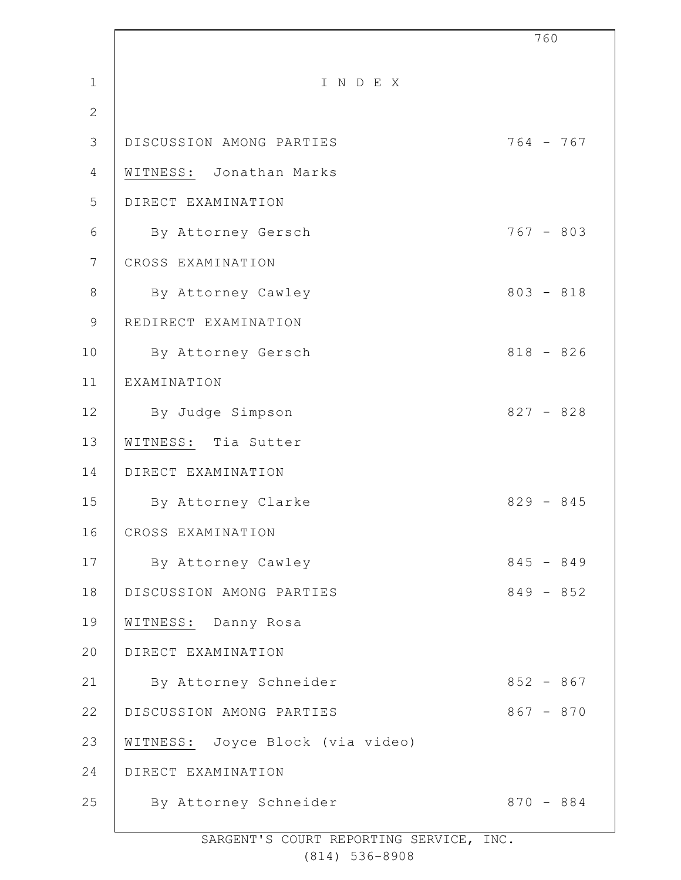|                 |                                  | 760         |
|-----------------|----------------------------------|-------------|
| $\mathbf 1$     | INDEX                            |             |
| $\mathbf{2}$    |                                  |             |
| 3               | DISCUSSION AMONG PARTIES         | $764 - 767$ |
| 4               | WITNESS: Jonathan Marks          |             |
| 5               | DIRECT EXAMINATION               |             |
| 6               | By Attorney Gersch               | $767 - 803$ |
| $7\phantom{.0}$ | CROSS EXAMINATION                |             |
| $8\,$           | By Attorney Cawley               | $803 - 818$ |
| $\mathcal{G}$   | REDIRECT EXAMINATION             |             |
| 10              | By Attorney Gersch               | $818 - 826$ |
| 11              | EXAMINATION                      |             |
| 12              | By Judge Simpson                 | $827 - 828$ |
| 13              | WITNESS: Tia Sutter              |             |
| 14              | DIRECT EXAMINATION               |             |
| 15              | By Attorney Clarke               | $829 - 845$ |
| 16              | CROSS EXAMINATION                |             |
| 17              | By Attorney Cawley               | $845 - 849$ |
| 18              | DISCUSSION AMONG PARTIES         | $849 - 852$ |
| 19              | WITNESS: Danny Rosa              |             |
| 20              | DIRECT EXAMINATION               |             |
| 21              | By Attorney Schneider            | $852 - 867$ |
| 22              | DISCUSSION AMONG PARTIES         | $867 - 870$ |
| 23              | WITNESS: Joyce Block (via video) |             |
| 24              | DIRECT EXAMINATION               |             |
| 25              | By Attorney Schneider            | $870 - 884$ |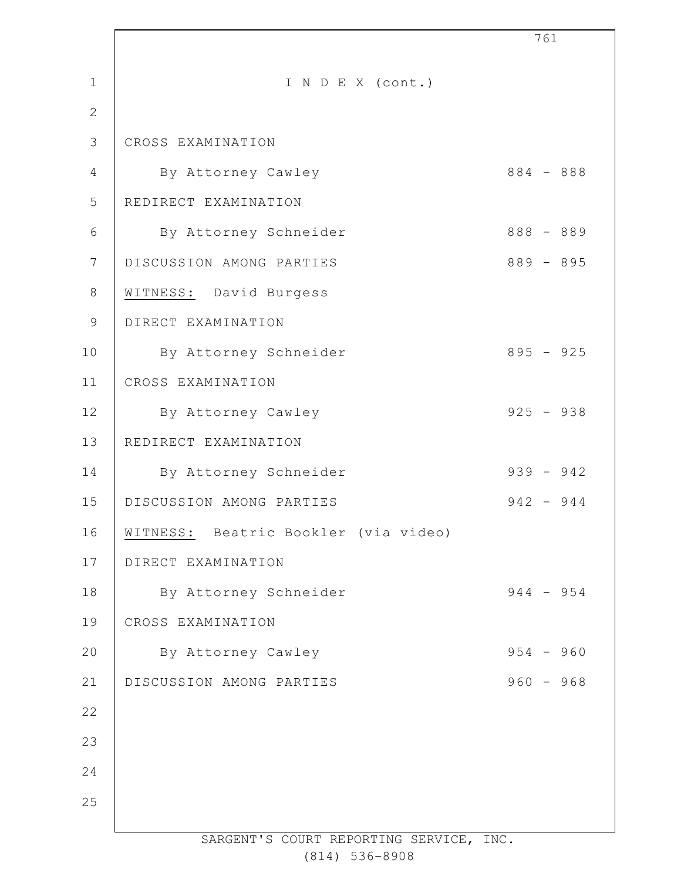|                |                                         | 761         |
|----------------|-----------------------------------------|-------------|
| $\mathbf 1$    | I N D E X (cont.)                       |             |
| $\mathbf{2}$   |                                         |             |
| 3              | CROSS EXAMINATION                       |             |
| $\overline{4}$ | By Attorney Cawley                      | 884 - 888   |
| 5              | REDIRECT EXAMINATION                    |             |
| 6              | By Attorney Schneider                   | $888 - 889$ |
| 7              | DISCUSSION AMONG PARTIES                | $889 - 895$ |
| $8\,$          | WITNESS: David Burgess                  |             |
| $\mathsf 9$    | DIRECT EXAMINATION                      |             |
| 10             | By Attorney Schneider                   | $895 - 925$ |
| 11             | CROSS EXAMINATION                       |             |
| 12             | By Attorney Cawley                      | $925 - 938$ |
| 13             | REDIRECT EXAMINATION                    |             |
| 14             | By Attorney Schneider                   | $939 - 942$ |
| 15             | DISCUSSION AMONG PARTIES                | $942 - 944$ |
| 16             | WITNESS: Beatric Bookler (via video)    |             |
| 17             | DIRECT EXAMINATION                      |             |
| 18             | By Attorney Schneider                   | $944 - 954$ |
| 19             | CROSS EXAMINATION                       |             |
| 20             | By Attorney Cawley                      | $954 - 960$ |
| 21             | DISCUSSION AMONG PARTIES                | $960 - 968$ |
| 22             |                                         |             |
| 23             |                                         |             |
| 24             |                                         |             |
| 25             |                                         |             |
|                | SARGENT'S COURT REPORTING SERVICE, INC. |             |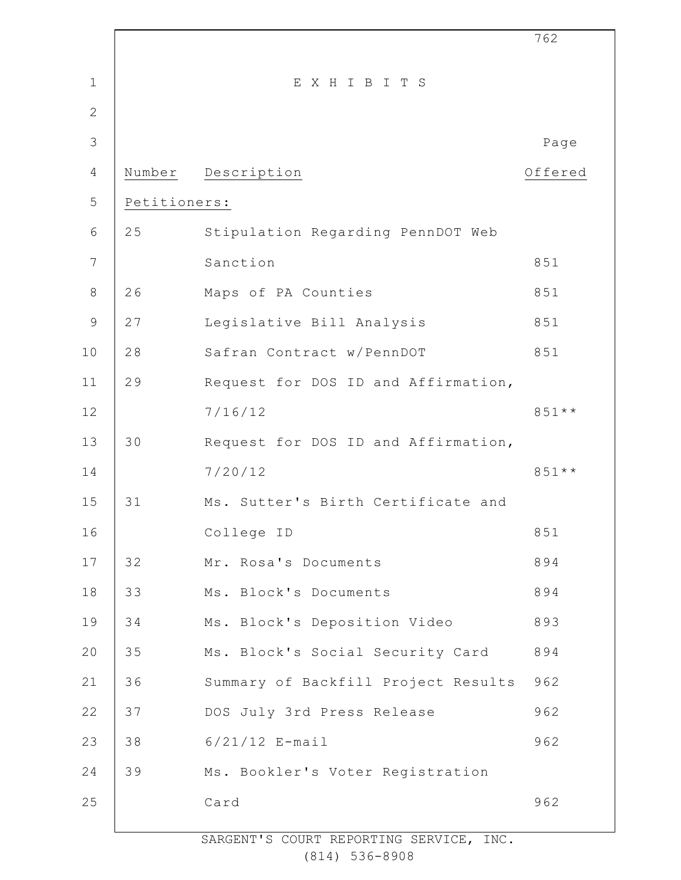|                 |              |                                     | 762     |
|-----------------|--------------|-------------------------------------|---------|
| $\mathbf 1$     |              | EXHIBITS                            |         |
| $\mathbf{2}$    |              |                                     |         |
| 3               |              |                                     | Page    |
| $\overline{4}$  | Number       | Description                         | Offered |
| 5               | Petitioners: |                                     |         |
| $6\,$           | 25           | Stipulation Regarding PennDOT Web   |         |
| $7\phantom{.0}$ |              | Sanction                            | 851     |
| $\,8\,$         | 26           | Maps of PA Counties                 | 851     |
| $\mathsf 9$     | 27           | Legislative Bill Analysis           | 851     |
| 10              | 28           | Safran Contract w/PennDOT           | 851     |
| 11              | 29           | Request for DOS ID and Affirmation, |         |
| 12              |              | 7/16/12                             | $851**$ |
| 13              | 30           | Request for DOS ID and Affirmation, |         |
| 14              |              | 7/20/12                             | $851**$ |
| 15              | 31           | Ms. Sutter's Birth Certificate and  |         |
| 16              |              | College ID                          | 851     |
| $17$            | 32           | Mr. Rosa's Documents                | 894     |
| 18              | 33           | Ms. Block's Documents               | 894     |
| 19              | 34           | Ms. Block's Deposition Video        | 893     |
| 20              | 35           | Ms. Block's Social Security Card    | 894     |
| 21              | 36           | Summary of Backfill Project Results | 962     |
| 22              | 37           | DOS July 3rd Press Release          | 962     |
| 23              | 38           | $6/21/12$ E-mail                    | 962     |
| 24              | 39           | Ms. Bookler's Voter Registration    |         |
| 25              |              | Card                                | 962     |
|                 |              |                                     |         |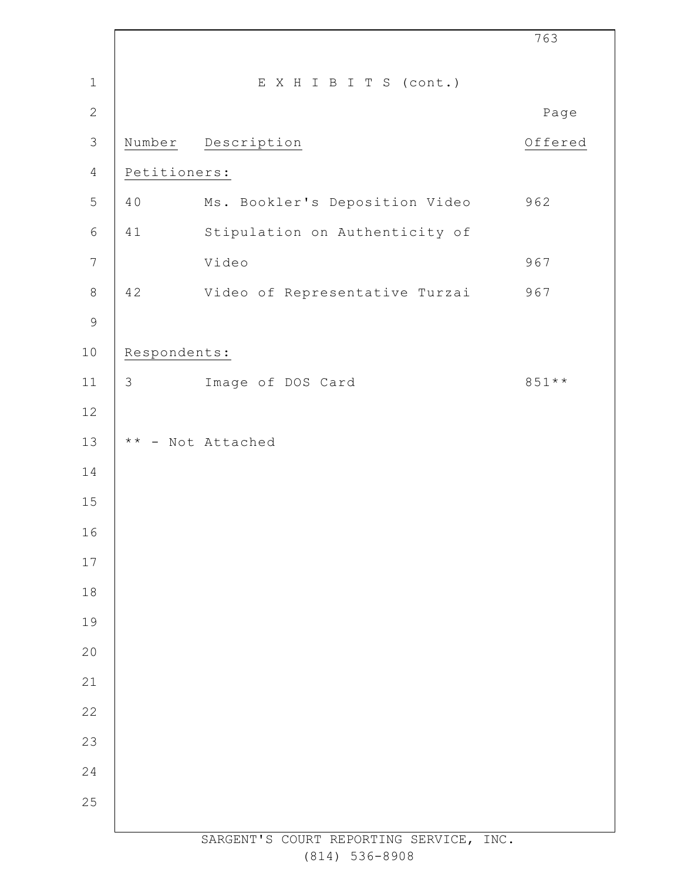|                |               |                                         | 763     |
|----------------|---------------|-----------------------------------------|---------|
| $\mathbf 1$    |               | EXHIBITS (cont.)                        |         |
| $\mathbf{2}$   |               |                                         | Page    |
| $\mathsf 3$    |               | Number Description                      | Offered |
| $\overline{4}$ | Petitioners:  |                                         |         |
| 5              | 40            | Ms. Bookler's Deposition Video          | 962     |
| $\epsilon$     | 41            | Stipulation on Authenticity of          |         |
| $\overline{7}$ |               | Video                                   | 967     |
| $\,8\,$        | 42            | Video of Representative Turzai          | 967     |
| $\mathsf 9$    |               |                                         |         |
| $10$           | Respondents:  |                                         |         |
| 11             | $\mathcal{S}$ | Image of DOS Card                       | 851 **  |
| $12$           |               |                                         |         |
| 13             |               | ** - Not Attached                       |         |
| 14             |               |                                         |         |
| 15             |               |                                         |         |
| 16             |               |                                         |         |
| 17             |               |                                         |         |
| 18             |               |                                         |         |
| 19             |               |                                         |         |
| 20             |               |                                         |         |
| 21             |               |                                         |         |
| 22             |               |                                         |         |
| 23             |               |                                         |         |
| 24             |               |                                         |         |
| 25             |               |                                         |         |
|                |               | SARGENT'S COURT REPORTING SERVICE, INC. |         |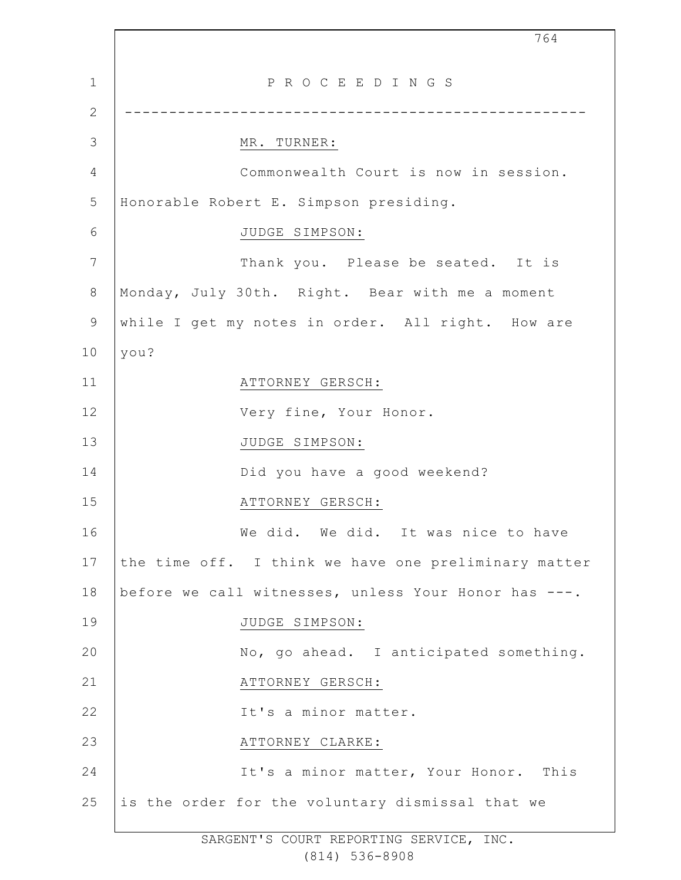1 2 3 4 5 6 7 8 9 10 11 12 13 14 15 16 17 18 19  $20$ 21 22 23 24 25 764 P R O C E E D I N G S ---------------------------------------------------- MR. TURNER: Commonwealth Court is now in session. Honorable Robert E. Simpson presiding. JUDGE SIMPSON: Thank you. Please be seated. It is Monday, July 30th. Right. Bear with me a moment while I get my notes in order. All right. How are you? ATTORNEY GERSCH: Very fine, Your Honor. JUDGE SIMPSON: Did you have a good weekend? ATTORNEY GERSCH: We did. We did. It was nice to have the time off. I think we have one preliminary matter before we call witnesses, unless Your Honor has ---. JUDGE SIMPSON: No, go ahead. I anticipated something. ATTORNEY GERSCH: It's a minor matter. ATTORNEY CLARKE: It's a minor matter, Your Honor. This is the order for the voluntary dismissal that we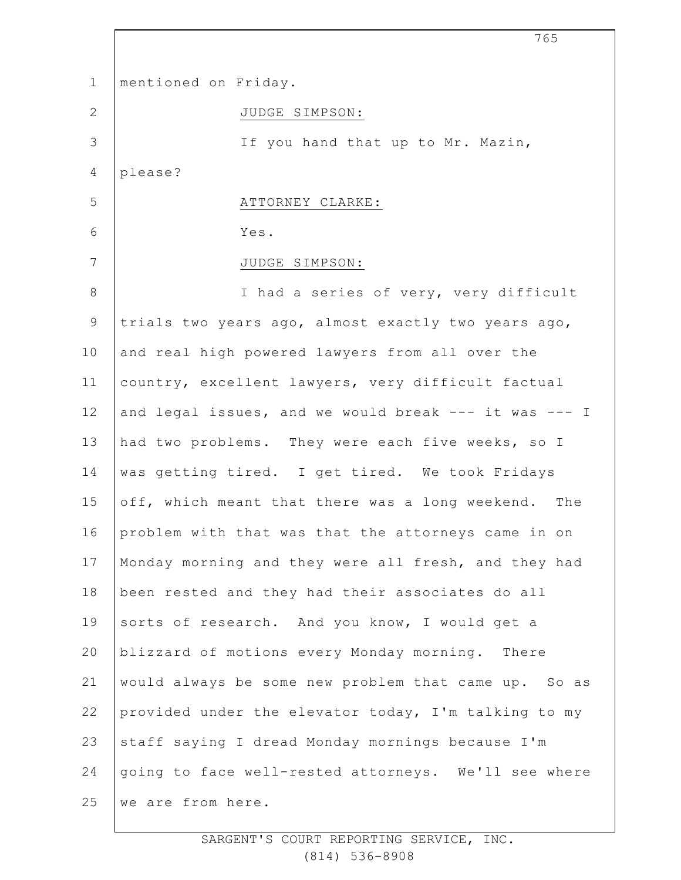| $\mathbf 1$  | mentioned on Friday.                                  |
|--------------|-------------------------------------------------------|
| $\mathbf{2}$ | JUDGE SIMPSON:                                        |
| 3            | If you hand that up to Mr. Mazin,                     |
| 4            | please?                                               |
| 5            | ATTORNEY CLARKE:                                      |
| 6            | Yes.                                                  |
| 7            | JUDGE SIMPSON:                                        |
| 8            | I had a series of very, very difficult                |
| $\mathsf 9$  | trials two years ago, almost exactly two years ago,   |
| 10           | and real high powered lawyers from all over the       |
| 11           | country, excellent lawyers, very difficult factual    |
| 12           | and legal issues, and we would break --- it was --- I |
| 13           | had two problems. They were each five weeks, so I     |
| 14           | was getting tired. I get tired. We took Fridays       |
| 15           | off, which meant that there was a long weekend. The   |
| 16           | problem with that was that the attorneys came in on   |
| 17           | Monday morning and they were all fresh, and they had  |
| 18           | been rested and they had their associates do all      |
| 19           | sorts of research. And you know, I would get a        |
| 20           | blizzard of motions every Monday morning. There       |
| 21           | would always be some new problem that came up. So as  |
| 22           | provided under the elevator today, I'm talking to my  |
| 23           | staff saying I dread Monday mornings because I'm      |
| 24           | going to face well-rested attorneys. We'll see where  |
| 25           | we are from here.                                     |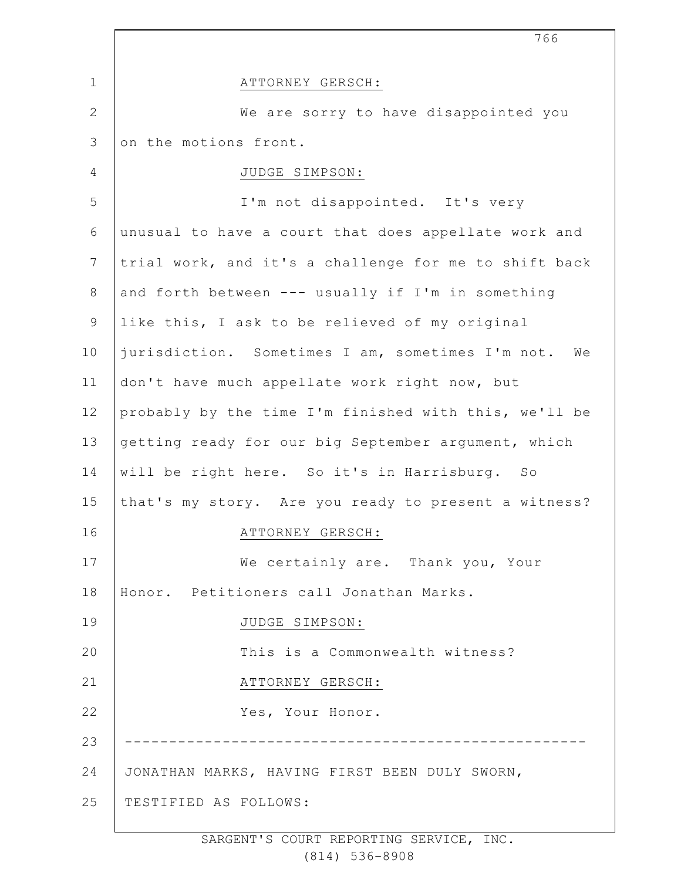|              | 766                                                    |
|--------------|--------------------------------------------------------|
| $\mathbf 1$  | ATTORNEY GERSCH:                                       |
| $\mathbf{2}$ | We are sorry to have disappointed you                  |
| 3            | on the motions front.                                  |
| 4            | JUDGE SIMPSON:                                         |
| 5            | I'm not disappointed. It's very                        |
| 6            | unusual to have a court that does appellate work and   |
| 7            | trial work, and it's a challenge for me to shift back  |
| $8\,$        | and forth between --- usually if I'm in something      |
| $\mathsf 9$  | like this, I ask to be relieved of my original         |
| 10           | jurisdiction. Sometimes I am, sometimes I'm not.<br>We |
| 11           | don't have much appellate work right now, but          |
| 12           | probably by the time I'm finished with this, we'll be  |
| 13           | getting ready for our big September argument, which    |
| 14           | will be right here. So it's in Harrisburg. So          |
| 15           | that's my story. Are you ready to present a witness?   |
| 16           | ATTORNEY GERSCH:                                       |
| 17           | We certainly are. Thank you, Your                      |
| 18           | Honor. Petitioners call Jonathan Marks.                |
| 19           | JUDGE SIMPSON:                                         |
| 20           | This is a Commonwealth witness?                        |
| 21           | ATTORNEY GERSCH:                                       |
| 22           | Yes, Your Honor.                                       |
| 23           |                                                        |
| 24           | JONATHAN MARKS, HAVING FIRST BEEN DULY SWORN,          |
| 25           | TESTIFIED AS FOLLOWS:                                  |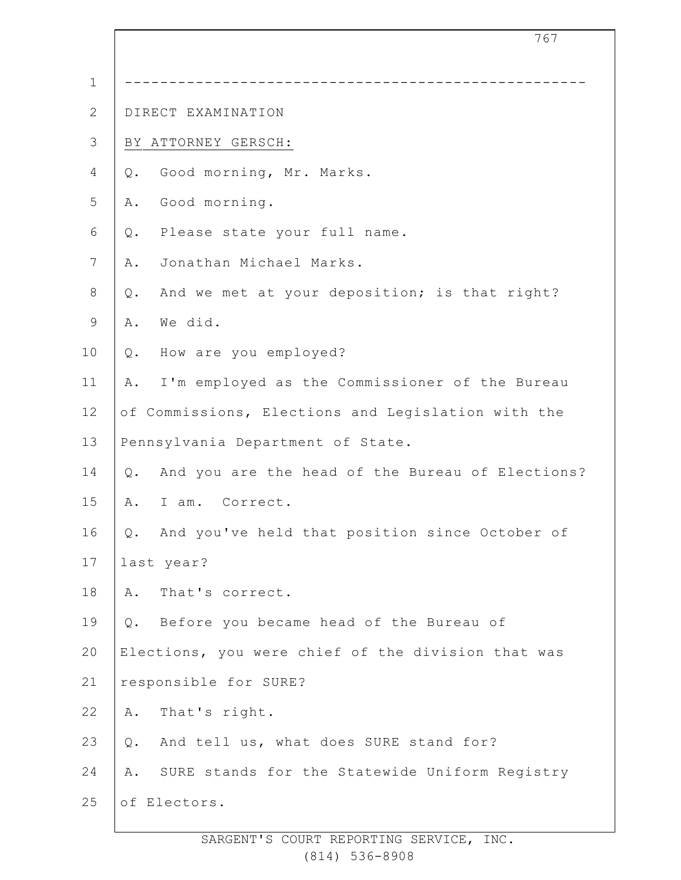|                 | 767                                                    |  |
|-----------------|--------------------------------------------------------|--|
| $\mathbf 1$     |                                                        |  |
| $\mathbf{2}$    | DIRECT EXAMINATION                                     |  |
| $\mathcal{S}$   | BY ATTORNEY GERSCH:                                    |  |
| 4               | Good morning, Mr. Marks.<br>Q.                         |  |
| 5               | Good morning.<br>Α.                                    |  |
| 6               | Please state your full name.<br>Q.                     |  |
| $7\phantom{.0}$ | Jonathan Michael Marks.<br>Α.                          |  |
| $\,8\,$         | And we met at your deposition; is that right?<br>Q.    |  |
| $\mathsf 9$     | We did.<br>Α.                                          |  |
| 10              | How are you employed?<br>Q.                            |  |
| 11              | I'm employed as the Commissioner of the Bureau<br>Α.   |  |
| 12              | of Commissions, Elections and Legislation with the     |  |
| 13              | Pennsylvania Department of State.                      |  |
| 14              | And you are the head of the Bureau of Elections?<br>Q. |  |
| 15              | I am. Correct.<br>Α.                                   |  |
| 16              | Q. And you've held that position since October of      |  |
| 17              | last year?                                             |  |
| 18              | Α.<br>That's correct.                                  |  |
| 19              | Before you became head of the Bureau of<br>Q.          |  |
| 20              | Elections, you were chief of the division that was     |  |
| 21              | responsible for SURE?                                  |  |
| 22              | That's right.<br>Α.                                    |  |
| 23              | And tell us, what does SURE stand for?<br>Q.           |  |
| 24              | SURE stands for the Statewide Uniform Registry<br>Α.   |  |
| 25              | of Electors.                                           |  |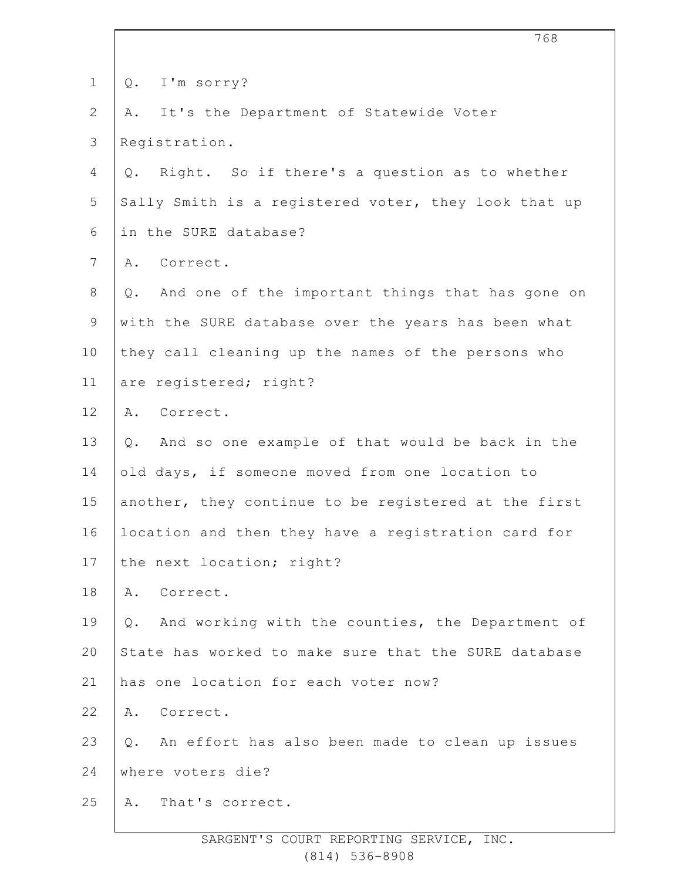| $\mathbf 1$    | I'm sorry?<br>Q.                                       |
|----------------|--------------------------------------------------------|
| $\overline{2}$ | It's the Department of Statewide Voter<br>Α.           |
| 3              | Registration.                                          |
| 4              | Q. Right. So if there's a question as to whether       |
| 5              | Sally Smith is a registered voter, they look that up   |
| 6              | in the SURE database?                                  |
| $7\phantom{.}$ | A. Correct.                                            |
| $8\,$          | And one of the important things that has gone on<br>Q. |
| 9              | with the SURE database over the years has been what    |
| 10             | they call cleaning up the names of the persons who     |
| 11             | are registered; right?                                 |
| 12             | A. Correct.                                            |
| 13             | And so one example of that would be back in the<br>Q.  |
| 14             | old days, if someone moved from one location to        |
| 15             | another, they continue to be registered at the first   |
| 16             | location and then they have a registration card for    |
| 17             | the next location; right?                              |
| 18             | A. Correct.                                            |
| 19             | And working with the counties, the Department of<br>Q. |
| 20             | State has worked to make sure that the SURE database   |
| 21             | has one location for each voter now?                   |
| 22             | A. Correct.                                            |
| 23             | Q. An effort has also been made to clean up issues     |
| 24             | where voters die?                                      |
| 25             | That's correct.<br>Α.                                  |
|                |                                                        |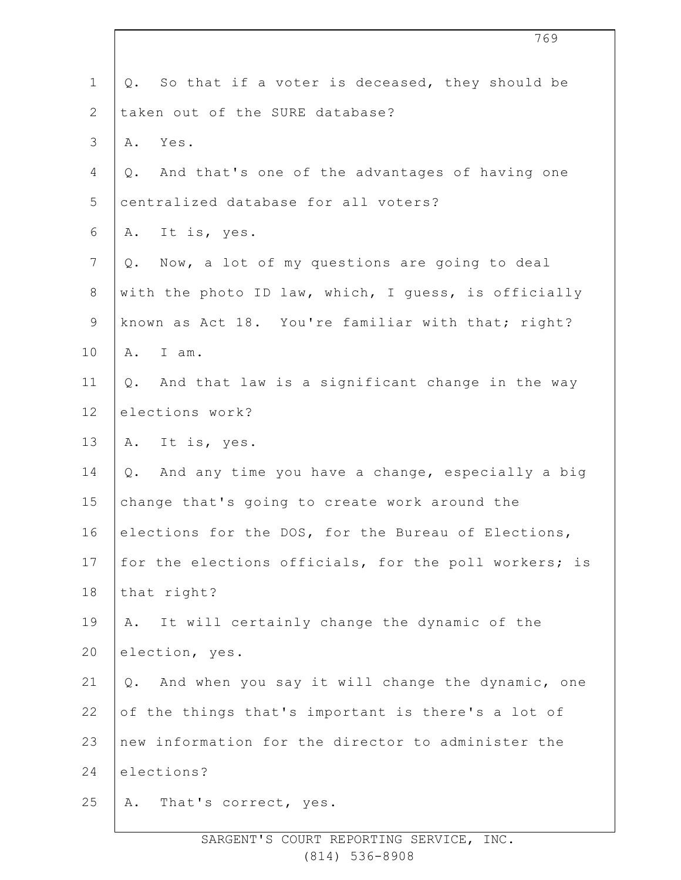| $\mathbf 1$    | Q. So that if a voter is deceased, they should be         |
|----------------|-----------------------------------------------------------|
| $\overline{2}$ | taken out of the SURE database?                           |
| $\mathcal{S}$  | Yes.<br>Α.                                                |
| 4              | And that's one of the advantages of having one<br>Q.      |
| 5              | centralized database for all voters?                      |
| 6              | It is, yes.<br>Α.                                         |
| $\overline{7}$ | Now, a lot of my questions are going to deal<br>Q.        |
| $8\,$          | with the photo ID law, which, I guess, is officially      |
| $\mathsf 9$    | known as Act 18. You're familiar with that; right?        |
| 10             | I am.<br>Α.                                               |
| 11             | And that law is a significant change in the way<br>Q.     |
| 12             | elections work?                                           |
| 13             | A. It is, yes.                                            |
| 14             | And any time you have a change, especially a big<br>$Q$ . |
| 15             | change that's going to create work around the             |
| 16             | elections for the DOS, for the Bureau of Elections,       |
| 17             | for the elections officials, for the poll workers; is     |
| 18             | that right?                                               |
| 19             | It will certainly change the dynamic of the<br>Α.         |
| 20             | election, yes.                                            |
| 21             | And when you say it will change the dynamic, one<br>$Q$ . |
| 22             | of the things that's important is there's a lot of        |
| 23             | new information for the director to administer the        |
| 24             | elections?                                                |
| 25             | That's correct, yes.<br>Α.                                |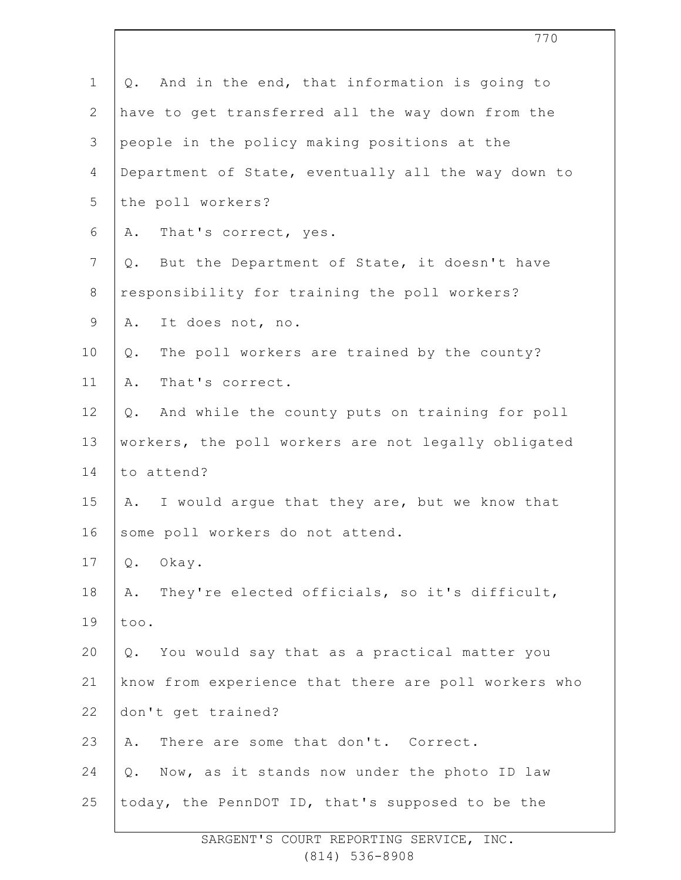| $\mathbf 1$    | And in the end, that information is going to<br>Q.      |
|----------------|---------------------------------------------------------|
| $\overline{2}$ | have to get transferred all the way down from the       |
| 3              | people in the policy making positions at the            |
| 4              | Department of State, eventually all the way down to     |
| 5              | the poll workers?                                       |
| 6              | That's correct, yes.<br>Α.                              |
| 7              | But the Department of State, it doesn't have<br>$Q$ .   |
| $\,8\,$        | responsibility for training the poll workers?           |
| 9              | It does not, no.<br>Α.                                  |
| 10             | The poll workers are trained by the county?<br>Q.       |
| 11             | That's correct.<br>Α.                                   |
| 12             | And while the county puts on training for poll<br>$Q$ . |
| 13             | workers, the poll workers are not legally obligated     |
| 14             | to attend?                                              |
| 15             | I would argue that they are, but we know that<br>Α.     |
| 16             | some poll workers do not attend.                        |
| 17             | Okay.<br>Q.                                             |
| 18             | They're elected officials, so it's difficult,<br>Α.     |
| 19             | too.                                                    |
| 20             | You would say that as a practical matter you<br>Q.      |
| 21             | know from experience that there are poll workers who    |
| 22             | don't get trained?                                      |
| 23             | There are some that don't. Correct.<br>Α.               |
| 24             | Q. Now, as it stands now under the photo ID law         |
| 25             | today, the PennDOT ID, that's supposed to be the        |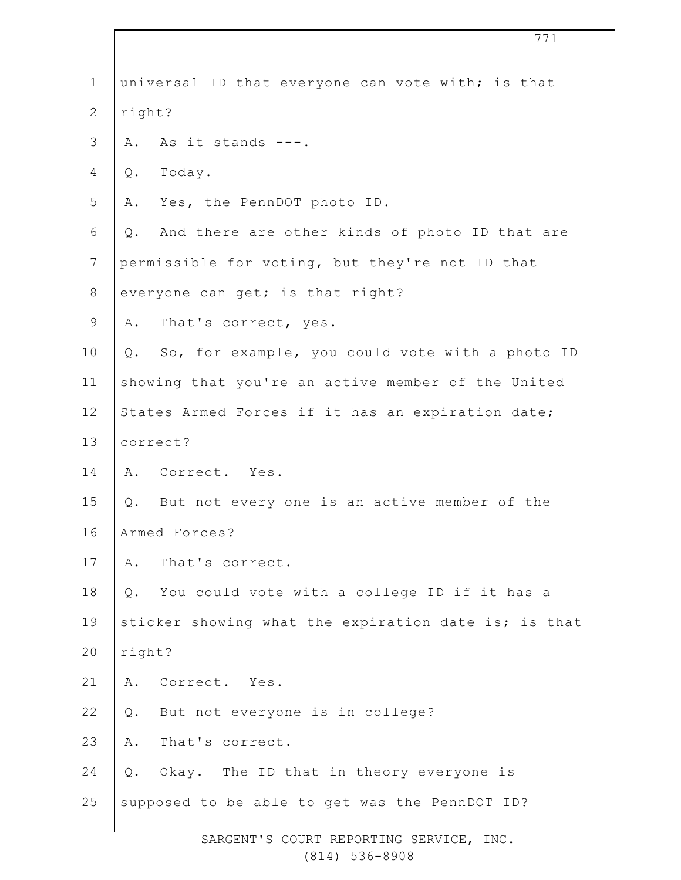| $\mathbf 1$    | universal ID that everyone can vote with; is that     |
|----------------|-------------------------------------------------------|
| $\overline{2}$ | right?                                                |
| 3              | As it stands ---.<br>Α.                               |
| 4              | Today.<br>Q.                                          |
| 5              | Yes, the PennDOT photo ID.<br>Α.                      |
| 6              | And there are other kinds of photo ID that are<br>Q.  |
| $\overline{7}$ | permissible for voting, but they're not ID that       |
| $8\,$          | everyone can get; is that right?                      |
| 9              | A. That's correct, yes.                               |
| 10             | Q. So, for example, you could vote with a photo ID    |
| 11             | showing that you're an active member of the United    |
| 12             | States Armed Forces if it has an expiration date;     |
| 13             | correct?                                              |
| 14             | A. Correct. Yes.                                      |
| 15             | Q. But not every one is an active member of the       |
| 16             | Armed Forces?                                         |
| 17             | That's correct.<br>Α.                                 |
| 18             | You could vote with a college ID if it has a<br>$Q$ . |
| 19             | sticker showing what the expiration date is; is that  |
| 20             | right?                                                |
| 21             | Α.<br>Correct. Yes.                                   |
| 22             | But not everyone is in college?<br>$Q$ .              |
| 23             | That's correct.<br>Α.                                 |
| 24             | Okay. The ID that in theory everyone is<br>Q.         |
| 25             | supposed to be able to get was the PennDOT ID?        |
|                |                                                       |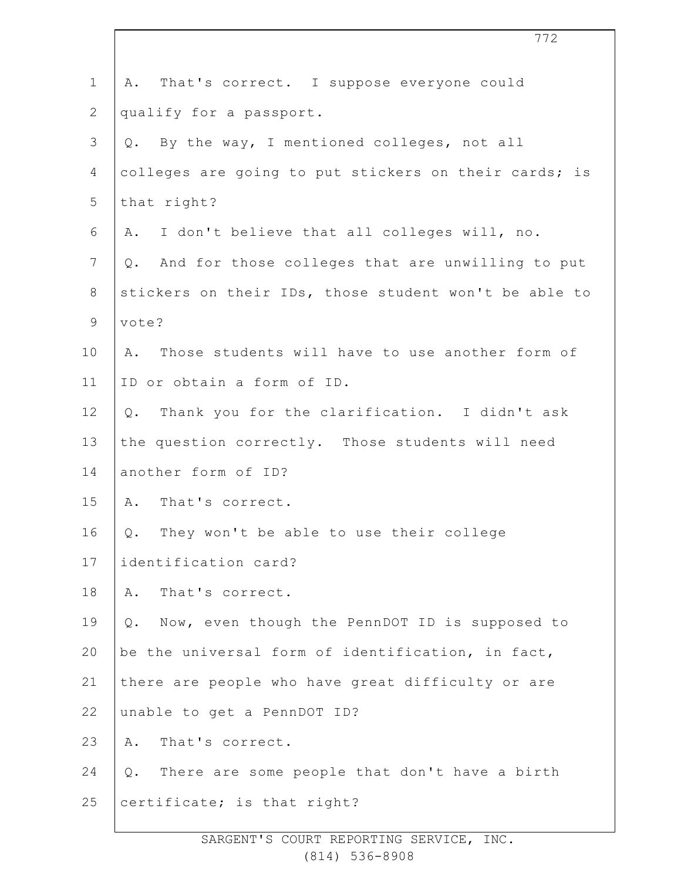| $\mathbf 1$    | That's correct. I suppose everyone could<br>Α.         |
|----------------|--------------------------------------------------------|
| $\overline{2}$ | qualify for a passport.                                |
| 3              | By the way, I mentioned colleges, not all<br>Q.        |
| 4              | colleges are going to put stickers on their cards; is  |
| 5              | that right?                                            |
| 6              | I don't believe that all colleges will, no.<br>Α.      |
| $7\phantom{.}$ | And for those colleges that are unwilling to put<br>Q. |
| $8\,$          | stickers on their IDs, those student won't be able to  |
| $\mathsf 9$    | vote?                                                  |
| 10             | Those students will have to use another form of<br>Α.  |
| 11             | ID or obtain a form of ID.                             |
| 12             | Thank you for the clarification. I didn't ask<br>$Q$ . |
| 13             | the question correctly. Those students will need       |
| 14             | another form of ID?                                    |
| 15             | That's correct.<br>Α.                                  |
| 16             | They won't be able to use their college<br>Q.          |
| 17             | identification card?                                   |
| 18             | That's correct.<br>Α.                                  |
| 19             | Now, even though the PennDOT ID is supposed to<br>Q.   |
| 20             | be the universal form of identification, in fact,      |
| 21             | there are people who have great difficulty or are      |
| 22             | unable to get a PennDOT ID?                            |
| 23             | That's correct.<br>Α.                                  |
| 24             | Q. There are some people that don't have a birth       |
| 25             | certificate; is that right?                            |
|                |                                                        |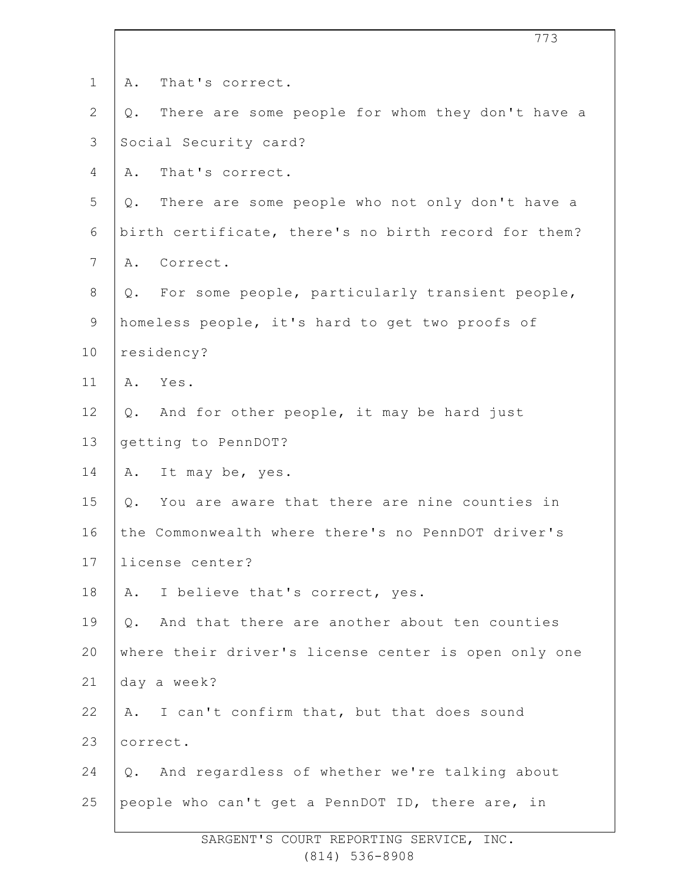| $\mathbf 1$    | That's correct.<br>Α.                                  |
|----------------|--------------------------------------------------------|
| $\overline{2}$ | There are some people for whom they don't have a<br>Q. |
| 3              | Social Security card?                                  |
| 4              | That's correct.<br>Α.                                  |
| 5              | Q. There are some people who not only don't have a     |
| 6              | birth certificate, there's no birth record for them?   |
| $7\phantom{.}$ | Correct.<br>Α.                                         |
| 8              | Q. For some people, particularly transient people,     |
| $\mathsf 9$    | homeless people, it's hard to get two proofs of        |
| 10             | residency?                                             |
| 11             | Yes.<br>Α.                                             |
| 12             | Q. And for other people, it may be hard just           |
| 13             | getting to PennDOT?                                    |
| 14             | It may be, yes.<br>Α.                                  |
| 15             | You are aware that there are nine counties in<br>$Q$ . |
| 16             | the Commonwealth where there's no PennDOT driver's     |
| 17             | license center?                                        |
| 18             | I believe that's correct, yes.<br>Α.                   |
| 19             | And that there are another about ten counties<br>Q.    |
| 20             | where their driver's license center is open only one   |
| 21             | day a week?                                            |
| 22             | A. I can't confirm that, but that does sound           |
| 23             | correct.                                               |
| 24             | Q. And regardless of whether we're talking about       |
| 25             | people who can't get a PennDOT ID, there are, in       |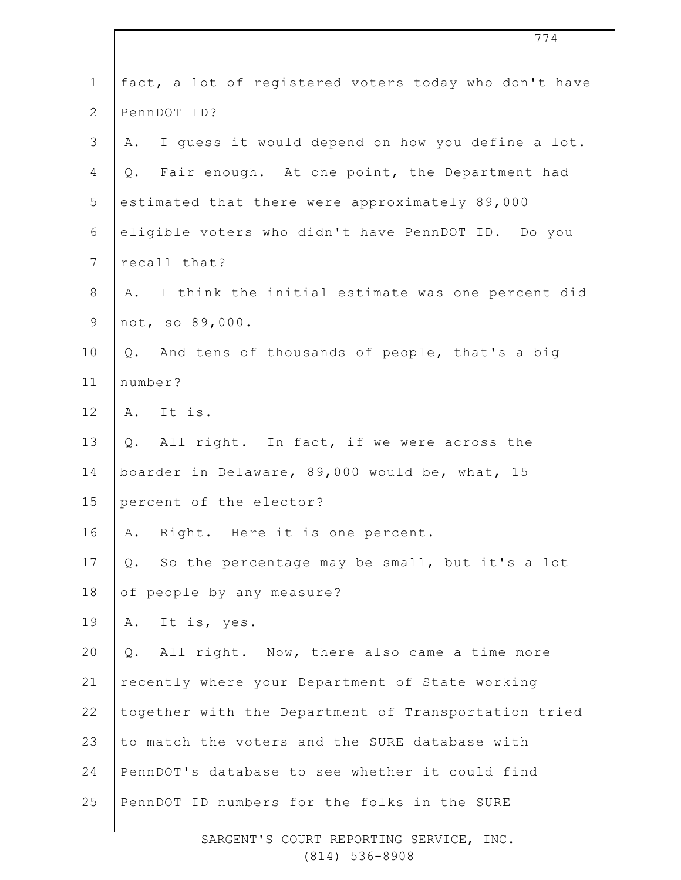| $\mathbf 1$    | fact, a lot of registered voters today who don't have  |
|----------------|--------------------------------------------------------|
| $\overline{2}$ | PennDOT ID?                                            |
| 3              | I quess it would depend on how you define a lot.<br>Α. |
| 4              | Fair enough. At one point, the Department had<br>Q.    |
| 5              | estimated that there were approximately 89,000         |
| 6              | eligible voters who didn't have PennDOT ID. Do you     |
| $\overline{7}$ | recall that?                                           |
| $\,8\,$        | I think the initial estimate was one percent did<br>A. |
| $\mathsf 9$    | not, so 89,000.                                        |
| 10             | Q. And tens of thousands of people, that's a big       |
| 11             | number?                                                |
| 12             | A. It is.                                              |
| 13             | All right. In fact, if we were across the<br>Q.        |
| 14             | boarder in Delaware, 89,000 would be, what, 15         |
| 15             | percent of the elector?                                |
| 16             | Right. Here it is one percent.<br>Α.                   |
| 17             | So the percentage may be small, but it's a lot<br>Q.   |
| 18             | of people by any measure?                              |
| 19             | It is, yes.<br>Α.                                      |
| 20             | All right. Now, there also came a time more<br>Q.      |
| 21             | recently where your Department of State working        |
| 22             | together with the Department of Transportation tried   |
| 23             | to match the voters and the SURE database with         |
| 24             | PennDOT's database to see whether it could find        |
| 25             | PennDOT ID numbers for the folks in the SURE           |
|                |                                                        |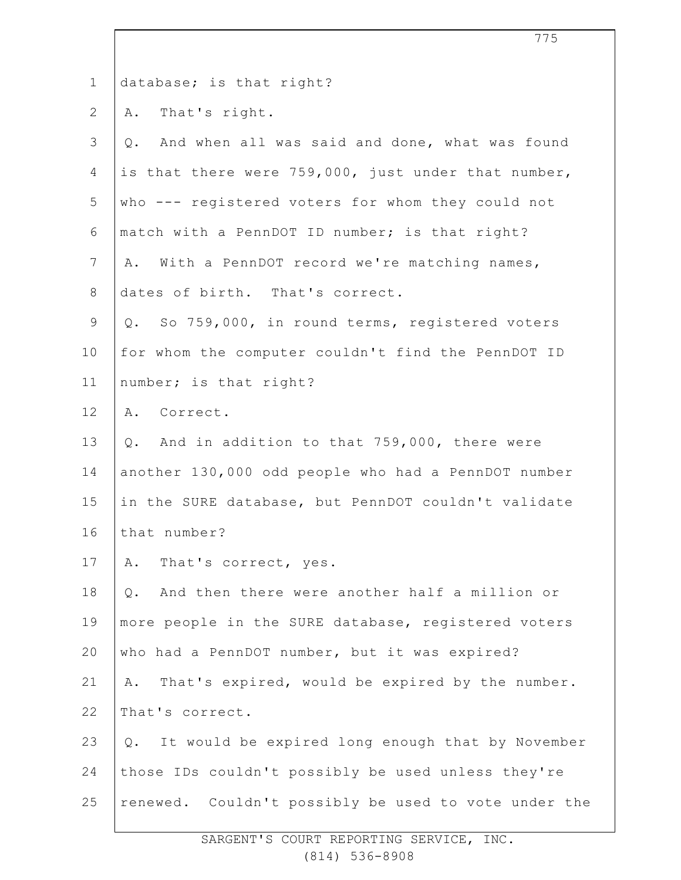1 2 3 4 5 6 7 8 9 10 11 12 13 14 15 16 17 18 19 20 21 22 23 24 25 database; is that right? A. That's right. Q. And when all was said and done, what was found is that there were 759,000, just under that number, who --- registered voters for whom they could not match with a PennDOT ID number; is that right? A. With a PennDOT record we're matching names, dates of birth. That's correct. Q. So 759,000, in round terms, registered voters for whom the computer couldn't find the PennDOT ID number; is that right? A. Correct. Q. And in addition to that 759,000, there were another 130,000 odd people who had a PennDOT number in the SURE database, but PennDOT couldn't validate that number? A. That's correct, yes. Q. And then there were another half a million or more people in the SURE database, registered voters who had a PennDOT number, but it was expired? A. That's expired, would be expired by the number. That's correct. Q. It would be expired long enough that by November those IDs couldn't possibly be used unless they're renewed. Couldn't possibly be used to vote under the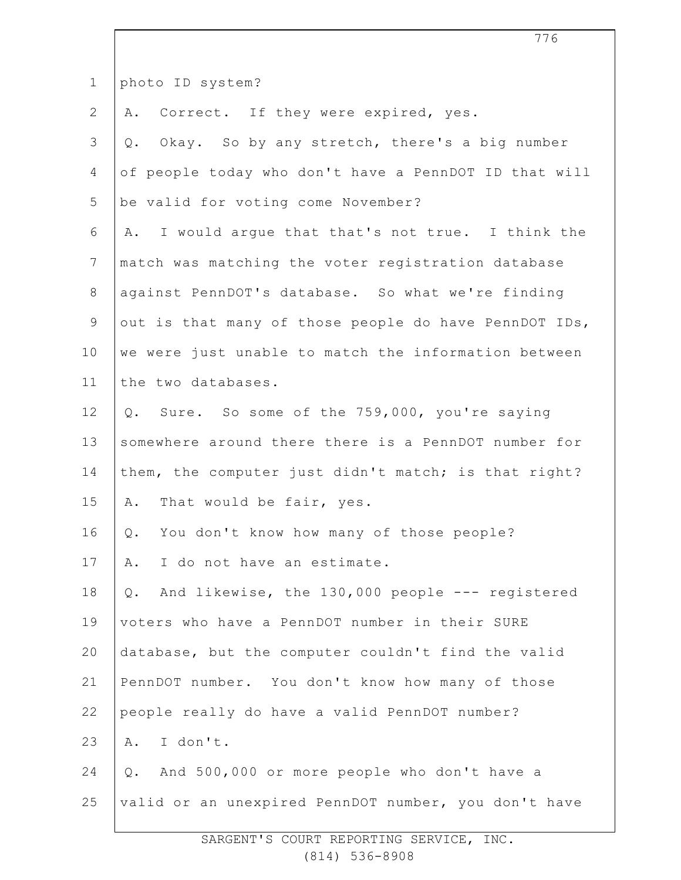| $\mathbf 1$    | photo ID system?                                         |
|----------------|----------------------------------------------------------|
| $\overline{2}$ | A. Correct. If they were expired, yes.                   |
| 3              | Okay. So by any stretch, there's a big number<br>Q.      |
| 4              | of people today who don't have a PennDOT ID that will    |
| 5              | be valid for voting come November?                       |
| 6              | A. I would argue that that's not true. I think the       |
| $7\phantom{.}$ | match was matching the voter registration database       |
| $8\,$          | against PennDOT's database. So what we're finding        |
| $\mathcal{G}$  | out is that many of those people do have PennDOT IDs,    |
| 10             | we were just unable to match the information between     |
| 11             | the two databases.                                       |
| 12             | Q. Sure. So some of the 759,000, you're saying           |
| 13             | somewhere around there there is a PennDOT number for     |
| 14             | them, the computer just didn't match; is that right?     |
| 15             | That would be fair, yes.<br>Α.                           |
| 16             | Q. You don't know how many of those people?              |
| 17             | I do not have an estimate.<br>Α.                         |
| 18             | And likewise, the 130,000 people --- registered<br>$Q$ . |
| 19             | voters who have a PennDOT number in their SURE           |
| 20             | database, but the computer couldn't find the valid       |
| 21             | PennDOT number. You don't know how many of those         |
| 22             | people really do have a valid PennDOT number?            |
| 23             | I don't.<br>Α.                                           |
| 24             | And 500,000 or more people who don't have a<br>Q.        |
| 25             | valid or an unexpired PennDOT number, you don't have     |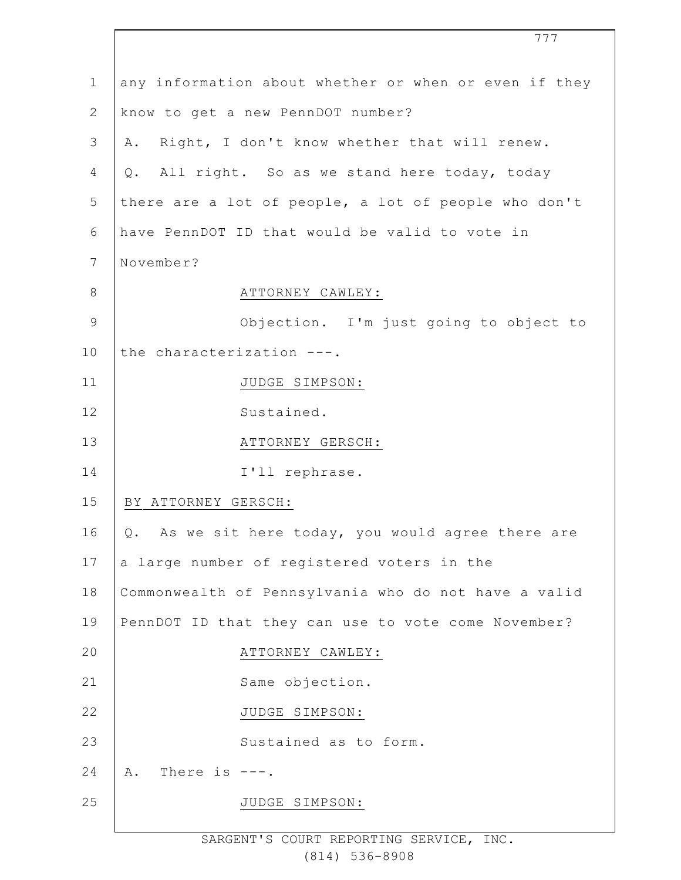|              | 777                                                   |
|--------------|-------------------------------------------------------|
| $\mathbf 1$  | any information about whether or when or even if they |
| $\mathbf{2}$ | know to get a new PennDOT number?                     |
| 3            | Right, I don't know whether that will renew.<br>Α.    |
| 4            | Q. All right. So as we stand here today, today        |
| 5            | there are a lot of people, a lot of people who don't  |
| 6            | have PennDOT ID that would be valid to vote in        |
| 7            | November?                                             |
| $\,8\,$      | ATTORNEY CAWLEY:                                      |
| $\mathsf 9$  | Objection. I'm just going to object to                |
| 10           | the characterization ---.                             |
| 11           | JUDGE SIMPSON:                                        |
| 12           | Sustained.                                            |
| 13           | ATTORNEY GERSCH:                                      |
| 14           | I'll rephrase.                                        |
| 15           | BY ATTORNEY GERSCH:                                   |
| 16           | Q. As we sit here today, you would agree there are    |
| 17           | a large number of registered voters in the            |
| 18           | Commonwealth of Pennsylvania who do not have a valid  |
| 19           | PennDOT ID that they can use to vote come November?   |
| 20           | ATTORNEY CAWLEY:                                      |
| 21           | Same objection.                                       |
| 22           | JUDGE SIMPSON:                                        |
| 23           | Sustained as to form.                                 |
| 24           | There is $---$ .<br>Α.                                |
| 25           | JUDGE SIMPSON:                                        |
|              |                                                       |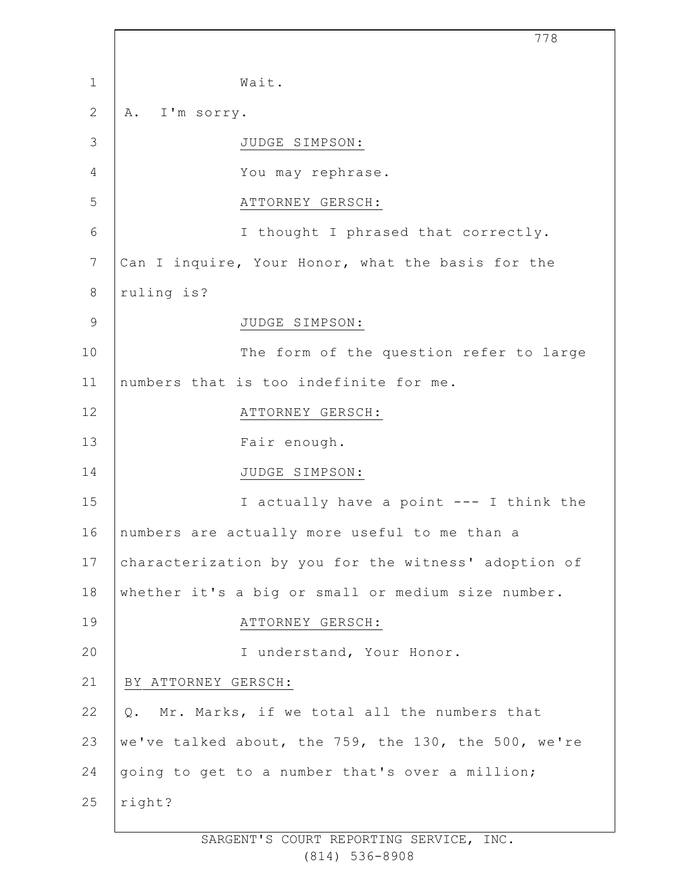|                | 778                                                  |
|----------------|------------------------------------------------------|
| $\mathbf 1$    | Wait.                                                |
| $\mathbf{2}$   | A. I'm sorry.                                        |
| $\mathfrak{Z}$ | JUDGE SIMPSON:                                       |
| 4              | You may rephrase.                                    |
| 5              | ATTORNEY GERSCH:                                     |
| 6              | I thought I phrased that correctly.                  |
| 7              | Can I inquire, Your Honor, what the basis for the    |
| 8              | ruling is?                                           |
| $\mathcal{G}$  | JUDGE SIMPSON:                                       |
| 10             | The form of the question refer to large              |
| 11             | numbers that is too indefinite for me.               |
| 12             | ATTORNEY GERSCH:                                     |
| 13             | Fair enough.                                         |
| 14             | JUDGE SIMPSON:                                       |
| 15             | I actually have a point --- I think the              |
| 16             | numbers are actually more useful to me than a        |
| 17             | characterization by you for the witness' adoption of |
| 18             | whether it's a big or small or medium size number.   |
| 19             | ATTORNEY GERSCH:                                     |
| 20             | I understand, Your Honor.                            |
| 21             | BY ATTORNEY GERSCH:                                  |
| 22             | Mr. Marks, if we total all the numbers that<br>Q.    |
| 23             | we've talked about, the 759, the 130, the 500, we're |
| 24             | going to get to a number that's over a million;      |
| 25             | right?                                               |
|                |                                                      |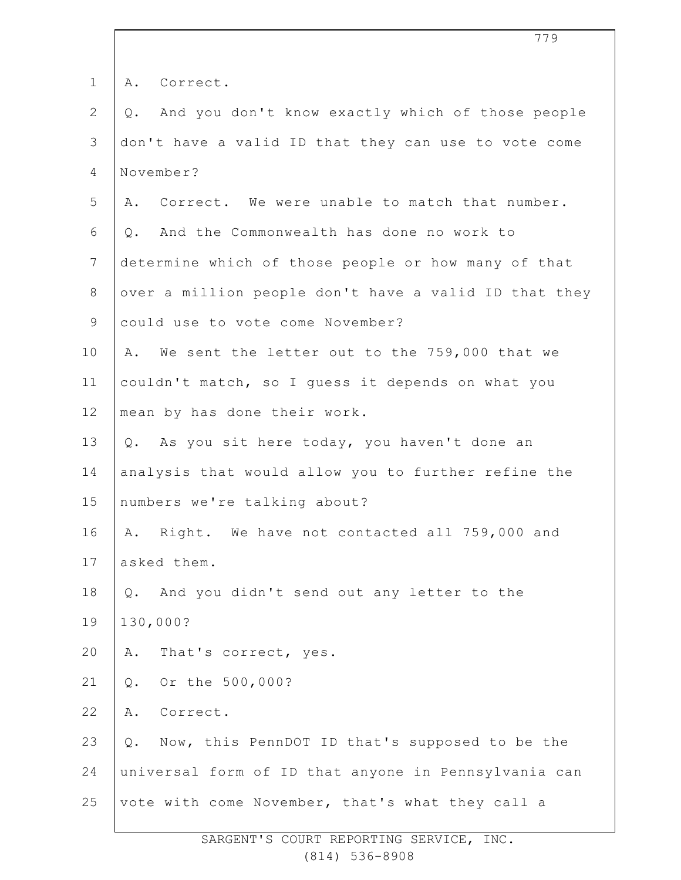| And you don't know exactly which of those people<br>don't have a valid ID that they can use to vote come<br>A. Correct. We were unable to match that number. |
|--------------------------------------------------------------------------------------------------------------------------------------------------------------|
|                                                                                                                                                              |
|                                                                                                                                                              |
|                                                                                                                                                              |
|                                                                                                                                                              |
|                                                                                                                                                              |
|                                                                                                                                                              |
| determine which of those people or how many of that                                                                                                          |
| over a million people don't have a valid ID that they                                                                                                        |
|                                                                                                                                                              |
| We sent the letter out to the 759,000 that we                                                                                                                |
| couldn't match, so I guess it depends on what you                                                                                                            |
|                                                                                                                                                              |
| Q. As you sit here today, you haven't done an                                                                                                                |
| analysis that would allow you to further refine the                                                                                                          |
|                                                                                                                                                              |
| Right. We have not contacted all 759,000 and                                                                                                                 |
|                                                                                                                                                              |
|                                                                                                                                                              |
|                                                                                                                                                              |
|                                                                                                                                                              |
|                                                                                                                                                              |
|                                                                                                                                                              |
| Q. Now, this PennDOT ID that's supposed to be the                                                                                                            |
| universal form of ID that anyone in Pennsylvania can                                                                                                         |
| vote with come November, that's what they call a                                                                                                             |
|                                                                                                                                                              |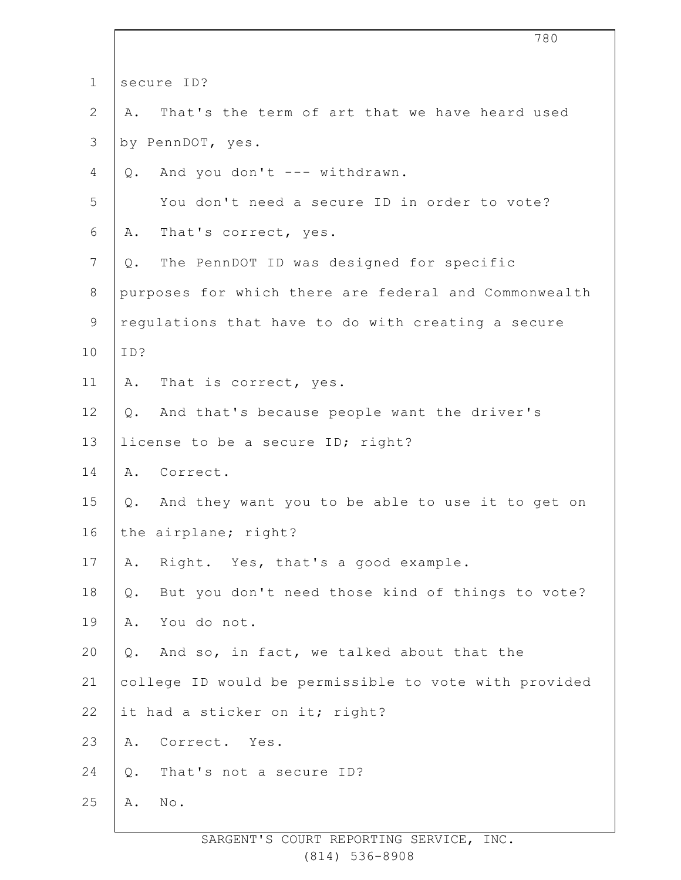|              | 780                                                       |
|--------------|-----------------------------------------------------------|
| $\mathbf 1$  | secure ID?                                                |
| $\mathbf{2}$ | That's the term of art that we have heard used<br>Α.      |
| 3            | by PennDOT, yes.                                          |
| 4            | And you don't --- withdrawn.<br>Q.                        |
| 5            | You don't need a secure ID in order to vote?              |
| 6            | A. That's correct, yes.                                   |
| 7            | The PennDOT ID was designed for specific<br>Q.            |
| $8\,$        | purposes for which there are federal and Commonwealth     |
| $\mathsf 9$  | regulations that have to do with creating a secure        |
| 10           | ID?                                                       |
| 11           | That is correct, yes.<br>Α.                               |
| 12           | Q. And that's because people want the driver's            |
| 13           | license to be a secure ID; right?                         |
| 14           | Correct.<br>Α.                                            |
| 15           | And they want you to be able to use it to get on<br>Q.    |
| 16           | the airplane; right?                                      |
| 17           | Right. Yes, that's a good example.<br>Α.                  |
| 18           | But you don't need those kind of things to vote?<br>$Q$ . |
| 19           | You do not.<br>Α.                                         |
| 20           | And so, in fact, we talked about that the<br>$Q$ .        |
| 21           | college ID would be permissible to vote with provided     |
| 22           | it had a sticker on it; right?                            |
| 23           | Correct. Yes.<br>Α.                                       |
| 24           | That's not a secure ID?<br>$Q$ .                          |
| 25           | No.<br>Α.                                                 |

 $\overline{\phantom{a}}$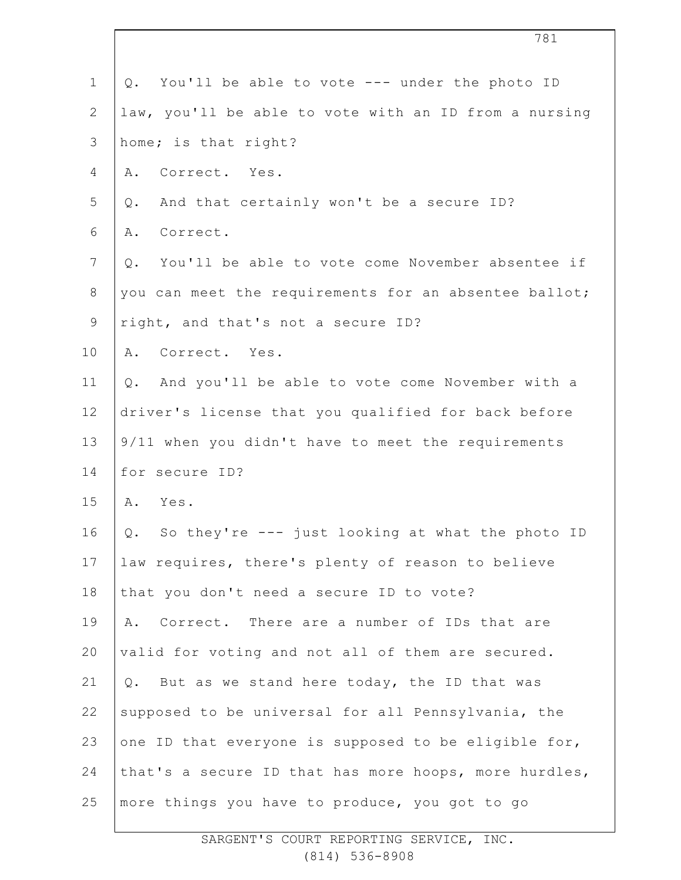|                | 781                                                    |
|----------------|--------------------------------------------------------|
| $\mathbf 1$    | Q. You'll be able to vote --- under the photo ID       |
| 2              | law, you'll be able to vote with an ID from a nursing  |
| 3              | home; is that right?                                   |
| 4              | Correct. Yes.<br>Α.                                    |
| 5              | And that certainly won't be a secure ID?<br>Q.         |
| 6              | Correct.<br>Α.                                         |
| $\overline{7}$ | Q. You'll be able to vote come November absentee if    |
| $8\,$          | you can meet the requirements for an absentee ballot;  |
| $\mathsf 9$    | right, and that's not a secure ID?                     |
| 10             | Correct. Yes.<br>Α.                                    |
| 11             | Q. And you'll be able to vote come November with a     |
| 12             | driver's license that you qualified for back before    |
| 13             | 9/11 when you didn't have to meet the requirements     |
| 14             | for secure ID?                                         |
| 15             | A. Yes.                                                |
| 16             | So they're --- just looking at what the photo ID<br>Q. |
| 17             | law requires, there's plenty of reason to believe      |
| 18             | that you don't need a secure ID to vote?               |
| 19             | Correct. There are a number of IDs that are<br>Α.      |
| 20             | valid for voting and not all of them are secured.      |
| 21             | Q. But as we stand here today, the ID that was         |
| 22             | supposed to be universal for all Pennsylvania, the     |
| 23             | one ID that everyone is supposed to be eligible for,   |
| 24             | that's a secure ID that has more hoops, more hurdles,  |
| 25             | more things you have to produce, you got to go         |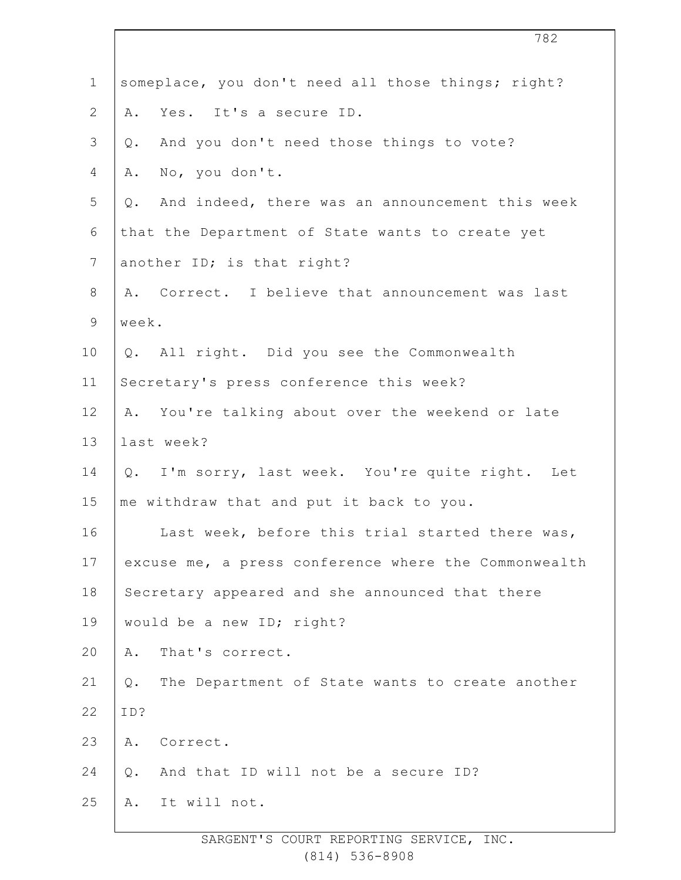| $\mathbf 1$    | someplace, you don't need all those things; right?       |
|----------------|----------------------------------------------------------|
| $\mathbf{2}$   | Yes. It's a secure ID.<br>Α.                             |
| $\mathfrak{Z}$ | And you don't need those things to vote?<br>$Q$ .        |
| 4              | No, you don't.<br>Α.                                     |
| 5              | Q. And indeed, there was an announcement this week       |
| 6              | that the Department of State wants to create yet         |
| 7              | another ID; is that right?                               |
| 8              | A. Correct. I believe that announcement was last         |
| $\mathsf 9$    | week.                                                    |
| 10             | Q. All right. Did you see the Commonwealth               |
| 11             | Secretary's press conference this week?                  |
| 12             | A. You're talking about over the weekend or late         |
| 13             | last week?                                               |
| 14             | Q. I'm sorry, last week. You're quite right. Let         |
| 15             | me withdraw that and put it back to you.                 |
| 16             | Last week, before this trial started there was,          |
| 17             | excuse me, a press conference where the Commonwealth     |
| 18             | Secretary appeared and she announced that there          |
| 19             | would be a new ID; right?                                |
| 20             | That's correct.<br>Α.                                    |
| 21             | The Department of State wants to create another<br>$Q$ . |
| 22             | ID?                                                      |
| 23             | Correct.<br>Α.                                           |
| 24             | And that ID will not be a secure ID?<br>$Q$ .            |
| 25             | It will not.<br>Α.                                       |
|                |                                                          |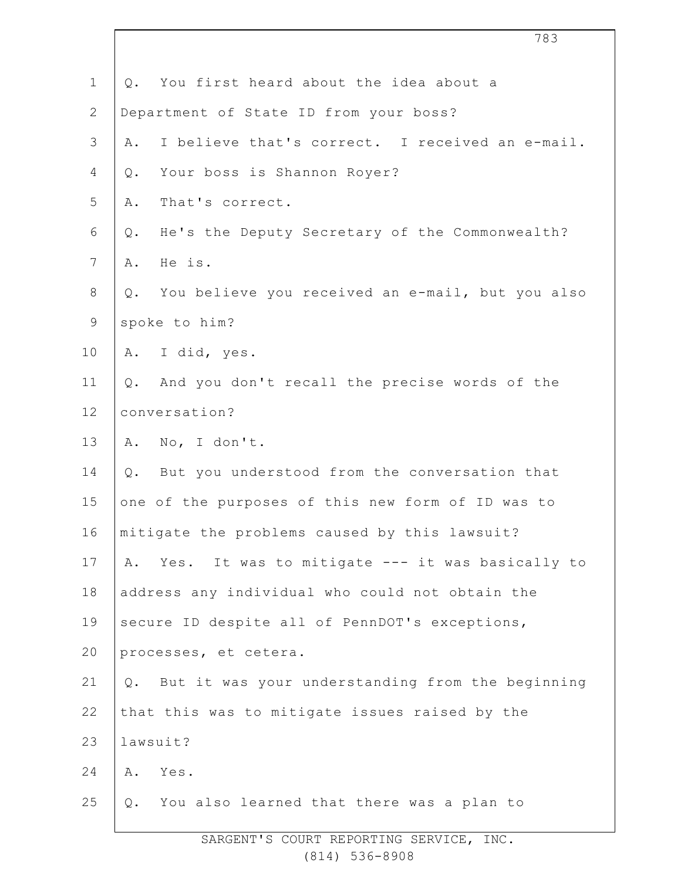| $\mathbf 1$    | You first heard about the idea about a<br>Q.              |
|----------------|-----------------------------------------------------------|
| $\overline{2}$ | Department of State ID from your boss?                    |
| 3              | I believe that's correct. I received an e-mail.<br>Α.     |
| 4              | Your boss is Shannon Royer?<br>Q.                         |
| 5              | That's correct.<br>Α.                                     |
| 6              | He's the Deputy Secretary of the Commonwealth?<br>Q.      |
| $7\phantom{.}$ | He is.<br>Α.                                              |
| 8              | You believe you received an e-mail, but you also<br>Q.    |
| 9              | spoke to him?                                             |
| 10             | A. I did, yes.                                            |
| 11             | And you don't recall the precise words of the<br>$Q$ .    |
| 12             | conversation?                                             |
| 13             | A. No, I don't.                                           |
| 14             | Q. But you understood from the conversation that          |
| 15             | one of the purposes of this new form of ID was to         |
| 16             | mitigate the problems caused by this lawsuit?             |
| 17             | Yes. It was to mitigate --- it was basically to<br>Α.     |
| 18             | address any individual who could not obtain the           |
| 19             | secure ID despite all of PennDOT's exceptions,            |
| 20             | processes, et cetera.                                     |
| 21             | But it was your understanding from the beginning<br>$Q$ . |
| 22             | that this was to mitigate issues raised by the            |
| 23             | lawsuit?                                                  |
| 24             | Yes.<br>Α.                                                |
| 25             | You also learned that there was a plan to<br>$Q$ .        |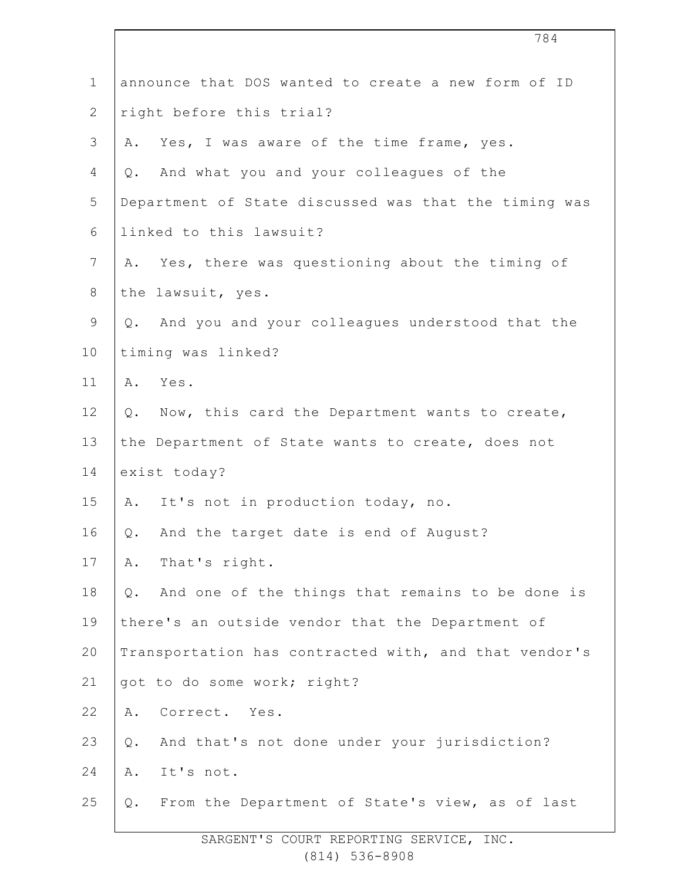| $\mathbf 1$    |       | announce that DOS wanted to create a new form of ID   |
|----------------|-------|-------------------------------------------------------|
| $\overline{2}$ |       | right before this trial?                              |
| 3              | Α.    | Yes, I was aware of the time frame, yes.              |
| 4              | Q.    | And what you and your colleagues of the               |
| 5              |       | Department of State discussed was that the timing was |
| 6              |       | linked to this lawsuit?                               |
| $7\phantom{.}$ |       | A. Yes, there was questioning about the timing of     |
| $8\,$          |       | the lawsuit, yes.                                     |
| $\mathsf 9$    |       | Q. And you and your colleagues understood that the    |
| 10             |       | timing was linked?                                    |
| 11             |       | A. Yes.                                               |
| 12             | Q.    | Now, this card the Department wants to create,        |
| 13             |       | the Department of State wants to create, does not     |
| 14             |       | exist today?                                          |
| 15             | Α.    | It's not in production today, no.                     |
| 16             | Q.    | And the target date is end of August?                 |
| 17             | Α.    | That's right.                                         |
| 18             | $Q$ . | And one of the things that remains to be done is      |
| 19             |       | there's an outside vendor that the Department of      |
| 20             |       | Transportation has contracted with, and that vendor's |
| 21             |       | got to do some work; right?                           |
| 22             | Α.    | Correct. Yes.                                         |
| 23             | Q.    | And that's not done under your jurisdiction?          |
| 24             | Α.    | It's not.                                             |
| 25             | Q.    | From the Department of State's view, as of last       |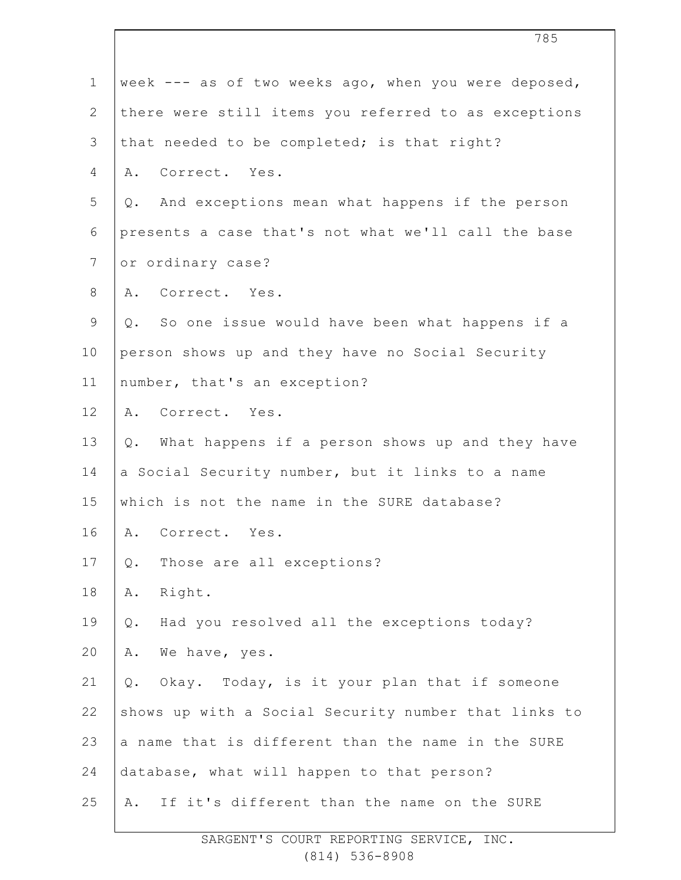| $\mathbf{1}$ | week --- as of two weeks ago, when you were deposed,         |
|--------------|--------------------------------------------------------------|
| $\mathbf{2}$ | there were still items you referred to as exceptions         |
| 3            | that needed to be completed; is that right?                  |
| 4            | A. Correct. Yes.                                             |
| 5            | And exceptions mean what happens if the person<br>Q.         |
| 6            | presents a case that's not what we'll call the base          |
| 7            | or ordinary case?                                            |
| 8            | A. Correct. Yes.                                             |
| 9            | So one issue would have been what happens if a<br>Q.         |
| 10           | person shows up and they have no Social Security             |
| 11           | number, that's an exception?                                 |
| 12           | A. Correct. Yes.                                             |
| 13           | What happens if a person shows up and they have<br>Q.        |
| 14           | a Social Security number, but it links to a name             |
| 15           | which is not the name in the SURE database?                  |
| 16           | A. Correct. Yes.                                             |
| 17           | Those are all exceptions?<br>Q.                              |
| 18           | Right.<br>Α.                                                 |
| 19           | Had you resolved all the exceptions today?<br>$\mathsf{Q}$ . |
| 20           | We have, yes.<br>Α.                                          |
| 21           | Okay. Today, is it your plan that if someone<br>Q.           |
| 22           | shows up with a Social Security number that links to         |
| 23           | a name that is different than the name in the SURE           |
| 24           | database, what will happen to that person?                   |
| 25           | If it's different than the name on the SURE<br>Α.            |
|              |                                                              |

 $\overline{\phantom{a}}$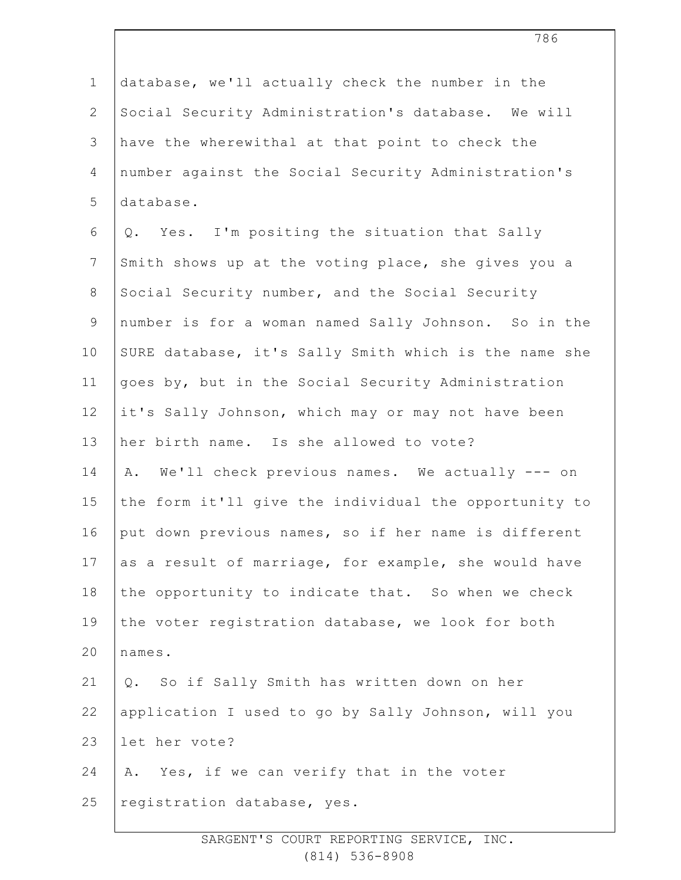| $1\,$          | database, we'll actually check the number in the      |
|----------------|-------------------------------------------------------|
| $\overline{2}$ | Social Security Administration's database. We will    |
| 3              | have the wherewithal at that point to check the       |
| 4              | number against the Social Security Administration's   |
| 5              | database.                                             |
| 6              | Q. Yes. I'm positing the situation that Sally         |
| $7\phantom{.}$ | Smith shows up at the voting place, she gives you a   |
| $8\,$          | Social Security number, and the Social Security       |
| $\mathsf 9$    | number is for a woman named Sally Johnson. So in the  |
| 10             | SURE database, it's Sally Smith which is the name she |
| 11             | goes by, but in the Social Security Administration    |
| 12             | it's Sally Johnson, which may or may not have been    |
| 13             | her birth name. Is she allowed to vote?               |
| 14             | We'll check previous names. We actually --- on<br>Α.  |
| 15             | the form it'll give the individual the opportunity to |
| 16             | put down previous names, so if her name is different  |
| 17             | as a result of marriage, for example, she would have  |
| 18             | the opportunity to indicate that. So when we check    |
| 19             | the voter registration database, we look for both     |
| 20             | names.                                                |
| 21             | So if Sally Smith has written down on her<br>Q.       |
| 22             | application I used to go by Sally Johnson, will you   |
| 23             | let her vote?                                         |
| 24             | Yes, if we can verify that in the voter<br>Α.         |
| 25             | registration database, yes.                           |
|                |                                                       |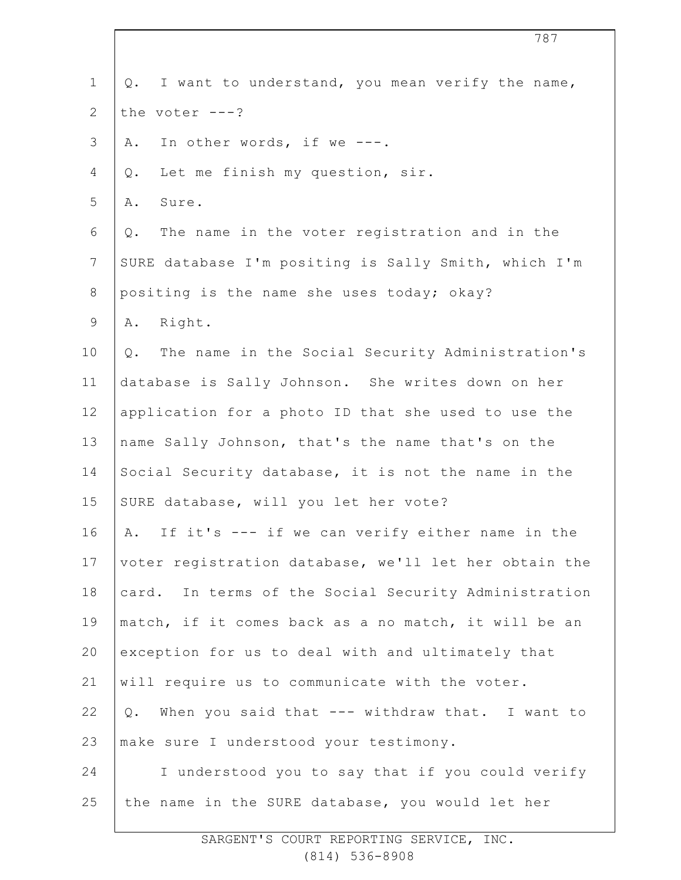| $1\,$            | Q. I want to understand, you mean verify the name,       |
|------------------|----------------------------------------------------------|
| $\mathbf{2}$     | the voter $---?$                                         |
| $\mathfrak{Z}$   | In other words, if we ---.<br>Α.                         |
| $\overline{4}$   | Let me finish my question, sir.<br>Q.                    |
| 5                | Sure.<br>Α.                                              |
| 6                | The name in the voter registration and in the<br>Q.      |
| $\boldsymbol{7}$ | SURE database I'm positing is Sally Smith, which I'm     |
| $\,8\,$          | positing is the name she uses today; okay?               |
| $\mathsf 9$      | Right.<br>Α.                                             |
| 10               | The name in the Social Security Administration's<br>Q.   |
| 11               | database is Sally Johnson. She writes down on her        |
| 12               | application for a photo ID that she used to use the      |
| 13               | name Sally Johnson, that's the name that's on the        |
| 14               | Social Security database, it is not the name in the      |
| 15               | SURE database, will you let her vote?                    |
| 16               | A. If it's --- if we can verify either name in the       |
| 17               | voter registration database, we'll let her obtain the    |
| 18               | card. In terms of the Social Security Administration     |
| 19               | match, if it comes back as a no match, it will be an     |
| 20               | exception for us to deal with and ultimately that        |
| 21               | will require us to communicate with the voter.           |
| 22               | When you said that --- withdraw that. I want to<br>$Q$ . |
| 23               | make sure I understood your testimony.                   |
| 24               | I understood you to say that if you could verify         |
| 25               | the name in the SURE database, you would let her         |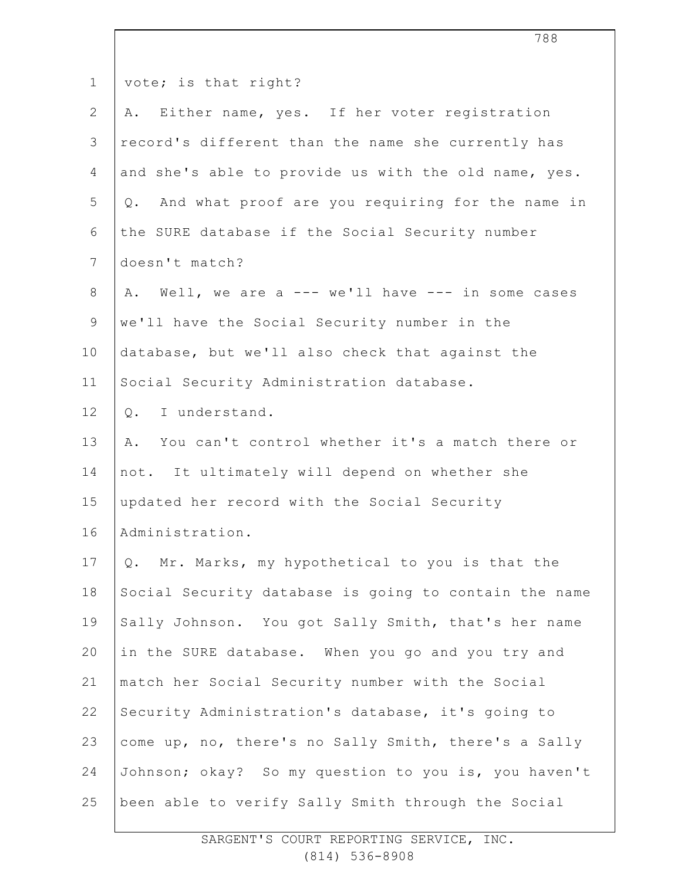| $\mathbf 1$     | vote; is that right?                                  |
|-----------------|-------------------------------------------------------|
| 2               | Either name, yes. If her voter registration<br>Α.     |
| 3               | record's different than the name she currently has    |
| 4               | and she's able to provide us with the old name, yes.  |
| 5               | Q. And what proof are you requiring for the name in   |
| 6               | the SURE database if the Social Security number       |
| $7\phantom{.0}$ | doesn't match?                                        |
| $8\,$           | A. Well, we are a --- we'll have --- in some cases    |
| $\mathsf 9$     | we'll have the Social Security number in the          |
| 10              | database, but we'll also check that against the       |
| 11              | Social Security Administration database.              |
| 12              | I understand.<br>$Q$ .                                |
| 13              | A. You can't control whether it's a match there or    |
| 14              | not. It ultimately will depend on whether she         |
| 15              | updated her record with the Social Security           |
| 16              | Administration.                                       |
| 17              | Q. Mr. Marks, my hypothetical to you is that the      |
| 18              | Social Security database is going to contain the name |
| 19              | Sally Johnson. You got Sally Smith, that's her name   |
| 20              | in the SURE database. When you go and you try and     |
| 21              | match her Social Security number with the Social      |
| 22              | Security Administration's database, it's going to     |
| 23              | come up, no, there's no Sally Smith, there's a Sally  |
| 24              | Johnson; okay? So my question to you is, you haven't  |
| 25              | been able to verify Sally Smith through the Social    |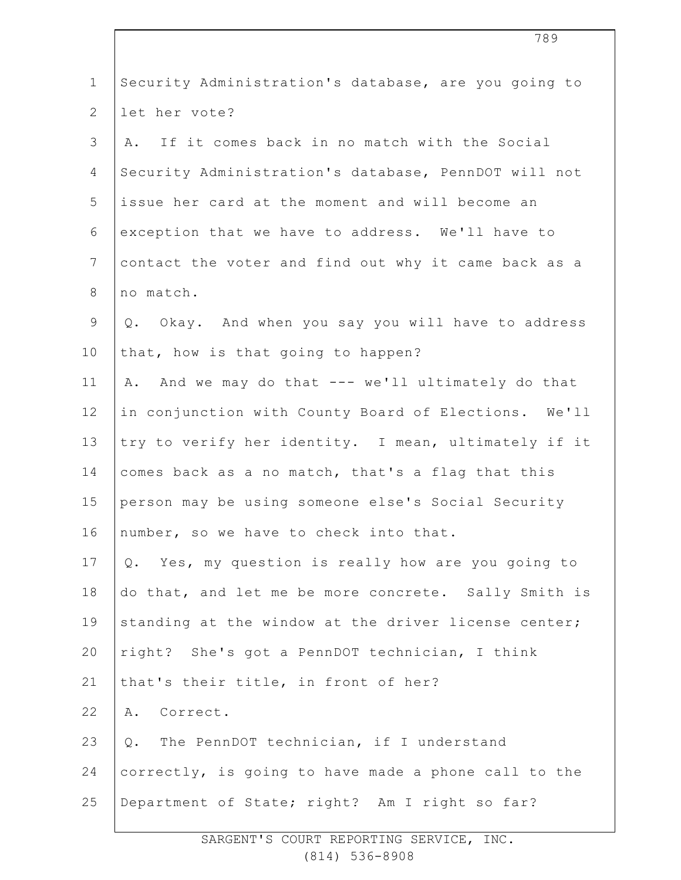| $\mathbf 1$     | Security Administration's database, are you going to  |
|-----------------|-------------------------------------------------------|
| $\overline{2}$  | let her vote?                                         |
| 3               | If it comes back in no match with the Social<br>Α.    |
| 4               | Security Administration's database, PennDOT will not  |
| 5               | issue her card at the moment and will become an       |
| 6               | exception that we have to address. We'll have to      |
| $7\phantom{.0}$ | contact the voter and find out why it came back as a  |
| $8\,$           | no match.                                             |
| $\mathsf 9$     | Q. Okay. And when you say you will have to address    |
| 10              | that, how is that going to happen?                    |
| 11              | And we may do that --- we'll ultimately do that<br>Α. |
| 12              | in conjunction with County Board of Elections. We'll  |
| 13              | try to verify her identity. I mean, ultimately if it  |
| 14              | comes back as a no match, that's a flag that this     |
| 15              | person may be using someone else's Social Security    |
| 16              | number, so we have to check into that.                |
| 17              | Q. Yes, my question is really how are you going to    |
| 18              | do that, and let me be more concrete. Sally Smith is  |
| 19              | standing at the window at the driver license center;  |
| 20              | right? She's got a PennDOT technician, I think        |
| 21              | that's their title, in front of her?                  |
| 22              | A. Correct.                                           |
| 23              | Q. The PennDOT technician, if I understand            |
| 24              | correctly, is going to have made a phone call to the  |
| 25              | Department of State; right? Am I right so far?        |
|                 |                                                       |
|                 |                                                       |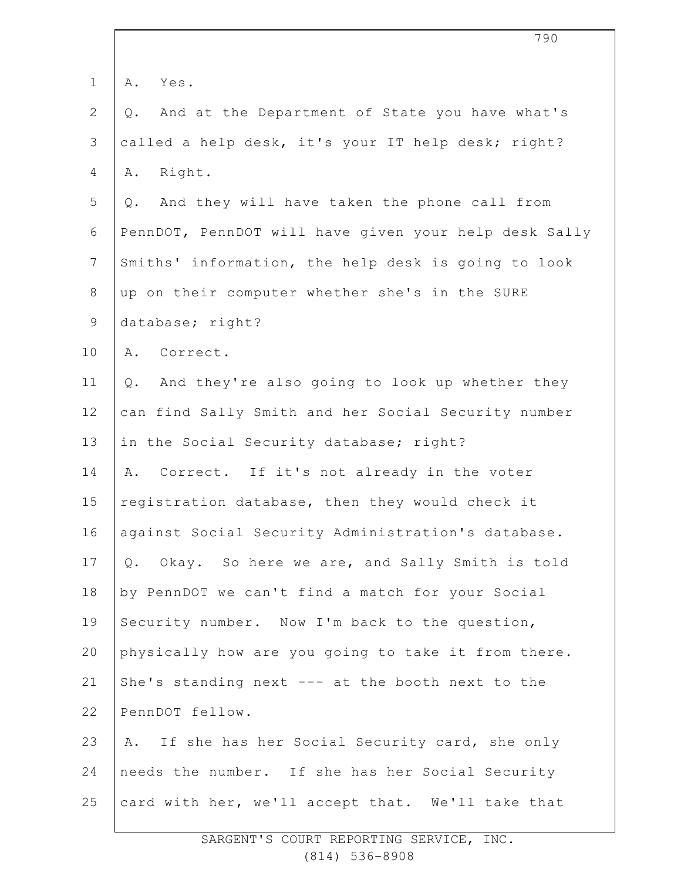|                | 790                                                   |
|----------------|-------------------------------------------------------|
| $\mathbf 1$    | Α.<br>Yes.                                            |
| $\mathbf{2}$   | And at the Department of State you have what's<br>Q.  |
| 3              | called a help desk, it's your IT help desk; right?    |
| 4              | Right.<br>Α.                                          |
| 5              | And they will have taken the phone call from<br>Q.    |
| 6              | PennDOT, PennDOT will have given your help desk Sally |
| $\overline{7}$ | Smiths' information, the help desk is going to look   |
| $8\,$          | up on their computer whether she's in the SURE        |
| $\mathsf 9$    | database; right?                                      |
| 10             | Correct.<br>Α.                                        |
| 11             | And they're also going to look up whether they<br>Q.  |
| 12             | can find Sally Smith and her Social Security number   |
| 13             | in the Social Security database; right?               |
| 14             | Correct. If it's not already in the voter<br>Α.       |
| 15             | registration database, then they would check it       |
| 16             | against Social Security Administration's database.    |
| 17             | Q. Okay. So here we are, and Sally Smith is told      |
| 18             | by PennDOT we can't find a match for your Social      |
| 19             | Security number. Now I'm back to the question,        |
| 20             | physically how are you going to take it from there.   |
| 21             | She's standing next --- at the booth next to the      |
| 22             | PennDOT fellow.                                       |
| 23             | If she has her Social Security card, she only<br>Α.   |
| 24             | needs the number. If she has her Social Security      |
| 25             | card with her, we'll accept that. We'll take that     |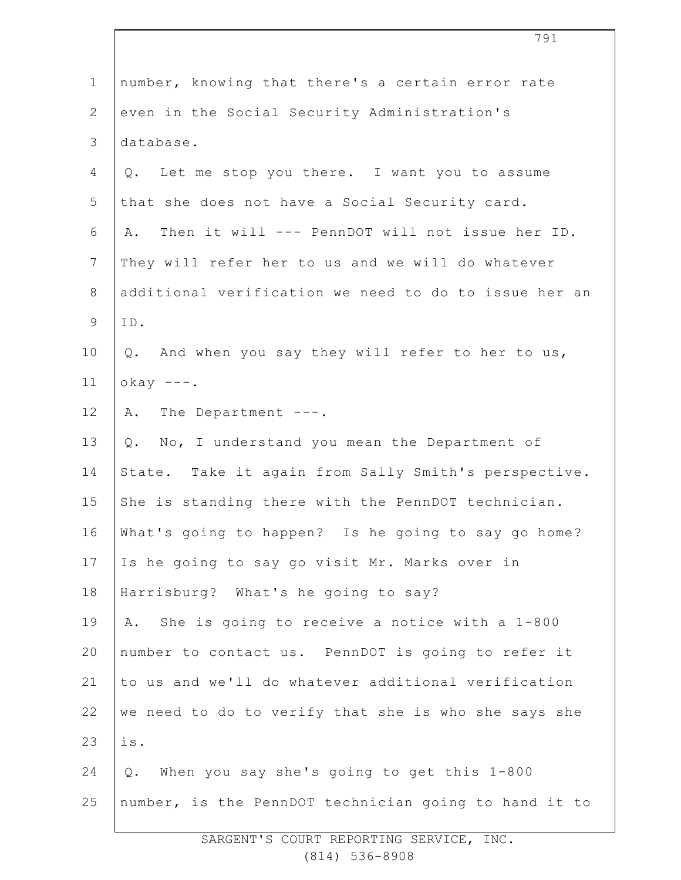| $\mathbf 1$    | number, knowing that there's a certain error rate     |
|----------------|-------------------------------------------------------|
| $\overline{2}$ | even in the Social Security Administration's          |
| 3              | database.                                             |
| 4              | Q. Let me stop you there. I want you to assume        |
| 5              | that she does not have a Social Security card.        |
| 6              | A. Then it will --- PennDOT will not issue her ID.    |
| $\overline{7}$ | They will refer her to us and we will do whatever     |
| 8              | additional verification we need to do to issue her an |
| 9              | ID.                                                   |
| 10             | Q. And when you say they will refer to her to us,     |
| 11             | $okay$ ---.                                           |
| 12             | A. The Department ---.                                |
| 13             | Q. No, I understand you mean the Department of        |
| 14             | State. Take it again from Sally Smith's perspective.  |
| 15             | She is standing there with the PennDOT technician.    |
| 16             | What's going to happen? Is he going to say go home?   |
| 17             | Is he going to say go visit Mr. Marks over in         |
| 18             | Harrisburg? What's he going to say?                   |
| 19             | She is going to receive a notice with a 1-800<br>A.   |
| 20             | number to contact us. PennDOT is going to refer it    |
| 21             | to us and we'll do whatever additional verification   |
| 22             | we need to do to verify that she is who she says she  |
| 23             | is.                                                   |
| 24             | When you say she's going to get this 1-800<br>Q.      |
| 25             | number, is the PennDOT technician going to hand it to |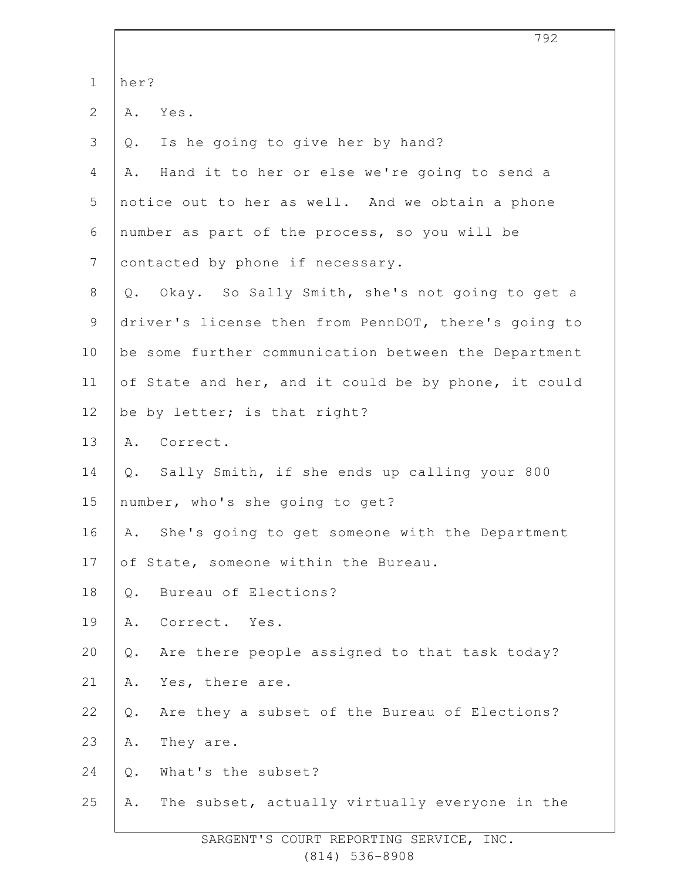|              | 792                                                  |
|--------------|------------------------------------------------------|
| $\mathbf 1$  | her?                                                 |
| $\mathbf{2}$ | Yes.<br>Α.                                           |
| 3            | Is he going to give her by hand?<br>Q.               |
| 4            | Hand it to her or else we're going to send a<br>Α.   |
| 5            | notice out to her as well. And we obtain a phone     |
| 6            | number as part of the process, so you will be        |
| 7            | contacted by phone if necessary.                     |
| $8\,$        | Okay. So Sally Smith, she's not going to get a<br>Q. |
| 9            | driver's license then from PennDOT, there's going to |
| 10           | be some further communication between the Department |
| 11           | of State and her, and it could be by phone, it could |
| 12           | be by letter; is that right?                         |
| 13           | A. Correct.                                          |
| 14           | Sally Smith, if she ends up calling your 800<br>Q.   |
| 15           | number, who's she going to get?                      |
| 16           | She's going to get someone with the Department<br>Α. |
| 17           | of State, someone within the Bureau.                 |
| 18           | Bureau of Elections?<br>Q.                           |
| 19           | Α.<br>Correct. Yes.                                  |
| 20           | Are there people assigned to that task today?<br>Q.  |
| 21           | Yes, there are.<br>Α.                                |
| 22           | Are they a subset of the Bureau of Elections?<br>Q.  |
| 23           | They are.<br>Α.                                      |
| 24           | What's the subset?<br>Q.                             |
| 25           | The subset, actually virtually everyone in the<br>Α. |
|              |                                                      |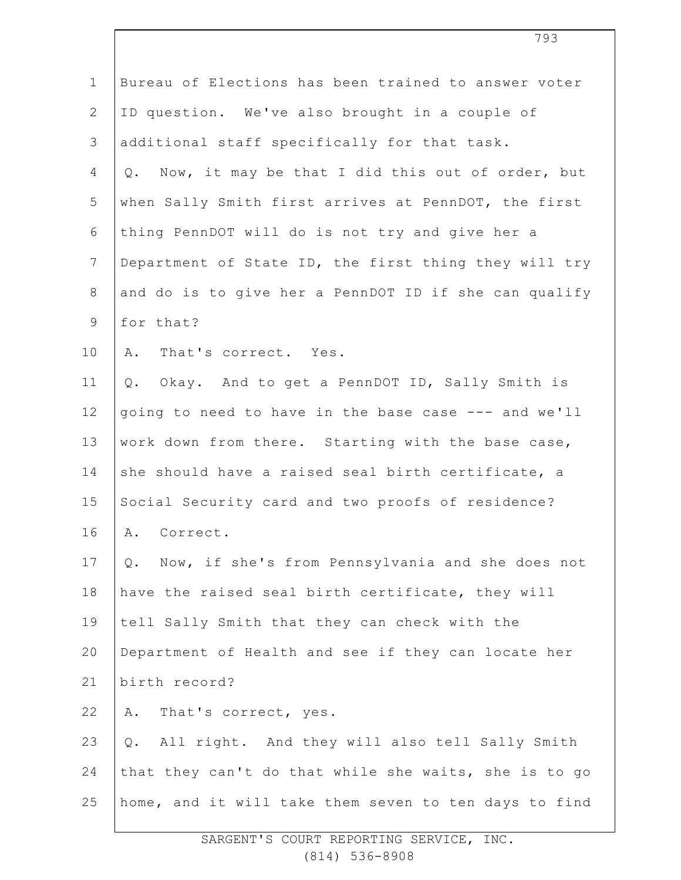| $\mathbf 1$    | Bureau of Elections has been trained to answer voter    |
|----------------|---------------------------------------------------------|
| $\overline{2}$ | ID question. We've also brought in a couple of          |
| 3              | additional staff specifically for that task.            |
| 4              | Now, it may be that I did this out of order, but<br>Q.  |
| 5              | when Sally Smith first arrives at PennDOT, the first    |
| 6              | thing PennDOT will do is not try and give her a         |
| $\overline{7}$ | Department of State ID, the first thing they will try   |
| $8\,$          | and do is to give her a PennDOT ID if she can qualify   |
| $\mathsf 9$    | for that?                                               |
| 10             | Α.<br>That's correct. Yes.                              |
| 11             | Okay. And to get a PennDOT ID, Sally Smith is<br>Q.     |
| 12             | going to need to have in the base case --- and we'll    |
| 13             | work down from there. Starting with the base case,      |
| 14             | she should have a raised seal birth certificate, a      |
| 15             | Social Security card and two proofs of residence?       |
| 16             | A. Correct.                                             |
| 17             | Now, if she's from Pennsylvania and she does not<br>Q.  |
| 18             | have the raised seal birth certificate, they will       |
| 19             | tell Sally Smith that they can check with the           |
| 20             | Department of Health and see if they can locate her     |
| 21             | birth record?                                           |
| 22             | That's correct, yes.<br>Α.                              |
| 23             | All right. And they will also tell Sally Smith<br>$Q$ . |
| 24             | that they can't do that while she waits, she is to go   |
| 25             | home, and it will take them seven to ten days to find   |
|                |                                                         |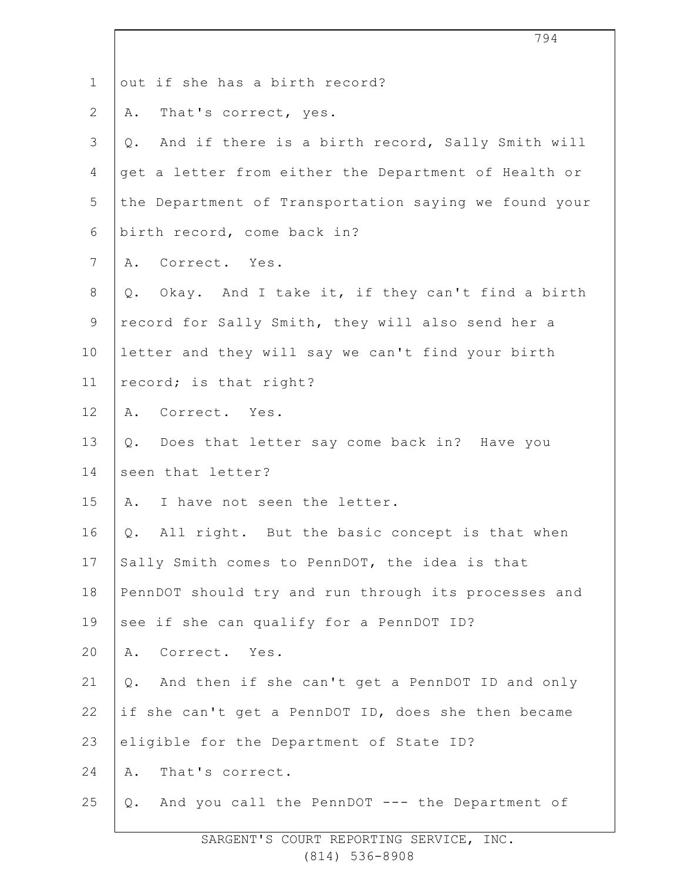|                | 794                                                    |
|----------------|--------------------------------------------------------|
| $\mathbf 1$    | out if she has a birth record?                         |
| $\overline{2}$ | That's correct, yes.<br>Α.                             |
| 3              | And if there is a birth record, Sally Smith will<br>Q. |
| 4              | get a letter from either the Department of Health or   |
| 5              | the Department of Transportation saying we found your  |
| 6              | birth record, come back in?                            |
| $7\phantom{.}$ | A. Correct. Yes.                                       |
| $8\,$          | Q. Okay. And I take it, if they can't find a birth     |
| $\mathsf 9$    | record for Sally Smith, they will also send her a      |
| 10             | letter and they will say we can't find your birth      |
| 11             | record; is that right?                                 |
| 12             | A. Correct. Yes.                                       |
| 13             | Q. Does that letter say come back in? Have you         |
| 14             | seen that letter?                                      |
| 15             | I have not seen the letter.<br>Α.                      |
| 16             | Q. All right. But the basic concept is that when       |
| 17             | Sally Smith comes to PennDOT, the idea is that         |
| 18             | PennDOT should try and run through its processes and   |
| 19             | see if she can qualify for a PennDOT ID?               |
| 20             | Correct. Yes.<br>Α.                                    |
| 21             | And then if she can't get a PennDOT ID and only<br>Q.  |
| 22             | if she can't get a PennDOT ID, does she then became    |
| 23             | eligible for the Department of State ID?               |
| 24             | That's correct.<br>Α.                                  |
| 25             | And you call the PennDOT --- the Department of<br>Q.   |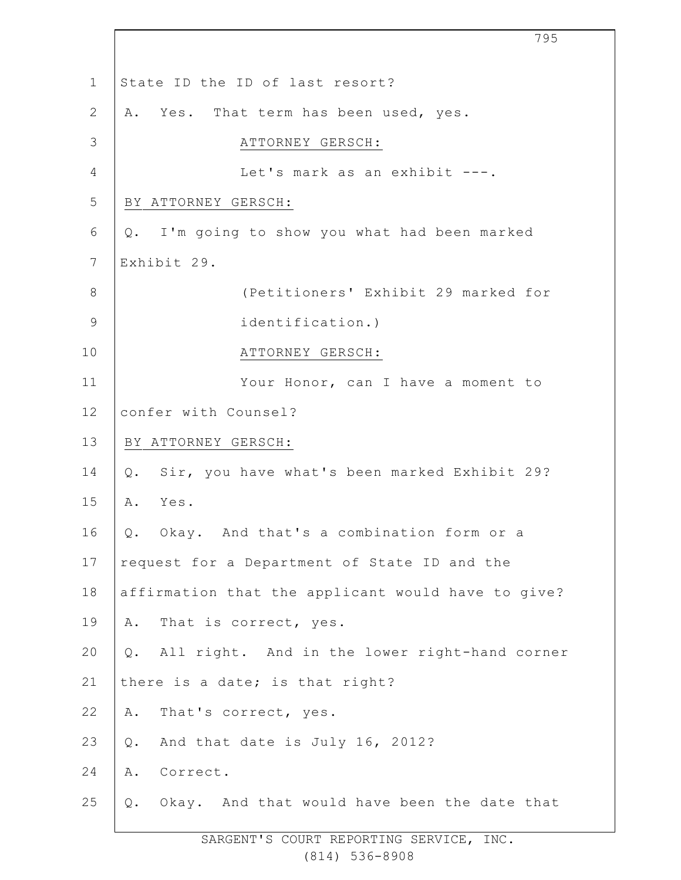|               | 795                                                    |
|---------------|--------------------------------------------------------|
| $\mathbf 1$   | State ID the ID of last resort?                        |
| $\mathbf{2}$  | Yes. That term has been used, yes.<br>Α.               |
| 3             | ATTORNEY GERSCH:                                       |
| 4             | Let's mark as an exhibit ---.                          |
| 5             | BY ATTORNEY GERSCH:                                    |
| 6             | Q. I'm going to show you what had been marked          |
| 7             | Exhibit 29.                                            |
| $\,8\,$       | (Petitioners' Exhibit 29 marked for                    |
| $\mathcal{G}$ | identification.)                                       |
| 10            | ATTORNEY GERSCH:                                       |
| 11            | Your Honor, can I have a moment to                     |
| 12            | confer with Counsel?                                   |
| 13            | BY ATTORNEY GERSCH:                                    |
| 14            | Sir, you have what's been marked Exhibit 29?<br>Q.     |
| 15            | Yes.<br>Α.                                             |
| 16            | Q. Okay. And that's a combination form or a            |
| 17            | request for a Department of State ID and the           |
| 18            | affirmation that the applicant would have to give?     |
| 19            | That is correct, yes.<br>Α.                            |
| 20            | All right. And in the lower right-hand corner<br>$Q$ . |
| 21            | there is a date; is that right?                        |
| 22            | That's correct, yes.<br>Α.                             |
| 23            | And that date is July 16, 2012?<br>Q.                  |
| 24            | Correct.<br>Α.                                         |
| 25            | Okay. And that would have been the date that<br>Q.     |

 $\Gamma$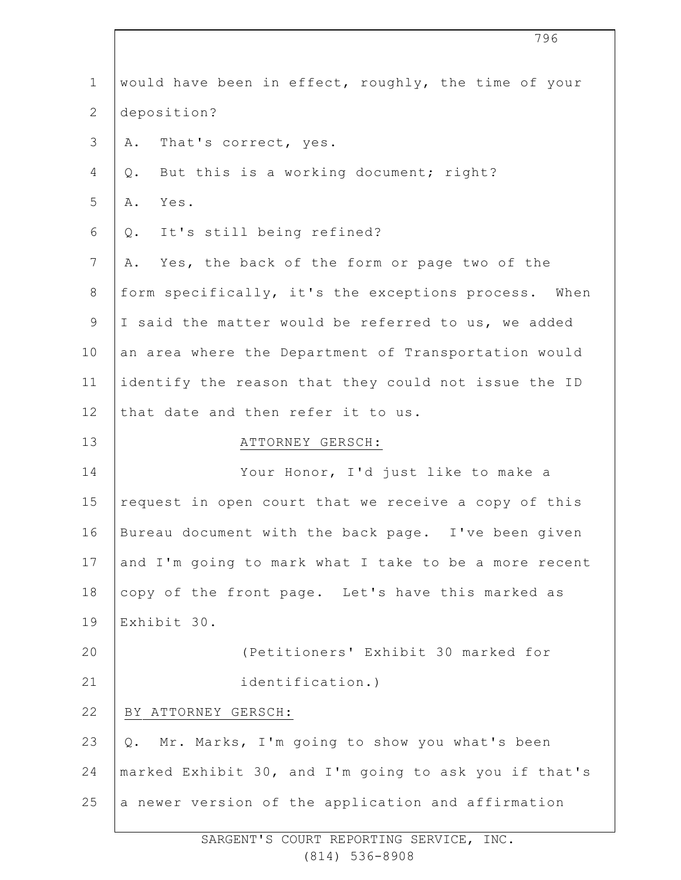| $\mathbf 1$    | would have been in effect, roughly, the time of your  |
|----------------|-------------------------------------------------------|
| $\mathbf{2}$   | deposition?                                           |
| 3              | That's correct, yes.<br>Α.                            |
| 4              | But this is a working document; right?<br>Q.          |
| 5              | Α.<br>Yes.                                            |
| 6              | It's still being refined?<br>Q.                       |
| $\overline{7}$ | Yes, the back of the form or page two of the<br>Α.    |
| 8              | form specifically, it's the exceptions process. When  |
| 9              | I said the matter would be referred to us, we added   |
| 10             | an area where the Department of Transportation would  |
| 11             | identify the reason that they could not issue the ID  |
| 12             | that date and then refer it to us.                    |
| 13             | ATTORNEY GERSCH:                                      |
| 14             | Your Honor, I'd just like to make a                   |
| 15             | request in open court that we receive a copy of this  |
| 16             | Bureau document with the back page. I've been given   |
| 17             | and I'm going to mark what I take to be a more recent |
| 18             | copy of the front page. Let's have this marked as     |
| 19             | Exhibit 30.                                           |
| 20             | (Petitioners' Exhibit 30 marked for                   |
| 21             | identification.)                                      |
| 22             | BY ATTORNEY GERSCH:                                   |
| 23             | Mr. Marks, I'm going to show you what's been<br>Q.    |
| 24             | marked Exhibit 30, and I'm going to ask you if that's |
| 25             | a newer version of the application and affirmation    |
|                |                                                       |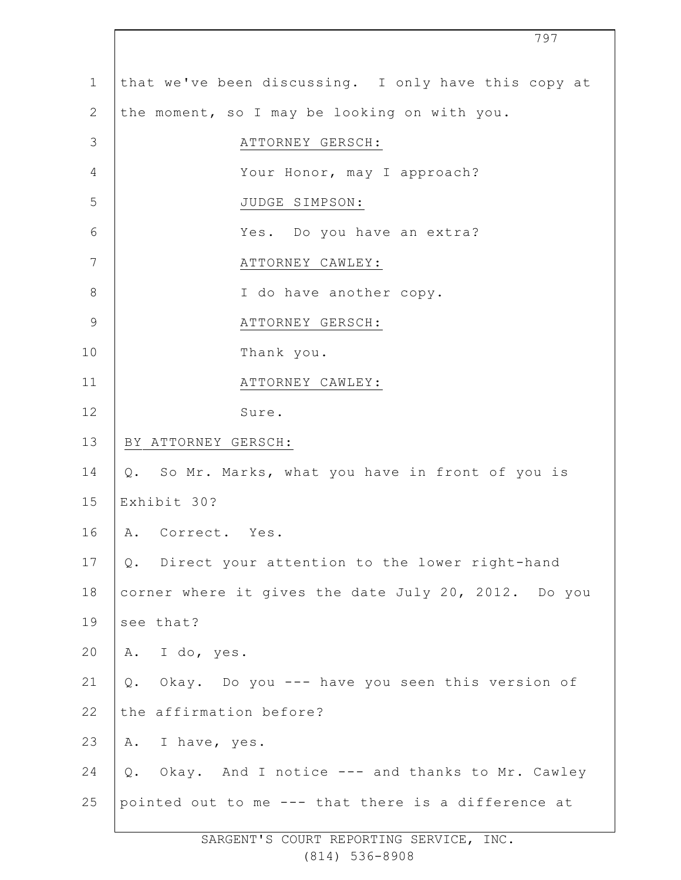| $\mathbf 1$    | that we've been discussing. I only have this copy at |
|----------------|------------------------------------------------------|
| $\overline{2}$ | the moment, so I may be looking on with you.         |
| $\mathcal{S}$  | ATTORNEY GERSCH:                                     |
| 4              | Your Honor, may I approach?                          |
| 5              | JUDGE SIMPSON:                                       |
| 6              | Yes. Do you have an extra?                           |
| 7              | ATTORNEY CAWLEY:                                     |
| 8              | I do have another copy.                              |
| $\mathcal{G}$  | ATTORNEY GERSCH:                                     |
| 10             | Thank you.                                           |
| 11             | ATTORNEY CAWLEY:                                     |
| 12             | Sure.                                                |
| 13             | BY ATTORNEY GERSCH:                                  |
| 14             | Q. So Mr. Marks, what you have in front of you is    |
| 15             | Exhibit 30?                                          |
| 16             | A. Correct. Yes.                                     |
| 17             | Q. Direct your attention to the lower right-hand     |
| 18             | corner where it gives the date July 20, 2012. Do you |
| 19             | see that?                                            |
| 20             | A. I do, yes.                                        |
| 21             | Okay. Do you --- have you seen this version of<br>Q. |
| 22             | the affirmation before?                              |
| 23             | I have, yes.<br>Α.                                   |
| 24             | Q. Okay. And I notice --- and thanks to Mr. Cawley   |
| 25             | pointed out to me --- that there is a difference at  |

797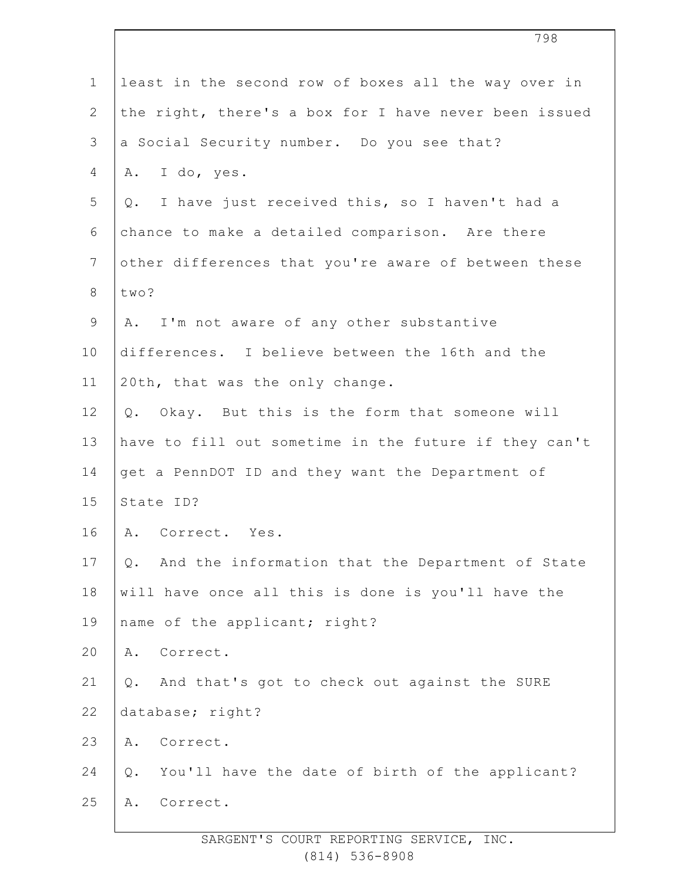|                | 798                                                       |
|----------------|-----------------------------------------------------------|
| $\mathbf 1$    | least in the second row of boxes all the way over in      |
| $\mathbf{2}$   | the right, there's a box for I have never been issued     |
| 3              | a Social Security number. Do you see that?                |
| 4              | I do, yes.<br>Α.                                          |
| 5              | Q. I have just received this, so I haven't had a          |
| 6              | chance to make a detailed comparison. Are there           |
| $\overline{7}$ | other differences that you're aware of between these      |
| $8\,$          | two?                                                      |
| $\mathsf 9$    | I'm not aware of any other substantive<br>Α.              |
| 10             | differences. I believe between the 16th and the           |
| 11             | 20th, that was the only change.                           |
| 12             | Okay. But this is the form that someone will<br>Q.        |
| 13             | have to fill out sometime in the future if they can't     |
| 14             | get a PennDOT ID and they want the Department of          |
| 15             | State ID?                                                 |
| 16             | Α.<br>Correct. Yes.                                       |
| 17             | And the information that the Department of State<br>$Q$ . |
| 18             | will have once all this is done is you'll have the        |
| 19             | name of the applicant; right?                             |
| 20             | Correct.<br>Α.                                            |
| 21             | And that's got to check out against the SURE<br>Q.        |
| 22             | database; right?                                          |
| 23             | Correct.<br>Α.                                            |
| 24             | You'll have the date of birth of the applicant?<br>Q.     |
| 25             | Correct.<br>Α.                                            |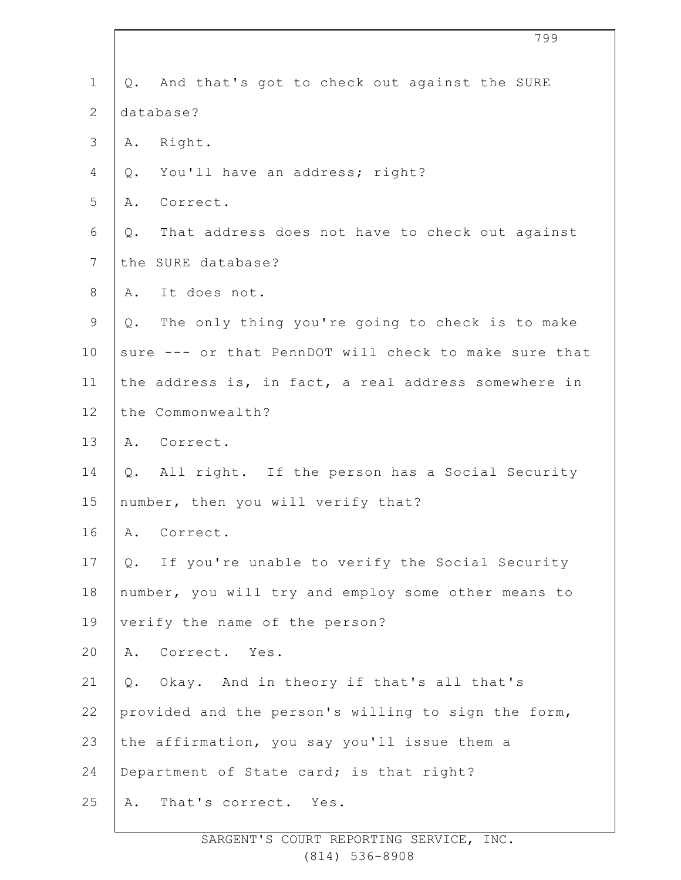|                | 799                                                   |
|----------------|-------------------------------------------------------|
| $\mathbf 1$    | Q. And that's got to check out against the SURE       |
| $\mathbf{2}$   | database?                                             |
| 3              | A. Right.                                             |
| 4              | You'll have an address; right?<br>Q.                  |
| 5              | Correct.<br>Α.                                        |
| 6              | That address does not have to check out against<br>Q. |
| $7\phantom{.}$ | the SURE database?                                    |
| $8\,$          | It does not.<br>Α.                                    |
| $\mathsf 9$    | The only thing you're going to check is to make<br>Q. |
| 10             | sure --- or that PennDOT will check to make sure that |
| 11             | the address is, in fact, a real address somewhere in  |
| 12             | the Commonwealth?                                     |
| 13             | A. Correct.                                           |
| 14             | All right. If the person has a Social Security<br>Q.  |
| 15             | number, then you will verify that?                    |
| 16             | Α.<br>Correct.                                        |
| 17             | Q. If you're unable to verify the Social Security     |
| 18             | number, you will try and employ some other means to   |
| 19             | verify the name of the person?                        |
| 20             | Correct. Yes.<br>Α.                                   |
| 21             | Q. Okay. And in theory if that's all that's           |
| 22             | provided and the person's willing to sign the form,   |
| 23             | the affirmation, you say you'll issue them a          |
| 24             | Department of State card; is that right?              |
| 25             | That's correct. Yes.<br>Α.                            |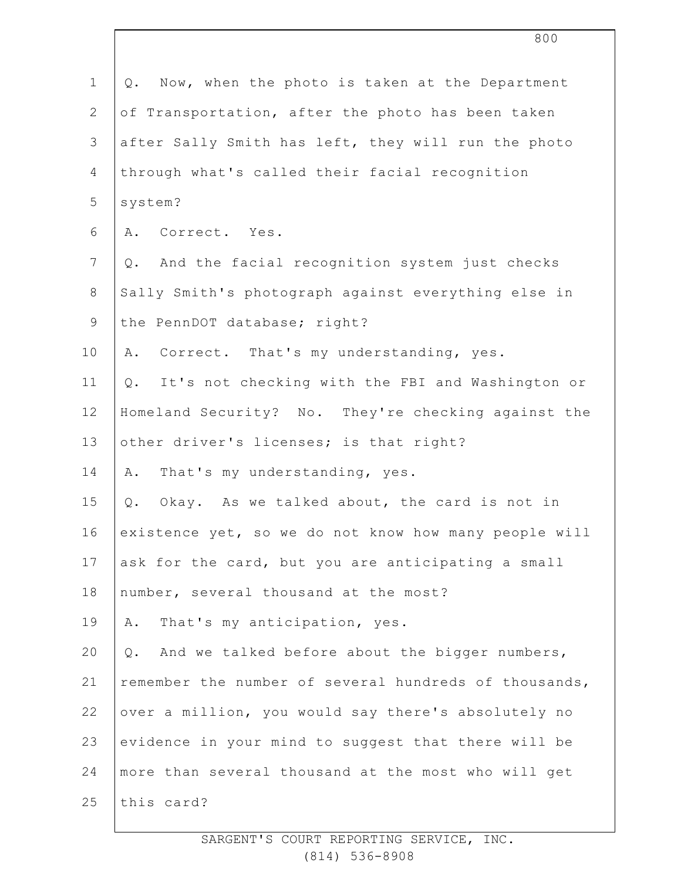| $\mathbf 1$     | Now, when the photo is taken at the Department<br>Q.   |
|-----------------|--------------------------------------------------------|
| $\mathbf{2}$    | of Transportation, after the photo has been taken      |
| $\mathfrak{Z}$  | after Sally Smith has left, they will run the photo    |
| 4               | through what's called their facial recognition         |
| 5               | system?                                                |
| 6               | A. Correct. Yes.                                       |
| $7\phantom{.0}$ | And the facial recognition system just checks<br>Q.    |
| $8\,$           | Sally Smith's photograph against everything else in    |
| $\overline{9}$  | the PennDOT database; right?                           |
| 10              | Correct. That's my understanding, yes.<br>Α.           |
| 11              | It's not checking with the FBI and Washington or<br>Q. |
| 12              | Homeland Security? No. They're checking against the    |
| 13              | other driver's licenses; is that right?                |
| 14              | That's my understanding, yes.<br>Α.                    |
| 15              | Okay. As we talked about, the card is not in<br>Q.     |
| 16              | existence yet, so we do not know how many people will  |
| 17              | ask for the card, but you are anticipating a small     |
| 18              | number, several thousand at the most?                  |
| 19              | That's my anticipation, yes.<br>Α.                     |
| 20              | And we talked before about the bigger numbers,<br>Q.   |
| 21              | remember the number of several hundreds of thousands,  |
| 22              | over a million, you would say there's absolutely no    |
| 23              | evidence in your mind to suggest that there will be    |
| 24              | more than several thousand at the most who will get    |
| 25              | this card?                                             |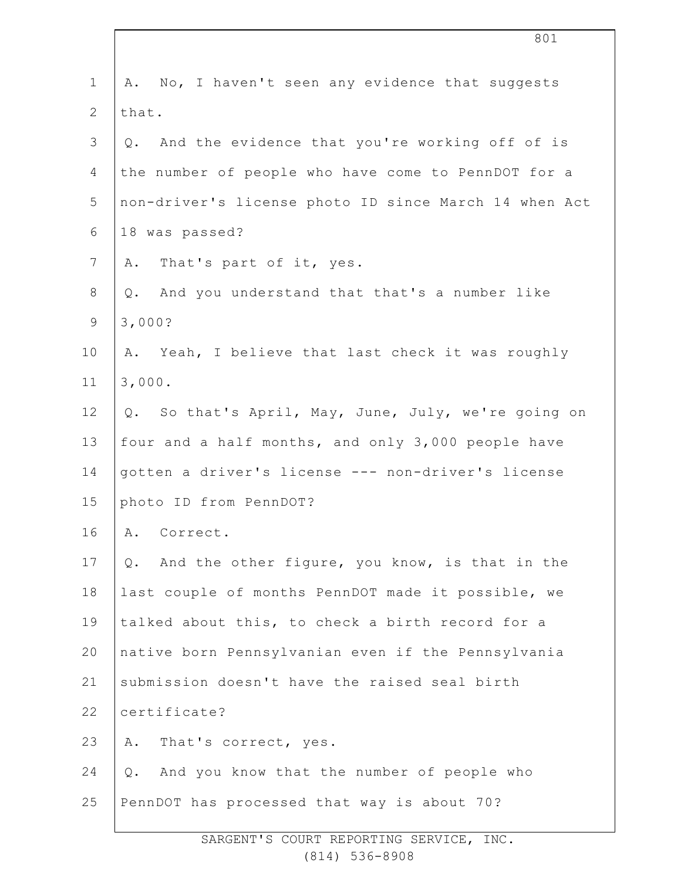| $\mathbf 1$     | A. No, I haven't seen any evidence that suggests      |
|-----------------|-------------------------------------------------------|
| $\mathbf{2}$    | that.                                                 |
| 3               | And the evidence that you're working off of is<br>Q.  |
| 4               | the number of people who have come to PennDOT for a   |
| 5               | non-driver's license photo ID since March 14 when Act |
| 6               | 18 was passed?                                        |
| $7\phantom{.0}$ | A. That's part of it, yes.                            |
| 8               | And you understand that that's a number like<br>Q.    |
| $\mathsf 9$     | 3,000?                                                |
| 10              | A. Yeah, I believe that last check it was roughly     |
| 11              | 3,000.                                                |
| 12              | Q. So that's April, May, June, July, we're going on   |
| 13              | four and a half months, and only 3,000 people have    |
| 14              | gotten a driver's license --- non-driver's license    |
| 15              | photo ID from PennDOT?                                |
| 16              | A. Correct.                                           |
| 17              | And the other figure, you know, is that in the<br>Q.  |
| 18              | last couple of months PennDOT made it possible, we    |
| 19              | talked about this, to check a birth record for a      |
| 20              | native born Pennsylvanian even if the Pennsylvania    |
| 21              | submission doesn't have the raised seal birth         |
| 22              | certificate?                                          |
| 23              | Α.<br>That's correct, yes.                            |
| 24              | And you know that the number of people who<br>$Q$ .   |
| 25              | PennDOT has processed that way is about 70?           |
|                 |                                                       |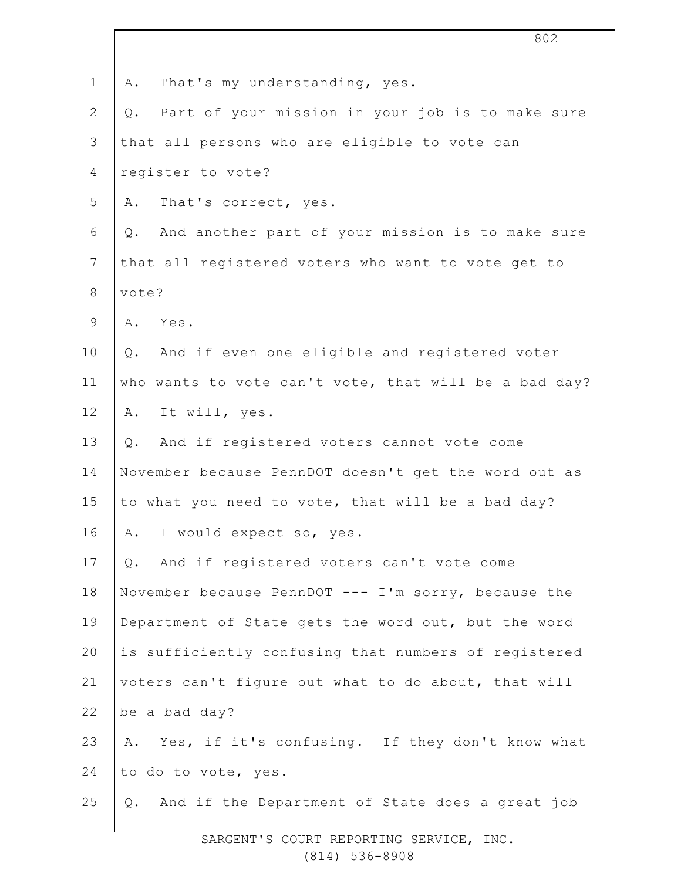|                | 802                                                    |
|----------------|--------------------------------------------------------|
| $\mathbf 1$    | That's my understanding, yes.<br>Α.                    |
| $\mathbf{2}$   | Part of your mission in your job is to make sure<br>Q. |
| $\mathcal{S}$  | that all persons who are eligible to vote can          |
| 4              | register to vote?                                      |
| 5              | That's correct, yes.<br>Α.                             |
| 6              | And another part of your mission is to make sure<br>Q. |
| $7\phantom{.}$ | that all registered voters who want to vote get to     |
| $\,8\,$        | vote?                                                  |
| $\mathsf 9$    | Yes.<br>Α.                                             |
| 10             | And if even one eligible and registered voter<br>Q.    |
| 11             | who wants to vote can't vote, that will be a bad day?  |
| 12             | It will, yes.<br>Α.                                    |
| 13             | And if registered voters cannot vote come<br>Q.        |
| 14             | November because PennDOT doesn't get the word out as   |
| 15             | to what you need to vote, that will be a bad day?      |
| 16             | I would expect so, yes.<br>Α.                          |
| 17             | And if registered voters can't vote come<br>$Q$ .      |
| 18             | November because PennDOT --- I'm sorry, because the    |
| 19             | Department of State gets the word out, but the word    |
| 20             | is sufficiently confusing that numbers of registered   |
| 21             | voters can't figure out what to do about, that will    |
| 22             | be a bad day?                                          |
| 23             | Yes, if it's confusing. If they don't know what<br>Α.  |
| 24             | to do to vote, yes.                                    |
| 25             | And if the Department of State does a great job<br>Q.  |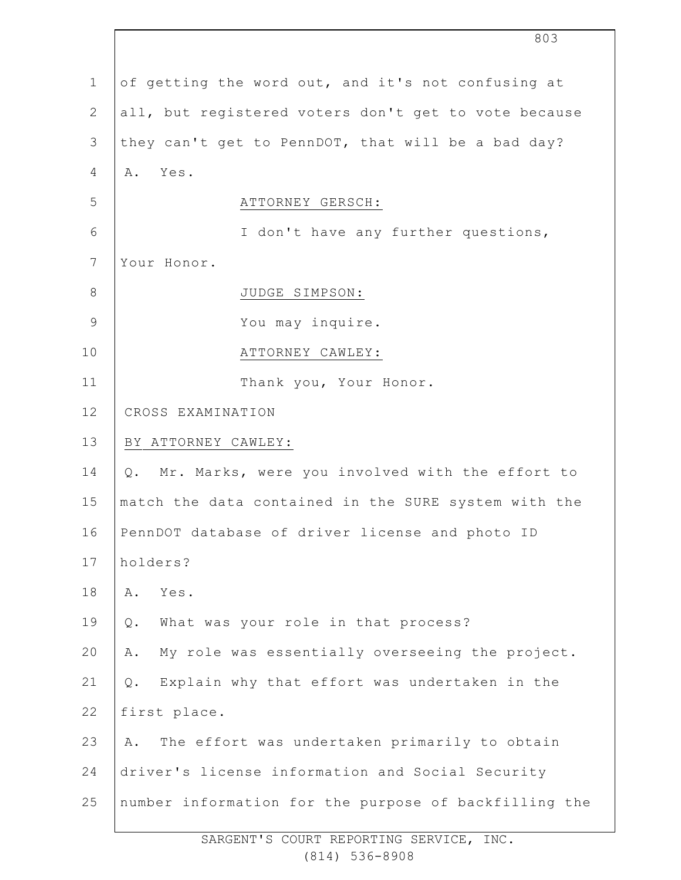1 2 3 4 5 6 7 8 9 10 11 12 13 14 15 16 17 18 19 20 21 22 23 24 25 of getting the word out, and it's not confusing at all, but registered voters don't get to vote because they can't get to PennDOT, that will be a bad day? A. Yes. ATTORNEY GERSCH: I don't have any further questions, Your Honor. JUDGE SIMPSON: You may inquire. ATTORNEY CAWLEY: Thank you, Your Honor. CROSS EXAMINATION BY ATTORNEY CAWLEY: Q. Mr. Marks, were you involved with the effort to match the data contained in the SURE system with the PennDOT database of driver license and photo ID holders? A. Yes. Q. What was your role in that process? A. My role was essentially overseeing the project. Q. Explain why that effort was undertaken in the first place. A. The effort was undertaken primarily to obtain driver's license information and Social Security number information for the purpose of backfilling the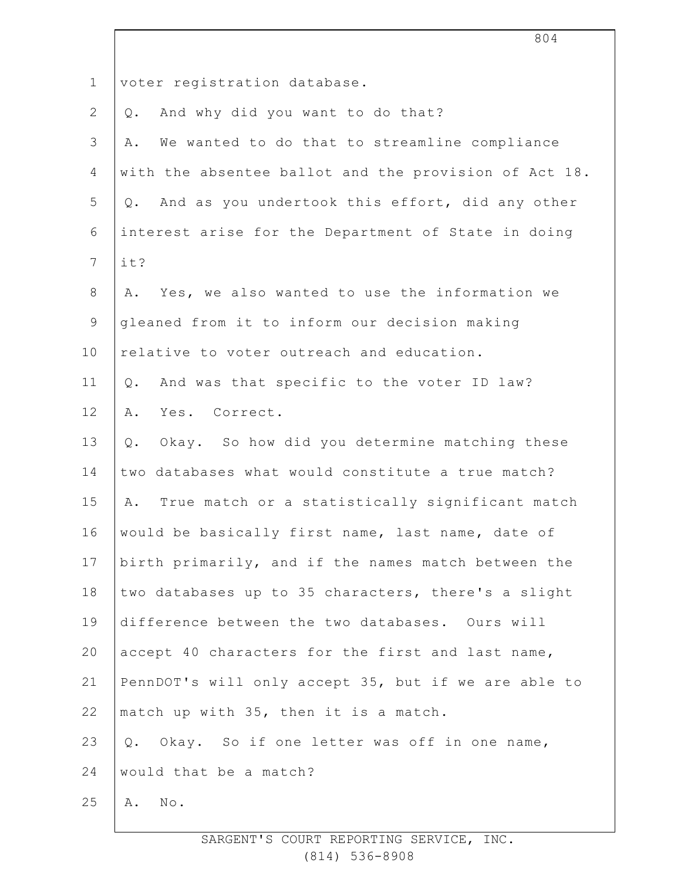| $\mathbf 1$    | voter registration database.                           |
|----------------|--------------------------------------------------------|
| $\mathbf{2}$   | And why did you want to do that?<br>Q.                 |
| $\mathfrak{Z}$ | We wanted to do that to streamline compliance<br>Α.    |
| 4              | with the absentee ballot and the provision of Act 18.  |
| 5              | And as you undertook this effort, did any other<br>Q.  |
| 6              | interest arise for the Department of State in doing    |
| $\overline{7}$ | it?                                                    |
| $8\,$          | Yes, we also wanted to use the information we<br>Α.    |
| $\overline{9}$ | gleaned from it to inform our decision making          |
| 10             | relative to voter outreach and education.              |
| 11             | And was that specific to the voter ID law?<br>Q.       |
| 12             | Yes. Correct.<br>Α.                                    |
| 13             | Okay. So how did you determine matching these<br>$Q$ . |
| 14             | two databases what would constitute a true match?      |
| 15             | True match or a statistically significant match<br>Α.  |
| 16             | would be basically first name, last name, date of      |
| 17             | birth primarily, and if the names match between the    |
| 18             | two databases up to 35 characters, there's a slight    |
| 19             | difference between the two databases. Ours will        |
| 20             | accept 40 characters for the first and last name,      |
| 21             | PennDOT's will only accept 35, but if we are able to   |
| 22             | match up with 35, then it is a match.                  |
| 23             | Okay. So if one letter was off in one name,<br>Q.      |
| 24             | would that be a match?                                 |
| 25             | $\texttt{No}$ .<br>Α.                                  |
|                |                                                        |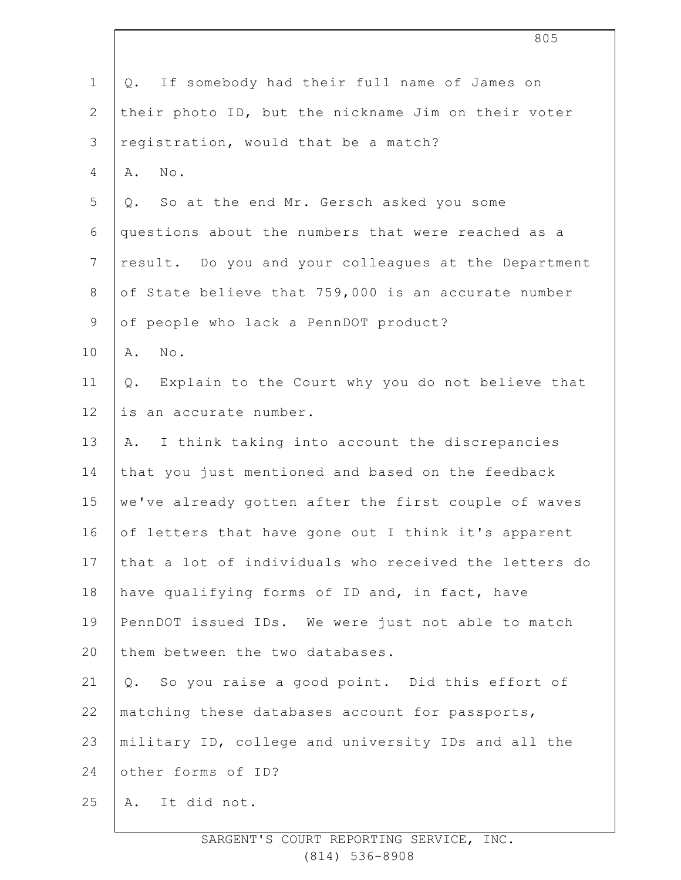|                | 805                                                       |
|----------------|-----------------------------------------------------------|
| $\mathbf 1$    | If somebody had their full name of James on<br>Q.         |
| $\mathbf{2}$   | their photo ID, but the nickname Jim on their voter       |
| 3              | registration, would that be a match?                      |
| 4              | $\texttt{No}$ .<br>Α.                                     |
| 5              | So at the end Mr. Gersch asked you some<br>Q.             |
| 6              | questions about the numbers that were reached as a        |
| $\overline{7}$ | result. Do you and your colleagues at the Department      |
| $8\,$          | of State believe that 759,000 is an accurate number       |
| $\mathsf 9$    | of people who lack a PennDOT product?                     |
| 10             | No.<br>Α.                                                 |
| 11             | Explain to the Court why you do not believe that<br>$Q$ . |
| 12             | is an accurate number.                                    |
| 13             | I think taking into account the discrepancies<br>Α.       |
| 14             | that you just mentioned and based on the feedback         |
| 15             | we've already gotten after the first couple of waves      |
| 16             | of letters that have gone out I think it's apparent       |
| 17             | that a lot of individuals who received the letters do     |
| 18             | have qualifying forms of ID and, in fact, have            |
| 19             | PennDOT issued IDs. We were just not able to match        |
| 20             | them between the two databases.                           |
| 21             | Q. So you raise a good point. Did this effort of          |
| 22             | matching these databases account for passports,           |
| 23             | military ID, college and university IDs and all the       |
| 24             | other forms of ID?                                        |
| 25             | A. It did not.                                            |
|                |                                                           |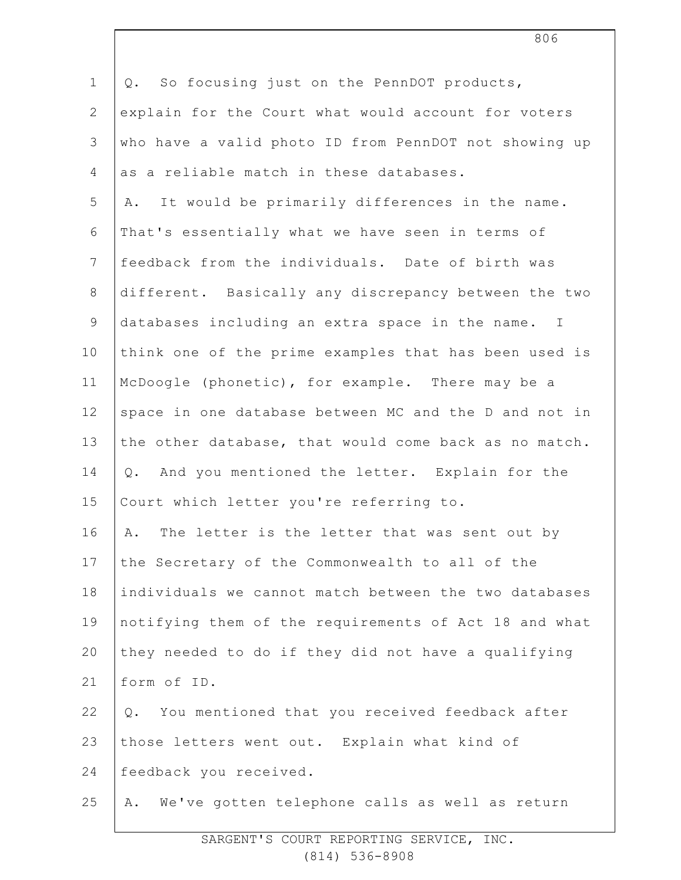| $\mathbf 1$    | So focusing just on the PennDOT products,<br>Q.        |
|----------------|--------------------------------------------------------|
| $\mathbf{2}$   | explain for the Court what would account for voters    |
| 3              | who have a valid photo ID from PennDOT not showing up  |
| $\overline{4}$ | as a reliable match in these databases.                |
| 5              | It would be primarily differences in the name.<br>Α.   |
| 6              | That's essentially what we have seen in terms of       |
| $7\phantom{.}$ | feedback from the individuals. Date of birth was       |
| $\,8\,$        | different. Basically any discrepancy between the two   |
| $\mathsf 9$    | databases including an extra space in the name. I      |
| 10             | think one of the prime examples that has been used is  |
| 11             | McDoogle (phonetic), for example. There may be a       |
| 12             | space in one database between MC and the D and not in  |
| 13             | the other database, that would come back as no match.  |
| 14             | And you mentioned the letter. Explain for the<br>$Q$ . |
| 15             | Court which letter you're referring to.                |
| 16             | The letter is the letter that was sent out by<br>Α.    |
| 17             | the Secretary of the Commonwealth to all of the        |
| 18             | individuals we cannot match between the two databases  |
| 19             | notifying them of the requirements of Act 18 and what  |
| 20             | they needed to do if they did not have a qualifying    |
| 21             | form of ID.                                            |
| 22             | You mentioned that you received feedback after<br>Q.   |
| 23             | those letters went out. Explain what kind of           |
| 24             | feedback you received.                                 |
| 25             | We've gotten telephone calls as well as return<br>Α.   |
|                |                                                        |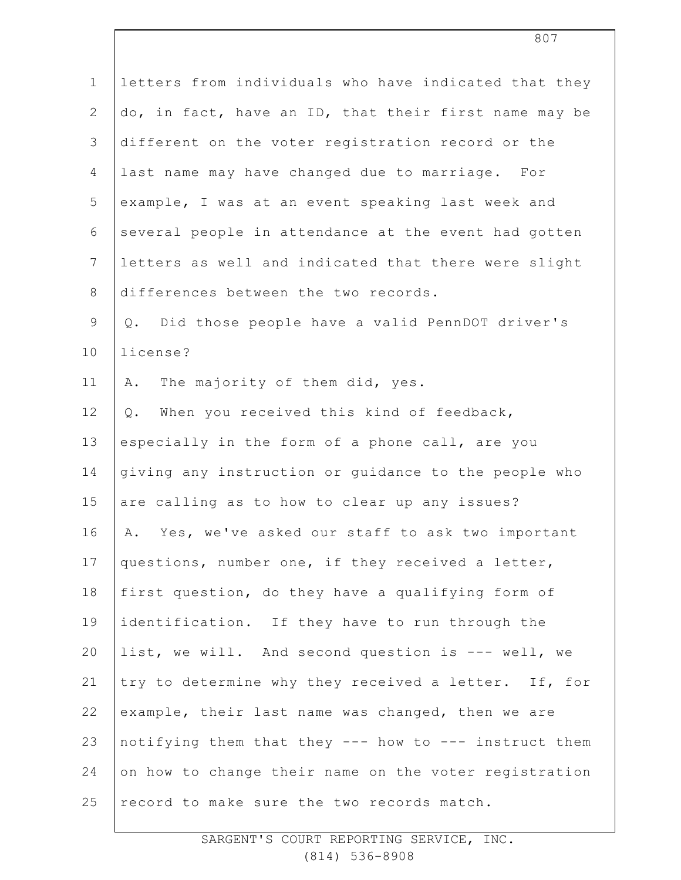| $\mathbf 1$    | letters from individuals who have indicated that they |
|----------------|-------------------------------------------------------|
| $\overline{2}$ | do, in fact, have an ID, that their first name may be |
| 3              | different on the voter registration record or the     |
| 4              | last name may have changed due to marriage. For       |
| 5              | example, I was at an event speaking last week and     |
| 6              | several people in attendance at the event had gotten  |
| $7\phantom{.}$ | letters as well and indicated that there were slight  |
| $\,8\,$        | differences between the two records.                  |
| $\mathsf 9$    | Did those people have a valid PennDOT driver's<br>Q.  |
| 10             | license?                                              |
| 11             | The majority of them did, yes.<br>Α.                  |
| 12             | When you received this kind of feedback,<br>$Q$ .     |
| 13             | especially in the form of a phone call, are you       |
| 14             | giving any instruction or guidance to the people who  |
| 15             | are calling as to how to clear up any issues?         |
| 16             | Yes, we've asked our staff to ask two important<br>Α. |
| 17             | questions, number one, if they received a letter,     |
| 18             | first question, do they have a qualifying form of     |
| 19             | identification. If they have to run through the       |
| 20             | list, we will. And second question is --- well, we    |
| 21             | try to determine why they received a letter. If, for  |
| 22             | example, their last name was changed, then we are     |
| 23             | notifying them that they --- how to --- instruct them |
| 24             | on how to change their name on the voter registration |
| 25             | record to make sure the two records match.            |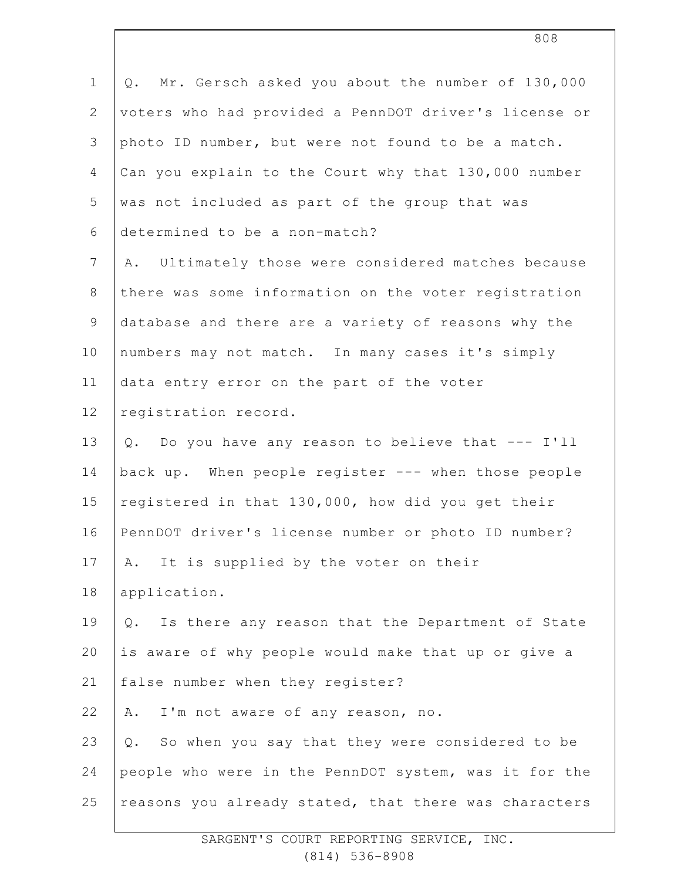| $\mathbf 1$  | Mr. Gersch asked you about the number of 130,000<br>Q.    |
|--------------|-----------------------------------------------------------|
| $\mathbf{2}$ | voters who had provided a PennDOT driver's license or     |
| 3            | photo ID number, but were not found to be a match.        |
| 4            | Can you explain to the Court why that 130,000 number      |
| 5            | was not included as part of the group that was            |
| 6            | determined to be a non-match?                             |
| 7            | A. Ultimately those were considered matches because       |
| $8\,$        | there was some information on the voter registration      |
| $\mathsf 9$  | database and there are a variety of reasons why the       |
| 10           | numbers may not match. In many cases it's simply          |
| 11           | data entry error on the part of the voter                 |
| 12           | registration record.                                      |
| 13           | Q. Do you have any reason to believe that --- I'll        |
| 14           | back up. When people register --- when those people       |
| 15           | registered in that 130,000, how did you get their         |
| 16           | PennDOT driver's license number or photo ID number?       |
| 17           | A. It is supplied by the voter on their                   |
| 18           | application.                                              |
| 19           | Is there any reason that the Department of State<br>$Q$ . |
| 20           | is aware of why people would make that up or give a       |
| 21           | false number when they register?                          |
| 22           | I'm not aware of any reason, no.<br>Α.                    |
| 23           | So when you say that they were considered to be<br>Q.     |
| 24           | people who were in the PennDOT system, was it for the     |
| 25           | reasons you already stated, that there was characters     |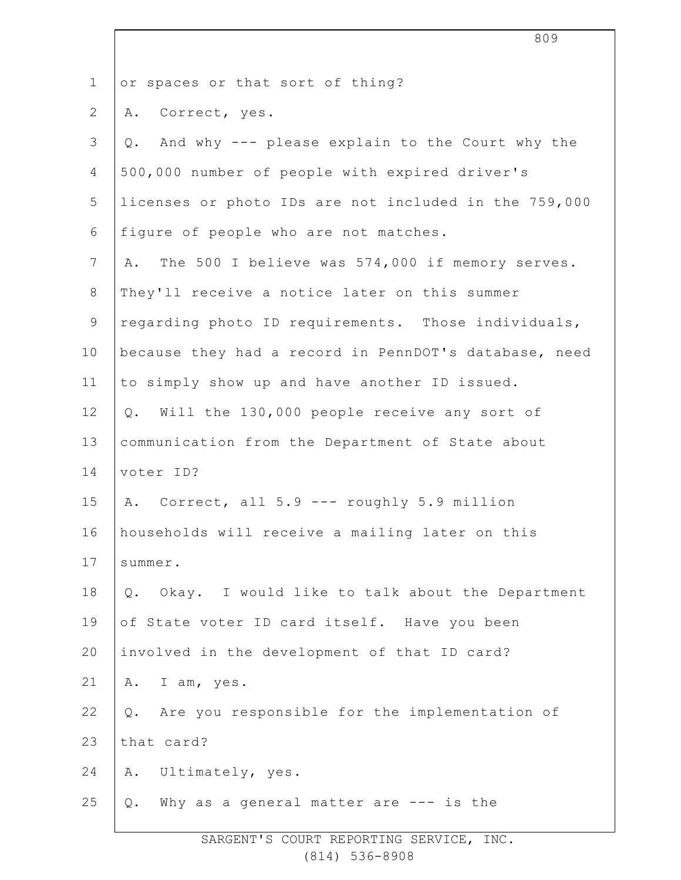2 3 4 5 6 7 8 9 10 11 12 13 14 15 16 17 18 19 20 21 22 23 24 25 SARGENT'S COURT REPORTING SERVICE, INC. or spaces or that sort of thing? A. Correct, yes. Q. And why --- please explain to the Court why the 500,000 number of people with expired driver's licenses or photo IDs are not included in the 759,000 figure of people who are not matches. A. The 500 I believe was 574,000 if memory serves. They'll receive a notice later on this summer regarding photo ID requirements. Those individuals, because they had a record in PennDOT's database, need to simply show up and have another ID issued. Q. Will the 130,000 people receive any sort of communication from the Department of State about voter ID? A. Correct, all 5.9 --- roughly 5.9 million households will receive a mailing later on this summer. Q. Okay. I would like to talk about the Department of State voter ID card itself. Have you been involved in the development of that ID card? A. I am, yes. Q. Are you responsible for the implementation of that card? A. Ultimately, yes. Q. Why as a general matter are --- is the

1

(814) 536-8908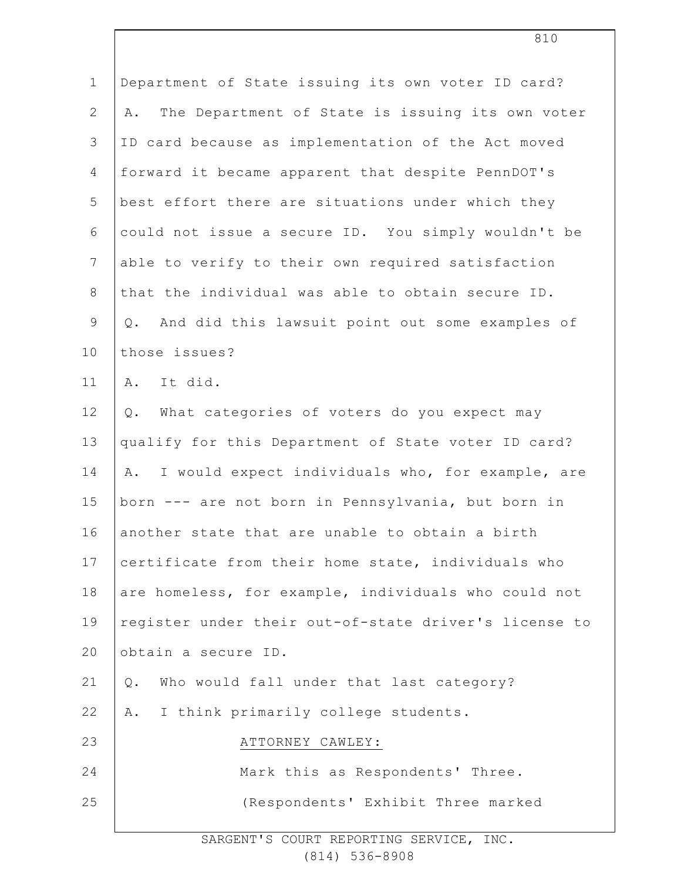| $\mathbf 1$    | Department of State issuing its own voter ID card?     |
|----------------|--------------------------------------------------------|
| $\mathbf{2}$   | The Department of State is issuing its own voter<br>Α. |
| 3              | ID card because as implementation of the Act moved     |
| $\overline{4}$ | forward it became apparent that despite PennDOT's      |
| 5              | best effort there are situations under which they      |
| 6              | could not issue a secure ID. You simply wouldn't be    |
| $7\phantom{.}$ | able to verify to their own required satisfaction      |
| $\,8\,$        | that the individual was able to obtain secure ID.      |
| $\mathsf 9$    | And did this lawsuit point out some examples of<br>Q.  |
| 10             | those issues?                                          |
| 11             | A. It did.                                             |
| 12             | What categories of voters do you expect may<br>Q.      |
| 13             | qualify for this Department of State voter ID card?    |
| 14             | I would expect individuals who, for example, are<br>A. |
| 15             | born --- are not born in Pennsylvania, but born in     |
| 16             | another state that are unable to obtain a birth        |
| 17             | certificate from their home state, individuals who     |
| 18             | are homeless, for example, individuals who could not   |
| 19             | register under their out-of-state driver's license to  |
| 20             | obtain a secure ID.                                    |
| 21             | Who would fall under that last category?<br>Q.         |
| 22             | I think primarily college students.<br>Α.              |
| 23             | ATTORNEY CAWLEY:                                       |
| 24             | Mark this as Respondents' Three.                       |
| 25             | (Respondents' Exhibit Three marked                     |
|                |                                                        |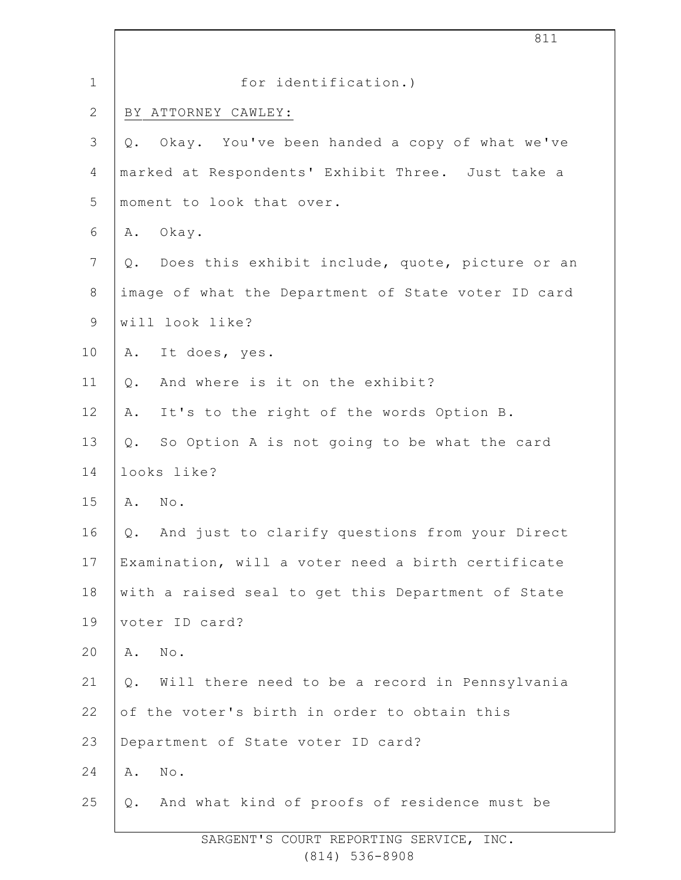| $\mathbf 1$     | for identification.)                                    |
|-----------------|---------------------------------------------------------|
| $\mathbf{2}$    | BY ATTORNEY CAWLEY:                                     |
| $\mathcal{S}$   | Okay. You've been handed a copy of what we've<br>Q.     |
| $\overline{4}$  | marked at Respondents' Exhibit Three. Just take a       |
| 5               | moment to look that over.                               |
| 6               | Okay.<br>Α.                                             |
| $7\phantom{.0}$ | Q. Does this exhibit include, quote, picture or an      |
| $\,8\,$         | image of what the Department of State voter ID card     |
| $\mathsf 9$     | will look like?                                         |
| 10              | It does, yes.<br>Α.                                     |
| 11              | And where is it on the exhibit?<br>$Q$ .                |
| 12              | It's to the right of the words Option B.<br>Α.          |
| 13              | So Option A is not going to be what the card<br>Q.      |
| 14              | looks like?                                             |
| 15              | $N \circ$ .<br>Α.                                       |
| 16              | And just to clarify questions from your Direct<br>Q.    |
| 17              | Examination, will a voter need a birth certificate      |
| 18              | with a raised seal to get this Department of State      |
| 19              | voter ID card?                                          |
| 20              | No.<br>Α.                                               |
| 21              | Will there need to be a record in Pennsylvania<br>$Q$ . |
| 22              | of the voter's birth in order to obtain this            |
| 23              | Department of State voter ID card?                      |
| 24              | No.<br>Α.                                               |
| 25              | Q. And what kind of proofs of residence must be         |
|                 |                                                         |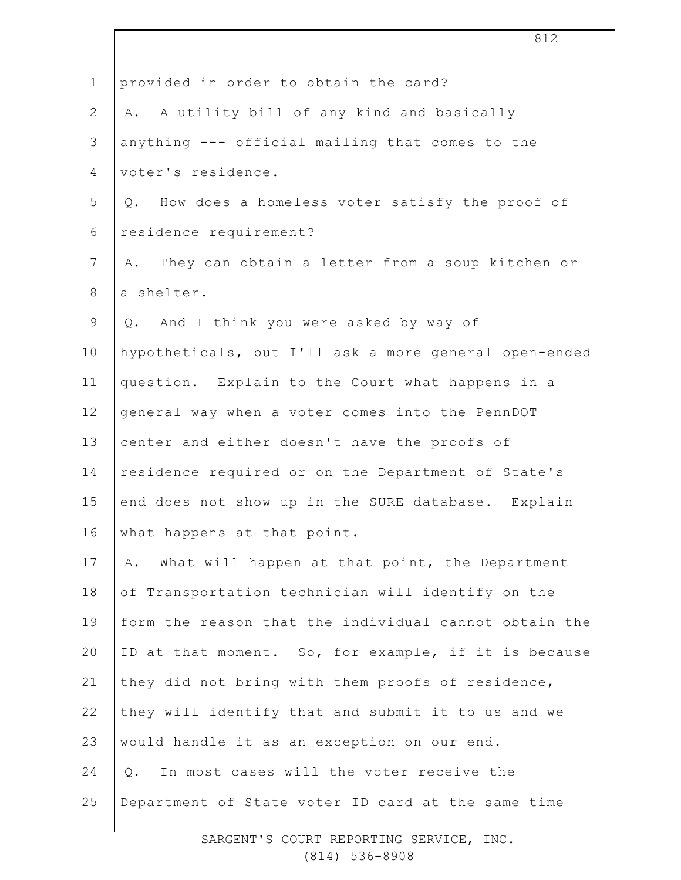| $\mathbf 1$  | provided in order to obtain the card?                 |
|--------------|-------------------------------------------------------|
| $\mathbf{2}$ | A. A utility bill of any kind and basically           |
| 3            | anything --- official mailing that comes to the       |
| 4            | voter's residence.                                    |
| 5            | Q. How does a homeless voter satisfy the proof of     |
| 6            | residence requirement?                                |
| 7            | They can obtain a letter from a soup kitchen or<br>Α. |
| 8            | a shelter.                                            |
| $\mathsf 9$  | Q. And I think you were asked by way of               |
| 10           | hypotheticals, but I'll ask a more general open-ended |
| 11           | question. Explain to the Court what happens in a      |
| 12           | general way when a voter comes into the PennDOT       |
| 13           | center and either doesn't have the proofs of          |
| 14           | residence required or on the Department of State's    |
| 15           | end does not show up in the SURE database. Explain    |
| 16           | what happens at that point.                           |
| 17           | What will happen at that point, the Department<br>Α.  |
| 18           | of Transportation technician will identify on the     |
| 19           | form the reason that the individual cannot obtain the |
| 20           | ID at that moment. So, for example, if it is because  |
| 21           | they did not bring with them proofs of residence,     |
| 22           | they will identify that and submit it to us and we    |
| 23           | would handle it as an exception on our end.           |
| 24           | In most cases will the voter receive the<br>Q.        |
| 25           | Department of State voter ID card at the same time    |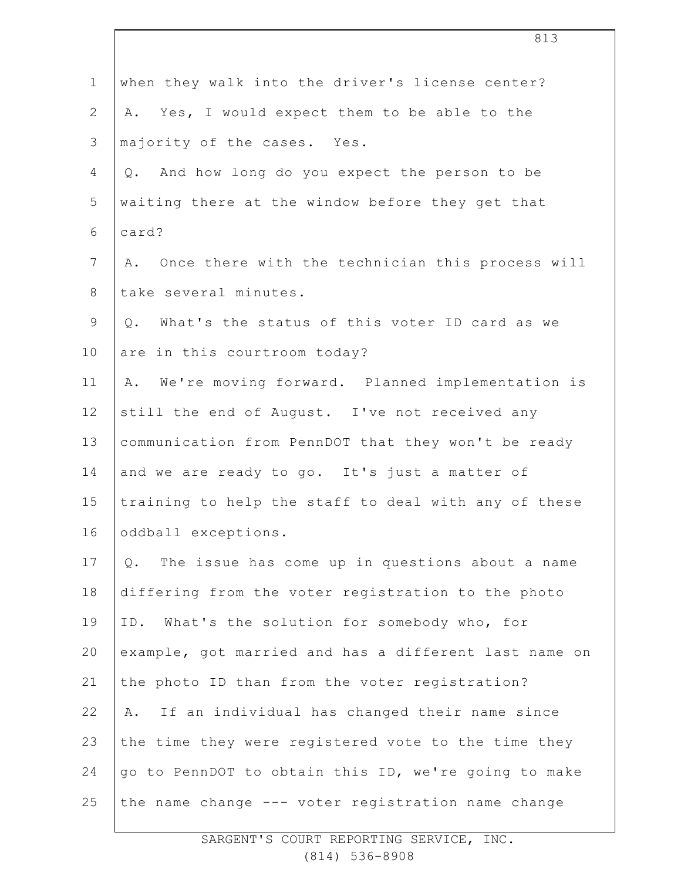|              | 813                                                    |
|--------------|--------------------------------------------------------|
| $\mathbf 1$  | when they walk into the driver's license center?       |
| $\mathbf{2}$ | Yes, I would expect them to be able to the<br>Α.       |
| 3            | majority of the cases. Yes.                            |
| 4            | Q. And how long do you expect the person to be         |
| 5            | waiting there at the window before they get that       |
| 6            | card?                                                  |
| 7            | Once there with the technician this process will<br>Α. |
| $8\,$        | take several minutes.                                  |
| $\mathsf 9$  | Q. What's the status of this voter ID card as we       |
| 10           | are in this courtroom today?                           |
| 11           | We're moving forward. Planned implementation is<br>Α.  |
| 12           | still the end of August. I've not received any         |
| 13           | communication from PennDOT that they won't be ready    |
| 14           | and we are ready to go. It's just a matter of          |
| 15           | training to help the staff to deal with any of these   |
| 16           | oddball exceptions.                                    |
| 17           | The issue has come up in questions about a name<br>Q.  |
| 18           | differing from the voter registration to the photo     |
| 19           | ID. What's the solution for somebody who, for          |
| 20           | example, got married and has a different last name on  |
| 21           | the photo ID than from the voter registration?         |
| 22           | If an individual has changed their name since<br>Α.    |
| 23           | the time they were registered vote to the time they    |
| 24           | go to PennDOT to obtain this ID, we're going to make   |
| 25           | the name change --- voter registration name change     |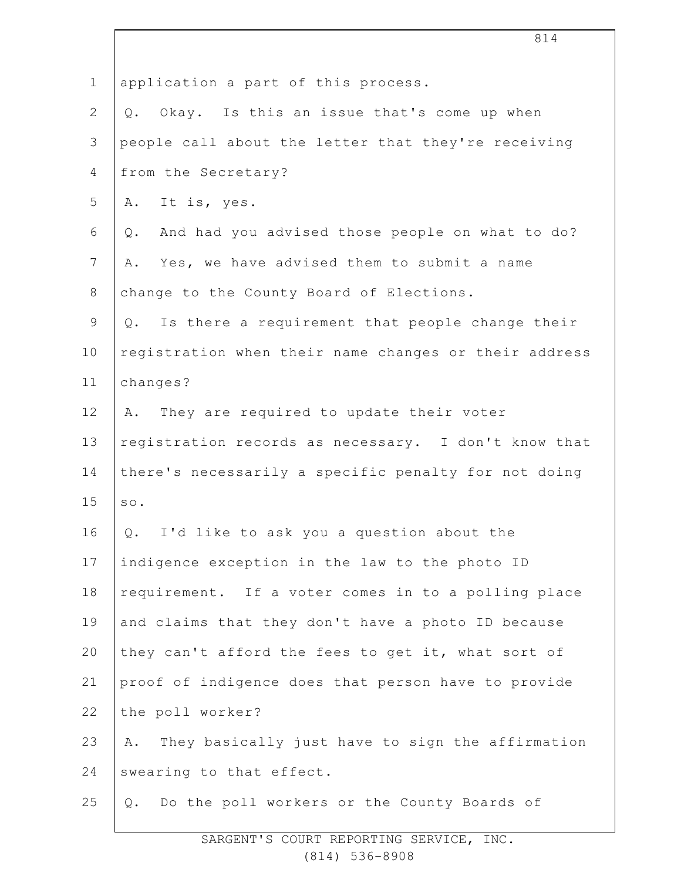|               | 814                                                    |
|---------------|--------------------------------------------------------|
| $\mathbf 1$   | application a part of this process.                    |
| $\mathbf{2}$  | Okay. Is this an issue that's come up when<br>Q.       |
| $\mathcal{S}$ | people call about the letter that they're receiving    |
| 4             | from the Secretary?                                    |
| 5             | A. It is, yes.                                         |
| 6             | And had you advised those people on what to do?<br>Q.  |
| 7             | Yes, we have advised them to submit a name<br>Α.       |
| 8             | change to the County Board of Elections.               |
| $\mathsf 9$   | Q. Is there a requirement that people change their     |
| 10            | registration when their name changes or their address  |
| 11            | changes?                                               |
| 12            | They are required to update their voter<br>Α.          |
| 13            | registration records as necessary. I don't know that   |
| 14            | there's necessarily a specific penalty for not doing   |
| 15            | SO.                                                    |
| 16            | Q. I'd like to ask you a question about the            |
| 17            | indigence exception in the law to the photo ID         |
| 18            | requirement. If a voter comes in to a polling place    |
| 19            | and claims that they don't have a photo ID because     |
| 20            | they can't afford the fees to get it, what sort of     |
| 21            | proof of indigence does that person have to provide    |
| 22            | the poll worker?                                       |
| 23            | They basically just have to sign the affirmation<br>Α. |
| 24            | swearing to that effect.                               |
| 25            | Q. Do the poll workers or the County Boards of         |

 $\overline{\phantom{a}}$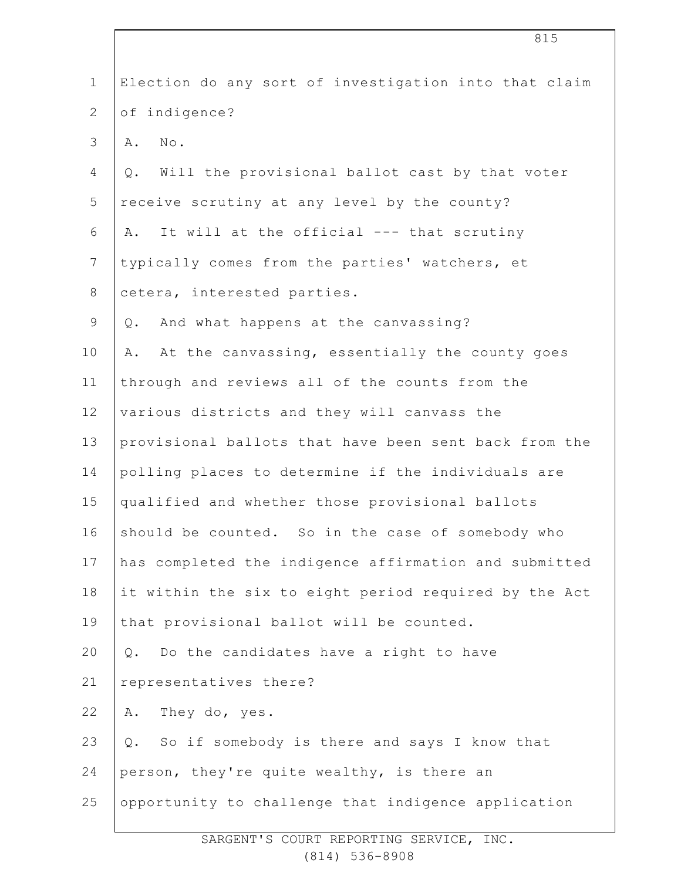| Election do any sort of investigation into that claim |
|-------------------------------------------------------|
| of indigence?                                         |
| $\texttt{No}$ .<br>Α.                                 |
| Will the provisional ballot cast by that voter<br>Q.  |
| receive scrutiny at any level by the county?          |
| It will at the official --- that scrutiny<br>Α.       |
| typically comes from the parties' watchers, et        |
| cetera, interested parties.                           |
| And what happens at the canvassing?<br>Q.             |
| At the canvassing, essentially the county goes<br>Α.  |
| through and reviews all of the counts from the        |
| various districts and they will canvass the           |
| provisional ballots that have been sent back from the |
| polling places to determine if the individuals are    |
| qualified and whether those provisional ballots       |
| should be counted. So in the case of somebody who     |
| has completed the indigence affirmation and submitted |
| it within the six to eight period required by the Act |
| that provisional ballot will be counted.              |
| Do the candidates have a right to have<br>$Q$ .       |
| representatives there?                                |
| They do, yes.<br>Α.                                   |
| So if somebody is there and says I know that<br>Q.    |
| person, they're quite wealthy, is there an            |
| opportunity to challenge that indigence application   |
|                                                       |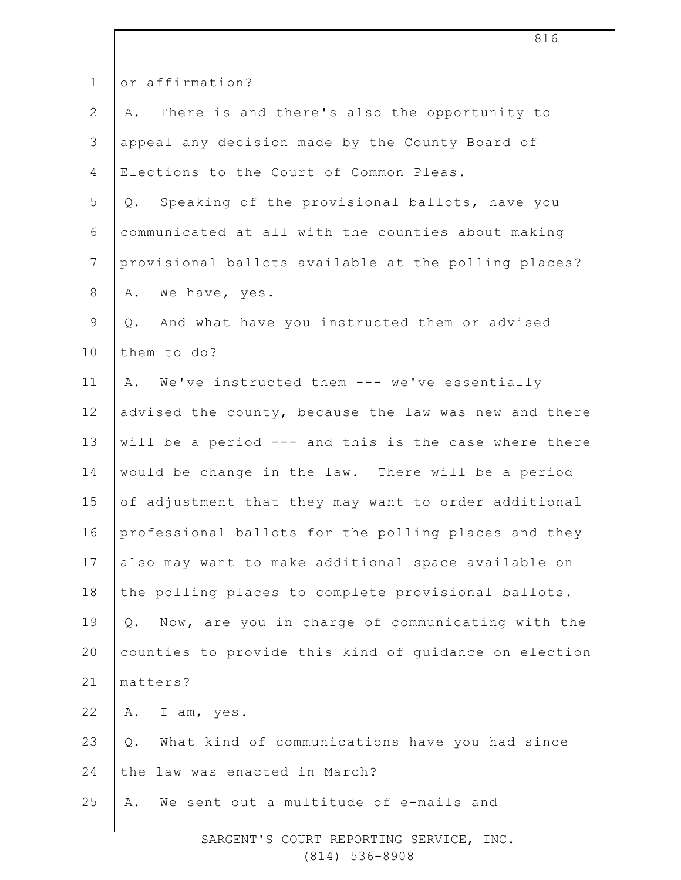| $\mathbf 1$    | or affirmation?                                         |
|----------------|---------------------------------------------------------|
| $\overline{2}$ | There is and there's also the opportunity to<br>Α.      |
| 3              | appeal any decision made by the County Board of         |
| 4              | Elections to the Court of Common Pleas.                 |
| 5              | Speaking of the provisional ballots, have you<br>Q.     |
| 6              | communicated at all with the counties about making      |
| $7\phantom{.}$ | provisional ballots available at the polling places?    |
| 8              | We have, yes.<br>Α.                                     |
| 9              | And what have you instructed them or advised<br>Q.      |
| 10             | them to do?                                             |
| 11             | We've instructed them --- we've essentially<br>Α.       |
| 12             | advised the county, because the law was new and there   |
| 13             | will be a period --- and this is the case where there   |
| 14             | would be change in the law. There will be a period      |
| 15             | of adjustment that they may want to order additional    |
| 16             | professional ballots for the polling places and they    |
| 17             | also may want to make additional space available on     |
| 18             | the polling places to complete provisional ballots.     |
| 19             | Now, are you in charge of communicating with the<br>Q.  |
| 20             | counties to provide this kind of guidance on election   |
| 21             | matters?                                                |
| 22             | A. I am, yes.                                           |
| 23             | What kind of communications have you had since<br>$Q$ . |
| 24             | the law was enacted in March?                           |
| 25             | We sent out a multitude of e-mails and<br>Α.            |
|                |                                                         |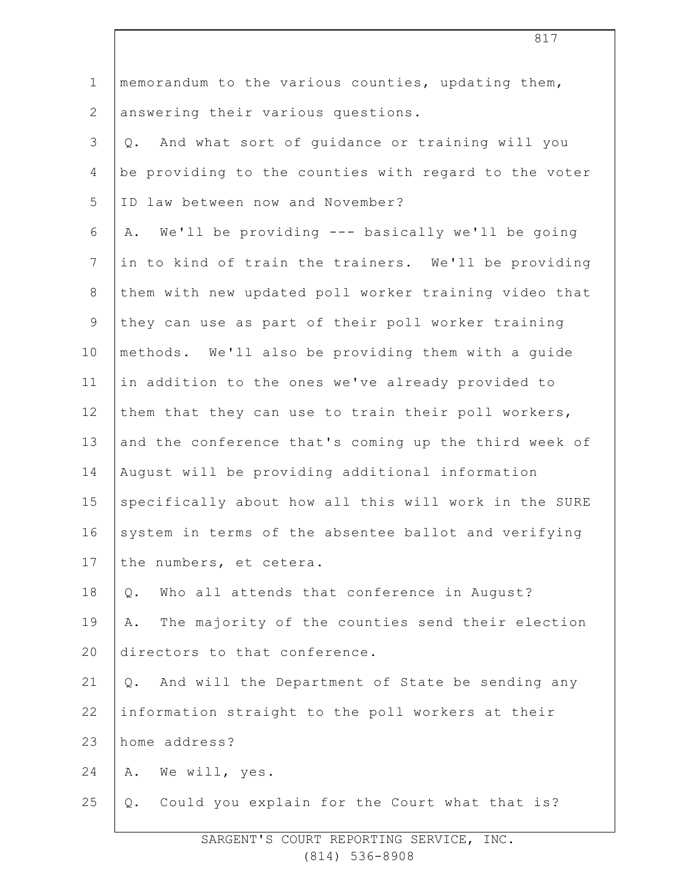| $\mathbf 1$     | memorandum to the various counties, updating them,       |
|-----------------|----------------------------------------------------------|
| $\mathbf{2}$    | answering their various questions.                       |
| 3               | And what sort of guidance or training will you<br>Q.     |
| $\overline{4}$  | be providing to the counties with regard to the voter    |
| 5               | ID law between now and November?                         |
| 6               | We'll be providing --- basically we'll be going<br>Α.    |
| $\overline{7}$  | in to kind of train the trainers. We'll be providing     |
| 8               | them with new updated poll worker training video that    |
| $\mathsf 9$     | they can use as part of their poll worker training       |
| 10              | methods. We'll also be providing them with a guide       |
| 11              | in addition to the ones we've already provided to        |
| 12 <sup>°</sup> | them that they can use to train their poll workers,      |
| 13              | and the conference that's coming up the third week of    |
| 14              | August will be providing additional information          |
| 15              | specifically about how all this will work in the SURE    |
| 16              | system in terms of the absentee ballot and verifying     |
| 17              | the numbers, et cetera.                                  |
| 18              | Who all attends that conference in August?<br>$Q$ .      |
| 19              | The majority of the counties send their election<br>Α.   |
| 20              | directors to that conference.                            |
| 21              | And will the Department of State be sending any<br>$Q$ . |
| 22              | information straight to the poll workers at their        |
| 23              | home address?                                            |
| 24              | We will, yes.<br>Α.                                      |
| 25              | Could you explain for the Court what that is?<br>$Q$ .   |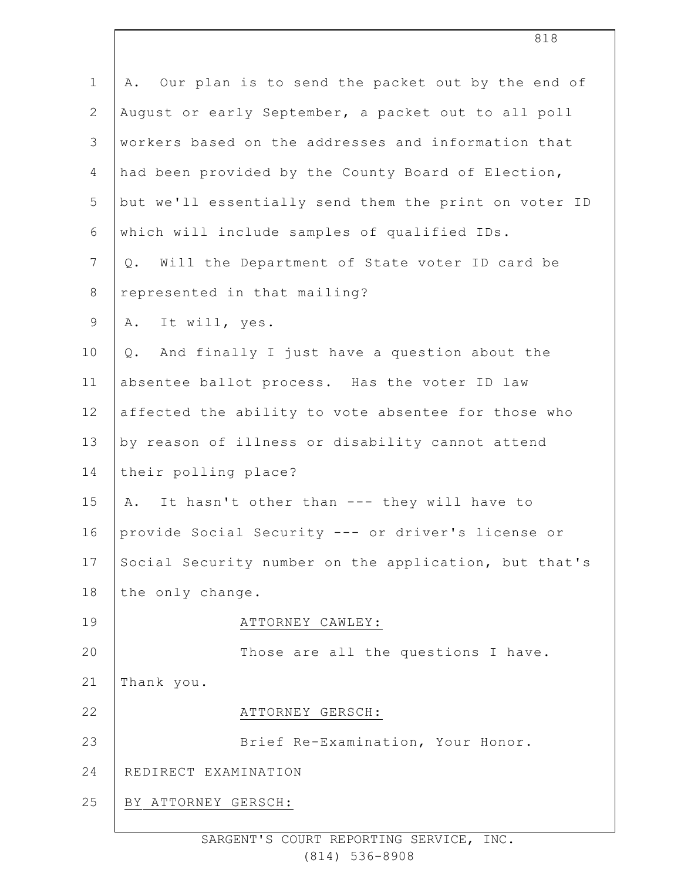| $\mathbf 1$    | Our plan is to send the packet out by the end of<br>Α. |
|----------------|--------------------------------------------------------|
| $\overline{2}$ | August or early September, a packet out to all poll    |
| $\mathsf 3$    | workers based on the addresses and information that    |
| $\overline{4}$ | had been provided by the County Board of Election,     |
| 5              | but we'll essentially send them the print on voter ID  |
| 6              | which will include samples of qualified IDs.           |
| $\overline{7}$ | Will the Department of State voter ID card be<br>Q.    |
| $\,8\,$        | represented in that mailing?                           |
| $\mathsf 9$    | A. It will, yes.                                       |
| 10             | And finally I just have a question about the<br>$Q$ .  |
| 11             | absentee ballot process. Has the voter ID law          |
| 12             | affected the ability to vote absentee for those who    |
| 13             | by reason of illness or disability cannot attend       |
| 14             | their polling place?                                   |
| 15             | It hasn't other than --- they will have to<br>Α.       |
| 16             | provide Social Security --- or driver's license or     |
| 17             | Social Security number on the application, but that's  |
| 18             | the only change.                                       |
| 19             | ATTORNEY CAWLEY:                                       |
| 20             | Those are all the questions I have.                    |
| 21             | Thank you.                                             |
| 22             | ATTORNEY GERSCH:                                       |
| 23             | Brief Re-Examination, Your Honor.                      |
| 24             | REDIRECT EXAMINATION                                   |
| 25             | BY ATTORNEY GERSCH:                                    |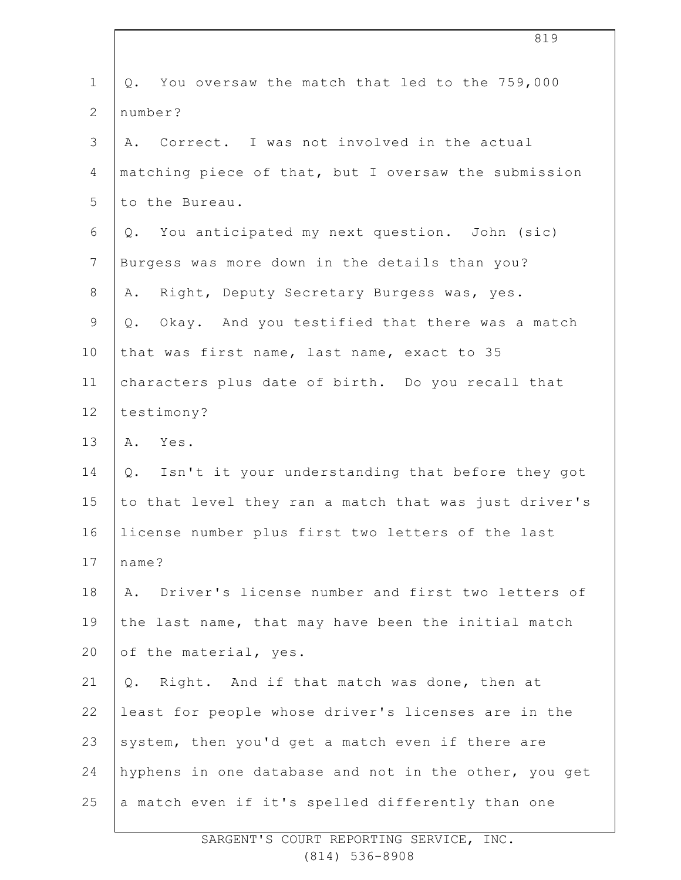| $\mathbf 1$    | Q. You oversaw the match that led to the 759,000             |
|----------------|--------------------------------------------------------------|
| $\mathbf{2}$   | number?                                                      |
| 3              | A. Correct. I was not involved in the actual                 |
| 4              | matching piece of that, but I oversaw the submission         |
| 5              | to the Bureau.                                               |
| $\sqrt{6}$     | You anticipated my next question. John (sic)<br>$Q$ .        |
| $7\phantom{.}$ | Burgess was more down in the details than you?               |
| 8              | Right, Deputy Secretary Burgess was, yes.<br>Α.              |
| 9              | Q. Okay. And you testified that there was a match            |
| 10             | that was first name, last name, exact to 35                  |
| 11             | characters plus date of birth. Do you recall that            |
| 12             | testimony?                                                   |
| 13             | A. Yes.                                                      |
| 14             | Q. Isn't it your understanding that before they got          |
| 15             | to that level they ran a match that was just driver's        |
| 16             | license number plus first two letters of the last            |
| 17             | name?                                                        |
| 18             | Driver's license number and first two letters of<br>Α.       |
| 19             | the last name, that may have been the initial match          |
| 20             | of the material, yes.                                        |
| 21             | Right. And if that match was done, then at<br>$\mathsf{Q}$ . |
| 22             | least for people whose driver's licenses are in the          |
| 23             | system, then you'd get a match even if there are             |
| 24             | hyphens in one database and not in the other, you get        |
| 25             | a match even if it's spelled differently than one            |
|                |                                                              |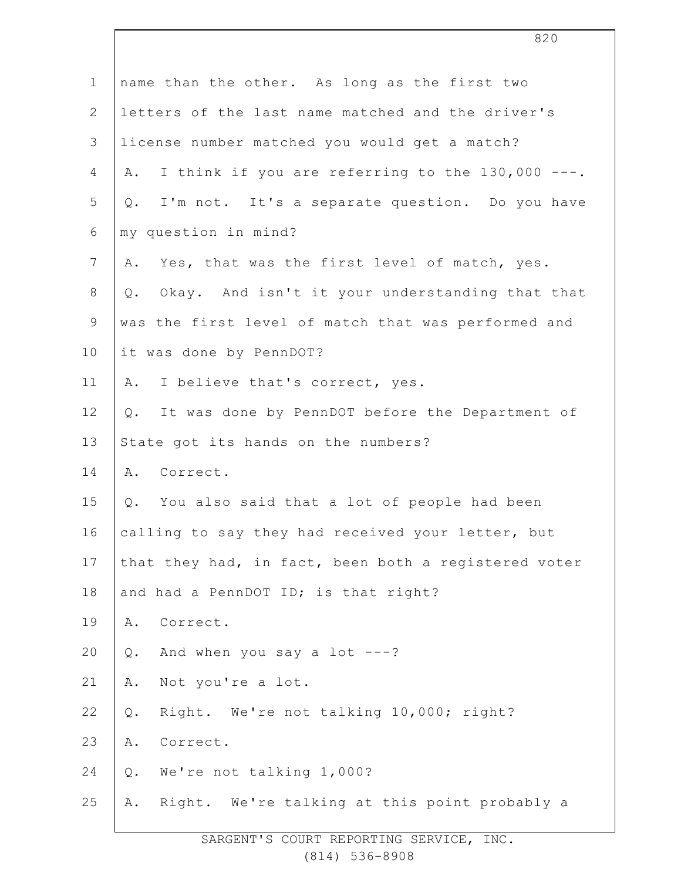|                 | 820                                                    |
|-----------------|--------------------------------------------------------|
| $\mathbf 1$     | name than the other. As long as the first two          |
| $\mathbf{2}$    | letters of the last name matched and the driver's      |
| 3               | license number matched you would get a match?          |
| 4               | I think if you are referring to the 130,000 ---.<br>Α. |
| 5               | I'm not. It's a separate question. Do you have<br>Q.   |
| 6               | my question in mind?                                   |
| $7\phantom{.0}$ | Yes, that was the first level of match, yes.<br>Α.     |
| $8\,$           | Q. Okay. And isn't it your understanding that that     |
| $\mathsf 9$     | was the first level of match that was performed and    |
| 10              | it was done by PennDOT?                                |
| 11              | I believe that's correct, yes.<br>Α.                   |
| 12              | Q. It was done by PennDOT before the Department of     |
| 13              | State got its hands on the numbers?                    |
| 14              | Correct.<br>Α.                                         |
| 15              | Q. You also said that a lot of people had been         |
| 16              | calling to say they had received your letter, but      |
| 17              | that they had, in fact, been both a registered voter   |
| 18              | and had a PennDOT ID; is that right?                   |
| 19              | Correct.<br>Α.                                         |
| 20              | And when you say a lot $---?$<br>$Q$ .                 |
| 21              | Not you're a lot.<br>Α.                                |
| 22              | Right. We're not talking 10,000; right?<br>$Q$ .       |
| 23              | Correct.<br>Α.                                         |
| 24              | We're not talking 1,000?<br>Q.                         |
| 25              | Right. We're talking at this point probably a<br>Α.    |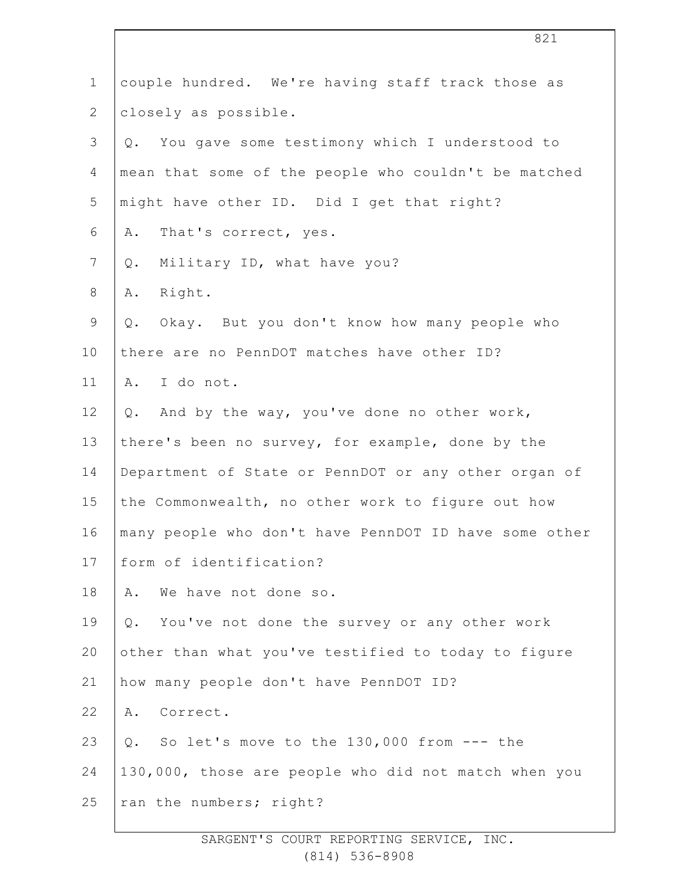| $\mathbf 1$    | couple hundred. We're having staff track those as     |
|----------------|-------------------------------------------------------|
| $\overline{2}$ | closely as possible.                                  |
| 3              | You gave some testimony which I understood to<br>Q.   |
| 4              | mean that some of the people who couldn't be matched  |
| 5              | might have other ID. Did I get that right?            |
| 6              | That's correct, yes.<br>Α.                            |
| 7              | Military ID, what have you?<br>$Q$ .                  |
| 8              | Right.<br>Α.                                          |
| 9              | Okay. But you don't know how many people who<br>Q.    |
| 10             | there are no PennDOT matches have other ID?           |
| 11             | A. I do not.                                          |
| 12             | And by the way, you've done no other work,<br>Q.      |
| 13             | there's been no survey, for example, done by the      |
| 14             | Department of State or PennDOT or any other organ of  |
| 15             | the Commonwealth, no other work to figure out how     |
| 16             | many people who don't have PennDOT ID have some other |
| 17             | form of identification?                               |
| 18             | We have not done so.<br>Α.                            |
| 19             | You've not done the survey or any other work<br>$Q$ . |
| 20             | other than what you've testified to today to figure   |
| 21             | how many people don't have PennDOT ID?                |
| 22             | Correct.<br>Α.                                        |
| 23             | Q. So let's move to the 130,000 from --- the          |
| 24             | 130,000, those are people who did not match when you  |
| 25             | ran the numbers; right?                               |
|                |                                                       |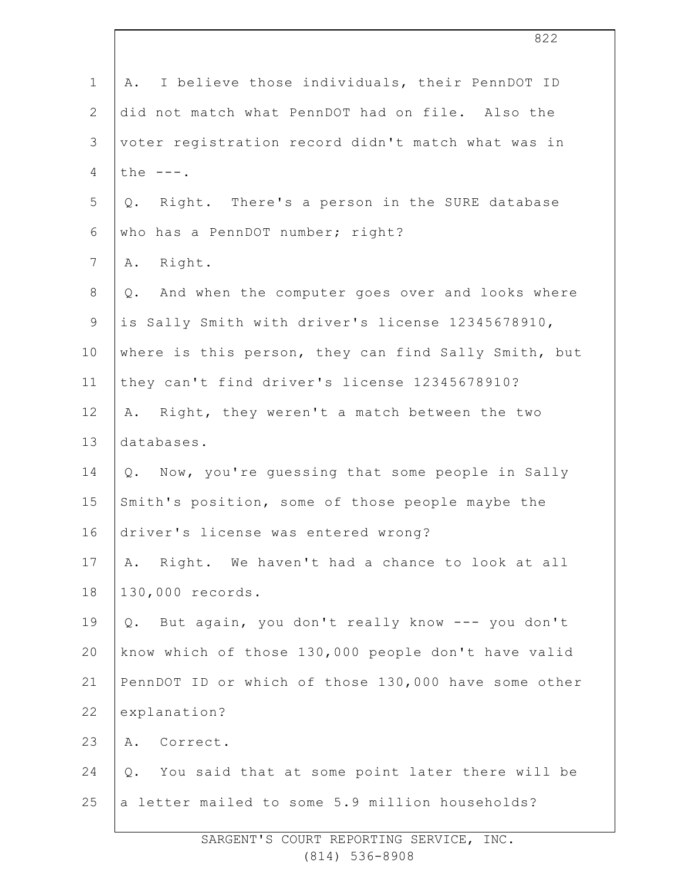| $\mathbf 1$  | I believe those individuals, their PennDOT ID<br>Α.      |
|--------------|----------------------------------------------------------|
| $\mathbf{2}$ | did not match what PennDOT had on file. Also the         |
| 3            | voter registration record didn't match what was in       |
| 4            | the $---$ .                                              |
| 5            | Q. Right. There's a person in the SURE database          |
| 6            | who has a PennDOT number; right?                         |
| 7            | Right.<br>Α.                                             |
| $8\,$        | And when the computer goes over and looks where<br>$Q$ . |
| $\mathsf 9$  | is Sally Smith with driver's license 12345678910,        |
| 10           | where is this person, they can find Sally Smith, but     |
| 11           | they can't find driver's license 12345678910?            |
| 12           | Right, they weren't a match between the two<br>Α.        |
| 13           | databases.                                               |
| 14           | Q. Now, you're guessing that some people in Sally        |
| 15           | Smith's position, some of those people maybe the         |
| 16           | driver's license was entered wrong?                      |
| 17           | Right. We haven't had a chance to look at all<br>Α.      |
| 18           | 130,000 records.                                         |
| 19           | But again, you don't really know --- you don't<br>Q.     |
| 20           | know which of those 130,000 people don't have valid      |
| 21           | PennDOT ID or which of those 130,000 have some other     |
| 22           | explanation?                                             |
| 23           | A. Correct.                                              |
| 24           | You said that at some point later there will be<br>Q.    |
| 25           | a letter mailed to some 5.9 million households?          |
|              |                                                          |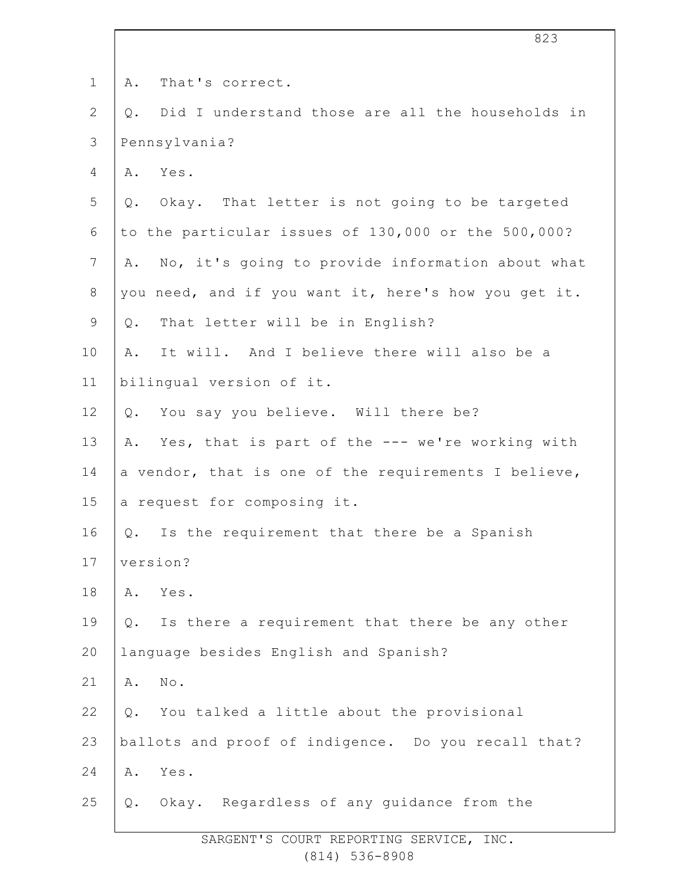| $\mathbf 1$    | That's correct.<br>Α.                                     |
|----------------|-----------------------------------------------------------|
| $\overline{2}$ | Did I understand those are all the households in<br>$Q$ . |
| $\mathfrak{Z}$ | Pennsylvania?                                             |
| 4              | A. Yes.                                                   |
| 5              | Okay. That letter is not going to be targeted<br>$Q$ .    |
| 6              | to the particular issues of 130,000 or the 500,000?       |
| $7\phantom{.}$ | No, it's going to provide information about what<br>Α.    |
| $8\,$          | you need, and if you want it, here's how you get it.      |
| 9              | That letter will be in English?<br>Q.                     |
| 10             | It will. And I believe there will also be a<br>Α.         |
| 11             | bilingual version of it.                                  |
| 12             | You say you believe. Will there be?<br>$Q$ .              |
| 13             | Yes, that is part of the --- we're working with<br>Α.     |
| 14             | a vendor, that is one of the requirements I believe,      |
| 15             | a request for composing it.                               |
| 16             | Is the requirement that there be a Spanish<br>Q.          |
| 17             | version?                                                  |
| 18             | Yes.<br>Α.                                                |
| 19             | Is there a requirement that there be any other<br>$Q$ .   |
| 20             | language besides English and Spanish?                     |
| 21             | No.<br>Α.                                                 |
| 22             | You talked a little about the provisional<br>$Q$ .        |
| 23             | ballots and proof of indigence. Do you recall that?       |
| 24             | Yes.<br>Α.                                                |
| 25             | Okay. Regardless of any guidance from the<br>Q.           |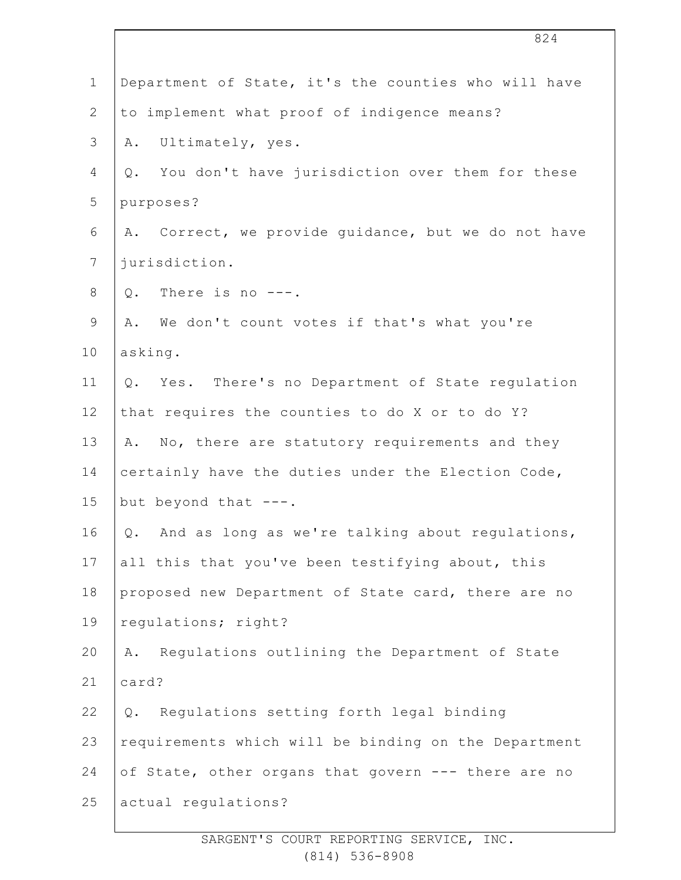| $\mathbf 1$    | Department of State, it's the counties who will have   |
|----------------|--------------------------------------------------------|
| $\mathbf{2}$   | to implement what proof of indigence means?            |
| 3              | Ultimately, yes.<br>Α.                                 |
| 4              | You don't have jurisdiction over them for these<br>Q.  |
| 5              | purposes?                                              |
| 6              | Correct, we provide guidance, but we do not have<br>Α. |
| $7\phantom{.}$ | jurisdiction.                                          |
| $\,8\,$        | Q. There is no $---$ .                                 |
| 9              | We don't count votes if that's what you're<br>Α.       |
| 10             | asking.                                                |
| 11             | Yes. There's no Department of State regulation<br>Q.   |
| 12             | that requires the counties to do X or to do Y?         |
| 13             | No, there are statutory requirements and they<br>Α.    |
| 14             | certainly have the duties under the Election Code,     |
| 15             | but beyond that $---$ .                                |
| 16             | And as long as we're talking about regulations,<br>Q.  |
| 17             | all this that you've been testifying about, this       |
| 18             | proposed new Department of State card, there are no    |
| 19             | regulations; right?                                    |
| 20             | Regulations outlining the Department of State<br>Α.    |
| 21             | card?                                                  |
| 22             | Regulations setting forth legal binding<br>Q.          |
| 23             | requirements which will be binding on the Department   |
| 24             | of State, other organs that govern --- there are no    |
| 25             | actual regulations?                                    |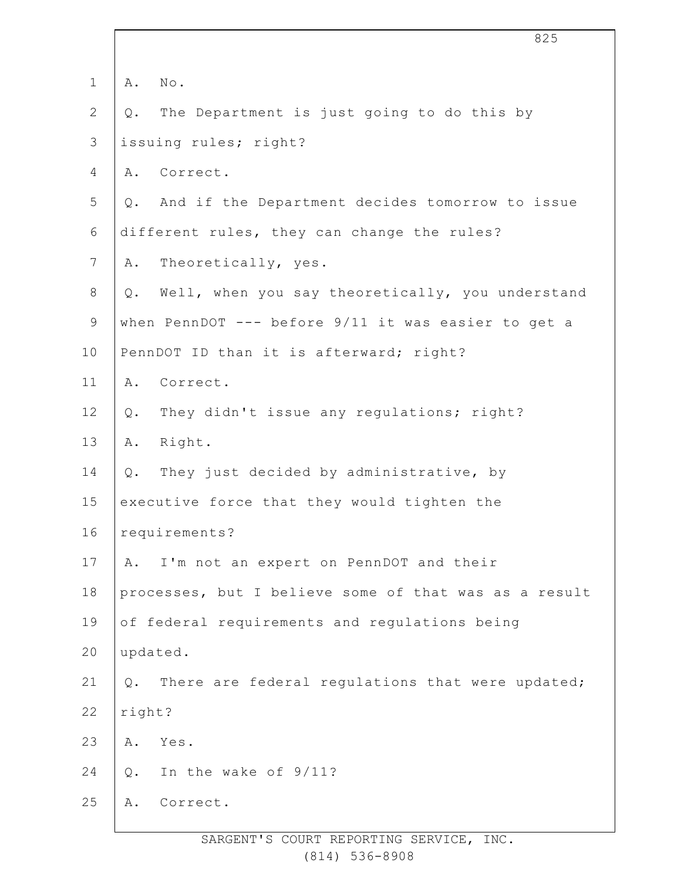|                |        | 825                                                   |
|----------------|--------|-------------------------------------------------------|
| $\mathbf 1$    | Α.     | No.                                                   |
| $\mathbf{2}$   | Q.     | The Department is just going to do this by            |
| 3              |        | issuing rules; right?                                 |
| 4              |        | A. Correct.                                           |
| 5              |        | Q. And if the Department decides tomorrow to issue    |
| 6              |        | different rules, they can change the rules?           |
| $\overline{7}$ | Α.     | Theoretically, yes.                                   |
| 8              | Q.     | Well, when you say theoretically, you understand      |
| $\mathsf 9$    |        | when PennDOT --- before 9/11 it was easier to get a   |
| 10             |        | PennDOT ID than it is afterward; right?               |
| 11             | Α.     | Correct.                                              |
| 12             | Q.     | They didn't issue any regulations; right?             |
| 13             |        | A. Right.                                             |
| 14             | Q.     | They just decided by administrative, by               |
| 15             |        | executive force that they would tighten the           |
| 16             |        | requirements?                                         |
| 17             | Α.     | I'm not an expert on PennDOT and their                |
| 18             |        | processes, but I believe some of that was as a result |
| 19             |        | of federal requirements and regulations being         |
| 20             |        | updated.                                              |
| 21             | $Q$ .  | There are federal regulations that were updated;      |
| 22             | right? |                                                       |
| 23             | Α.     | Yes.                                                  |
| 24             | Q.     | In the wake of 9/11?                                  |
| 25             | Α.     | Correct.                                              |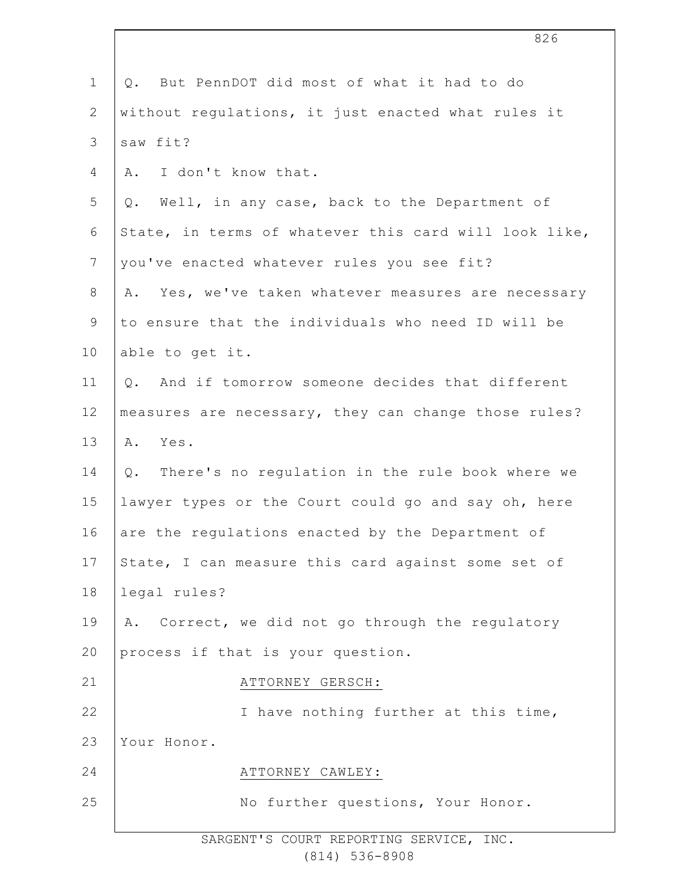|                | 826                                                    |
|----------------|--------------------------------------------------------|
| $\mathbf 1$    | Q. But PennDOT did most of what it had to do           |
| $\overline{2}$ | without regulations, it just enacted what rules it     |
| 3              | saw fit?                                               |
| 4              | A. I don't know that.                                  |
| 5              | Q. Well, in any case, back to the Department of        |
| 6              | State, in terms of whatever this card will look like,  |
| $\overline{7}$ | you've enacted whatever rules you see fit?             |
| $8\,$          | Yes, we've taken whatever measures are necessary<br>Α. |
| 9              | to ensure that the individuals who need ID will be     |
| 10             | able to get it.                                        |
| 11             | Q. And if tomorrow someone decides that different      |
| 12             | measures are necessary, they can change those rules?   |
| 13             | A. Yes.                                                |
| 14             | Q. There's no regulation in the rule book where we     |
| 15             | lawyer types or the Court could go and say oh, here    |
| 16             | are the regulations enacted by the Department of       |
| 17             | State, I can measure this card against some set of     |
| 18             | legal rules?                                           |
| 19             | Correct, we did not go through the regulatory<br>Α.    |
| 20             | process if that is your question.                      |
| 21             | ATTORNEY GERSCH:                                       |
| 22             | I have nothing further at this time,                   |
| 23             | Your Honor.                                            |
| 24             | ATTORNEY CAWLEY:                                       |
| 25             | No further questions, Your Honor.                      |
|                |                                                        |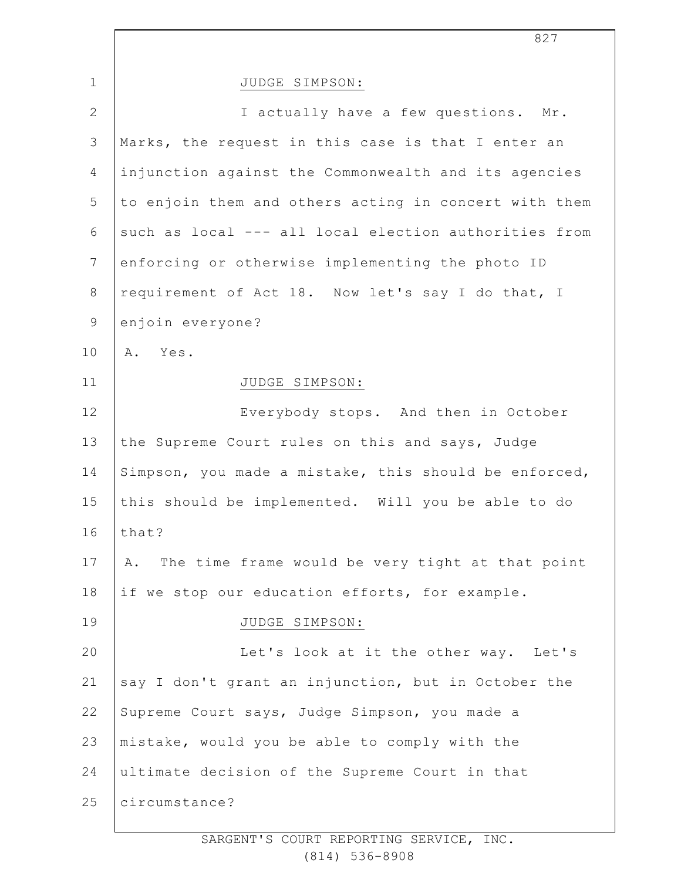| $\mathbf{1}$   | JUDGE SIMPSON:                                        |
|----------------|-------------------------------------------------------|
| $\mathbf{2}$   | I actually have a few questions. Mr.                  |
| $\mathfrak{Z}$ | Marks, the request in this case is that I enter an    |
| 4              | injunction against the Commonwealth and its agencies  |
| 5              | to enjoin them and others acting in concert with them |
| 6              | such as local --- all local election authorities from |
| $\overline{7}$ | enforcing or otherwise implementing the photo ID      |
| $\,8\,$        | requirement of Act 18. Now let's say I do that, I     |
| 9              | enjoin everyone?                                      |
| 10             | A. Yes.                                               |
| 11             | JUDGE SIMPSON:                                        |
| 12             | Everybody stops. And then in October                  |
| 13             | the Supreme Court rules on this and says, Judge       |
| 14             | Simpson, you made a mistake, this should be enforced, |
| 15             | this should be implemented. Will you be able to do    |
| 16             | that?                                                 |
| 17             | A. The time frame would be very tight at that point   |
| 18             | if we stop our education efforts, for example.        |
| 19             | JUDGE SIMPSON:                                        |
| 20             | Let's look at it the other way. Let's                 |
| 21             | say I don't grant an injunction, but in October the   |
| 22             | Supreme Court says, Judge Simpson, you made a         |
| 23             | mistake, would you be able to comply with the         |
| 24             | ultimate decision of the Supreme Court in that        |
| 25             | circumstance?                                         |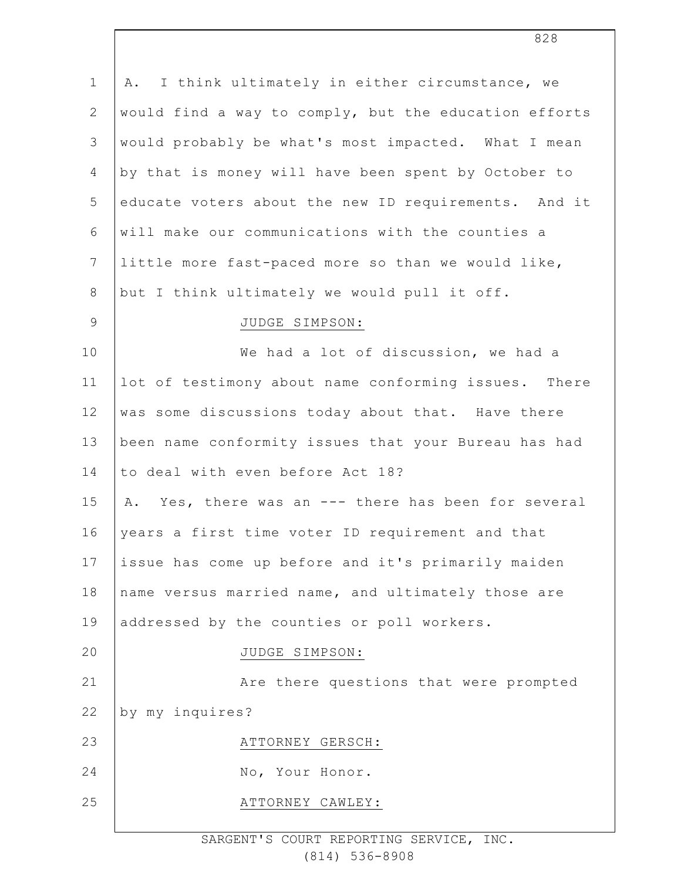| $\mathbf 1$   | I think ultimately in either circumstance, we<br>Α.   |
|---------------|-------------------------------------------------------|
| $\mathbf{2}$  | would find a way to comply, but the education efforts |
| $\mathcal{S}$ | would probably be what's most impacted. What I mean   |
| 4             | by that is money will have been spent by October to   |
| 5             | educate voters about the new ID requirements. And it  |
| 6             | will make our communications with the counties a      |
| 7             | little more fast-paced more so than we would like,    |
| 8             | but I think ultimately we would pull it off.          |
| $\mathsf 9$   | JUDGE SIMPSON:                                        |
| 10            | We had a lot of discussion, we had a                  |
| 11            | lot of testimony about name conforming issues. There  |
| 12            | was some discussions today about that. Have there     |
| 13            | been name conformity issues that your Bureau has had  |
| 14            | to deal with even before Act 18?                      |
| 15            | A. Yes, there was an --- there has been for several   |
| 16            | years a first time voter ID requirement and that      |
| 17            | issue has come up before and it's primarily maiden    |
| 18            | name versus married name, and ultimately those are    |
| 19            | addressed by the counties or poll workers.            |
| 20            | JUDGE SIMPSON:                                        |
| 21            | Are there questions that were prompted                |
| 22            | by my inquires?                                       |
| 23            | ATTORNEY GERSCH:                                      |
| 24            | No, Your Honor.                                       |
| 25            | ATTORNEY CAWLEY:                                      |
|               |                                                       |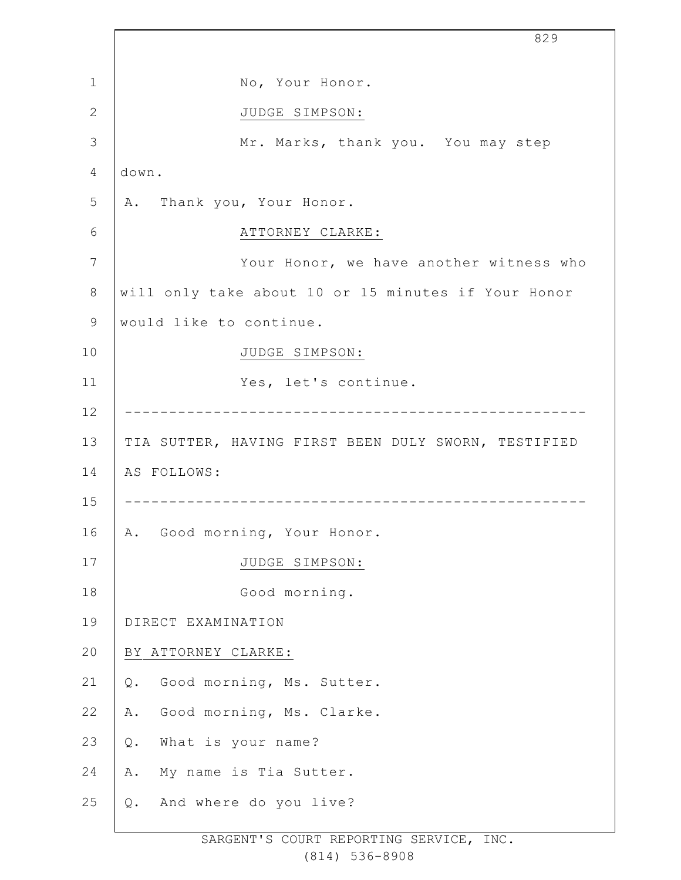|              | 829                                                 |
|--------------|-----------------------------------------------------|
| 1            | No, Your Honor.                                     |
| $\mathbf{2}$ | JUDGE SIMPSON:                                      |
| 3            | Mr. Marks, thank you. You may step                  |
| 4            | down.                                               |
| 5            | A. Thank you, Your Honor.                           |
| 6            | ATTORNEY CLARKE:                                    |
| 7            | Your Honor, we have another witness who             |
| $\,8\,$      | will only take about 10 or 15 minutes if Your Honor |
| 9            | would like to continue.                             |
| 10           | JUDGE SIMPSON:                                      |
| 11           | Yes, let's continue.                                |
| 12           |                                                     |
| 13           | TIA SUTTER, HAVING FIRST BEEN DULY SWORN, TESTIFIED |
| 14           | AS FOLLOWS:                                         |
| 15           |                                                     |
| 16           | Good morning, Your Honor.<br>Α.                     |
| 17           | JUDGE SIMPSON:                                      |
| 18           | Good morning.                                       |
| 19           | DIRECT EXAMINATION                                  |
| 20           | BY ATTORNEY CLARKE:                                 |
| 21           | Good morning, Ms. Sutter.<br>Q.                     |
| 22           | Good morning, Ms. Clarke.<br>Α.                     |
| 23           | What is your name?<br>Q.                            |
| 24           | My name is Tia Sutter.<br>Α.                        |
| 25           | And where do you live?<br>Q.                        |
|              |                                                     |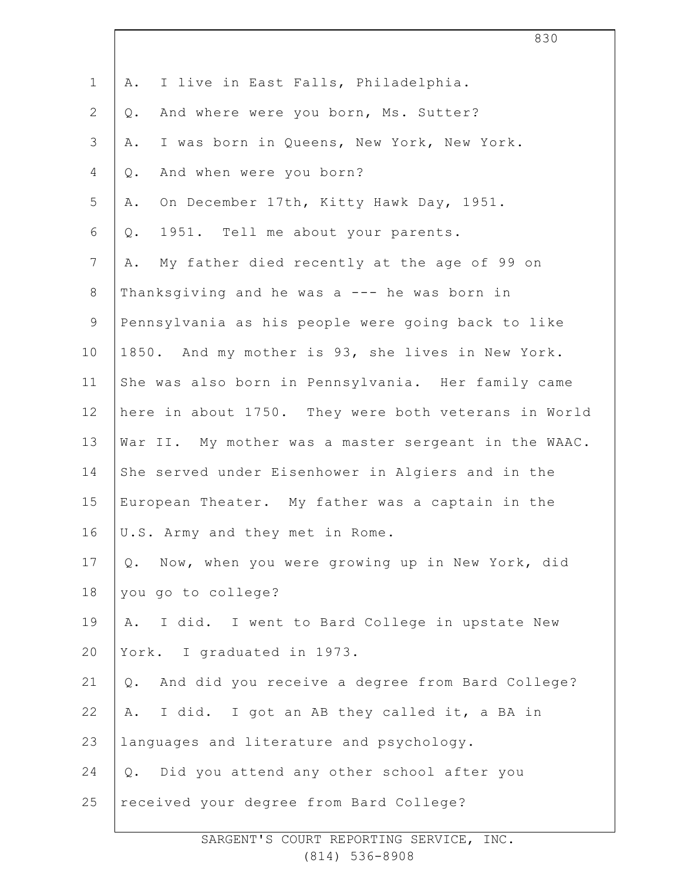| $\mathbf 1$     | I live in East Falls, Philadelphia.<br>Α.             |
|-----------------|-------------------------------------------------------|
| $\overline{2}$  | And where were you born, Ms. Sutter?<br>$Q$ .         |
| 3               | I was born in Queens, New York, New York.<br>Α.       |
| 4               | And when were you born?<br>$Q$ .                      |
| 5               | On December 17th, Kitty Hawk Day, 1951.<br>Α.         |
| 6               | 1951. Tell me about your parents.<br>Q.               |
| $7\overline{ }$ | My father died recently at the age of 99 on<br>Α.     |
| 8               | Thanksgiving and he was a --- he was born in          |
| $\mathsf 9$     | Pennsylvania as his people were going back to like    |
| 10              | 1850. And my mother is 93, she lives in New York.     |
| 11              | She was also born in Pennsylvania. Her family came    |
| 12              | here in about 1750. They were both veterans in World  |
| 13              | War II. My mother was a master sergeant in the WAAC.  |
| 14              | She served under Eisenhower in Algiers and in the     |
| 15              | European Theater. My father was a captain in the      |
| 16              | U.S. Army and they met in Rome.                       |
| 17              | Now, when you were growing up in New York, did<br>Q.  |
| 18              | you go to college?                                    |
| 19              | I did. I went to Bard College in upstate New<br>Α.    |
| 20              | York. I graduated in 1973.                            |
| 21              | And did you receive a degree from Bard College?<br>Q. |
| 22              | A. I did. I got an AB they called it, a BA in         |
| 23              | languages and literature and psychology.              |
| 24              | Q. Did you attend any other school after you          |
| 25              | received your degree from Bard College?               |
|                 |                                                       |

830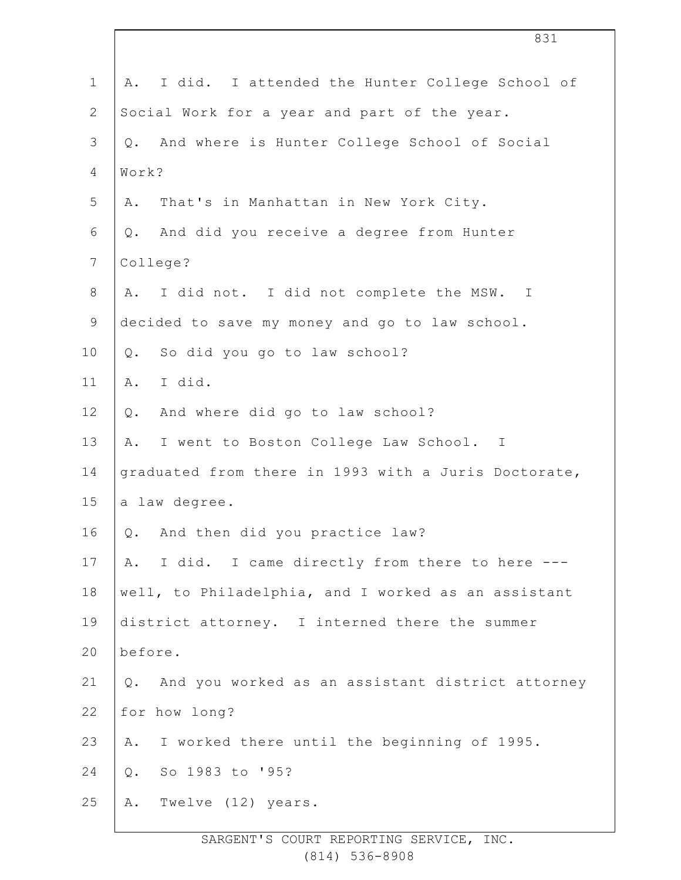| $\mathbf 1$    | I did. I attended the Hunter College School of<br>Α.      |
|----------------|-----------------------------------------------------------|
| $\mathbf{2}$   | Social Work for a year and part of the year.              |
| 3              | And where is Hunter College School of Social<br>Q.        |
| $\overline{4}$ | Work?                                                     |
| 5              | That's in Manhattan in New York City.<br>Α.               |
| 6              | And did you receive a degree from Hunter<br>$Q$ .         |
| $\overline{7}$ | College?                                                  |
| $\,8\,$        | I did not. I did not complete the MSW. I<br>Α.            |
| $\mathsf 9$    | decided to save my money and go to law school.            |
| 10             | So did you go to law school?<br>Q.                        |
| 11             | I did.<br>Α.                                              |
| 12             | And where did go to law school?<br>$Q$ .                  |
| 13             | I went to Boston College Law School. I<br>Α.              |
| 14             | graduated from there in 1993 with a Juris Doctorate,      |
| 15             | a law degree.                                             |
| 16             | Q. And then did you practice law?                         |
| 17             | I did. I came directly from there to here ---<br>A.       |
| 18             | well, to Philadelphia, and I worked as an assistant       |
| 19             | district attorney. I interned there the summer            |
| 20             | before.                                                   |
| 21             | And you worked as an assistant district attorney<br>$Q$ . |
| 22             | for how long?                                             |
| 23             | I worked there until the beginning of 1995.<br>Α.         |
| 24             | So 1983 to '95?<br>$Q$ .                                  |
| 25             | Twelve (12) years.<br>Α.                                  |
|                |                                                           |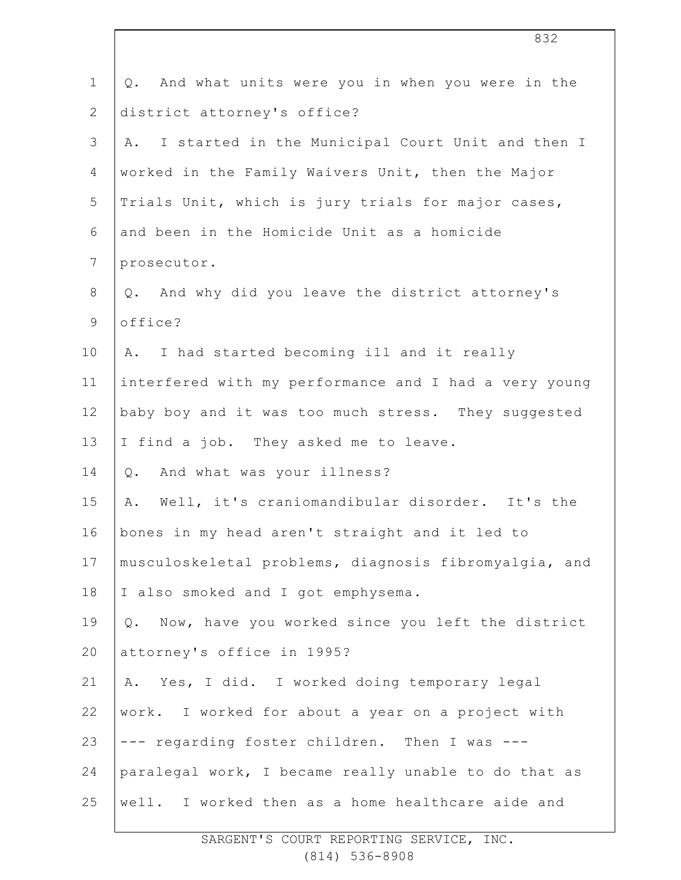| $\mathbf 1$     | And what units were you in when you were in the<br>Q.     |
|-----------------|-----------------------------------------------------------|
| $\mathbf{2}$    | district attorney's office?                               |
| $\mathcal{S}$   | I started in the Municipal Court Unit and then I<br>Α.    |
| 4               | worked in the Family Waivers Unit, then the Major         |
| 5               | Trials Unit, which is jury trials for major cases,        |
| 6               | and been in the Homicide Unit as a homicide               |
| $7\phantom{.0}$ | prosecutor.                                               |
| $8\,$           | And why did you leave the district attorney's<br>Q.       |
| $\mathsf 9$     | office?                                                   |
| 10              | I had started becoming ill and it really<br>Α.            |
| 11              | interfered with my performance and I had a very young     |
| 12              | baby boy and it was too much stress. They suggested       |
| 13              | I find a job. They asked me to leave.                     |
| 14              | And what was your illness?<br>Q.                          |
| 15              | Well, it's craniomandibular disorder. It's the<br>Α.      |
| 16              | bones in my head aren't straight and it led to            |
| 17              | musculoskeletal problems, diagnosis fibromyalgia, and     |
| 18              | I also smoked and I got emphysema.                        |
| 19              | Now, have you worked since you left the district<br>$Q$ . |
| 20              | attorney's office in 1995?                                |
| 21              | Yes, I did. I worked doing temporary legal<br>Α.          |
| 22              | work. I worked for about a year on a project with         |
| 23              | --- regarding foster children. Then I was ---             |
| 24              | paralegal work, I became really unable to do that as      |
| 25              | well. I worked then as a home healthcare aide and         |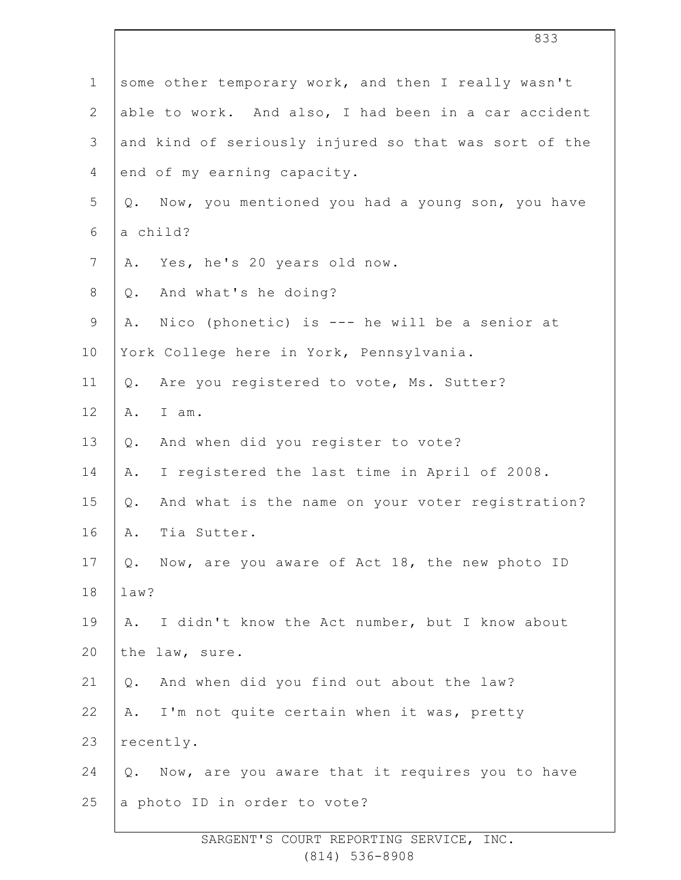|                | 833                                                       |
|----------------|-----------------------------------------------------------|
| $\mathbf 1$    | some other temporary work, and then I really wasn't       |
| $\overline{2}$ | able to work. And also, I had been in a car accident      |
| 3              | and kind of seriously injured so that was sort of the     |
| 4              | end of my earning capacity.                               |
| 5              | Q. Now, you mentioned you had a young son, you have       |
| 6              | a child?                                                  |
| $\overline{7}$ | Yes, he's 20 years old now.<br>Α.                         |
| 8              | And what's he doing?<br>$Q$ .                             |
| $\mathsf 9$    | Nico (phonetic) is --- he will be a senior at<br>Α.       |
| 10             | York College here in York, Pennsylvania.                  |
| 11             | Are you registered to vote, Ms. Sutter?<br>$Q$ .          |
| 12             | I am.<br>Α.                                               |
| 13             | And when did you register to vote?<br>Q.                  |
| 14             | I registered the last time in April of 2008.<br>Α.        |
| 15             | And what is the name on your voter registration?<br>$Q$ . |
| 16             | Tia Sutter.<br>Α.                                         |
| 17             | Now, are you aware of Act 18, the new photo ID<br>Q.      |
| 18             | law?                                                      |
| 19             | I didn't know the Act number, but I know about<br>Α.      |
| 20             | the law, sure.                                            |
| 21             | And when did you find out about the law?<br>Q.            |
| 22             | I'm not quite certain when it was, pretty<br>Α.           |
| 23             | recently.                                                 |
| 24             | Now, are you aware that it requires you to have<br>Q.     |
| 25             | a photo ID in order to vote?                              |
|                |                                                           |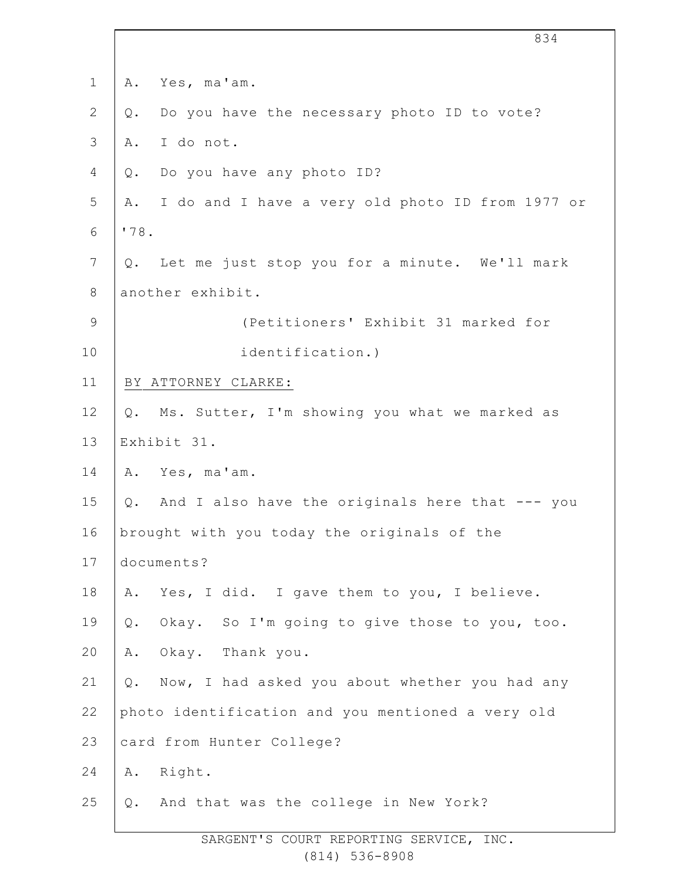| $\mathbf 1$    | Yes, ma'am.<br>Α.                                      |
|----------------|--------------------------------------------------------|
| $\mathbf{2}$   | Do you have the necessary photo ID to vote?<br>Q.      |
| $\mathfrak{Z}$ | I do not.<br>Α.                                        |
| 4              | Do you have any photo ID?<br>Q.                        |
| 5              | I do and I have a very old photo ID from 1977 or<br>Α. |
| 6              | '78.                                                   |
| $\overline{7}$ | Let me just stop you for a minute. We'll mark<br>Q.    |
| $\,8\,$        | another exhibit.                                       |
| $\mathsf 9$    | (Petitioners' Exhibit 31 marked for                    |
| 10             | identification.)                                       |
| 11             | BY ATTORNEY CLARKE:                                    |
| 12             | Ms. Sutter, I'm showing you what we marked as<br>Q.    |
| 13             | Exhibit 31.                                            |
| 14             | Yes, ma'am.<br>Α.                                      |
| 15             | And I also have the originals here that --- you<br>Q.  |
| 16             | brought with you today the originals of the            |
| 17             | documents?                                             |
| $18\,$         | Yes, I did. I gave them to you, I believe.<br>Α.       |
| 19             | Okay. So I'm going to give those to you, too.<br>$Q$ . |
| 20             | Okay. Thank you.<br>Α.                                 |
| 21             | Now, I had asked you about whether you had any<br>Q.   |
| 22             | photo identification and you mentioned a very old      |
| 23             | card from Hunter College?                              |
| 24             | Right.<br>Α.                                           |
| 25             | And that was the college in New York?<br>Q.            |
|                |                                                        |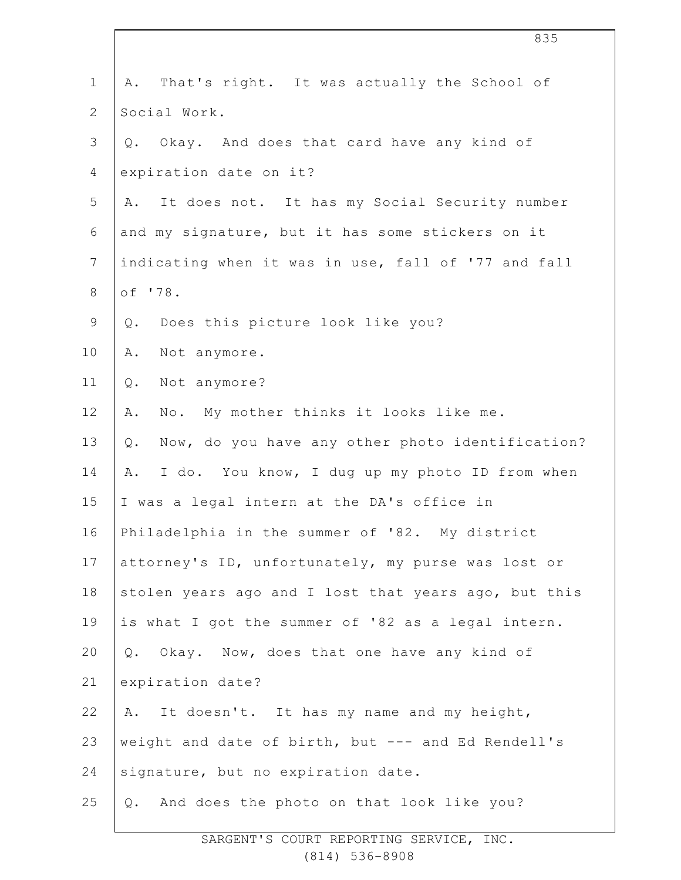| $\mathbf 1$    | A. That's right. It was actually the School of            |
|----------------|-----------------------------------------------------------|
| $\overline{2}$ | Social Work.                                              |
| 3              | Q. Okay. And does that card have any kind of              |
| $\overline{4}$ | expiration date on it?                                    |
| 5              | It does not. It has my Social Security number<br>Α.       |
| 6              | and my signature, but it has some stickers on it          |
| $\overline{7}$ | indicating when it was in use, fall of '77 and fall       |
| 8              | of '78.                                                   |
| 9              | Does this picture look like you?<br>Q.                    |
| 10             | Not anymore.<br>Α.                                        |
| 11             | Not anymore?<br>Q.                                        |
| 12             | No. My mother thinks it looks like me.<br>Α.              |
| 13             | Now, do you have any other photo identification?<br>$Q$ . |
| 14             | I do. You know, I dug up my photo ID from when<br>A.      |
| 15             | I was a legal intern at the DA's office in                |
| 16             | Philadelphia in the summer of '82. My district            |
| 17             | attorney's ID, unfortunately, my purse was lost or        |
| 18             | stolen years ago and I lost that years ago, but this      |
| 19             | is what I got the summer of '82 as a legal intern.        |
| 20             | Q. Okay. Now, does that one have any kind of              |
| 21             | expiration date?                                          |
| 22             | It doesn't. It has my name and my height,<br>Α.           |
| 23             | weight and date of birth, but --- and Ed Rendell's        |
| 24             | signature, but no expiration date.                        |
| 25             | Q. And does the photo on that look like you?              |
|                |                                                           |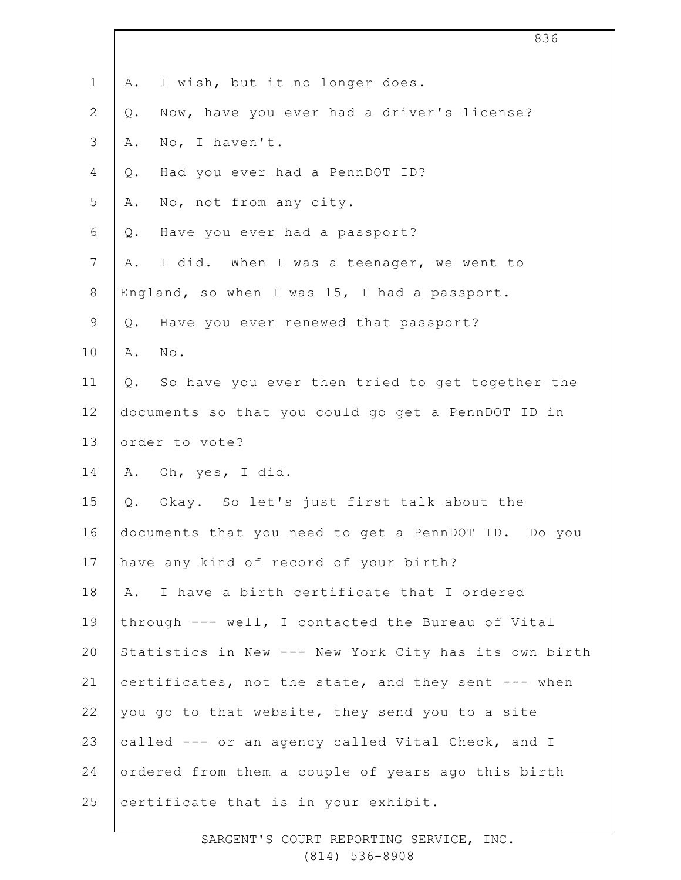|               | 836                                                   |
|---------------|-------------------------------------------------------|
| $\mathbf 1$   | I wish, but it no longer does.<br>Α.                  |
| $\mathbf{2}$  | Now, have you ever had a driver's license?<br>Q.      |
| $\mathcal{S}$ | No, I haven't.<br>Α.                                  |
| 4             | Had you ever had a PennDOT ID?<br>Q.                  |
| 5             | No, not from any city.<br>Α.                          |
| 6             | Have you ever had a passport?<br>Q.                   |
| 7             | I did. When I was a teenager, we went to<br>Α.        |
| $8\,$         | England, so when I was 15, I had a passport.          |
| $\mathsf 9$   | Have you ever renewed that passport?<br>Q.            |
| 10            | No.<br>Α.                                             |
| 11            | So have you ever then tried to get together the<br>Q. |
| 12            | documents so that you could go get a PennDOT ID in    |
| 13            | order to vote?                                        |
| 14            | Oh, yes, I did.<br>Α.                                 |
| 15            | Okay. So let's just first talk about the<br>Q.        |
| 16            | documents that you need to get a PennDOT ID. Do you   |
| 17            | have any kind of record of your birth?                |
| 18            | I have a birth certificate that I ordered<br>Α.       |
| 19            | through --- well, I contacted the Bureau of Vital     |
| 20            | Statistics in New --- New York City has its own birth |
| 21            | certificates, not the state, and they sent --- when   |
| 22            | you go to that website, they send you to a site       |
| 23            | called --- or an agency called Vital Check, and I     |
| 24            | ordered from them a couple of years ago this birth    |
| 25            | certificate that is in your exhibit.                  |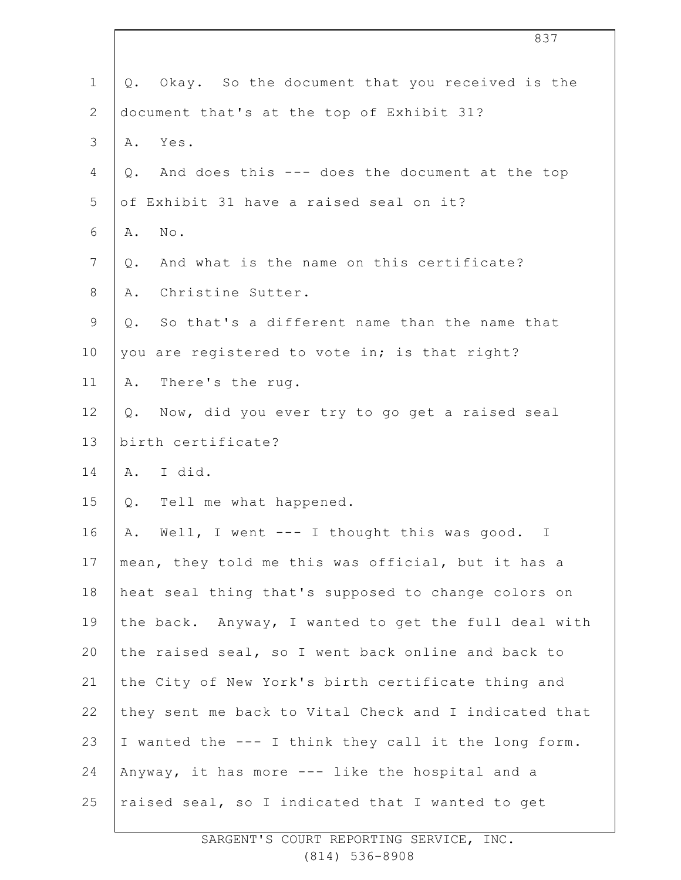| $\mathbf 1$     | Okay. So the document that you received is the<br>Q.   |
|-----------------|--------------------------------------------------------|
| $\mathbf{2}$    | document that's at the top of Exhibit 31?              |
| 3               | Yes.<br>Α.                                             |
| 4               | And does this --- does the document at the top<br>Q.   |
| 5               | of Exhibit 31 have a raised seal on it?                |
| 6               | $\mbox{No}$ .<br>Α.                                    |
| $7\phantom{.0}$ | And what is the name on this certificate?<br>$Q$ .     |
| 8               | Christine Sutter.<br>Α.                                |
| $\mathsf 9$     | So that's a different name than the name that<br>Q.    |
| 10              | you are registered to vote in; is that right?          |
| 11              | There's the rug.<br>Α.                                 |
| 12              | Now, did you ever try to go get a raised seal<br>$Q$ . |
| 13              | birth certificate?                                     |
| 14              | I did.<br>A.                                           |
| 15              | Tell me what happened.<br>Q.                           |
| 16              | Well, I went --- I thought this was good. I<br>Α.      |
| 17              | mean, they told me this was official, but it has a     |
| 18              | heat seal thing that's supposed to change colors on    |
| 19              | the back. Anyway, I wanted to get the full deal with   |
| 20              | the raised seal, so I went back online and back to     |
| 21              | the City of New York's birth certificate thing and     |
| 22              | they sent me back to Vital Check and I indicated that  |
| 23              | I wanted the --- I think they call it the long form.   |
| 24              | Anyway, it has more --- like the hospital and a        |
| 25              | raised seal, so I indicated that I wanted to get       |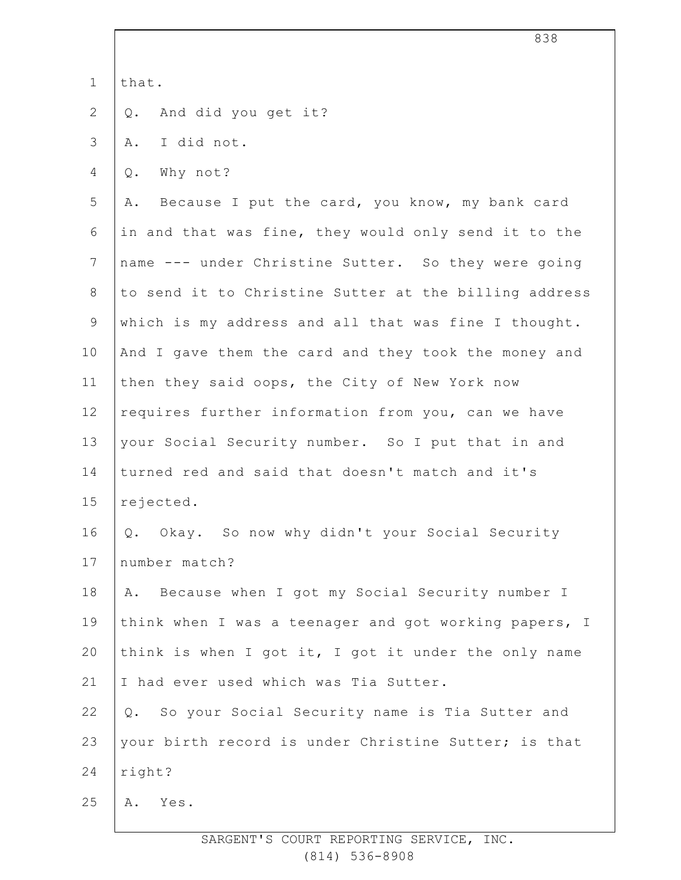|                | 838                                                     |
|----------------|---------------------------------------------------------|
| $\mathbf 1$    | that.                                                   |
| $\mathbf{2}$   | And did you get it?<br>$Q$ .                            |
| 3              | I did not.<br>Α.                                        |
| 4              | Why not?<br>Q.                                          |
| 5              | Because I put the card, you know, my bank card<br>Α.    |
| 6              | in and that was fine, they would only send it to the    |
| $7\phantom{.}$ | name --- under Christine Sutter. So they were going     |
| 8              | to send it to Christine Sutter at the billing address   |
| $\mathsf 9$    | which is my address and all that was fine I thought.    |
| 10             | And I gave them the card and they took the money and    |
| 11             | then they said oops, the City of New York now           |
| 12             | requires further information from you, can we have      |
| 13             | your Social Security number. So I put that in and       |
| 14             | turned red and said that doesn't match and it's         |
| 15             | rejected.                                               |
| 16             | Q. Okay. So now why didn't your Social Security         |
| 17             | number match?                                           |
| 18             | A. Because when I got my Social Security number I       |
| 19             | think when I was a teenager and got working papers, I   |
| 20             | think is when I got it, I got it under the only name    |
| 21             | I had ever used which was Tia Sutter.                   |
| 22             | So your Social Security name is Tia Sutter and<br>$Q$ . |
| 23             | your birth record is under Christine Sutter; is that    |
| 24             | right?                                                  |
| 25             | Yes.<br>Α.                                              |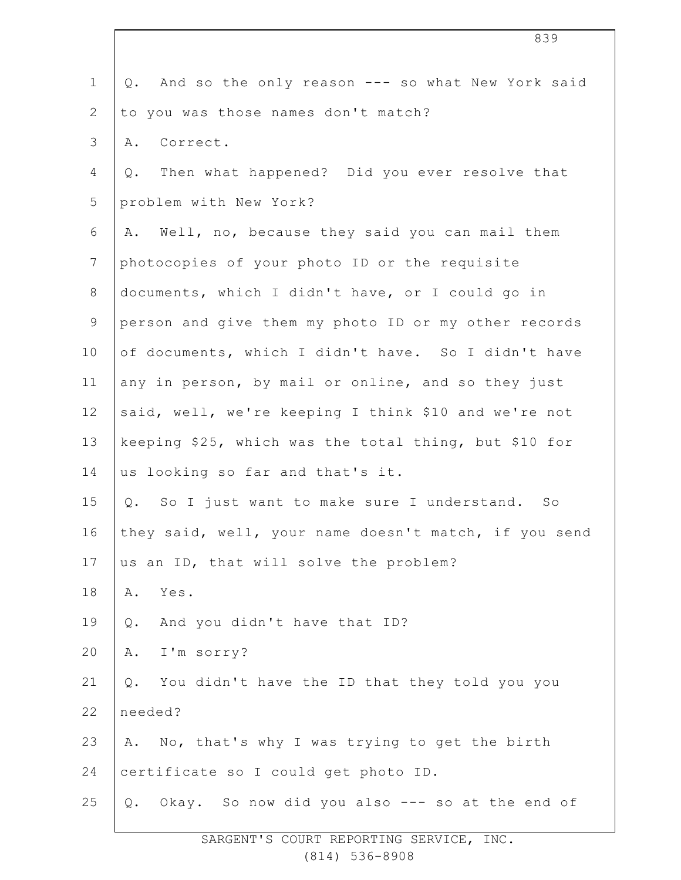| $\mathbf 1$    | And so the only reason --- so what New York said<br>Q. |
|----------------|--------------------------------------------------------|
| $\overline{2}$ | to you was those names don't match?                    |
| 3              | Correct.<br>Α.                                         |
| 4              | Then what happened? Did you ever resolve that<br>Q.    |
| 5              | problem with New York?                                 |
| 6              | Well, no, because they said you can mail them<br>Α.    |
| $7\phantom{.}$ | photocopies of your photo ID or the requisite          |
| $8\,$          | documents, which I didn't have, or I could go in       |
| $\mathsf 9$    | person and give them my photo ID or my other records   |
| 10             | of documents, which I didn't have. So I didn't have    |
| 11             | any in person, by mail or online, and so they just     |
| 12             | said, well, we're keeping I think \$10 and we're not   |
| 13             | keeping \$25, which was the total thing, but \$10 for  |
| 14             | us looking so far and that's it.                       |
| 15             | Q. So I just want to make sure I understand. So        |
| 16             | they said, well, your name doesn't match, if you send  |
| 17             | us an ID, that will solve the problem?                 |
| 18             | Yes.<br>Α.                                             |
| 19             | And you didn't have that ID?<br>Q.                     |
| 20             | I'm sorry?<br>Α.                                       |
| 21             | You didn't have the ID that they told you you<br>$Q$ . |
| 22             | needed?                                                |
| 23             | No, that's why I was trying to get the birth<br>Α.     |
| 24             | certificate so I could get photo ID.                   |
| 25             | Okay. So now did you also --- so at the end of<br>Q.   |
|                |                                                        |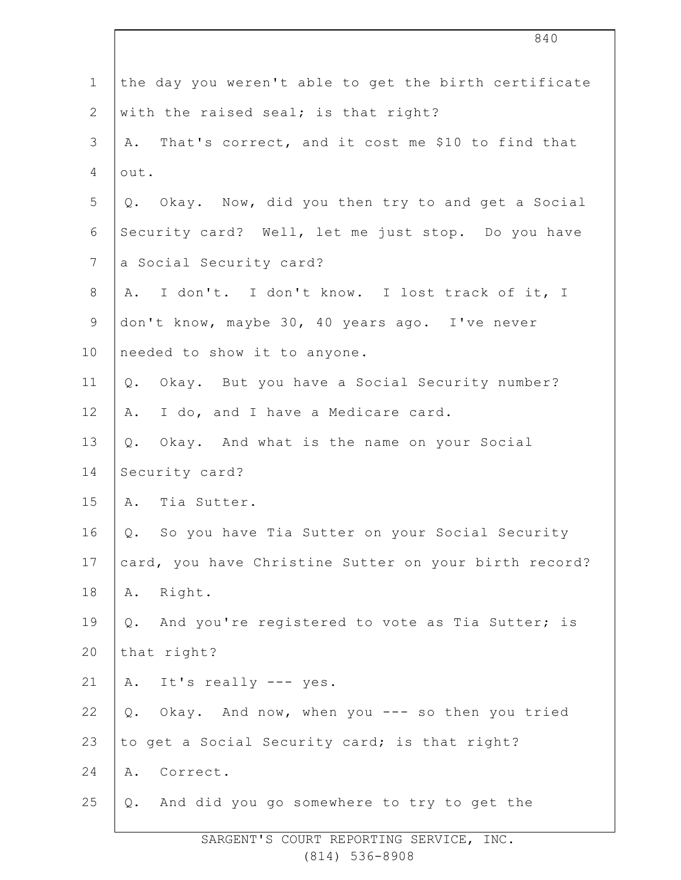|                  | 840                                                   |
|------------------|-------------------------------------------------------|
| $\mathbf 1$      | the day you weren't able to get the birth certificate |
| $\mathbf{2}$     | with the raised seal; is that right?                  |
| $\mathcal{S}$    | A. That's correct, and it cost me \$10 to find that   |
| 4                | out.                                                  |
| 5                | Q. Okay. Now, did you then try to and get a Social    |
| 6                | Security card? Well, let me just stop. Do you have    |
| $\boldsymbol{7}$ | a Social Security card?                               |
| $8\,$            | A. I don't. I don't know. I lost track of it, I       |
| $\mathsf 9$      | don't know, maybe 30, 40 years ago. I've never        |
| 10               | needed to show it to anyone.                          |
| 11               | Okay. But you have a Social Security number?<br>Q.    |
| 12               | I do, and I have a Medicare card.<br>Α.               |
| 13               | Q. Okay. And what is the name on your Social          |
| 14               | Security card?                                        |
| 15               | A. Tia Sutter.                                        |
| 16               | So you have Tia Sutter on your Social Security<br>Q.  |
| 17               | card, you have Christine Sutter on your birth record? |
| 18               | Right.<br>Α.                                          |
| 19               | And you're registered to vote as Tia Sutter; is<br>Q. |
| 20               | that right?                                           |
| 21               | A. It's really --- yes.                               |
| 22               | Okay. And now, when you --- so then you tried<br>Q.   |
| 23               | to get a Social Security card; is that right?         |
| 24               | Correct.<br>Α.                                        |
| 25               | And did you go somewhere to try to get the<br>Q.      |
|                  |                                                       |

 $\Gamma$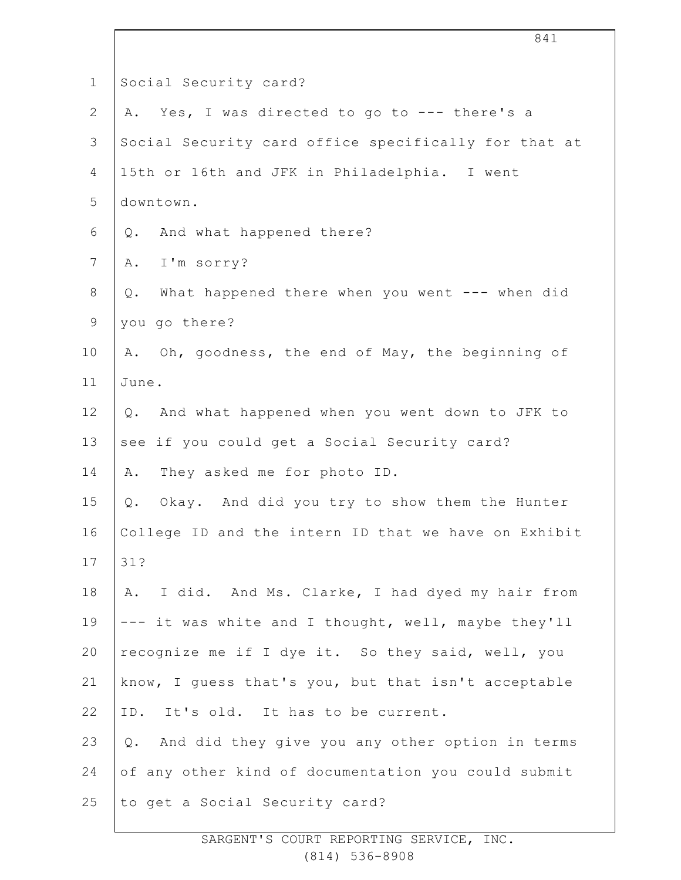| $\mathbf{1}$   | Social Security card?                                   |
|----------------|---------------------------------------------------------|
| $\mathbf{2}$   | Yes, I was directed to go to --- there's a<br>Α.        |
| 3              | Social Security card office specifically for that at    |
| 4              | 15th or 16th and JFK in Philadelphia. I went            |
| 5              | downtown.                                               |
| 6              | And what happened there?<br>Q.                          |
| $7\phantom{.}$ | I'm sorry?<br>Α.                                        |
| $8\,$          | What happened there when you went --- when did<br>$Q$ . |
| $\mathsf 9$    | you go there?                                           |
| 10             | A. Oh, goodness, the end of May, the beginning of       |
| 11             | June.                                                   |
| 12             | And what happened when you went down to JFK to<br>$Q$ . |
| 13             | see if you could get a Social Security card?            |
| 14             | They asked me for photo ID.<br>Α.                       |
| 15             | Okay. And did you try to show them the Hunter<br>Q.     |
| 16             | College ID and the intern ID that we have on Exhibit    |
| 17             | 31?                                                     |
| 18             | I did. And Ms. Clarke, I had dyed my hair from<br>Α.    |
| 19             | --- it was white and I thought, well, maybe they'll     |
| 20             | recognize me if I dye it. So they said, well, you       |
| 21             | know, I guess that's you, but that isn't acceptable     |
| 22             | ID. It's old. It has to be current.                     |
| 23             | And did they give you any other option in terms<br>Q.   |
| 24             | of any other kind of documentation you could submit     |
| 25             | to get a Social Security card?                          |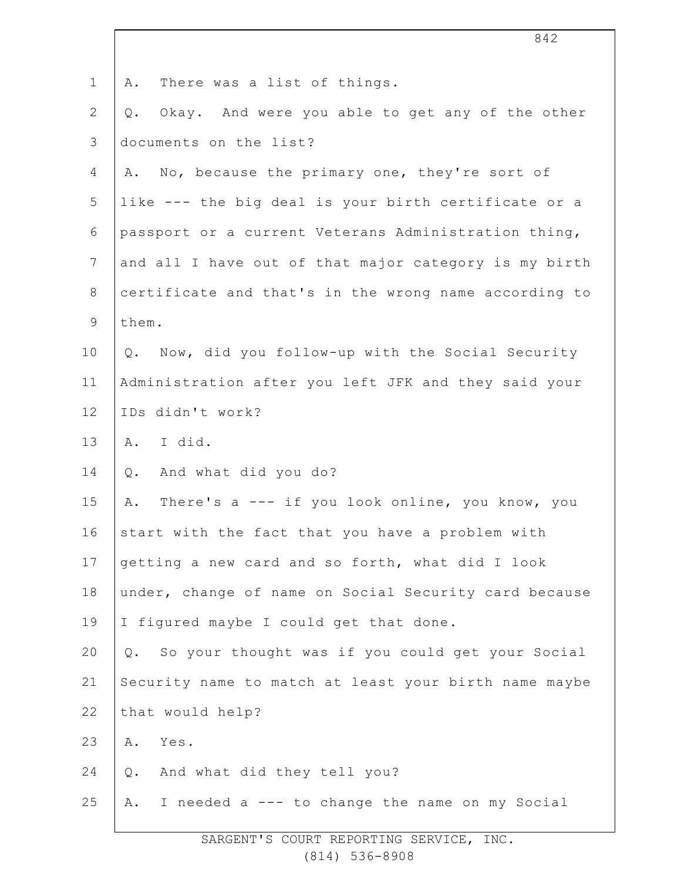|                | 842                                                    |
|----------------|--------------------------------------------------------|
| $\mathbf 1$    | There was a list of things.<br>Α.                      |
| $\mathbf{2}$   | Okay. And were you able to get any of the other<br>Q.  |
| $\mathfrak{Z}$ | documents on the list?                                 |
| 4              | No, because the primary one, they're sort of<br>Α.     |
| 5              | like --- the big deal is your birth certificate or a   |
| 6              | passport or a current Veterans Administration thing,   |
| $\overline{7}$ | and all I have out of that major category is my birth  |
| 8              | certificate and that's in the wrong name according to  |
| $\mathsf 9$    | them.                                                  |
| 10             | Now, did you follow-up with the Social Security<br>Q.  |
| 11             | Administration after you left JFK and they said your   |
| 12             | IDs didn't work?                                       |
| 13             | A. I did.                                              |
| 14             | And what did you do?<br>Q.                             |
| 15             | There's a --- if you look online, you know, you<br>Α.  |
| 16             | start with the fact that you have a problem with       |
| 17             | getting a new card and so forth, what did I look       |
| 18             | under, change of name on Social Security card because  |
| 19             | I figured maybe I could get that done.                 |
| 20             | So your thought was if you could get your Social<br>Q. |
| 21             | Security name to match at least your birth name maybe  |
| 22             | that would help?                                       |
| 23             | Yes.<br>Α.                                             |
| 24             | And what did they tell you?<br>Q.                      |
| 25             | I needed a --- to change the name on my Social<br>Α.   |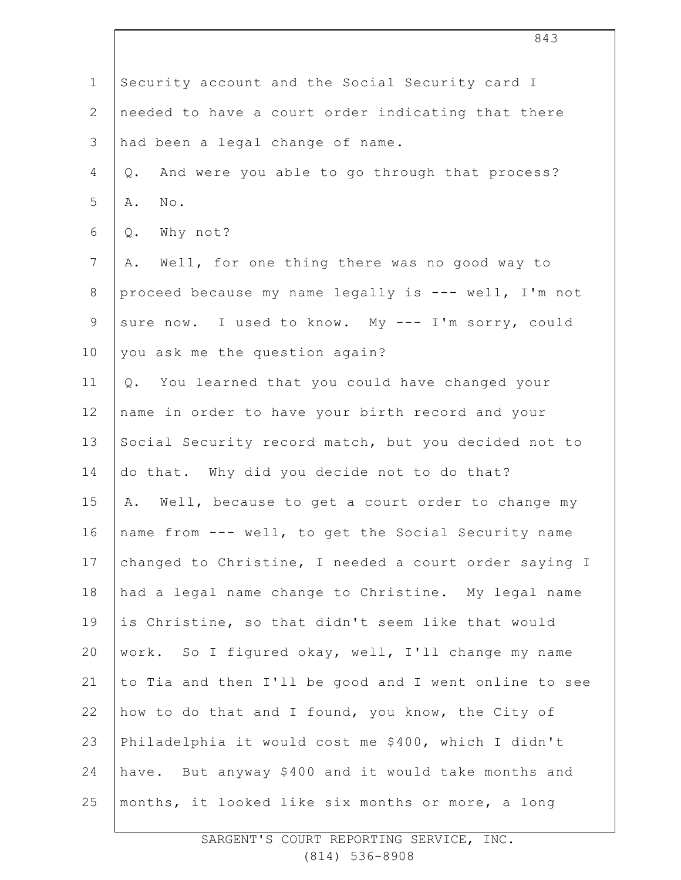| $\mathbf 1$     | Security account and the Social Security card I        |
|-----------------|--------------------------------------------------------|
| $\mathbf{2}$    | needed to have a court order indicating that there     |
| 3               | had been a legal change of name.                       |
| 4               | And were you able to go through that process?<br>$Q$ . |
| 5               | $\texttt{No}$ .<br>Α.                                  |
| 6               | Why not?<br>$Q$ .                                      |
| 7               | Well, for one thing there was no good way to<br>Α.     |
| $8\,$           | proceed because my name legally is --- well, I'm not   |
| $\mathsf 9$     | sure now. I used to know. My --- I'm sorry, could      |
| 10              | you ask me the question again?                         |
| 11              | You learned that you could have changed your<br>Q.     |
| 12 <sup>°</sup> | name in order to have your birth record and your       |
| 13              | Social Security record match, but you decided not to   |
| 14              | do that. Why did you decide not to do that?            |
| 15              | Well, because to get a court order to change my<br>Α.  |
| 16              | name from --- well, to get the Social Security name    |
| 17              | changed to Christine, I needed a court order saying I  |
| 18              | had a legal name change to Christine. My legal name    |
| 19              | is Christine, so that didn't seem like that would      |
| 20              | work. So I figured okay, well, I'll change my name     |
| 21              | to Tia and then I'll be good and I went online to see  |
| 22              | how to do that and I found, you know, the City of      |
| 23              | Philadelphia it would cost me \$400, which I didn't    |
| 24              | have. But anyway \$400 and it would take months and    |
| 25              | months, it looked like six months or more, a long      |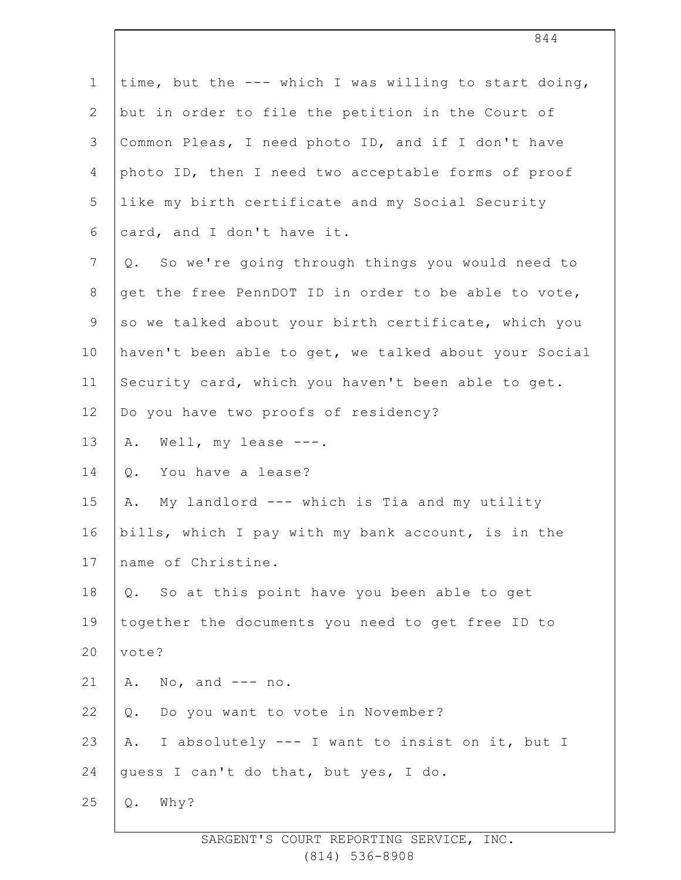| $\mathbf 1$    | time, but the --- which I was willing to start doing,    |
|----------------|----------------------------------------------------------|
| 2              | but in order to file the petition in the Court of        |
| 3              | Common Pleas, I need photo ID, and if I don't have       |
| 4              | photo ID, then I need two acceptable forms of proof      |
| 5              | like my birth certificate and my Social Security         |
| 6              | card, and I don't have it.                               |
| $\overline{7}$ | So we're going through things you would need to<br>$Q$ . |
| 8              | get the free PennDOT ID in order to be able to vote,     |
| 9              | so we talked about your birth certificate, which you     |
| 10             | haven't been able to get, we talked about your Social    |
| 11             | Security card, which you haven't been able to get.       |
| 12             | Do you have two proofs of residency?                     |
| 13             | Well, my lease $---$ .<br>Α.                             |
| 14             | You have a lease?<br>$Q$ .                               |
| 15             | My landlord --- which is Tia and my utility<br>Α.        |
| 16             | bills, which I pay with my bank account, is in the       |
| 17             | name of Christine.                                       |
| 18             | So at this point have you been able to get<br>$Q$ .      |
| 19             | together the documents you need to get free ID to        |
| 20             | vote?                                                    |
| 21             | A. No, and $---$ no.                                     |
| 22             | Do you want to vote in November?<br>$\mathsf Q$ .        |
| 23             | I absolutely --- I want to insist on it, but I<br>Α.     |
| 24             | quess I can't do that, but yes, I do.                    |
| 25             | Why?<br>Q.                                               |
|                |                                                          |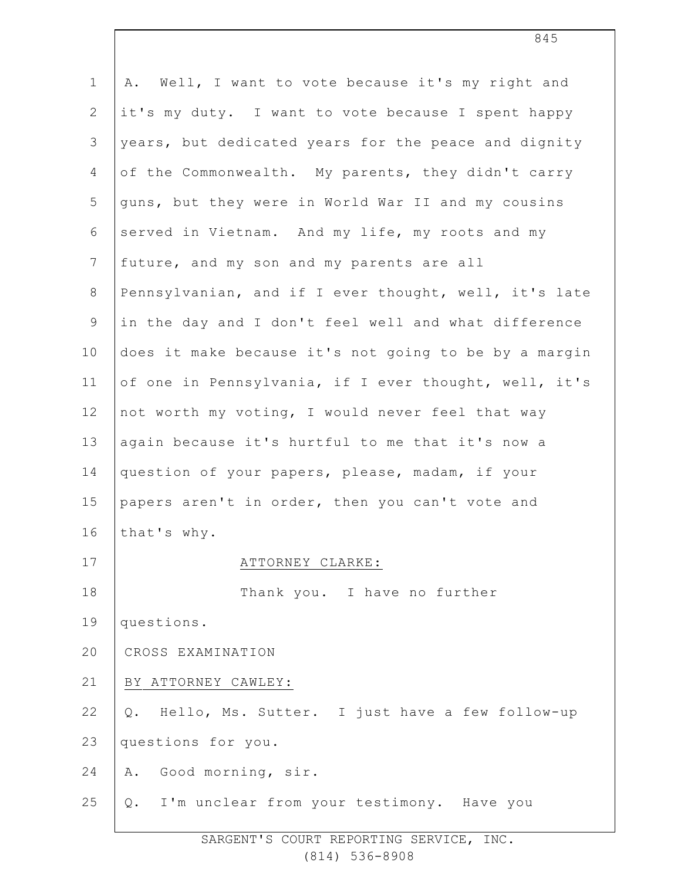| $\mathbf 1$    | Well, I want to vote because it's my right and<br>Α.  |
|----------------|-------------------------------------------------------|
| $\overline{2}$ | it's my duty. I want to vote because I spent happy    |
| 3              | years, but dedicated years for the peace and dignity  |
| 4              | of the Commonwealth. My parents, they didn't carry    |
| 5              | guns, but they were in World War II and my cousins    |
| 6              | served in Vietnam. And my life, my roots and my       |
| $7\phantom{.}$ | future, and my son and my parents are all             |
| $8\,$          | Pennsylvanian, and if I ever thought, well, it's late |
| $\mathsf 9$    | in the day and I don't feel well and what difference  |
| 10             | does it make because it's not going to be by a margin |
| 11             | of one in Pennsylvania, if I ever thought, well, it's |
| 12             | not worth my voting, I would never feel that way      |
| 13             | again because it's hurtful to me that it's now a      |
| 14             | question of your papers, please, madam, if your       |
| 15             | papers aren't in order, then you can't vote and       |
| 16             | that's why.                                           |
| 17             | ATTORNEY CLARKE:                                      |
| 18             | Thank you. I have no further                          |
| 19             | questions.                                            |
| 20             | CROSS EXAMINATION                                     |
| 21             | BY ATTORNEY CAWLEY:                                   |
| 22             | Hello, Ms. Sutter. I just have a few follow-up<br>Q.  |
| 23             | questions for you.                                    |
| 24             | Good morning, sir.<br>Α.                              |
| 25             | Q. I'm unclear from your testimony. Have you          |
|                |                                                       |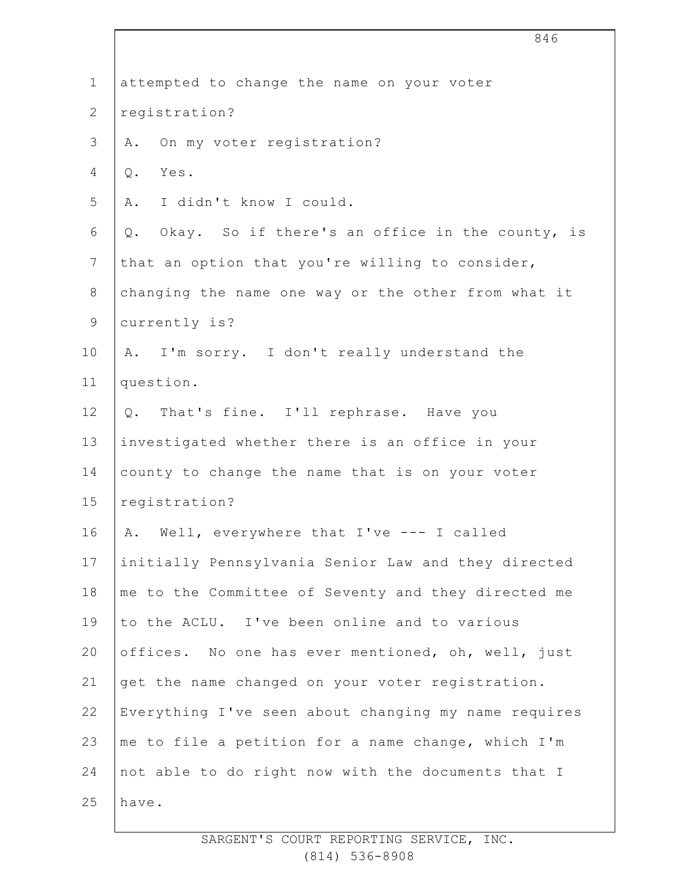|                | 846                                                   |
|----------------|-------------------------------------------------------|
| $\mathbf 1$    | attempted to change the name on your voter            |
| $\mathbf{2}$   | registration?                                         |
| 3              | On my voter registration?<br>Α.                       |
| 4              | Yes.<br>$Q$ .                                         |
| 5              | I didn't know I could.<br>Α.                          |
| 6              | Okay. So if there's an office in the county, is<br>Q. |
| $\overline{7}$ | that an option that you're willing to consider,       |
| $8\,$          | changing the name one way or the other from what it   |
| $\mathsf 9$    | currently is?                                         |
| 10             | A. I'm sorry. I don't really understand the           |
| 11             | question.                                             |
| 12             | That's fine. I'll rephrase. Have you<br>$Q$ .         |
| 13             | investigated whether there is an office in your       |
| 14             | county to change the name that is on your voter       |
| 15             | registration?                                         |
| 16             | A. Well, everywhere that I've --- I called            |
| 17             | initially Pennsylvania Senior Law and they directed   |
| 18             | me to the Committee of Seventy and they directed me   |
| 19             | to the ACLU. I've been online and to various          |
| 20             | offices. No one has ever mentioned, oh, well, just    |
| 21             | get the name changed on your voter registration.      |
| 22             | Everything I've seen about changing my name requires  |
| 23             | me to file a petition for a name change, which I'm    |
| 24             | not able to do right now with the documents that I    |
| 25             | have.                                                 |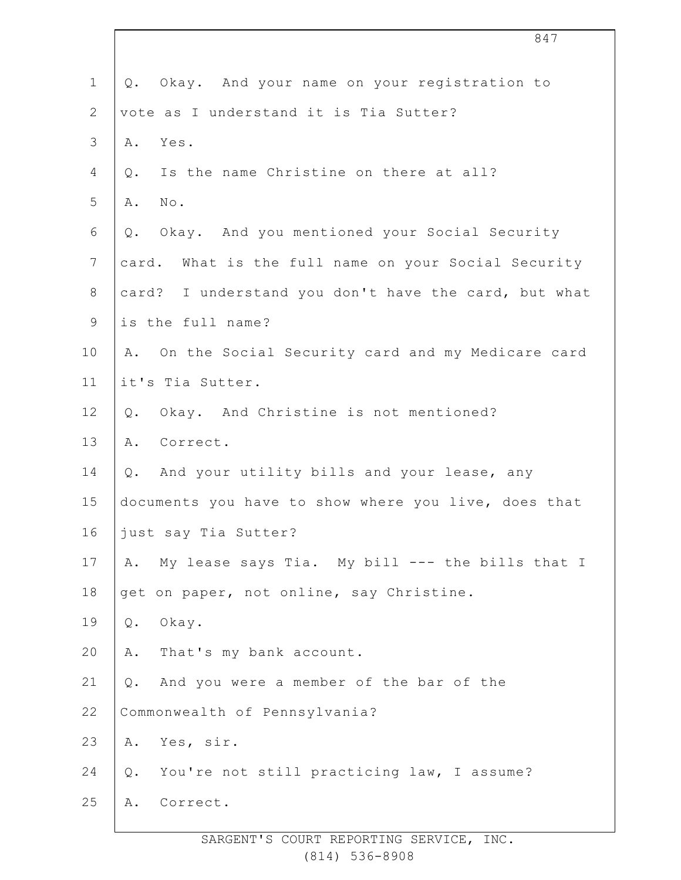|                | 847                                                    |
|----------------|--------------------------------------------------------|
| $\mathbf 1$    | Q. Okay. And your name on your registration to         |
| $\mathbf{2}$   | vote as I understand it is Tia Sutter?                 |
| 3              | Yes.<br>Α.                                             |
| 4              | Is the name Christine on there at all?<br>Q.           |
| 5              | No.<br>Α.                                              |
| 6              | Okay. And you mentioned your Social Security<br>Q.     |
| $7\phantom{.}$ | card. What is the full name on your Social Security    |
| $8\,$          | card? I understand you don't have the card, but what   |
| $\mathsf 9$    | is the full name?                                      |
| 10             | On the Social Security card and my Medicare card<br>Α. |
| 11             | it's Tia Sutter.                                       |
| 12             | Okay. And Christine is not mentioned?<br>Q.            |
| 13             | Correct.<br>Α.                                         |
| 14             | And your utility bills and your lease, any<br>Q.       |
| 15             | documents you have to show where you live, does that   |
| 16             | just say Tia Sutter?                                   |
| 17             | My lease says Tia. My bill --- the bills that I<br>Α.  |
| 18             | get on paper, not online, say Christine.               |
| 19             | $\mathsf Q$ .<br>Okay.                                 |
| 20             | That's my bank account.<br>Α.                          |
| 21             | And you were a member of the bar of the<br>Q.          |
| 22             | Commonwealth of Pennsylvania?                          |
| 23             | Yes, sir.<br>Α.                                        |
| 24             | You're not still practicing law, I assume?<br>Q.       |
| 25             | Correct.<br>Α.                                         |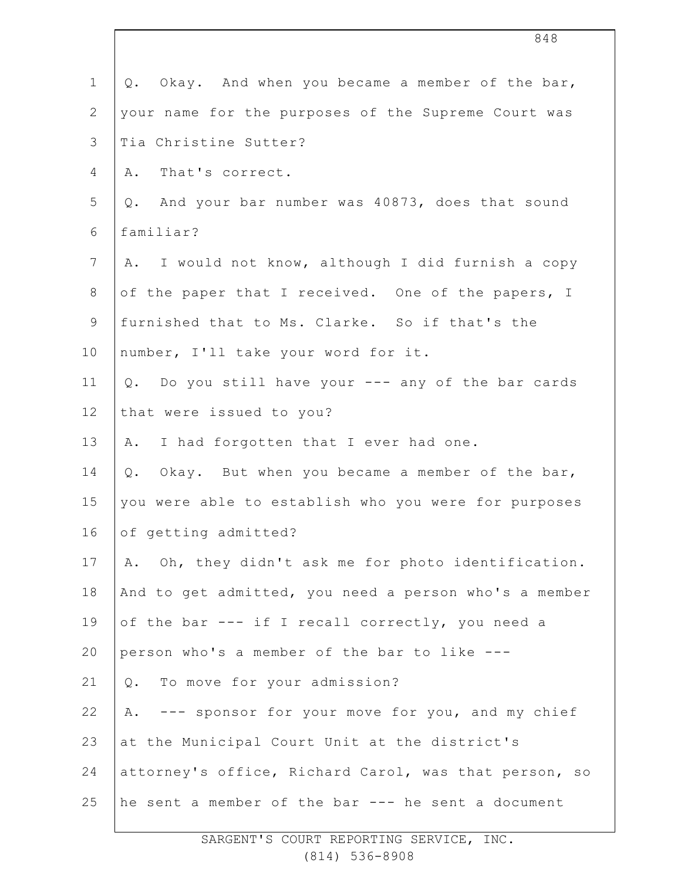| $\mathbf 1$  | Q. Okay. And when you became a member of the bar,     |
|--------------|-------------------------------------------------------|
| $\mathbf{2}$ | your name for the purposes of the Supreme Court was   |
| 3            | Tia Christine Sutter?                                 |
| 4            | That's correct.<br>Α.                                 |
| 5            | Q. And your bar number was 40873, does that sound     |
| 6            | familiar?                                             |
| 7            | A. I would not know, although I did furnish a copy    |
| 8            | of the paper that I received. One of the papers, I    |
| $\mathsf 9$  | furnished that to Ms. Clarke. So if that's the        |
| 10           | number, I'll take your word for it.                   |
| 11           | Q. Do you still have your --- any of the bar cards    |
| 12           | that were issued to you?                              |
| 13           | A. I had forgotten that I ever had one.               |
| 14           | Okay. But when you became a member of the bar,<br>Q.  |
| 15           | you were able to establish who you were for purposes  |
| 16           | of getting admitted?                                  |
| 17           | A. Oh, they didn't ask me for photo identification.   |
| 18           | And to get admitted, you need a person who's a member |
| 19           | of the bar --- if I recall correctly, you need a      |
| 20           | person who's a member of the bar to like ---          |
| 21           | To move for your admission?<br>Q.                     |
| 22           | --- sponsor for your move for you, and my chief<br>Α. |
| 23           | at the Municipal Court Unit at the district's         |
| 24           | attorney's office, Richard Carol, was that person, so |
| 25           | he sent a member of the bar --- he sent a document    |
|              |                                                       |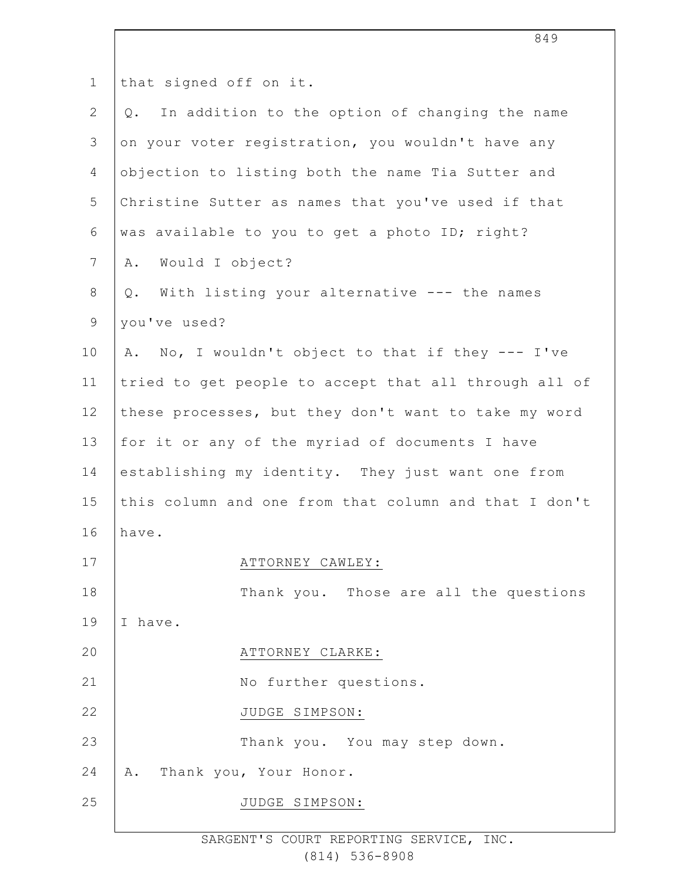| $\mathbf 1$    | that signed off on it.                                  |
|----------------|---------------------------------------------------------|
| $\mathbf{2}$   | In addition to the option of changing the name<br>$Q$ . |
| 3              | on your voter registration, you wouldn't have any       |
| 4              | objection to listing both the name Tia Sutter and       |
| 5              | Christine Sutter as names that you've used if that      |
| 6              | was available to you to get a photo ID; right?          |
| $\overline{7}$ | Would I object?<br>Α.                                   |
| $\,8\,$        | With listing your alternative --- the names<br>Q.       |
| $\mathsf 9$    | you've used?                                            |
| 10             | A. No, I wouldn't object to that if they --- I've       |
| 11             | tried to get people to accept that all through all of   |
| 12             | these processes, but they don't want to take my word    |
| 13             | for it or any of the myriad of documents I have         |
| 14             | establishing my identity. They just want one from       |
| 15             | this column and one from that column and that I don't   |
| 16             | have.                                                   |
| 17             | ATTORNEY CAWLEY:                                        |
| 18             | Thank you. Those are all the questions                  |
| 19             | I have.                                                 |
| 20             | ATTORNEY CLARKE:                                        |
| 21             | No further questions.                                   |
| 22             | JUDGE SIMPSON:                                          |
| 23             | Thank you. You may step down.                           |
| 24             | Thank you, Your Honor.<br>Α.                            |
| 25             | JUDGE SIMPSON:                                          |
|                |                                                         |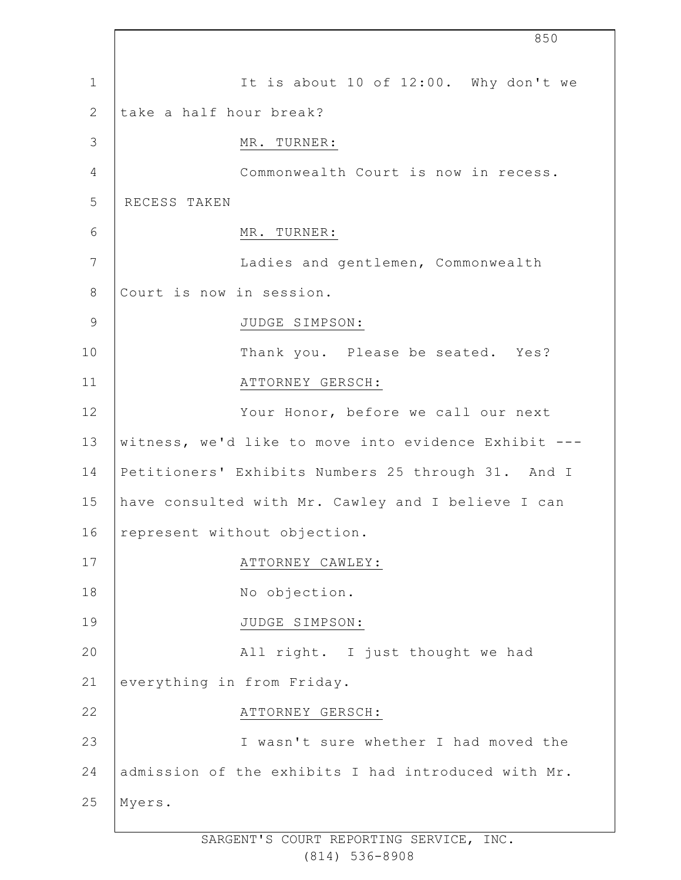|                 | 850                                                  |
|-----------------|------------------------------------------------------|
| $\mathbf 1$     | It is about 10 of 12:00. Why don't we                |
| 2               | take a half hour break?                              |
| 3               | MR. TURNER:                                          |
| $\overline{4}$  | Commonwealth Court is now in recess.                 |
| 5               | RECESS TAKEN                                         |
| 6               | MR. TURNER:                                          |
| $7\phantom{.0}$ | Ladies and gentlemen, Commonwealth                   |
| 8               | Court is now in session.                             |
| $\overline{9}$  | JUDGE SIMPSON:                                       |
| 10              | Thank you. Please be seated. Yes?                    |
| 11              | ATTORNEY GERSCH:                                     |
| 12              | Your Honor, before we call our next                  |
| 13              | witness, we'd like to move into evidence Exhibit --- |
| 14              | Petitioners' Exhibits Numbers 25 through 31. And I   |
| 15              | have consulted with Mr. Cawley and I believe I can   |
| 16              | represent without objection.                         |
| 17              | ATTORNEY CAWLEY:                                     |
| 18              | No objection.                                        |
| 19              | JUDGE SIMPSON:                                       |
| 20              | All right. I just thought we had                     |
| 21              | everything in from Friday.                           |
| 22              | ATTORNEY GERSCH:                                     |
| 23              | I wasn't sure whether I had moved the                |
| 24              | admission of the exhibits I had introduced with Mr.  |
| 25              | Myers.                                               |

 $\Gamma$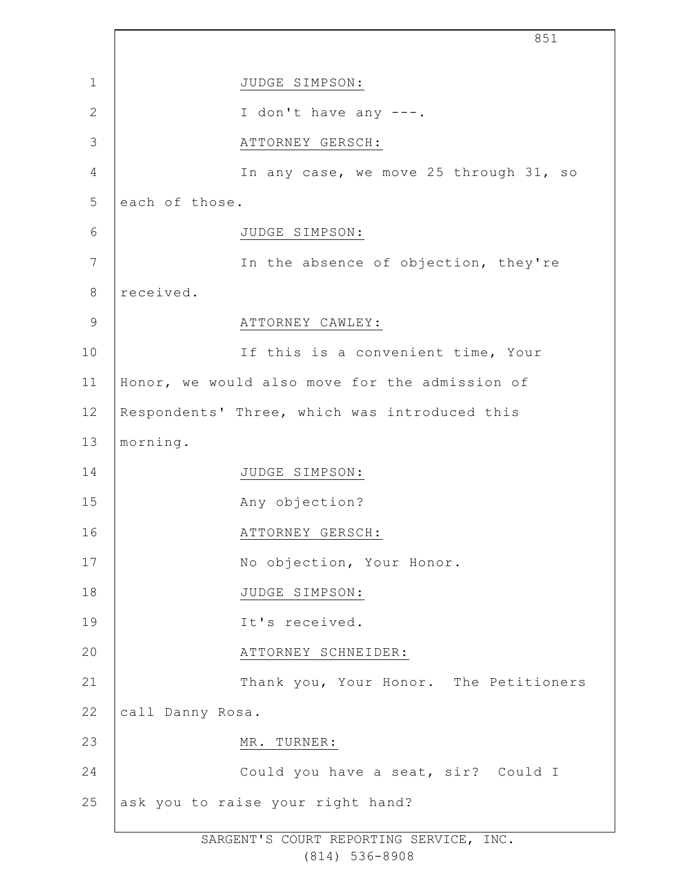1 2 3 4 5 6 7 8 9 10 11 12 13 14 15 16 17 18 19  $20$ 21 22 23 24 25 851 JUDGE SIMPSON: I don't have any ---. ATTORNEY GERSCH: In any case, we move 25 through 31, so each of those. JUDGE SIMPSON: In the absence of objection, they're received. ATTORNEY CAWLEY: If this is a convenient time, Your Honor, we would also move for the admission of Respondents' Three, which was introduced this morning. JUDGE SIMPSON: Any objection? ATTORNEY GERSCH: No objection, Your Honor. JUDGE SIMPSON: It's received. ATTORNEY SCHNEIDER: Thank you, Your Honor. The Petitioners call Danny Rosa. MR. TURNER: Could you have a seat, sir? Could I ask you to raise your right hand?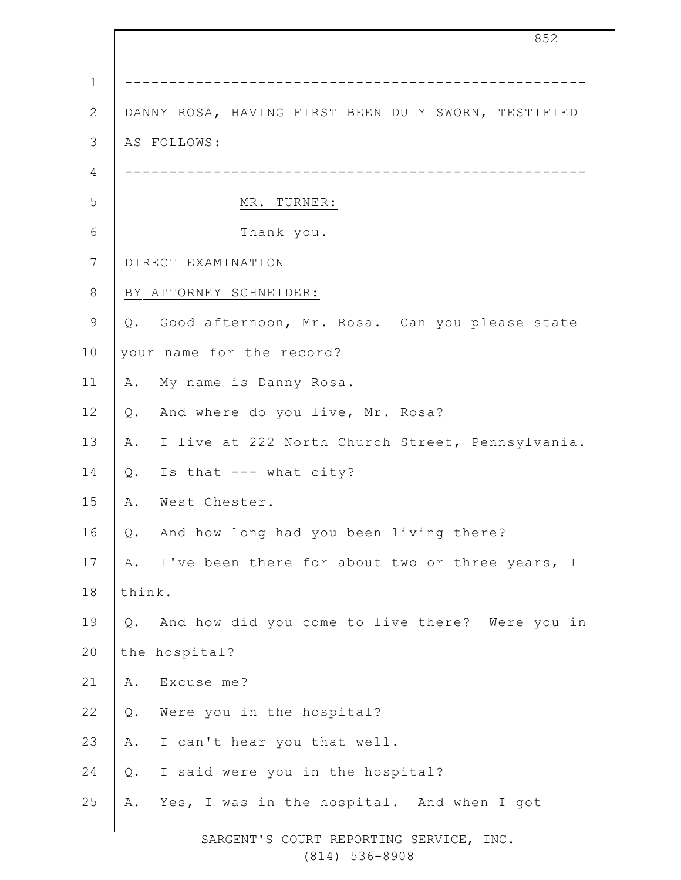|              | 852                                                    |
|--------------|--------------------------------------------------------|
| $\mathbf 1$  | _________________________________                      |
| $\mathbf{2}$ | DANNY ROSA, HAVING FIRST BEEN DULY SWORN, TESTIFIED    |
| 3            | AS FOLLOWS:                                            |
| 4            | ------------                                           |
| 5            | MR. TURNER:                                            |
| 6            | Thank you.                                             |
| 7            | DIRECT EXAMINATION                                     |
| 8            | BY ATTORNEY SCHNEIDER:                                 |
| 9            | Q. Good afternoon, Mr. Rosa. Can you please state      |
| 10           | your name for the record?                              |
| 11           | My name is Danny Rosa.<br>Α.                           |
| 12           | And where do you live, Mr. Rosa?<br>Q.                 |
| 13           | I live at 222 North Church Street, Pennsylvania.<br>A. |
| 14           | Is that --- what city?<br>$\mathsf{Q}$ .               |
| 15           | Α.<br>West Chester.                                    |
| 16           | And how long had you been living there?<br>Q.          |
| 17           | I've been there for about two or three years, I<br>Α.  |
| 18           | think.                                                 |
| 19           | And how did you come to live there? Were you in<br>Q.  |
| 20           | the hospital?                                          |
| 21           | Excuse me?<br>Α.                                       |
| 22           | Were you in the hospital?<br>Q.                        |
| 23           | I can't hear you that well.<br>Α.                      |
| 24           | I said were you in the hospital?<br>Q.                 |
| 25           | Yes, I was in the hospital. And when I got<br>Α.       |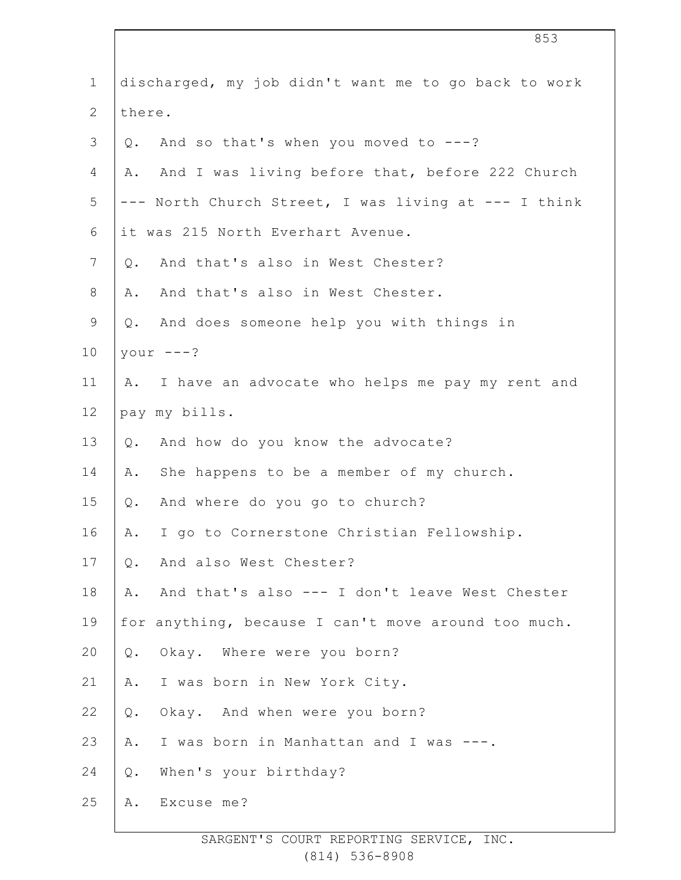| $\mathbf{1}$   | discharged, my job didn't want me to go back to work  |
|----------------|-------------------------------------------------------|
| $\mathbf{2}$   | there.                                                |
| $\mathfrak{Z}$ | And so that's when you moved to ---?<br>Q.            |
| 4              | And I was living before that, before 222 Church<br>Α. |
| 5              | --- North Church Street, I was living at --- I think  |
| 6              | it was 215 North Everhart Avenue.                     |
| 7              | And that's also in West Chester?<br>Q.                |
| 8              | And that's also in West Chester.<br>Α.                |
| $\mathsf 9$    | And does someone help you with things in<br>Q.        |
| 10             | your $---?$                                           |
| 11             | I have an advocate who helps me pay my rent and<br>Α. |
| 12             | pay my bills.                                         |
| 13             | And how do you know the advocate?<br>Q.               |
| 14             | She happens to be a member of my church.<br>Α.        |
| 15             | And where do you go to church?<br>Q.                  |
| 16             | I go to Cornerstone Christian Fellowship.<br>Α.       |
| 17             | And also West Chester?<br>$Q$ .                       |
| 18             | And that's also --- I don't leave West Chester<br>Α.  |
| 19             | for anything, because I can't move around too much.   |
| 20             | Okay. Where were you born?<br>$Q$ .                   |
| 21             | I was born in New York City.<br>Α.                    |
| 22             | Okay. And when were you born?<br>Q.                   |
| 23             | I was born in Manhattan and I was ---.<br>Α.          |
| 24             | When's your birthday?<br>$Q$ .                        |
| 25             | Excuse me?<br>Α.                                      |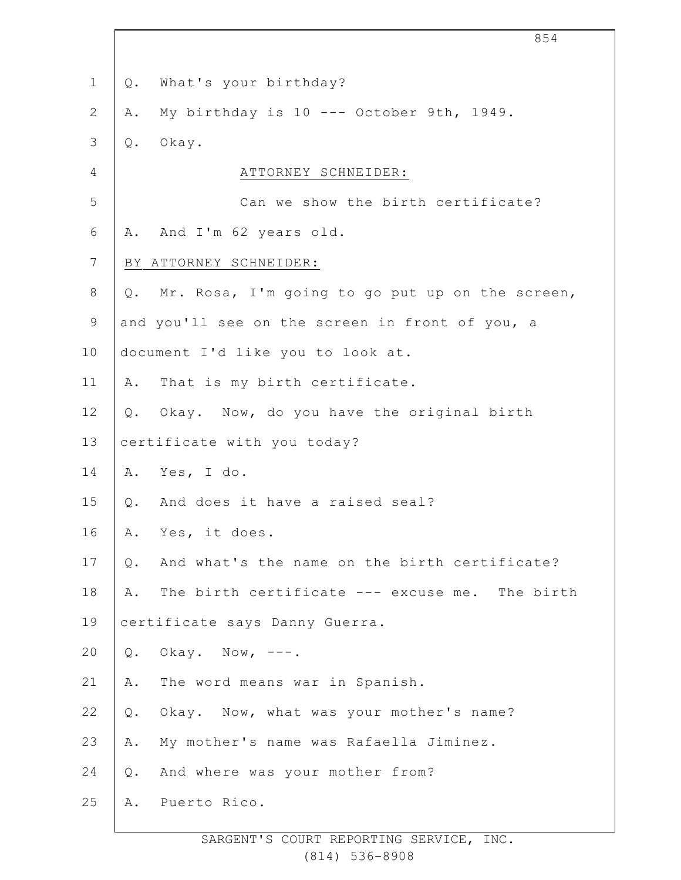|                 | 854                                                    |  |
|-----------------|--------------------------------------------------------|--|
| $\mathbf 1$     | What's your birthday?<br>Q.                            |  |
| $\mathbf{2}$    | My birthday is 10 --- October 9th, 1949.<br>Α.         |  |
| $\mathfrak{Z}$  | Okay.<br>Q.                                            |  |
| 4               | ATTORNEY SCHNEIDER:                                    |  |
| 5               | Can we show the birth certificate?                     |  |
| 6               | And I'm 62 years old.<br>Α.                            |  |
| $7\phantom{.0}$ | BY ATTORNEY SCHNEIDER:                                 |  |
| $8\,$           | Mr. Rosa, I'm going to go put up on the screen,<br>Q.  |  |
| $\mathsf 9$     | and you'll see on the screen in front of you, a        |  |
| 10              | document I'd like you to look at.                      |  |
| 11              | That is my birth certificate.<br>Α.                    |  |
| 12              | Q. Okay. Now, do you have the original birth           |  |
| 13              | certificate with you today?                            |  |
| 14              | Yes, I do.<br>Α.                                       |  |
| 15              | And does it have a raised seal?<br>Q.                  |  |
| 16              | Yes, it does.<br>Α.                                    |  |
| 17              | And what's the name on the birth certificate?<br>$Q$ . |  |
| 18              | The birth certificate --- excuse me. The birth<br>Α.   |  |
| 19              | certificate says Danny Guerra.                         |  |
| 20              | Okay. Now, $---$ .<br>Q.                               |  |
| 21              | The word means war in Spanish.<br>Α.                   |  |
| 22              | Okay. Now, what was your mother's name?<br>Q.          |  |
| 23              | My mother's name was Rafaella Jiminez.<br>Α.           |  |
| 24              | And where was your mother from?<br>$Q$ .               |  |
| 25              | Puerto Rico.<br>Α.                                     |  |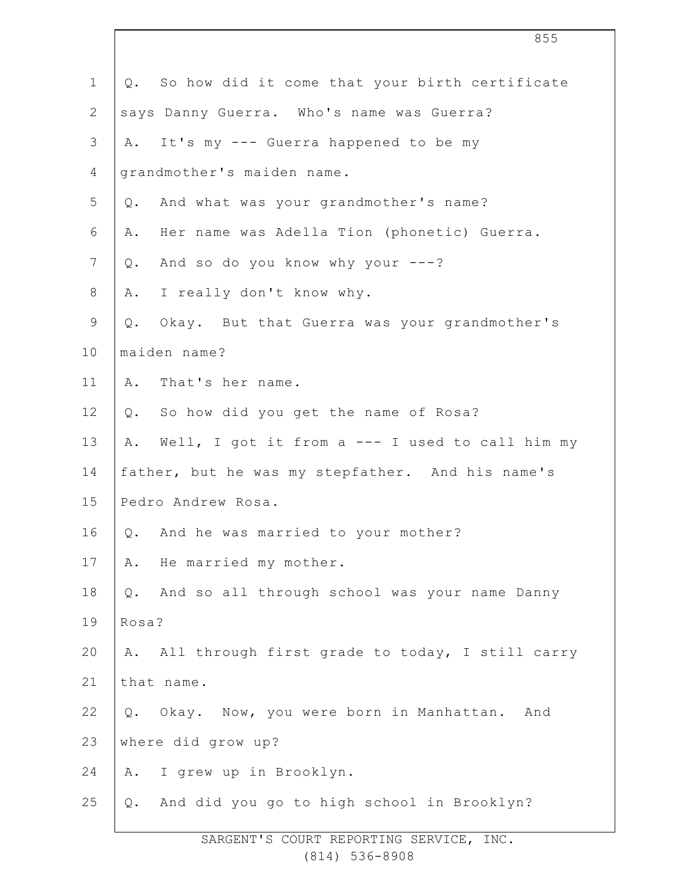| $\mathbf 1$    |       | Q. So how did it come that your birth certificate |
|----------------|-------|---------------------------------------------------|
| $\mathbf{2}$   |       | says Danny Guerra. Who's name was Guerra?         |
| $\mathfrak{Z}$ | A.    | It's my --- Guerra happened to be my              |
| $\overline{4}$ |       | grandmother's maiden name.                        |
| 5              |       | Q. And what was your grandmother's name?          |
| 6              | Α.    | Her name was Adella Tion (phonetic) Guerra.       |
| 7              | $Q$ . | And so do you know why your ---?                  |
| 8              | Α.    | I really don't know why.                          |
| $\mathsf 9$    | Q.    | Okay. But that Guerra was your grandmother's      |
| 10             |       | maiden name?                                      |
| 11             |       | A. That's her name.                               |
| 12             | $Q$ . | So how did you get the name of Rosa?              |
| 13             | Α.    | Well, I got it from a --- I used to call him my   |
| 14             |       | father, but he was my stepfather. And his name's  |
| 15             |       | Pedro Andrew Rosa.                                |
| 16             |       | Q. And he was married to your mother?             |
| 17             | Α.    | He married my mother.                             |
| 18             | $Q$ . | And so all through school was your name Danny     |
| 19             | Rosa? |                                                   |
| 20             | Α.    | All through first grade to today, I still carry   |
| 21             |       | that name.                                        |
| 22             |       | Q. Okay. Now, you were born in Manhattan. And     |
| 23             |       | where did grow up?                                |
| 24             | Α.    | I grew up in Brooklyn.                            |
| 25             | Q.    | And did you go to high school in Brooklyn?        |
|                |       |                                                   |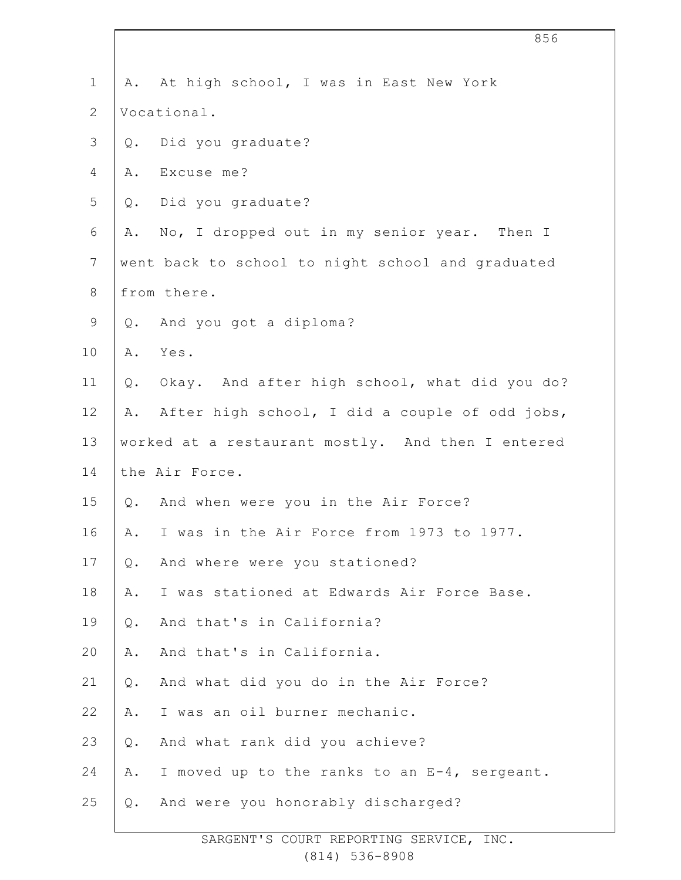| $\mathbf 1$    | At high school, I was in East New York<br>Α.           |
|----------------|--------------------------------------------------------|
| $\mathbf{2}$   | Vocational.                                            |
| $\mathsf 3$    | Did you graduate?<br>$Q$ .                             |
| 4              | Excuse me?<br>Α.                                       |
| 5              | Did you graduate?<br>Q.                                |
| 6              | No, I dropped out in my senior year. Then I<br>Α.      |
| $7\phantom{.}$ | went back to school to night school and graduated      |
| $\,8\,$        | from there.                                            |
| $\mathsf 9$    | Q. And you got a diploma?                              |
| 10             | Yes.<br>Α.                                             |
| 11             | Okay. And after high school, what did you do?<br>$Q$ . |
| 12             | After high school, I did a couple of odd jobs,<br>Α.   |
| 13             | worked at a restaurant mostly. And then I entered      |
| 14             | the Air Force.                                         |
| 15             | And when were you in the Air Force?<br>Q.              |
| 16             | I was in the Air Force from 1973 to 1977.<br>Α.        |
| 17             | And where were you stationed?<br>$Q$ .                 |
| 18             | I was stationed at Edwards Air Force Base.<br>Α.       |
| 19             | And that's in California?<br>$Q$ .                     |
| 20             | And that's in California.<br>Α.                        |
| 21             | And what did you do in the Air Force?<br>$Q$ .         |
| 22             | I was an oil burner mechanic.<br>Α.                    |
| 23             | And what rank did you achieve?<br>$Q$ .                |
| 24             | I moved up to the ranks to an E-4, sergeant.<br>Α.     |
| 25             | And were you honorably discharged?<br>$Q$ .            |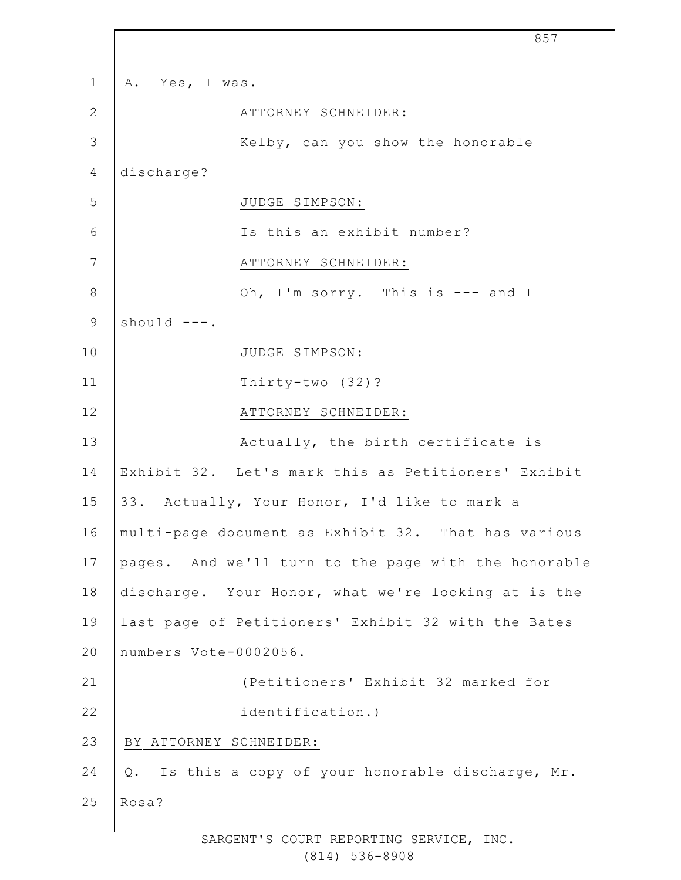|                | 857                                                      |
|----------------|----------------------------------------------------------|
| $\mathbf{1}$   | A. Yes, I was.                                           |
| $\mathbf{2}$   | ATTORNEY SCHNEIDER:                                      |
| 3              | Kelby, can you show the honorable                        |
| $\overline{4}$ | discharge?                                               |
| 5              | JUDGE SIMPSON:                                           |
| 6              | Is this an exhibit number?                               |
| 7              | ATTORNEY SCHNEIDER:                                      |
| $8\,$          | Oh, I'm sorry. This is --- and I                         |
| $\mathsf 9$    | should ---.                                              |
| 10             | JUDGE SIMPSON:                                           |
| 11             | Thirty-two (32)?                                         |
| 12             | ATTORNEY SCHNEIDER:                                      |
| 13             | Actually, the birth certificate is                       |
| 14             | Exhibit 32. Let's mark this as Petitioners' Exhibit      |
| 15             | 33. Actually, Your Honor, I'd like to mark a             |
| 16             | multi-page document as Exhibit 32. That has various      |
| 17             | pages. And we'll turn to the page with the honorable     |
| 18             | discharge. Your Honor, what we're looking at is the      |
| 19             | last page of Petitioners' Exhibit 32 with the Bates      |
| 20             | numbers Vote-0002056.                                    |
| 21             | (Petitioners' Exhibit 32 marked for                      |
| 22             | identification.)                                         |
| 23             | BY ATTORNEY SCHNEIDER:                                   |
| 24             | Is this a copy of your honorable discharge, Mr.<br>$Q$ . |
| 25             | Rosa?                                                    |
|                |                                                          |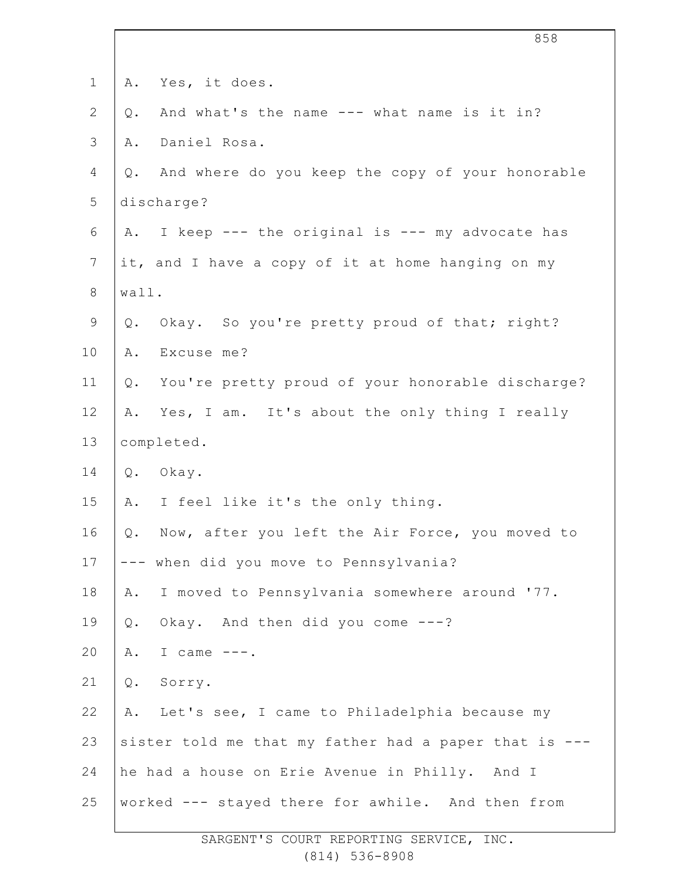| $1\,$           | Yes, it does.<br>Α.                                    |
|-----------------|--------------------------------------------------------|
| $\mathbf{2}$    | And what's the name --- what name is it in?<br>Q.      |
| $\mathcal{S}$   | Daniel Rosa.<br>Α.                                     |
| 4               | And where do you keep the copy of your honorable<br>Q. |
| 5               | discharge?                                             |
| 6               | I keep --- the original is --- my advocate has<br>Α.   |
| $7\phantom{.0}$ | it, and I have a copy of it at home hanging on my      |
| $8\,$           | wall.                                                  |
| $\mathsf 9$     | Okay. So you're pretty proud of that; right?<br>Q.     |
| 10              | Excuse me?<br>Α.                                       |
| 11              | You're pretty proud of your honorable discharge?<br>Q. |
| 12              | Yes, I am. It's about the only thing I really<br>Α.    |
| 13              | completed.                                             |
| 14              | Okay.<br>Q.                                            |
| 15              | I feel like it's the only thing.<br>Α.                 |
| 16              | Now, after you left the Air Force, you moved to<br>Q.  |
| 17              | --- when did you move to Pennsylvania?                 |
| 18              | I moved to Pennsylvania somewhere around '77.<br>Α.    |
| 19              | Okay. And then did you come ---?<br>$Q$ .              |
| 20              | I came $---$ .<br>Α.                                   |
| 21              | Q.<br>Sorry.                                           |
| 22              | Let's see, I came to Philadelphia because my<br>Α.     |
| 23              | sister told me that my father had a paper that is ---  |
| 24              | he had a house on Erie Avenue in Philly. And I         |
| 25              | worked --- stayed there for awhile. And then from      |
|                 |                                                        |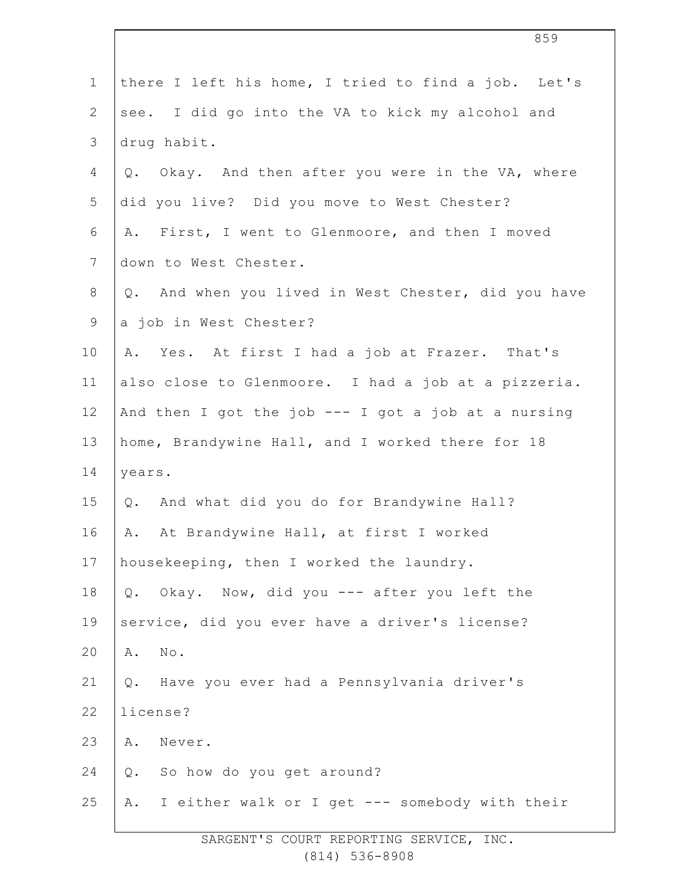| $\mathbf 1$    | there I left his home, I tried to find a job. Let's   |
|----------------|-------------------------------------------------------|
| $\overline{2}$ | see. I did go into the VA to kick my alcohol and      |
| 3              | drug habit.                                           |
| 4              | Q. Okay. And then after you were in the VA, where     |
| 5              | did you live? Did you move to West Chester?           |
| 6              | A. First, I went to Glenmoore, and then I moved       |
| $\overline{7}$ | down to West Chester.                                 |
| $8\,$          | Q. And when you lived in West Chester, did you have   |
| $\mathsf 9$    | a job in West Chester?                                |
| 10             | A. Yes. At first I had a job at Frazer. That's        |
| 11             | also close to Glenmoore. I had a job at a pizzeria.   |
| 12             | And then I got the job $---$ I got a job at a nursing |
| 13             | home, Brandywine Hall, and I worked there for 18      |
| 14             | years.                                                |
| 15             | Q. And what did you do for Brandywine Hall?           |
| 16             | A. At Brandywine Hall, at first I worked              |
| 17             | housekeeping, then I worked the laundry.              |
| 18             | Q. Okay. Now, did you --- after you left the          |
| 19             | service, did you ever have a driver's license?        |
| 20             | No.<br>Α.                                             |
| 21             | Q. Have you ever had a Pennsylvania driver's          |
| 22             | license?                                              |
| 23             | Never.<br>Α.                                          |
| 24             | So how do you get around?<br>$Q$ .                    |
| 25             | A. I either walk or I get --- somebody with their     |
|                |                                                       |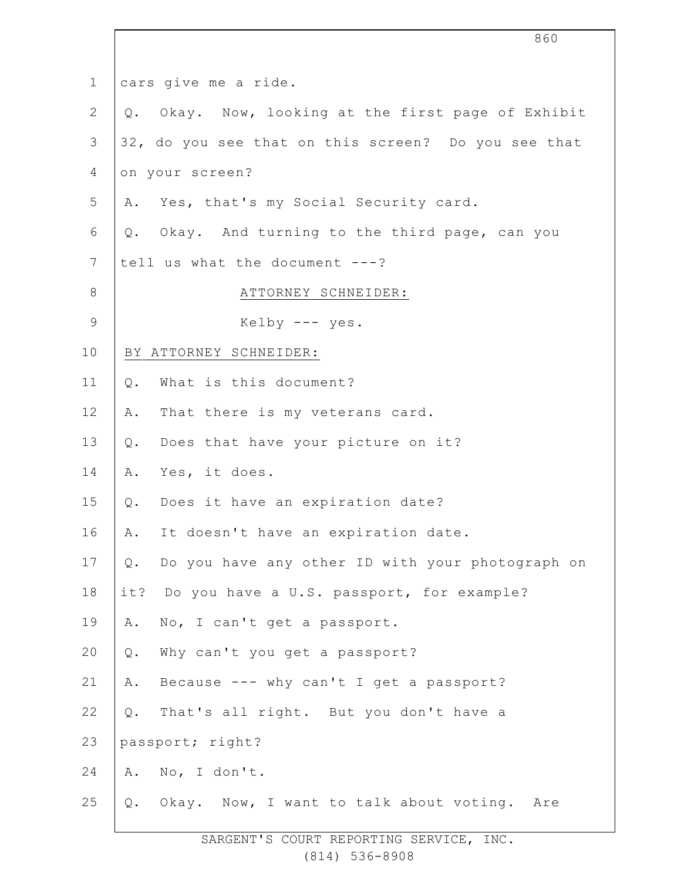|                | 860                                                    |
|----------------|--------------------------------------------------------|
| $\mathbf 1$    | cars give me a ride.                                   |
| $\mathbf{2}$   | Okay. Now, looking at the first page of Exhibit<br>Q.  |
| 3              | 32, do you see that on this screen? Do you see that    |
| 4              | on your screen?                                        |
| 5              | A. Yes, that's my Social Security card.                |
| 6              | Q. Okay. And turning to the third page, can you        |
| $7\phantom{.}$ | tell us what the document ---?                         |
| $8\,$          | ATTORNEY SCHNEIDER:                                    |
| $\mathsf 9$    | Kelby $---$ yes.                                       |
| 10             | BY ATTORNEY SCHNEIDER:                                 |
| 11             | What is this document?<br>$Q$ .                        |
| 12             | That there is my veterans card.<br>Α.                  |
| 13             | Does that have your picture on it?<br>Q.               |
| 14             | Yes, it does.<br>Α.                                    |
| 15             | Does it have an expiration date?<br>Q.                 |
| 16             | It doesn't have an expiration date.<br>Α.              |
| 17             | Do you have any other ID with your photograph on<br>Q. |
| 18             | it? Do you have a U.S. passport, for example?          |
| 19             | No, I can't get a passport.<br>Α.                      |
| 20             | Why can't you get a passport?<br>Q.                    |
| 21             | Because --- why can't I get a passport?<br>Α.          |
| 22             | That's all right. But you don't have a<br>$Q$ .        |
| 23             | passport; right?                                       |
| 24             | No, I don't.<br>Α.                                     |
| 25             | Okay. Now, I want to talk about voting. Are<br>Q.      |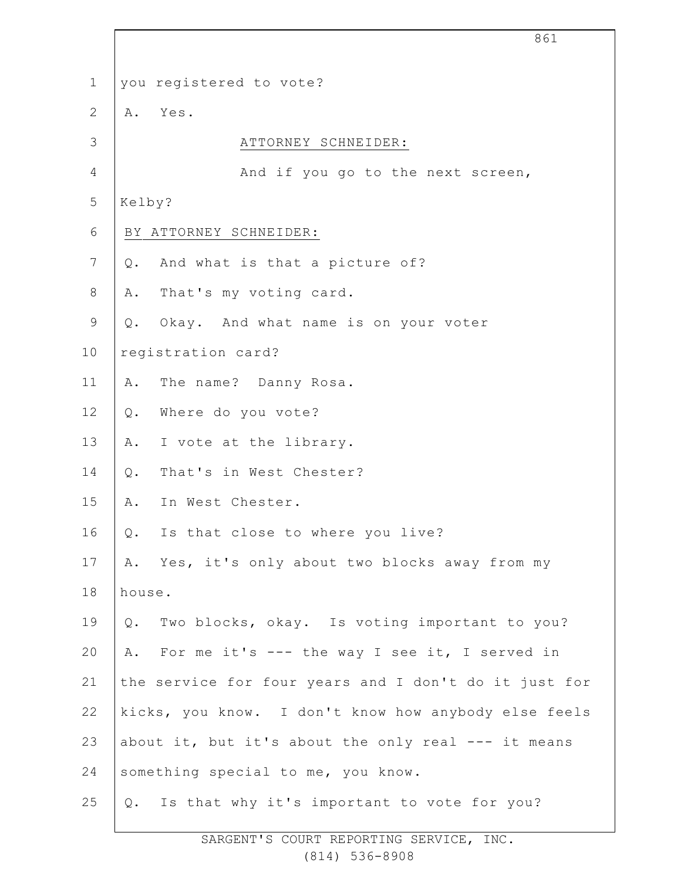| $\mathbf 1$    | you registered to vote?                               |
|----------------|-------------------------------------------------------|
| $\mathbf{2}$   | A. Yes.                                               |
| 3              | ATTORNEY SCHNEIDER:                                   |
| $\overline{4}$ | And if you go to the next screen,                     |
| 5              | Kelby?                                                |
| 6              | BY ATTORNEY SCHNEIDER:                                |
| $\overline{7}$ | And what is that a picture of?<br>Q.                  |
| $\,8\,$        | That's my voting card.<br>Α.                          |
| $\mathsf 9$    | Okay. And what name is on your voter<br>$Q$ .         |
| 10             | registration card?                                    |
| 11             | The name? Danny Rosa.<br>Α.                           |
| 12             | Where do you vote?<br>$Q$ .                           |
| 13             | I vote at the library.<br>A.                          |
| 14             | That's in West Chester?<br>$Q$ .                      |
| 15             | In West Chester.<br>Α.                                |
| 16             | Is that close to where you live?<br>Q.                |
| 17             | A. Yes, it's only about two blocks away from my       |
| 18             | house.                                                |
| 19             | Two blocks, okay. Is voting important to you?<br>Q.   |
| 20             | A. For me it's --- the way I see it, I served in      |
| 21             | the service for four years and I don't do it just for |
| 22             | kicks, you know. I don't know how anybody else feels  |
| 23             | about it, but it's about the only real --- it means   |
| 24             | something special to me, you know.                    |
| 25             | Q. Is that why it's important to vote for you?        |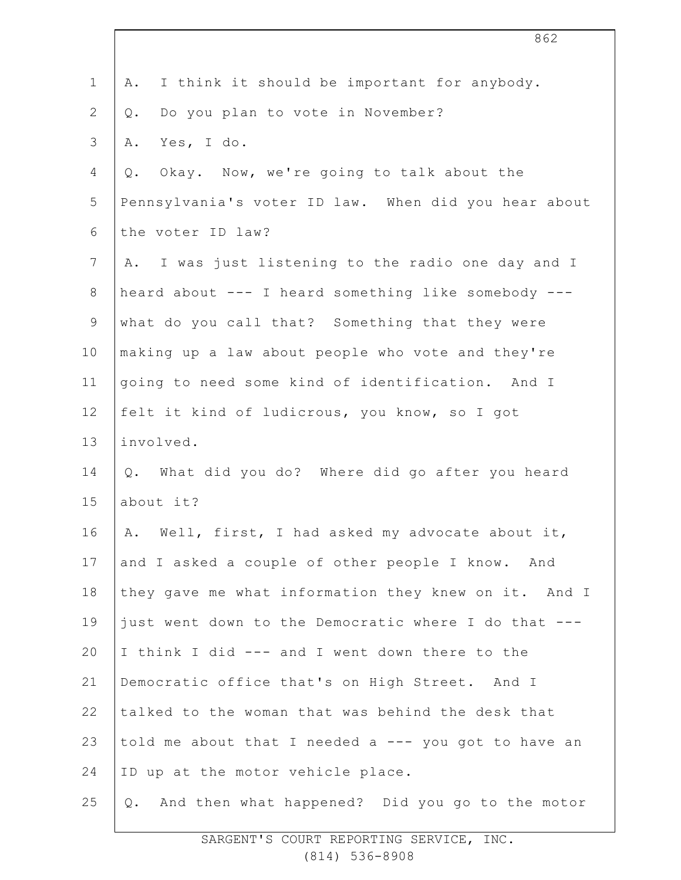| $\mathbf 1$    | I think it should be important for anybody.<br>Α.     |
|----------------|-------------------------------------------------------|
| $\mathbf{2}$   | Do you plan to vote in November?<br>Q.                |
| 3              | Yes, I do.<br>Α.                                      |
| 4              | Okay. Now, we're going to talk about the<br>Q.        |
| 5              | Pennsylvania's voter ID law. When did you hear about  |
| 6              | the voter ID law?                                     |
| $7\phantom{.}$ | I was just listening to the radio one day and I<br>Α. |
| $8\,$          | heard about --- I heard something like somebody ---   |
| $\mathsf 9$    | what do you call that? Something that they were       |
| 10             | making up a law about people who vote and they're     |
| 11             | going to need some kind of identification. And I      |
| 12             | felt it kind of ludicrous, you know, so I got         |
| 13             | involved.                                             |
| 14             | What did you do? Where did go after you heard<br>Q.   |
| 15             | about it?                                             |
| 16             | A. Well, first, I had asked my advocate about it,     |
| 17             | and I asked a couple of other people I know. And      |
| 18             | they gave me what information they knew on it. And I  |
| 19             | just went down to the Democratic where I do that ---  |
| 20             | I think I did --- and I went down there to the        |
| 21             | Democratic office that's on High Street. And I        |
| 22             | talked to the woman that was behind the desk that     |
| 23             | told me about that I needed a --- you got to have an  |
| 24             | ID up at the motor vehicle place.                     |
| 25             | And then what happened? Did you go to the motor<br>Q. |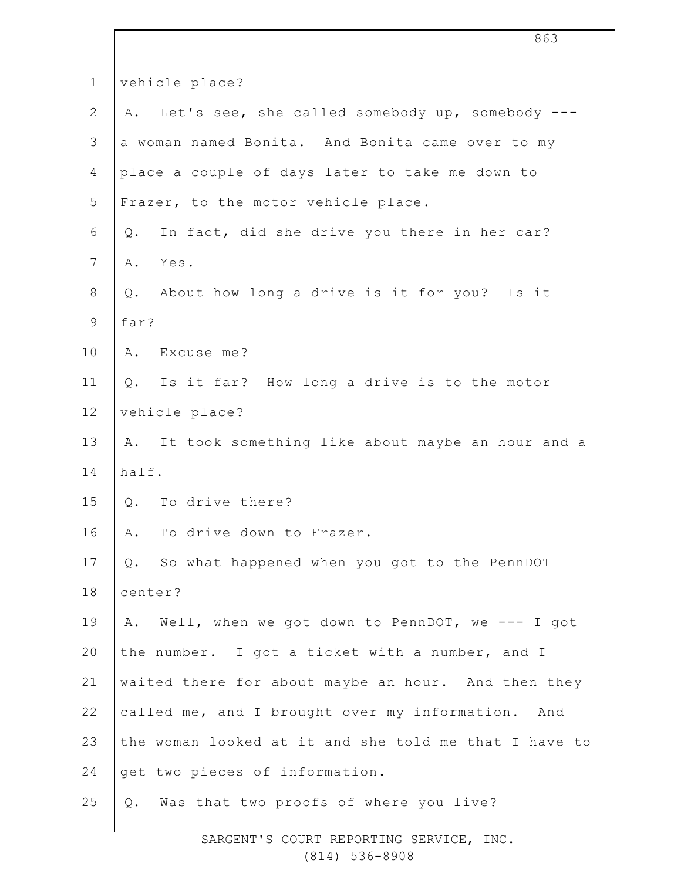| $\mathbf 1$     | vehicle place?                                         |
|-----------------|--------------------------------------------------------|
| $\mathbf{2}$    | A. Let's see, she called somebody up, somebody ---     |
| 3               | a woman named Bonita. And Bonita came over to my       |
| $\overline{4}$  | place a couple of days later to take me down to        |
| 5               | Frazer, to the motor vehicle place.                    |
| 6               | In fact, did she drive you there in her car?<br>Q.     |
| $7\phantom{.0}$ | Yes.<br>Α.                                             |
| $8\,$           | Q. About how long a drive is it for you? Is it         |
| $\mathcal{G}$   | far?                                                   |
| 10              | A. Excuse me?                                          |
| 11              | Q. Is it far? How long a drive is to the motor         |
| 12              | vehicle place?                                         |
| 13              | It took something like about maybe an hour and a<br>A. |
| 14              | half.                                                  |
| 15              | Q. To drive there?                                     |
| 16              | To drive down to Frazer.<br>Α.                         |
| 17              | Q. So what happened when you got to the PennDOT        |
| 18              | center?                                                |
| 19              | Well, when we got down to PennDOT, we --- I got<br>Α.  |
| 20              | the number. I got a ticket with a number, and I        |
| 21              | waited there for about maybe an hour. And then they    |
| 22              | called me, and I brought over my information. And      |
| 23              | the woman looked at it and she told me that I have to  |
| 24              | get two pieces of information.                         |
| 25              | Was that two proofs of where you live?<br>Q.           |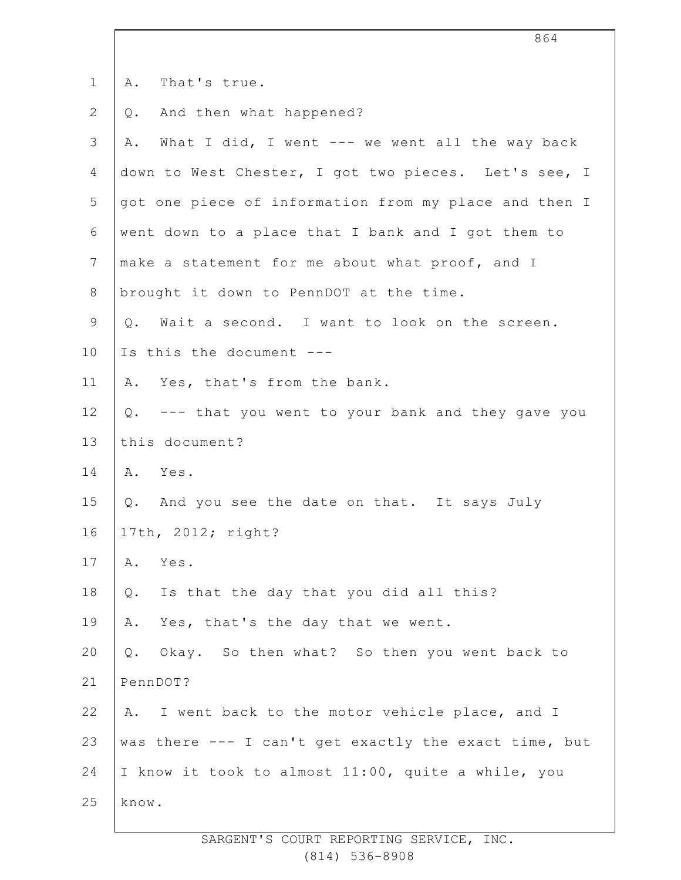| $\mathbf 1$   | That's true.<br>Α.                                    |  |  |
|---------------|-------------------------------------------------------|--|--|
| $\mathbf{2}$  | And then what happened?<br>Q.                         |  |  |
| $\mathcal{S}$ | What I did, I went --- we went all the way back<br>Α. |  |  |
| 4             | down to West Chester, I got two pieces. Let's see, I  |  |  |
| 5             | got one piece of information from my place and then I |  |  |
| 6             | went down to a place that I bank and I got them to    |  |  |
| 7             | make a statement for me about what proof, and I       |  |  |
| $\,8\,$       | brought it down to PennDOT at the time.               |  |  |
| $\mathsf 9$   | Q. Wait a second. I want to look on the screen.       |  |  |
| 10            | Is this the document ---                              |  |  |
| 11            | A. Yes, that's from the bank.                         |  |  |
| 12            | Q. --- that you went to your bank and they gave you   |  |  |
| 13            | this document?                                        |  |  |
| 14            | A. Yes.                                               |  |  |
| 15            | Q. And you see the date on that. It says July         |  |  |
| 16            | 17th, 2012; right?                                    |  |  |
| 17            | Α.<br>Yes.                                            |  |  |
| 18            | Is that the day that you did all this?<br>Q.          |  |  |
| 19            | Yes, that's the day that we went.<br>Α.               |  |  |
| 20            | Okay. So then what? So then you went back to<br>Q.    |  |  |
| 21            | PennDOT?                                              |  |  |
| 22            | A. I went back to the motor vehicle place, and I      |  |  |
| 23            | was there --- I can't get exactly the exact time, but |  |  |
| 24            | I know it took to almost 11:00, quite a while, you    |  |  |
| 25            | know.                                                 |  |  |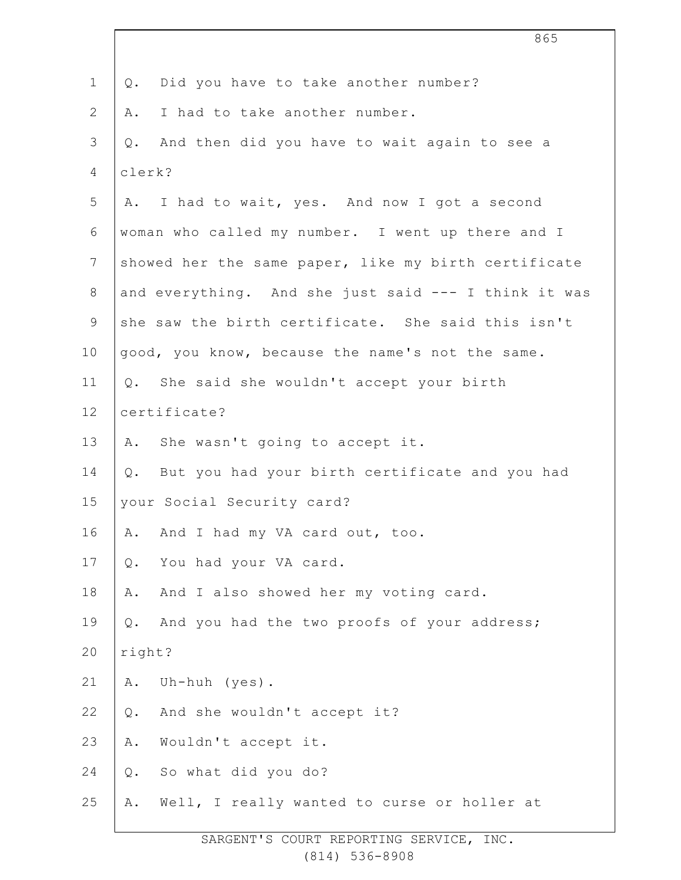|                | 865                                                  |  |
|----------------|------------------------------------------------------|--|
| $\mathbf 1$    | Did you have to take another number?<br>Q.           |  |
| 2              | I had to take another number.<br>Α.                  |  |
| 3              | And then did you have to wait again to see a<br>Q.   |  |
| 4              | clerk?                                               |  |
| 5              | A. I had to wait, yes. And now I got a second        |  |
| 6              | woman who called my number. I went up there and I    |  |
| $\overline{7}$ | showed her the same paper, like my birth certificate |  |
| $8\,$          | and everything. And she just said --- I think it was |  |
| $\mathsf 9$    | she saw the birth certificate. She said this isn't   |  |
| 10             | good, you know, because the name's not the same.     |  |
| 11             | Q. She said she wouldn't accept your birth           |  |
| 12             | certificate?                                         |  |
| 13             | A. She wasn't going to accept it.                    |  |
| 14             | But you had your birth certificate and you had<br>Q. |  |
| 15             | your Social Security card?                           |  |
| 16             | And I had my VA card out, too.<br>Α.                 |  |
| 17             | You had your VA card.<br>Q.                          |  |
| 18             | And I also showed her my voting card.<br>Α.          |  |
| 19             | And you had the two proofs of your address;<br>Q.    |  |
| 20             | right?                                               |  |
| 21             | Uh-huh (yes).<br>Α.                                  |  |
| 22             | And she wouldn't accept it?<br>$Q$ .                 |  |
| 23             | Wouldn't accept it.<br>Α.                            |  |
| 24             | So what did you do?<br>$Q$ .                         |  |
| 25             | Well, I really wanted to curse or holler at<br>Α.    |  |
|                |                                                      |  |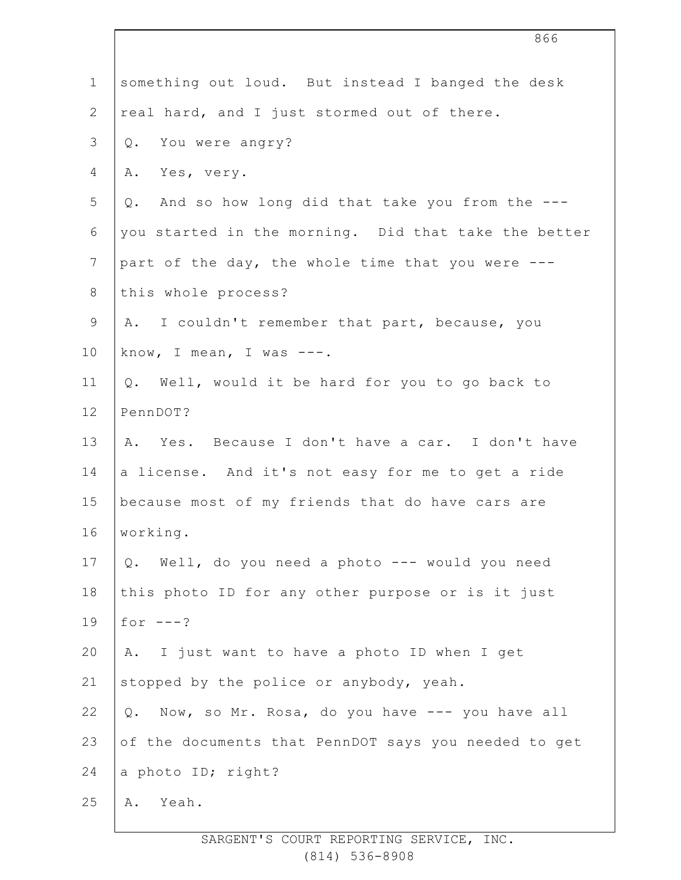|                | 866                                                     |
|----------------|---------------------------------------------------------|
| $\mathbf 1$    | something out loud. But instead I banged the desk       |
| $\mathbf{2}$   | real hard, and I just stormed out of there.             |
| 3              | Q. You were angry?                                      |
| 4              | Yes, very.<br>Α.                                        |
| 5              | And so how long did that take you from the ---<br>Q.    |
| $\sqrt{6}$     | you started in the morning. Did that take the better    |
| $\overline{7}$ | part of the day, the whole time that you were ---       |
| $8\,$          | this whole process?                                     |
| $\mathsf 9$    | A. I couldn't remember that part, because, you          |
| 10             | know, I mean, I was $---$ .                             |
| 11             | Q. Well, would it be hard for you to go back to         |
| 12             | PennDOT?                                                |
| 13             | A. Yes. Because I don't have a car. I don't have        |
| 14             | a license. And it's not easy for me to get a ride       |
| 15             | because most of my friends that do have cars are        |
| 16             | working.                                                |
| $17$           | Q. Well, do you need a photo --- would you need         |
| 18             | this photo ID for any other purpose or is it just       |
| 19             | for $---?$                                              |
| 20             | I just want to have a photo ID when I get<br>Α.         |
| 21             | stopped by the police or anybody, yeah.                 |
| 22             | Now, so Mr. Rosa, do you have --- you have all<br>$Q$ . |
| 23             | of the documents that PennDOT says you needed to get    |
| 24             | a photo ID; right?                                      |
| 25             | Yeah.<br>Α.                                             |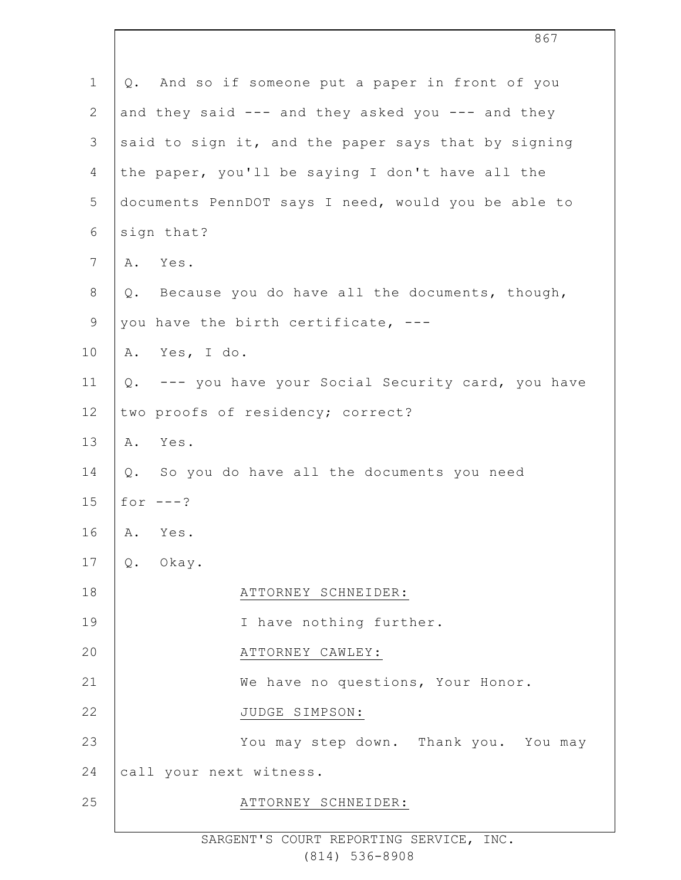| $\mathbf 1$    | Q. And so if someone put a paper in front of you    |  |  |
|----------------|-----------------------------------------------------|--|--|
| $\mathbf{2}$   | and they said --- and they asked you --- and they   |  |  |
| 3              | said to sign it, and the paper says that by signing |  |  |
| $\overline{4}$ | the paper, you'll be saying I don't have all the    |  |  |
| 5              | documents PennDOT says I need, would you be able to |  |  |
| 6              | sign that?                                          |  |  |
| $\overline{7}$ | A. Yes.                                             |  |  |
| $8\,$          | Q. Because you do have all the documents, though,   |  |  |
| $\mathsf 9$    | you have the birth certificate, ---                 |  |  |
| 10             | A. Yes, I do.                                       |  |  |
| 11             | Q. --- you have your Social Security card, you have |  |  |
| 12             | two proofs of residency; correct?                   |  |  |
| 13             | A. Yes.                                             |  |  |
| 14             | Q. So you do have all the documents you need        |  |  |
| 15             | for $---?$                                          |  |  |
| 16             | A. Yes.                                             |  |  |
| 17             | Okay.<br>Q.                                         |  |  |
| 18             | ATTORNEY SCHNEIDER:                                 |  |  |
| 19             | I have nothing further.                             |  |  |
| 20             | ATTORNEY CAWLEY:                                    |  |  |
| 21             | We have no questions, Your Honor.                   |  |  |
| 22             | JUDGE SIMPSON:                                      |  |  |
| 23             | You may step down. Thank you. You may               |  |  |
| 24             | call your next witness.                             |  |  |
| 25             | ATTORNEY SCHNEIDER:                                 |  |  |
|                |                                                     |  |  |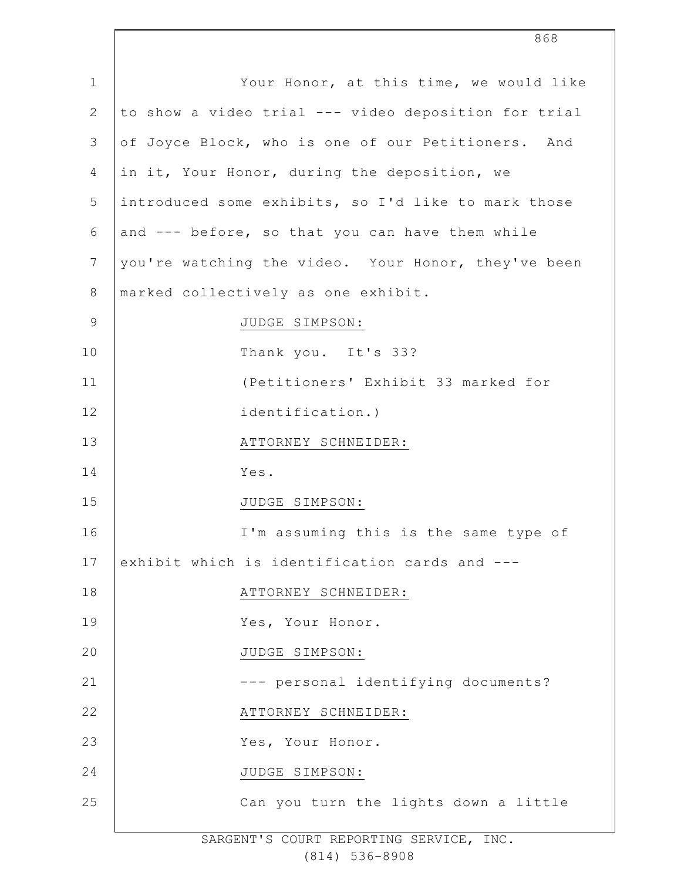| $\mathbf 1$    | Your Honor, at this time, we would like              |
|----------------|------------------------------------------------------|
| $\mathbf{2}$   | to show a video trial --- video deposition for trial |
| 3              | of Joyce Block, who is one of our Petitioners. And   |
| $\overline{4}$ | in it, Your Honor, during the deposition, we         |
| 5              | introduced some exhibits, so I'd like to mark those  |
| $\epsilon$     | and --- before, so that you can have them while      |
| 7              | you're watching the video. Your Honor, they've been  |
| $\,8\,$        | marked collectively as one exhibit.                  |
| $\mathsf 9$    | JUDGE SIMPSON:                                       |
| 10             | Thank you. It's 33?                                  |
| 11             | (Petitioners' Exhibit 33 marked for                  |
| 12             | identification.)                                     |
| 13             | ATTORNEY SCHNEIDER:                                  |
| 14             | Yes.                                                 |
| 15             | JUDGE SIMPSON:                                       |
| 16             | I'm assuming this is the same type of                |
| 17             | exhibit which is identification cards and ---        |
| 18             | ATTORNEY SCHNEIDER:                                  |
| 19             | Yes, Your Honor.                                     |
| 20             | JUDGE SIMPSON:                                       |
| 21             | --- personal identifying documents?                  |
| 22             | ATTORNEY SCHNEIDER:                                  |
| 23             | Yes, Your Honor.                                     |
| 24             | JUDGE SIMPSON:                                       |
| 25             | Can you turn the lights down a little                |
|                |                                                      |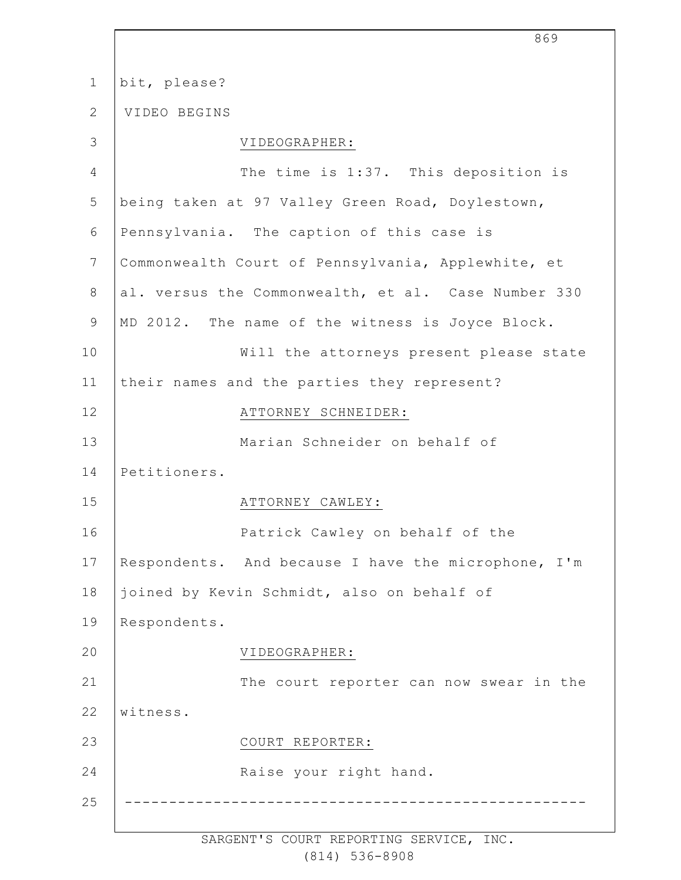| $\mathbf 1$    | bit, please?                                        |
|----------------|-----------------------------------------------------|
| $\mathbf{2}$   | VIDEO BEGINS                                        |
| 3              | VIDEOGRAPHER:                                       |
| $\overline{4}$ | The time is 1:37. This deposition is                |
| 5              | being taken at 97 Valley Green Road, Doylestown,    |
| 6              | Pennsylvania. The caption of this case is           |
| $7\phantom{.}$ | Commonwealth Court of Pennsylvania, Applewhite, et  |
| 8              | al. versus the Commonwealth, et al. Case Number 330 |
| $\mathsf 9$    | MD 2012. The name of the witness is Joyce Block.    |
| 10             | Will the attorneys present please state             |
| 11             | their names and the parties they represent?         |
| 12             | ATTORNEY SCHNEIDER:                                 |
| 13             | Marian Schneider on behalf of                       |
| 14             | Petitioners.                                        |
| 15             | ATTORNEY CAWLEY:                                    |
| 16             | Patrick Cawley on behalf of the                     |
| 17             | Respondents. And because I have the microphone, I'm |
| 18             | joined by Kevin Schmidt, also on behalf of          |
| 19             | Respondents.                                        |
| 20             | VIDEOGRAPHER:                                       |
| 21             | The court reporter can now swear in the             |
| 22             | witness.                                            |
| 23             | COURT REPORTER:                                     |
| 24             | Raise your right hand.                              |
| 25             |                                                     |
|                |                                                     |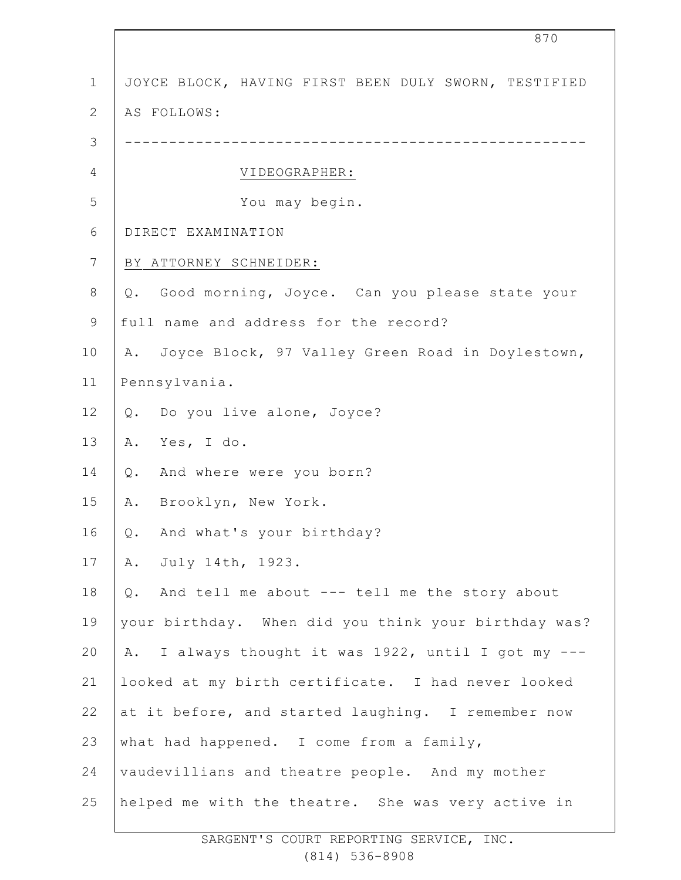| $\mathbf 1$    | JOYCE BLOCK, HAVING FIRST BEEN DULY SWORN, TESTIFIED   |  |  |  |
|----------------|--------------------------------------------------------|--|--|--|
| $\overline{2}$ | AS FOLLOWS:                                            |  |  |  |
| 3              |                                                        |  |  |  |
| $\overline{4}$ | VIDEOGRAPHER:                                          |  |  |  |
| 5              | You may begin.                                         |  |  |  |
| 6              | DIRECT EXAMINATION                                     |  |  |  |
| 7              | BY ATTORNEY SCHNEIDER:                                 |  |  |  |
| $8\,$          | Q. Good morning, Joyce. Can you please state your      |  |  |  |
| 9              | full name and address for the record?                  |  |  |  |
| 10             | A. Joyce Block, 97 Valley Green Road in Doylestown,    |  |  |  |
| 11             | Pennsylvania.                                          |  |  |  |
| 12             | Q. Do you live alone, Joyce?                           |  |  |  |
| 13             | Yes, I do.<br>Α.                                       |  |  |  |
| 14             | And where were you born?<br>Q.                         |  |  |  |
| 15             | Brooklyn, New York.<br>Α.                              |  |  |  |
| 16             | Q. And what's your birthday?                           |  |  |  |
| 17             | A. July 14th, 1923.                                    |  |  |  |
| 18             | And tell me about --- tell me the story about<br>$Q$ . |  |  |  |
| 19             | your birthday. When did you think your birthday was?   |  |  |  |
| 20             | A. I always thought it was 1922, until I got my ---    |  |  |  |
| 21             | looked at my birth certificate. I had never looked     |  |  |  |
| 22             | at it before, and started laughing. I remember now     |  |  |  |
| 23             | what had happened. I come from a family,               |  |  |  |
| 24             | vaudevillians and theatre people. And my mother        |  |  |  |
| 25             | helped me with the theatre. She was very active in     |  |  |  |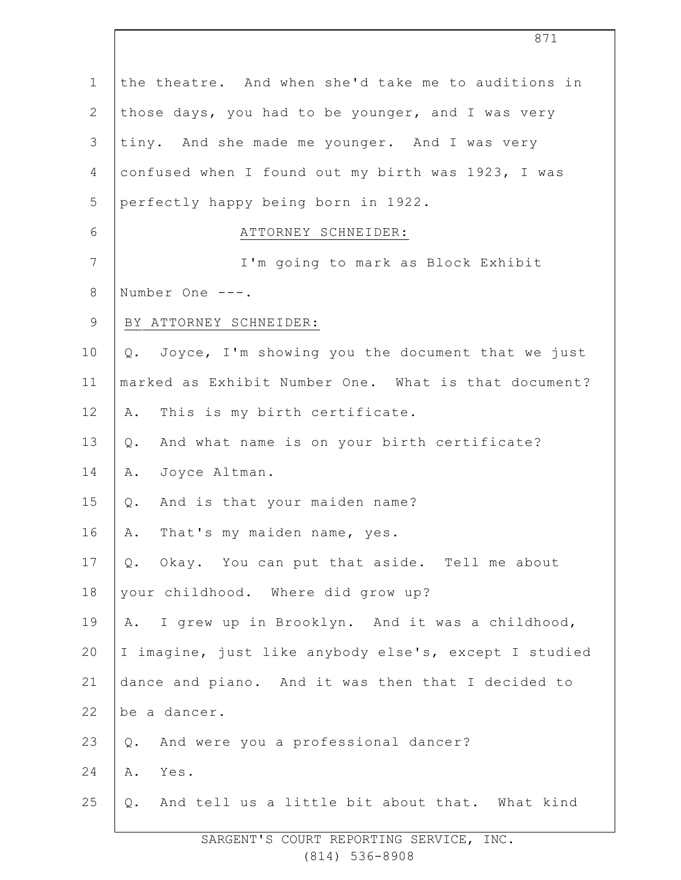| $\mathbf 1$    | the theatre. And when she'd take me to auditions in   |  |  |
|----------------|-------------------------------------------------------|--|--|
| $\mathbf{2}$   | those days, you had to be younger, and I was very     |  |  |
| 3              | tiny. And she made me younger. And I was very         |  |  |
| 4              | confused when I found out my birth was 1923, I was    |  |  |
| 5              | perfectly happy being born in 1922.                   |  |  |
| 6              | ATTORNEY SCHNEIDER:                                   |  |  |
| $7\phantom{.}$ | I'm going to mark as Block Exhibit                    |  |  |
| $\,8\,$        | Number One ---.                                       |  |  |
| $\mathsf 9$    | BY ATTORNEY SCHNEIDER:                                |  |  |
| 10             | Q. Joyce, I'm showing you the document that we just   |  |  |
| 11             | marked as Exhibit Number One. What is that document?  |  |  |
| 12             | This is my birth certificate.<br>Α.                   |  |  |
| 13             | And what name is on your birth certificate?<br>Q.     |  |  |
| 14             | Joyce Altman.<br>Α.                                   |  |  |
| 15             | And is that your maiden name?<br>Q.                   |  |  |
| 16             | That's my maiden name, yes.<br>Α.                     |  |  |
| 17             | Q. Okay. You can put that aside. Tell me about        |  |  |
| 18             | your childhood. Where did grow up?                    |  |  |
| 19             | I grew up in Brooklyn. And it was a childhood,<br>Α.  |  |  |
| 20             | I imagine, just like anybody else's, except I studied |  |  |
| 21             | dance and piano. And it was then that I decided to    |  |  |
| 22             | be a dancer.                                          |  |  |
| 23             | And were you a professional dancer?<br>Q.             |  |  |
| 24             | Α.<br>Yes.                                            |  |  |
| 25             | And tell us a little bit about that. What kind<br>Q.  |  |  |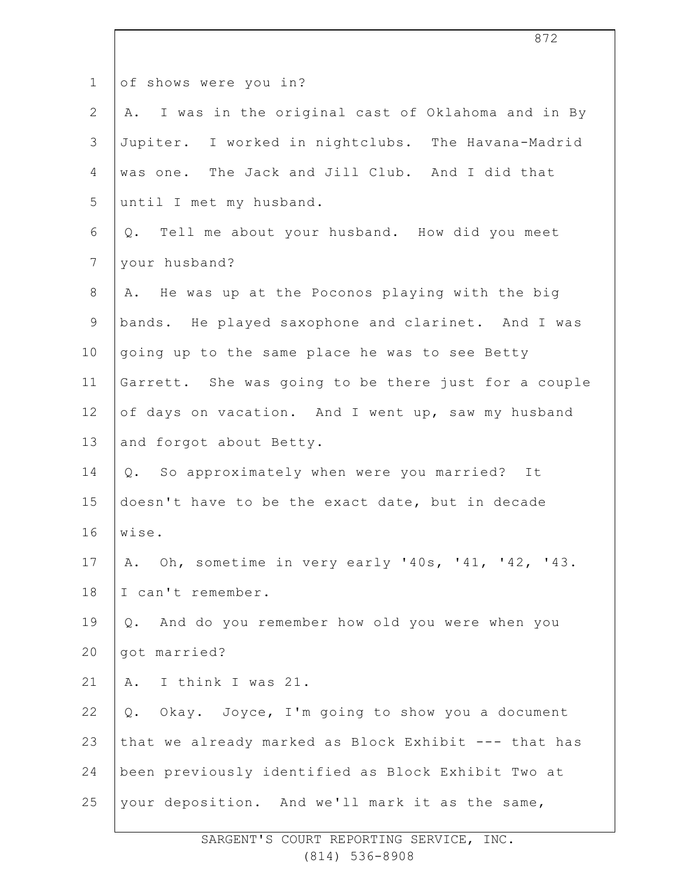| $\mathbf{1}$   | of shows were you in?                                  |  |  |  |
|----------------|--------------------------------------------------------|--|--|--|
| $\mathbf{2}$   | I was in the original cast of Oklahoma and in By<br>Α. |  |  |  |
| $\mathcal{S}$  | Jupiter. I worked in nightclubs. The Havana-Madrid     |  |  |  |
| 4              | was one. The Jack and Jill Club. And I did that        |  |  |  |
| 5              | until I met my husband.                                |  |  |  |
| 6              | Q. Tell me about your husband. How did you meet        |  |  |  |
| $\overline{7}$ | your husband?                                          |  |  |  |
| $\,8\,$        | He was up at the Poconos playing with the big<br>Α.    |  |  |  |
| $\mathsf 9$    | bands. He played saxophone and clarinet. And I was     |  |  |  |
| 10             | going up to the same place he was to see Betty         |  |  |  |
| 11             | Garrett. She was going to be there just for a couple   |  |  |  |
| 12             | of days on vacation. And I went up, saw my husband     |  |  |  |
| 13             | and forgot about Betty.                                |  |  |  |
| 14             | Q. So approximately when were you married?<br>It       |  |  |  |
| 15             | doesn't have to be the exact date, but in decade       |  |  |  |
| 16             | wise.                                                  |  |  |  |
| 17             | A. Oh, sometime in very early '40s, '41, '42, '43.     |  |  |  |
| 18             | I can't remember.                                      |  |  |  |
| 19             | And do you remember how old you were when you<br>$Q$ . |  |  |  |
| 20             | got married?                                           |  |  |  |
| 21             | I think I was 21.<br>Α.                                |  |  |  |
| 22             | Okay. Joyce, I'm going to show you a document<br>Q.    |  |  |  |
| 23             | that we already marked as Block Exhibit --- that has   |  |  |  |
| 24             | been previously identified as Block Exhibit Two at     |  |  |  |
| 25             | your deposition. And we'll mark it as the same,        |  |  |  |
|                |                                                        |  |  |  |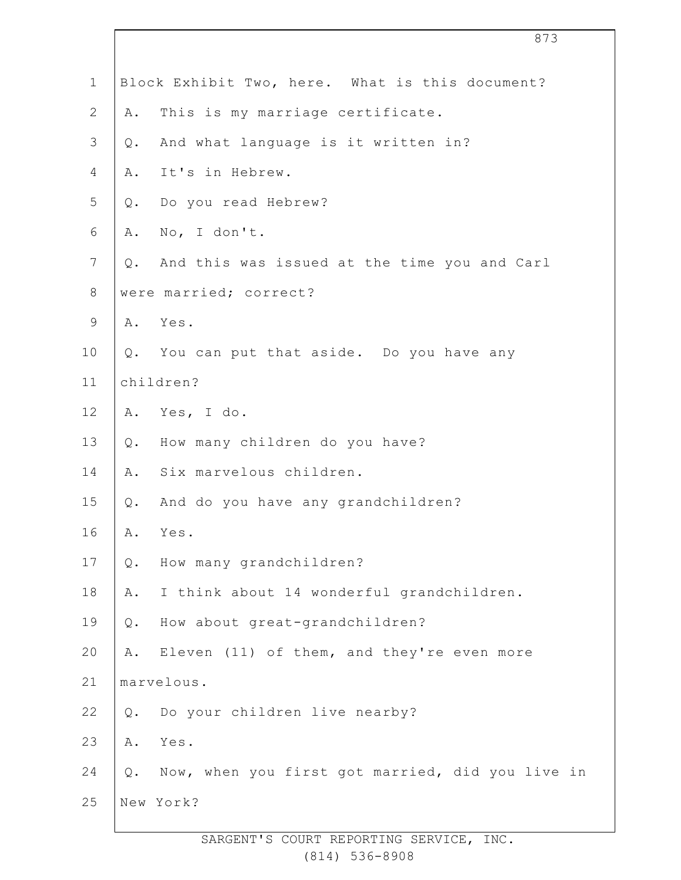| $\mathbf 1$    |            | Block Exhibit Two, here. What is this document?     |
|----------------|------------|-----------------------------------------------------|
| $\overline{2}$ | Α.         | This is my marriage certificate.                    |
| $\mathfrak{Z}$ | Q.         | And what language is it written in?                 |
| 4              |            | A. It's in Hebrew.                                  |
| 5              |            | Q. Do you read Hebrew?                              |
| 6              | Α.         | No, I don't.                                        |
| $\overline{7}$ |            | Q. And this was issued at the time you and Carl     |
| 8              |            | were married; correct?                              |
| 9              |            | A. Yes.                                             |
| 10             |            | Q. You can put that aside. Do you have any          |
| 11             | children?  |                                                     |
| 12             |            | A. Yes, I do.                                       |
| 13             |            | Q. How many children do you have?                   |
| 14             | A.         | Six marvelous children.                             |
| 15             | $Q$ .      | And do you have any grandchildren?                  |
| 16             |            | A. Yes.                                             |
| 17             | Q.         | How many grandchildren?                             |
| 18             | Α.         | I think about 14 wonderful grandchildren.           |
| 19             | Q.         | How about great-grandchildren?                      |
| 20             | Α.         | Eleven (11) of them, and they're even more          |
| 21             | marvelous. |                                                     |
| 22             | $Q$ .      | Do your children live nearby?                       |
| 23             | Α.         | Yes.                                                |
| 24             |            | Q. Now, when you first got married, did you live in |
| 25             |            | New York?                                           |
|                |            |                                                     |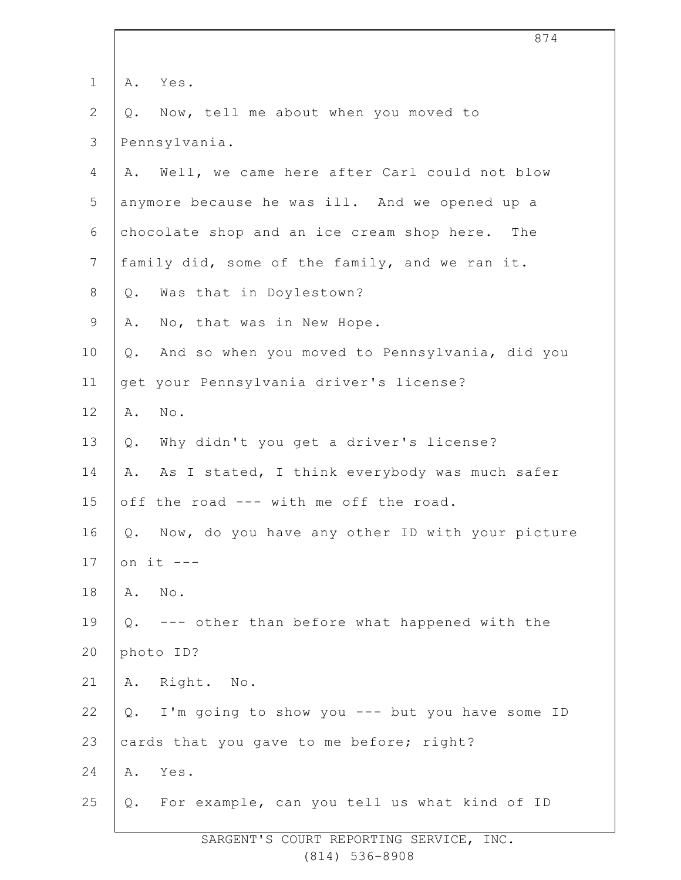| $\mathbf 1$    | Α.          | Yes.                                            |
|----------------|-------------|-------------------------------------------------|
| 2              | $Q$ .       | Now, tell me about when you moved to            |
| $\mathcal{S}$  |             | Pennsylvania.                                   |
| 4              | Α.          | Well, we came here after Carl could not blow    |
| 5              |             | anymore because he was ill. And we opened up a  |
| 6              |             | chocolate shop and an ice cream shop here. The  |
| $7\phantom{.}$ |             | family did, some of the family, and we ran it.  |
| $8\,$          | $Q$ .       | Was that in Doylestown?                         |
| $\mathsf 9$    | Α.          | No, that was in New Hope.                       |
| 10             | $Q$ .       | And so when you moved to Pennsylvania, did you  |
| 11             |             | get your Pennsylvania driver's license?         |
| 12             | Α.          | $\texttt{No}$ .                                 |
| 13             | Q.          | Why didn't you get a driver's license?          |
| 14             | Α.          | As I stated, I think everybody was much safer   |
| 15             |             | off the road --- with me off the road.          |
| 16             | Q.          | Now, do you have any other ID with your picture |
| 17             | on it $---$ |                                                 |
| 18             | Α.          | $N \circ$ .                                     |
| 19             | $Q$ .       | --- other than before what happened with the    |
| 20             | photo ID?   |                                                 |
| 21             |             | A. Right. No.                                   |
| 22             | Q.          | I'm going to show you --- but you have some ID  |
| 23             |             | cards that you gave to me before; right?        |
| 24             | Α.          | Yes.                                            |
| 25             | Q.          | For example, can you tell us what kind of ID    |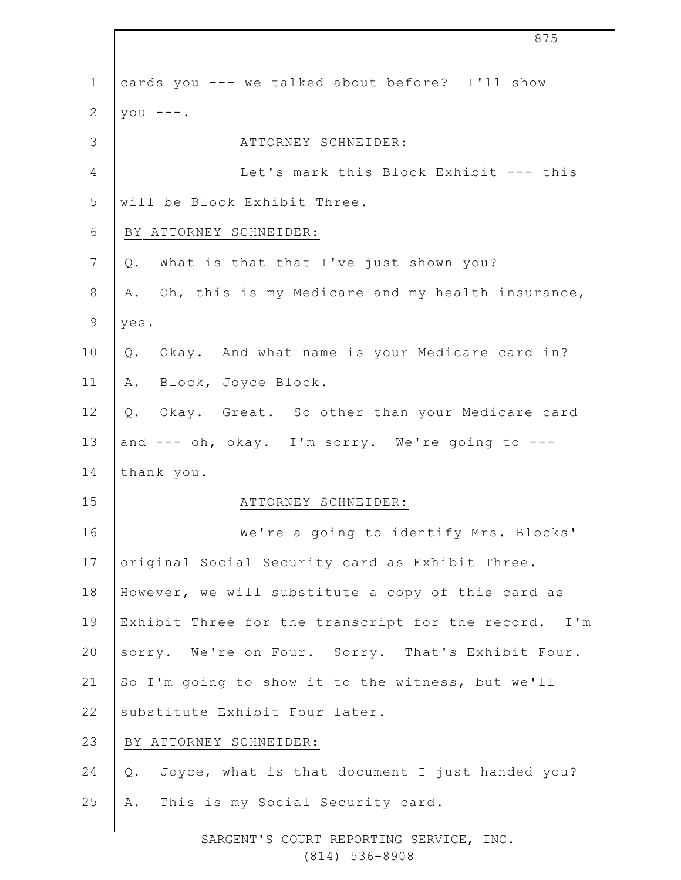1 2 3 4 5 6 7 8 9 10 11 12 13 14 15 16 17 18 19 20 21 22 23 24 25 cards you --- we talked about before? I'll show you  $---$ . ATTORNEY SCHNEIDER: Let's mark this Block Exhibit --- this will be Block Exhibit Three. BY ATTORNEY SCHNEIDER: Q. What is that that I've just shown you? A. Oh, this is my Medicare and my health insurance, yes. Q. Okay. And what name is your Medicare card in? A. Block, Joyce Block. Q. Okay. Great. So other than your Medicare card and --- oh, okay. I'm sorry. We're going to -- thank you. ATTORNEY SCHNEIDER: We're a going to identify Mrs. Blocks' original Social Security card as Exhibit Three. However, we will substitute a copy of this card as Exhibit Three for the transcript for the record. I'm sorry. We're on Four. Sorry. That's Exhibit Four. So I'm going to show it to the witness, but we'll substitute Exhibit Four later. BY ATTORNEY SCHNEIDER: Q. Joyce, what is that document I just handed you? A. This is my Social Security card.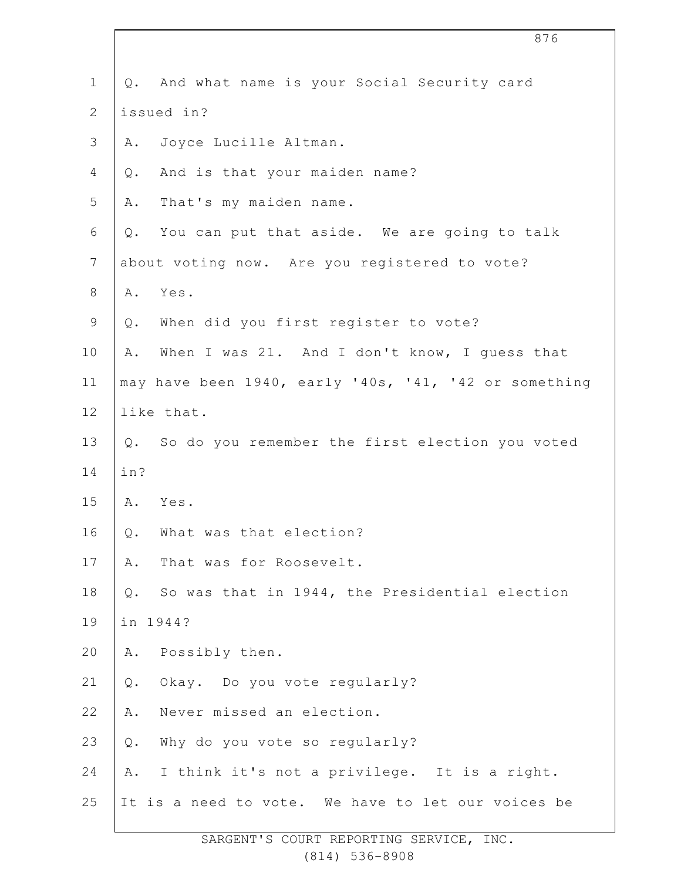|                 |                                               | 876                                                   |
|-----------------|-----------------------------------------------|-------------------------------------------------------|
| $\mathbf 1$     |                                               | Q. And what name is your Social Security card         |
| $\mathbf{2}$    |                                               | issued in?                                            |
| $\mathcal{S}$   |                                               | A. Joyce Lucille Altman.                              |
| 4               | Q.                                            | And is that your maiden name?                         |
| 5               | Α.                                            | That's my maiden name.                                |
| 6               | Q.                                            | You can put that aside. We are going to talk          |
| $7\phantom{.0}$ | about voting now. Are you registered to vote? |                                                       |
| 8               | Α.                                            | Yes.                                                  |
| $\mathsf 9$     |                                               | Q. When did you first register to vote?               |
| 10              | Α.                                            | When I was 21. And I don't know, I guess that         |
| 11              |                                               | may have been 1940, early '40s, '41, '42 or something |
| 12              |                                               | like that.                                            |
| 13              |                                               | Q. So do you remember the first election you voted    |
| 14              | in?                                           |                                                       |
| 15              |                                               | A. Yes.                                               |
| 16              | $Q$ .                                         | What was that election?                               |
| 17              | Α.                                            | That was for Roosevelt.                               |
| 18              | Q.                                            | So was that in 1944, the Presidential election        |
| 19              |                                               | in 1944?                                              |
| 20              | Α.                                            | Possibly then.                                        |
| 21              | $Q$ .                                         | Okay. Do you vote regularly?                          |
| 22              | Α.                                            | Never missed an election.                             |
| 23              | Q.                                            | Why do you vote so regularly?                         |
| 24              | Α.                                            | I think it's not a privilege. It is a right.          |
| 25              |                                               | It is a need to vote. We have to let our voices be    |
|                 |                                               |                                                       |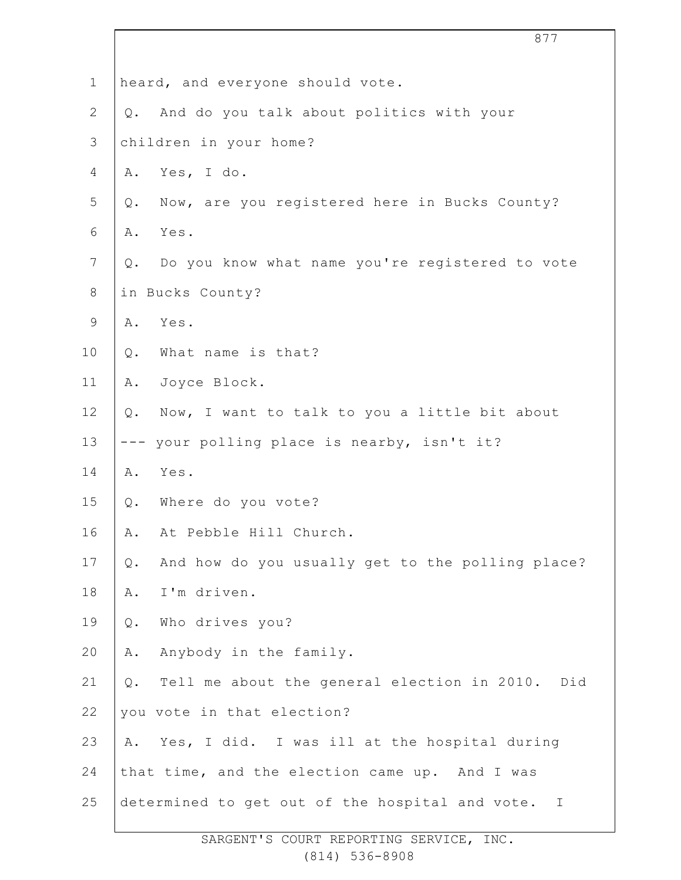|                | 877                                                       |
|----------------|-----------------------------------------------------------|
| $\mathbf 1$    | heard, and everyone should vote.                          |
| $\overline{2}$ | And do you talk about politics with your<br>$Q$ .         |
| 3              | children in your home?                                    |
| 4              | Yes, I do.<br>Α.                                          |
| 5              | Now, are you registered here in Bucks County?<br>$Q$ .    |
| 6              | Yes.<br>Α.                                                |
| $\overline{7}$ | Do you know what name you're registered to vote<br>Q.     |
| $8\,$          | in Bucks County?                                          |
| $\mathsf 9$    | Yes.<br>Α.                                                |
| 10             | What name is that?<br>Q.                                  |
| 11             | Joyce Block.<br>Α.                                        |
| 12             | Now, I want to talk to you a little bit about<br>$Q$ .    |
| 13             | --- your polling place is nearby, isn't it?               |
| 14             | Yes.<br>Α.                                                |
| 15             | Where do you vote?<br>Q.                                  |
| 16             | At Pebble Hill Church.<br>Α.                              |
| 17             | And how do you usually get to the polling place?<br>$Q$ . |
| 18             | I'm driven.<br>Α.                                         |
| 19             | Who drives you?<br>$Q$ .                                  |
| 20             | Anybody in the family.<br>Α.                              |
| 21             | Tell me about the general election in 2010. Did<br>Q.     |
| 22             | you vote in that election?                                |
| 23             | Yes, I did. I was ill at the hospital during<br>Α.        |
| 24             | that time, and the election came up. And I was            |
| 25             | determined to get out of the hospital and vote. I         |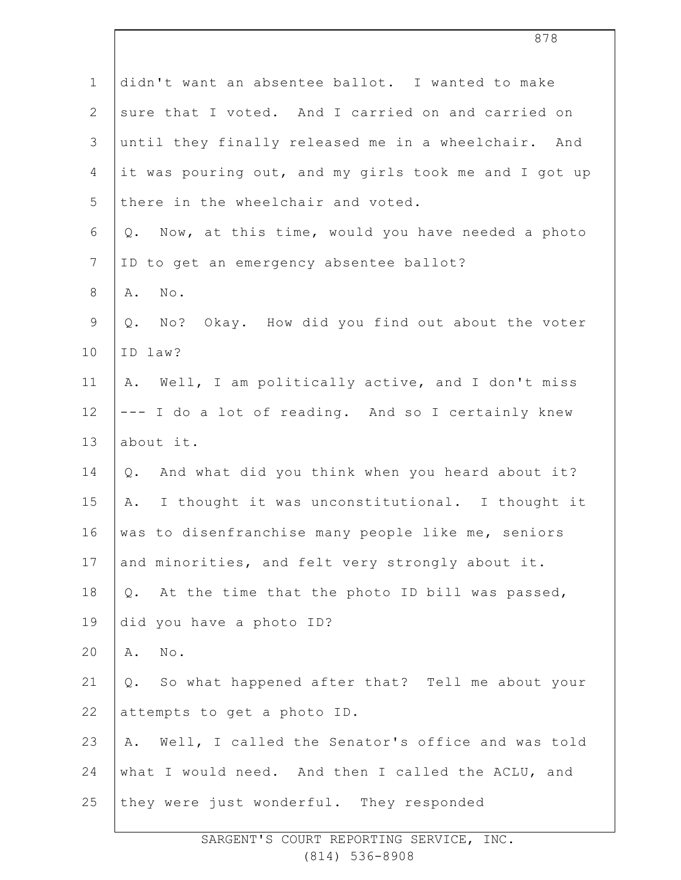| $\mathbf 1$    | didn't want an absentee ballot. I wanted to make       |
|----------------|--------------------------------------------------------|
| $\mathbf{2}$   | sure that I voted. And I carried on and carried on     |
| 3              | until they finally released me in a wheelchair. And    |
| 4              | it was pouring out, and my girls took me and I got up  |
| 5              | there in the wheelchair and voted.                     |
| $\epsilon$     | Q. Now, at this time, would you have needed a photo    |
| $\overline{7}$ | ID to get an emergency absentee ballot?                |
| 8              | Α.<br>No.                                              |
| 9              | No? Okay. How did you find out about the voter<br>Q.   |
| 10             | ID law?                                                |
| 11             | A. Well, I am politically active, and I don't miss     |
| 12             | --- I do a lot of reading. And so I certainly knew     |
| 13             | about it.                                              |
| 14             | Q. And what did you think when you heard about it?     |
| 15             | I thought it was unconstitutional. I thought it<br>Α.  |
| 16             | was to disenfranchise many people like me, seniors     |
| 17             | and minorities, and felt very strongly about it.       |
| 18             | At the time that the photo ID bill was passed,<br>Q.   |
| 19             | did you have a photo ID?                               |
| 20             | No.<br>Α.                                              |
| 21             | So what happened after that? Tell me about your<br>Q.  |
| 22             | attempts to get a photo ID.                            |
| 23             | Well, I called the Senator's office and was told<br>Α. |
| 24             | what I would need. And then I called the ACLU, and     |
| 25             | they were just wonderful. They responded               |
|                |                                                        |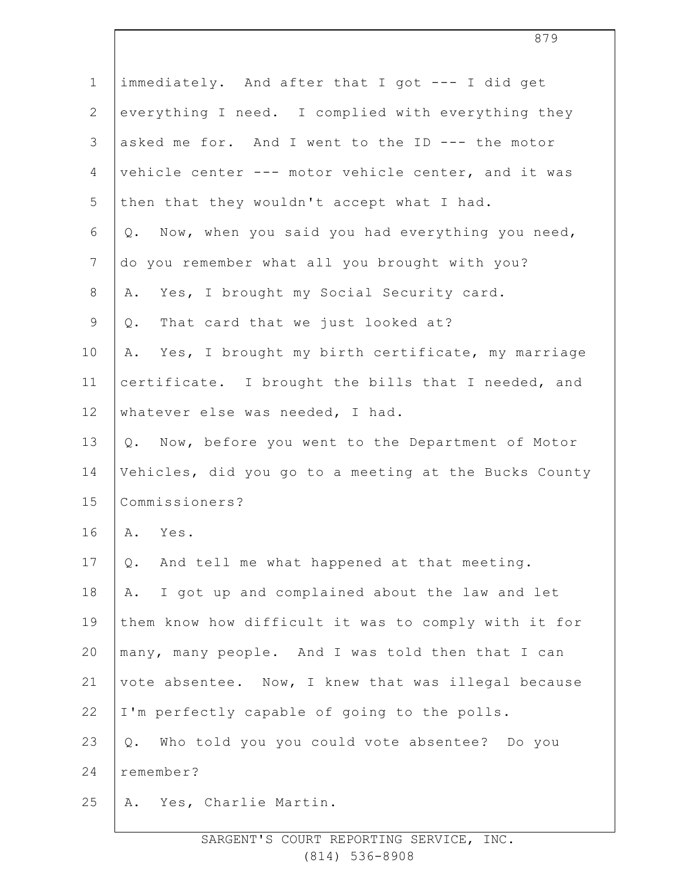| $\mathbf 1$    | immediately. And after that I got --- I did get          |
|----------------|----------------------------------------------------------|
| $\overline{2}$ | everything I need. I complied with everything they       |
| 3              | asked me for. And I went to the ID --- the motor         |
| 4              | vehicle center --- motor vehicle center, and it was      |
| 5              | then that they wouldn't accept what I had.               |
| 6              | Now, when you said you had everything you need,<br>$Q$ . |
| $7\phantom{.}$ | do you remember what all you brought with you?           |
| 8              | Yes, I brought my Social Security card.<br>Α.            |
| $\mathsf 9$    | That card that we just looked at?<br>$Q$ .               |
| 10             | Yes, I brought my birth certificate, my marriage<br>Α.   |
| 11             | certificate. I brought the bills that I needed, and      |
| 12             | whatever else was needed, I had.                         |
| 13             | Q. Now, before you went to the Department of Motor       |
| 14             | Vehicles, did you go to a meeting at the Bucks County    |
| 15             | Commissioners?                                           |
| 16             | Yes.<br>Α.                                               |
| 17             | And tell me what happened at that meeting.<br>Q.         |
| 18             | I got up and complained about the law and let<br>Α.      |
| 19             | them know how difficult it was to comply with it for     |
| 20             | many, many people. And I was told then that I can        |
| 21             | vote absentee. Now, I knew that was illegal because      |
| 22             | I'm perfectly capable of going to the polls.             |
| 23             | Who told you you could vote absentee? Do you<br>$Q$ .    |
| 24             | remember?                                                |
| 25             | Yes, Charlie Martin.<br>Α.                               |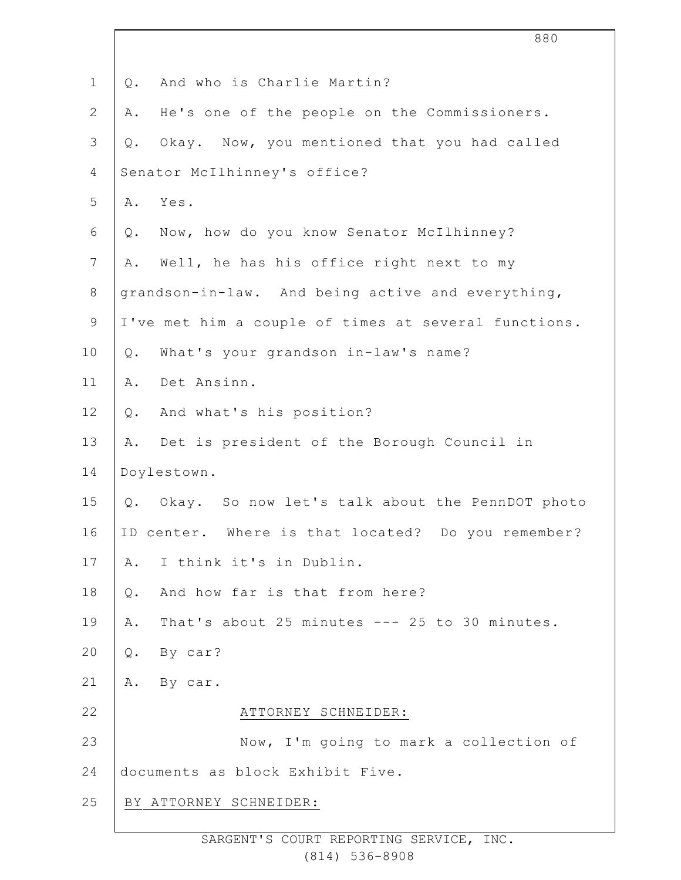|              | 880                                                   |
|--------------|-------------------------------------------------------|
| $\mathbf 1$  | And who is Charlie Martin?<br>Q.                      |
| $\mathbf{2}$ | He's one of the people on the Commissioners.<br>Α.    |
| 3            | Okay. Now, you mentioned that you had called<br>Q.    |
| 4            | Senator McIlhinney's office?                          |
| 5            | Yes.<br>Α.                                            |
| 6            | Now, how do you know Senator McIlhinney?<br>Q.        |
| 7            | Well, he has his office right next to my<br>Α.        |
| $8\,$        | grandson-in-law. And being active and everything,     |
| $\mathsf 9$  | I've met him a couple of times at several functions.  |
| 10           | What's your grandson in-law's name?<br>Q.             |
| 11           | Det Ansinn.<br>Α.                                     |
| 12           | And what's his position?<br>Q.                        |
| 13           | Det is president of the Borough Council in<br>Α.      |
| 14           | Doylestown.                                           |
| 15           | Okay. So now let's talk about the PennDOT photo<br>Q. |
| 16           | ID center. Where is that located? Do you remember?    |
| 17           | I think it's in Dublin.<br>Α.                         |
| 18           | And how far is that from here?<br>$Q$ .               |
| 19           | That's about 25 minutes --- 25 to 30 minutes.<br>Α.   |
| 20           | By car?<br>Q.                                         |
| 21           | By car.<br>Α.                                         |
| 22           | ATTORNEY SCHNEIDER:                                   |
| 23           | Now, I'm going to mark a collection of                |
| 24           | documents as block Exhibit Five.                      |
| 25           | BY ATTORNEY SCHNEIDER:                                |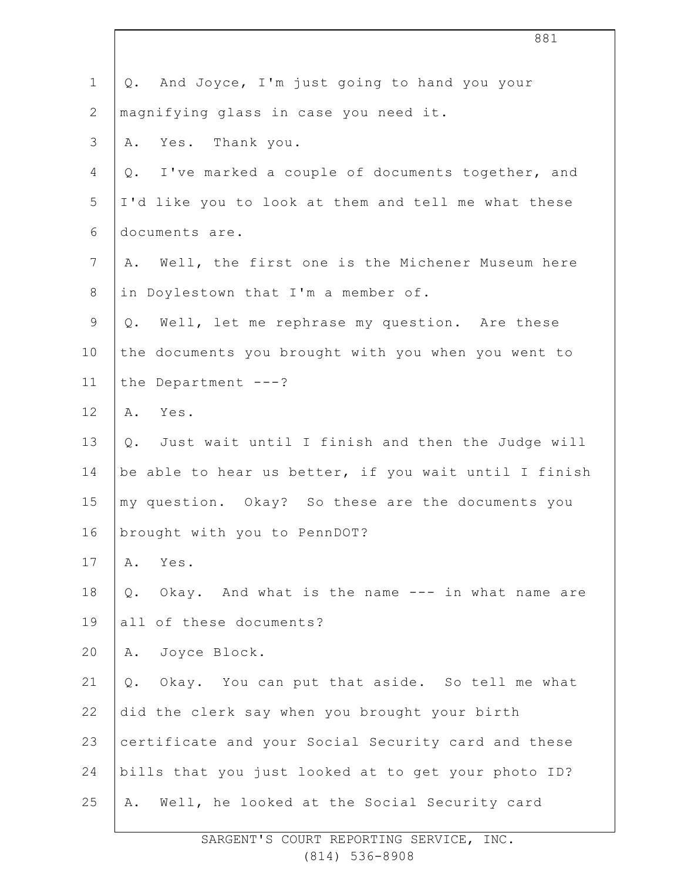| $\mathbf 1$    | And Joyce, I'm just going to hand you your<br>Q.         |
|----------------|----------------------------------------------------------|
| $\mathbf{2}$   | magnifying glass in case you need it.                    |
| $\mathcal{S}$  | Yes. Thank you.<br>Α.                                    |
| 4              | I've marked a couple of documents together, and<br>Q.    |
| 5              | I'd like you to look at them and tell me what these      |
| 6              | documents are.                                           |
| $\overline{7}$ | Well, the first one is the Michener Museum here<br>Α.    |
| $8\,$          | in Doylestown that I'm a member of.                      |
| $\mathsf 9$    | Well, let me rephrase my question. Are these<br>Q.       |
| 10             | the documents you brought with you when you went to      |
| 11             | the Department $---?$                                    |
| 12             | Α.<br>Yes.                                               |
| 13             | Q. Just wait until I finish and then the Judge will      |
| 14             | be able to hear us better, if you wait until I finish    |
| 15             | my question. Okay? So these are the documents you        |
| 16             | brought with you to PennDOT?                             |
| 17             | Yes.<br>Α.                                               |
| 18             | Okay. And what is the name --- in what name are<br>$Q$ . |
| 19             | all of these documents?                                  |
| 20             | Joyce Block.<br>Α.                                       |
| 21             | Okay. You can put that aside. So tell me what<br>Q.      |
| 22             | did the clerk say when you brought your birth            |
| 23             | certificate and your Social Security card and these      |
| 24             | bills that you just looked at to get your photo ID?      |
| 25             | Well, he looked at the Social Security card<br>Α.        |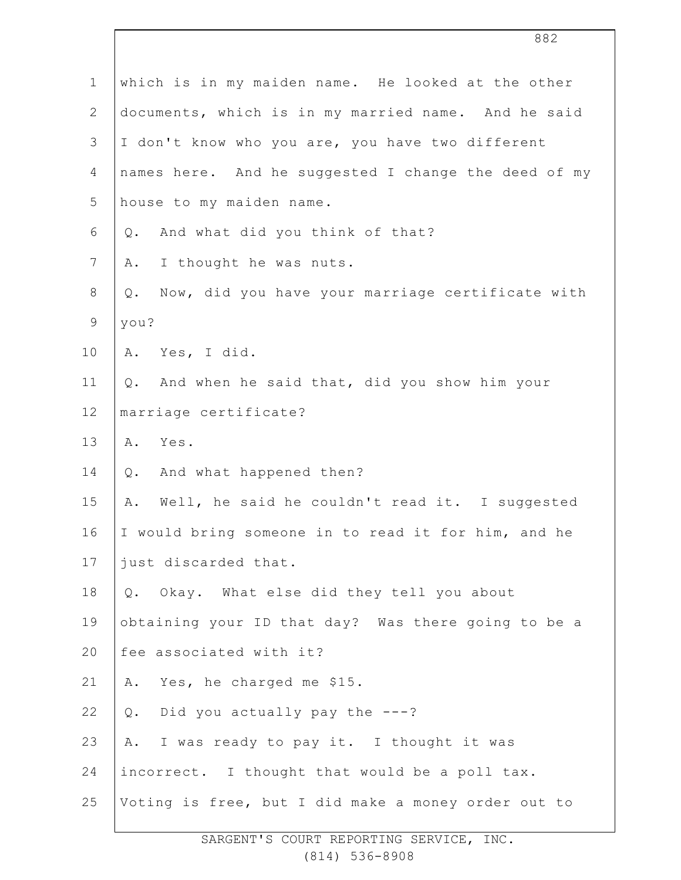| $\mathbf 1$    | which is in my maiden name. He looked at the other     |
|----------------|--------------------------------------------------------|
| $\mathbf{2}$   | documents, which is in my married name. And he said    |
| 3              | I don't know who you are, you have two different       |
| $\overline{4}$ | names here. And he suggested I change the deed of my   |
| 5              | house to my maiden name.                               |
| 6              | And what did you think of that?<br>Q.                  |
| 7              | I thought he was nuts.<br>Α.                           |
| $8\,$          | Now, did you have your marriage certificate with<br>Q. |
| 9              | you?                                                   |
| 10             | A. Yes, I did.                                         |
| 11             | And when he said that, did you show him your<br>Q.     |
| 12             | marriage certificate?                                  |
| 13             | Yes.<br>Α.                                             |
| 14             | And what happened then?<br>Q.                          |
| 15             | Well, he said he couldn't read it. I suggested<br>Α.   |
| 16             | I would bring someone in to read it for him, and he    |
| 17             | just discarded that.                                   |
| 18             | Q. Okay. What else did they tell you about             |
| 19             | obtaining your ID that day? Was there going to be a    |
| 20             | fee associated with it?                                |
| 21             | Yes, he charged me \$15.<br>Α.                         |
| 22             | Did you actually pay the $---?$<br>$Q$ .               |
| 23             | A. I was ready to pay it. I thought it was             |
| 24             | incorrect. I thought that would be a poll tax.         |
| 25             | Voting is free, but I did make a money order out to    |
|                |                                                        |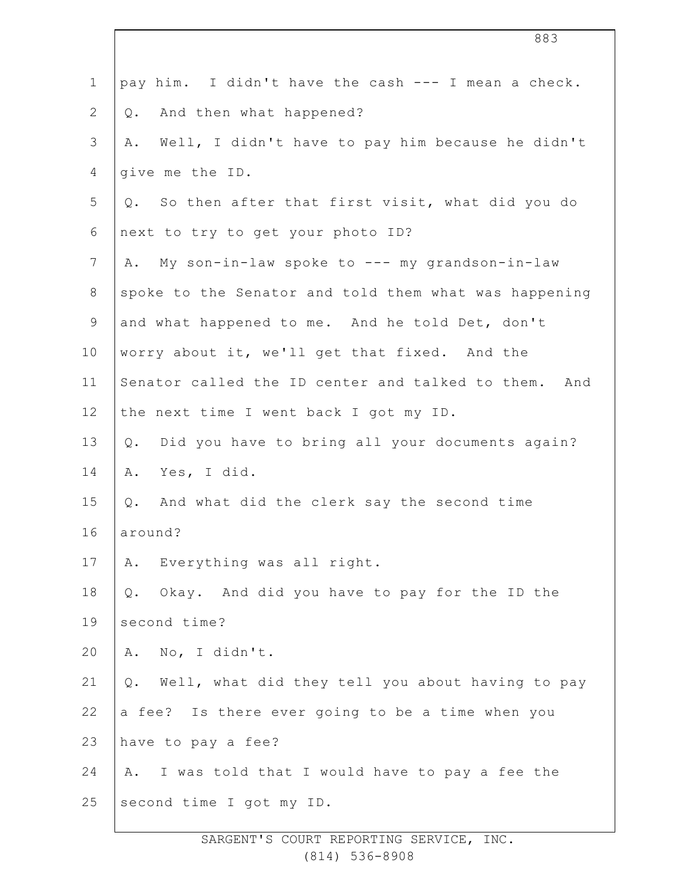| $\mathbf 1$    | pay him. I didn't have the cash --- I mean a check.    |
|----------------|--------------------------------------------------------|
| $\overline{2}$ | And then what happened?<br>Q.                          |
| 3              | Well, I didn't have to pay him because he didn't<br>Α. |
| 4              | give me the ID.                                        |
| 5              | Q. So then after that first visit, what did you do     |
| 6              | next to try to get your photo ID?                      |
| 7              | A. My son-in-law spoke to --- my grandson-in-law       |
| 8              | spoke to the Senator and told them what was happening  |
| $\mathsf 9$    | and what happened to me. And he told Det, don't        |
| 10             | worry about it, we'll get that fixed. And the          |
| 11             | Senator called the ID center and talked to them. And   |
| 12             | the next time I went back I got my ID.                 |
| 13             | Did you have to bring all your documents again?<br>Q.  |
| 14             | Yes, I did.<br>Α.                                      |
| 15             | And what did the clerk say the second time<br>Q.       |
| 16             | around?                                                |
| 17             | Everything was all right.<br>Α.                        |
| 18             | Q. Okay. And did you have to pay for the ID the        |
| 19             | second time?                                           |
| 20             | A. No, I didn't.                                       |
| 21             | Well, what did they tell you about having to pay<br>Q. |
| 22             | a fee? Is there ever going to be a time when you       |
| 23             | have to pay a fee?                                     |
| 24             | I was told that I would have to pay a fee the<br>Α.    |
| 25             | second time I got my ID.                               |
|                |                                                        |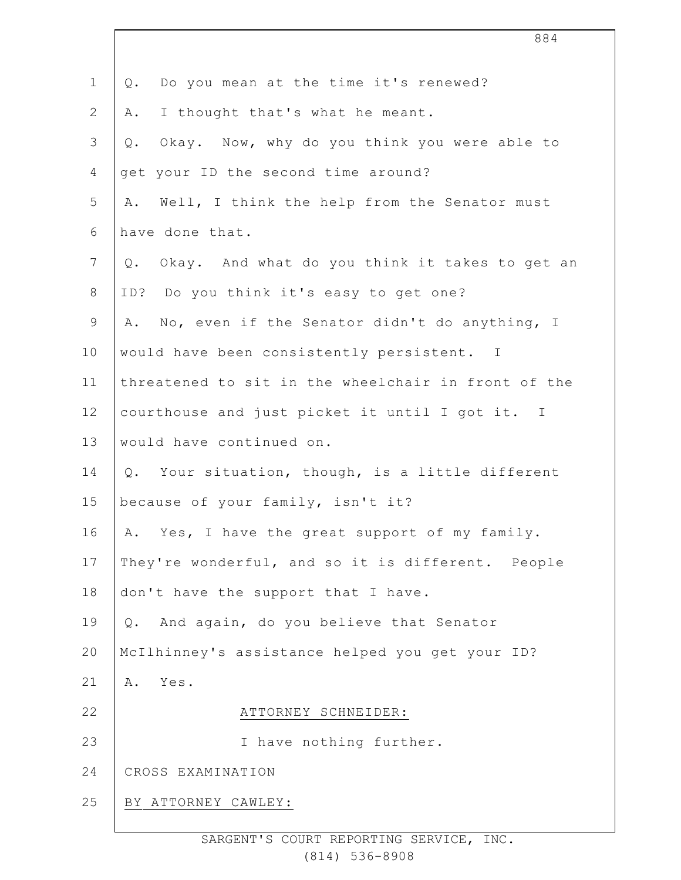| Q. Do you mean at the time it's renewed?              |
|-------------------------------------------------------|
| I thought that's what he meant.<br>Α.                 |
| Okay. Now, why do you think you were able to<br>$Q$ . |
| get your ID the second time around?                   |
| Well, I think the help from the Senator must<br>Α.    |
| have done that.                                       |
| Okay. And what do you think it takes to get an<br>Q.  |
| ID? Do you think it's easy to get one?                |
| A. No, even if the Senator didn't do anything, I      |
| would have been consistently persistent. I            |
| threatened to sit in the wheelchair in front of the   |
| courthouse and just picket it until I got it. I       |
| would have continued on.                              |
| Q. Your situation, though, is a little different      |
| because of your family, isn't it?                     |
| A. Yes, I have the great support of my family.        |
| They're wonderful, and so it is different. People     |
| don't have the support that I have.                   |
| And again, do you believe that Senator<br>Q.          |
| McIlhinney's assistance helped you get your ID?       |
| Yes.<br>Α.                                            |
| ATTORNEY SCHNEIDER:                                   |
| I have nothing further.                               |
| CROSS EXAMINATION                                     |
| BY ATTORNEY CAWLEY:                                   |
|                                                       |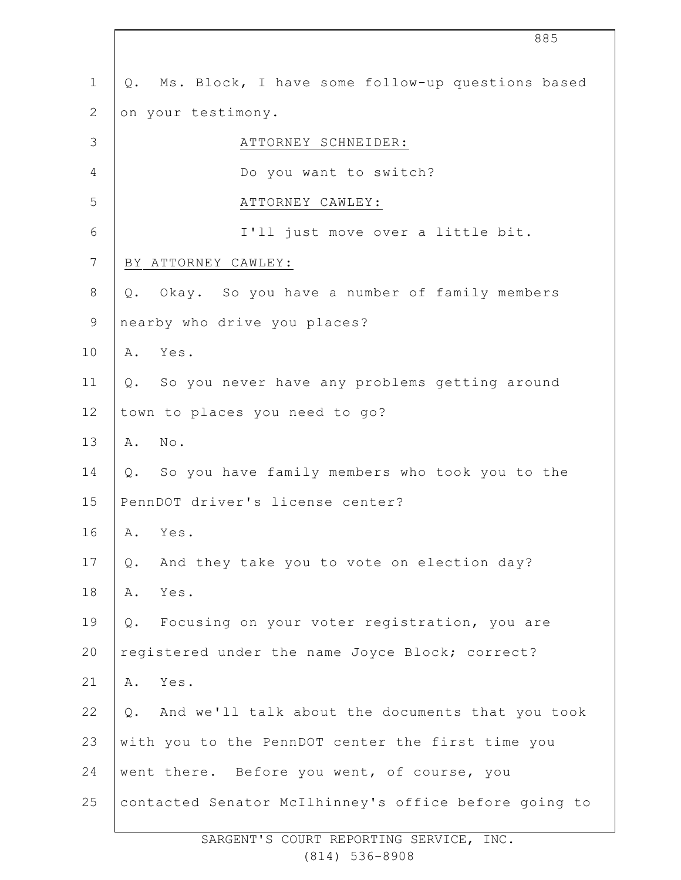|                | 885                                                       |
|----------------|-----------------------------------------------------------|
| $\mathbf 1$    | Ms. Block, I have some follow-up questions based<br>Q.    |
| $\mathbf{2}$   | on your testimony.                                        |
| 3              | ATTORNEY SCHNEIDER:                                       |
| 4              | Do you want to switch?                                    |
| 5              | ATTORNEY CAWLEY:                                          |
| 6              | I'll just move over a little bit.                         |
| $\overline{7}$ | BY ATTORNEY CAWLEY:                                       |
| 8              | Okay. So you have a number of family members<br>Q.        |
| $\mathsf 9$    | nearby who drive you places?                              |
| 10             | Yes.<br>Α.                                                |
| 11             | So you never have any problems getting around<br>$Q$ .    |
| 12             | town to places you need to go?                            |
| 13             | A. No.                                                    |
| 14             | Q. So you have family members who took you to the         |
| 15             | PennDOT driver's license center?                          |
| 16             | A. Yes.                                                   |
| $17$           | And they take you to vote on election day?<br>Q.          |
| 18             | Yes.<br>Α.                                                |
| 19             | Focusing on your voter registration, you are<br>$Q$ .     |
| 20             | registered under the name Joyce Block; correct?           |
| 21             | Yes.<br>Α.                                                |
| 22             | And we'll talk about the documents that you took<br>$Q$ . |
| 23             | with you to the PennDOT center the first time you         |
| 24             | went there. Before you went, of course, you               |
| 25             | contacted Senator McIlhinney's office before going to     |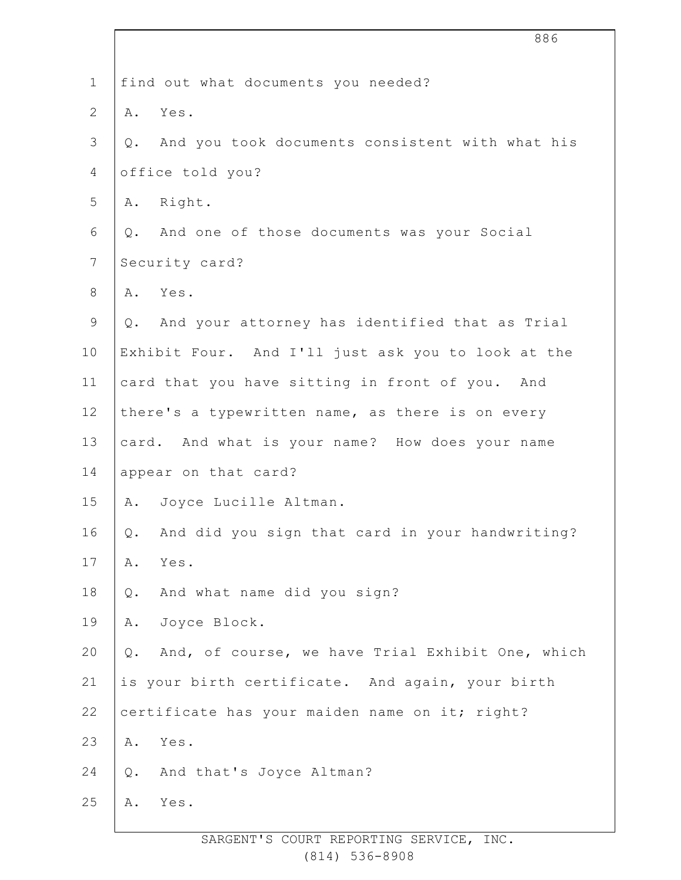|                | 886                                                    |
|----------------|--------------------------------------------------------|
| $\mathbf 1$    | find out what documents you needed?                    |
| $\mathbf{2}$   | Yes.<br>Α.                                             |
| $\mathcal{S}$  | And you took documents consistent with what his<br>Q.  |
| 4              | office told you?                                       |
| 5              | A. Right.                                              |
| 6              | And one of those documents was your Social<br>Q.       |
| $7\phantom{.}$ | Security card?                                         |
| $\,8\,$        | A. Yes.                                                |
| $\mathsf 9$    | Q. And your attorney has identified that as Trial      |
| 10             | Exhibit Four. And I'll just ask you to look at the     |
| 11             | card that you have sitting in front of you. And        |
| 12             | there's a typewritten name, as there is on every       |
| 13             | card. And what is your name? How does your name        |
| 14             | appear on that card?                                   |
| 15             | Joyce Lucille Altman.<br>A.                            |
| 16             | And did you sign that card in your handwriting?<br>Q.  |
| 17             | Yes.<br>Α.                                             |
| 18             | And what name did you sign?<br>Q.                      |
| 19             | Joyce Block.<br>Α.                                     |
| 20             | And, of course, we have Trial Exhibit One, which<br>Q. |
| 21             | is your birth certificate. And again, your birth       |
| 22             | certificate has your maiden name on it; right?         |
| 23             | Yes.<br>Α.                                             |
| 24             | And that's Joyce Altman?<br>Q.                         |
| 25             | Yes.<br>Α.                                             |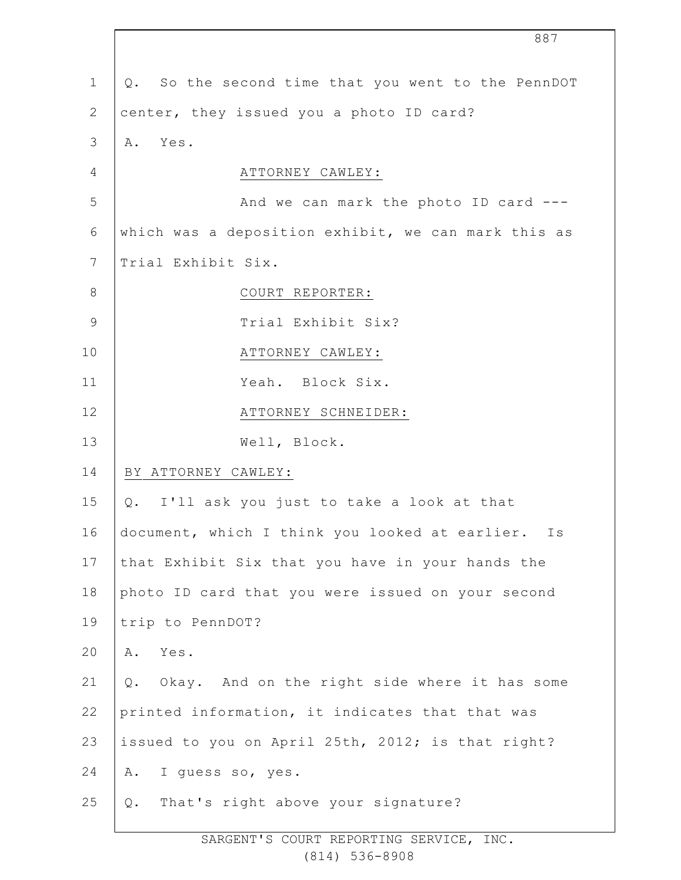|                | 887                                                 |
|----------------|-----------------------------------------------------|
| $\mathbf 1$    | Q. So the second time that you went to the PennDOT  |
| $\mathbf{2}$   | center, they issued you a photo ID card?            |
| 3              | Yes.<br>Α.                                          |
| 4              | ATTORNEY CAWLEY:                                    |
| 5              | And we can mark the photo ID card ---               |
| 6              | which was a deposition exhibit, we can mark this as |
| $7\phantom{.}$ | Trial Exhibit Six.                                  |
| $8\,$          | COURT REPORTER:                                     |
| $\mathcal{G}$  | Trial Exhibit Six?                                  |
| 10             | ATTORNEY CAWLEY:                                    |
| 11             | Yeah. Block Six.                                    |
| 12             | ATTORNEY SCHNEIDER:                                 |
| 13             | Well, Block.                                        |
| 14             | BY ATTORNEY CAWLEY:                                 |
| 15             | I'll ask you just to take a look at that<br>Q.      |
| 16             | document, which I think you looked at earlier. Is   |
| 17             | that Exhibit Six that you have in your hands the    |
| 18             | photo ID card that you were issued on your second   |
| 19             | trip to PennDOT?                                    |
| 20             | Yes.<br>Α.                                          |
| 21             | Okay. And on the right side where it has some<br>Q. |
| 22             | printed information, it indicates that that was     |
| 23             | issued to you on April 25th, 2012; is that right?   |
| 24             | I guess so, yes.<br>Α.                              |
| 25             | That's right above your signature?<br>$Q$ .         |
|                |                                                     |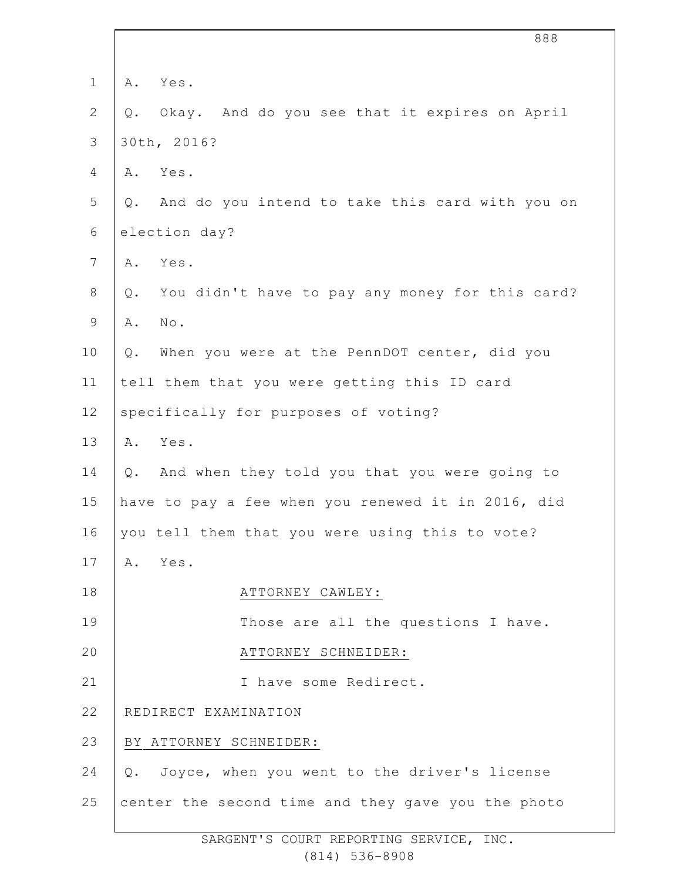| $\mathbf 1$     | Yes.<br>Α.                                             |
|-----------------|--------------------------------------------------------|
| $\mathbf{2}$    | Okay. And do you see that it expires on April<br>$Q$ . |
| 3               | 30th, 2016?                                            |
| $\overline{4}$  | Yes.<br>Α.                                             |
| 5               | And do you intend to take this card with you on<br>Q.  |
| 6               | election day?                                          |
| $7\phantom{.0}$ | Yes.<br>Α.                                             |
| $8\,$           | You didn't have to pay any money for this card?<br>Q.  |
| $\mathsf 9$     | No.<br>Α.                                              |
| 10              | When you were at the PennDOT center, did you<br>$Q$ .  |
| 11              | tell them that you were getting this ID card           |
| 12              | specifically for purposes of voting?                   |
| 13              | Yes.<br>Α.                                             |
| 14              | And when they told you that you were going to<br>$Q$ . |
| 15              | have to pay a fee when you renewed it in 2016, did     |
| 16              | you tell them that you were using this to vote?        |
| 17              | Yes.<br>Α.                                             |
| 18              | ATTORNEY CAWLEY:                                       |
| 19              | Those are all the questions I have.                    |
| 20              | ATTORNEY SCHNEIDER:                                    |
| 21              | I have some Redirect.                                  |
| 22              | REDIRECT EXAMINATION                                   |
| 23              | BY ATTORNEY SCHNEIDER:                                 |
| 24              | Q. Joyce, when you went to the driver's license        |
| 25              | center the second time and they gave you the photo     |
|                 |                                                        |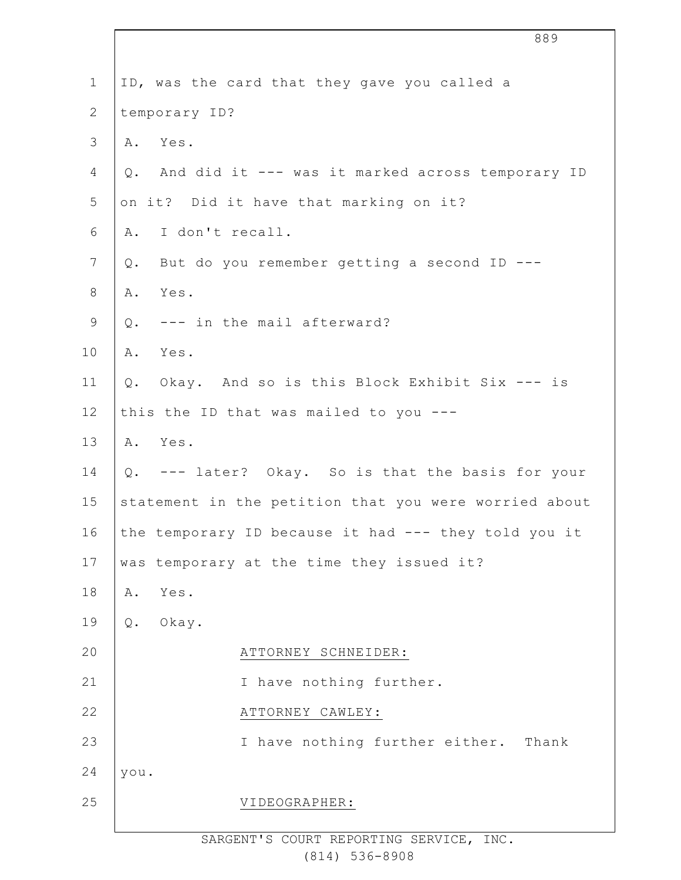| $\mathbf 1$     | ID, was the card that they gave you called a           |
|-----------------|--------------------------------------------------------|
| $\overline{2}$  | temporary ID?                                          |
| 3               | Yes.<br>Α.                                             |
| 4               | And did it --- was it marked across temporary ID<br>Q. |
| 5               | on it? Did it have that marking on it?                 |
| 6               | I don't recall.<br>Α.                                  |
| $7\phantom{.0}$ | But do you remember getting a second ID ---<br>Q.      |
| $\,8\,$         | Yes.<br>Α.                                             |
| $\mathsf 9$     | Q. --- in the mail afterward?                          |
| 10              | Yes.<br>Α.                                             |
| 11              | Okay. And so is this Block Exhibit Six --- is<br>Q.    |
| 12              | this the ID that was mailed to you $--$                |
| 13              | A. Yes.                                                |
| 14              | Q. --- later? Okay. So is that the basis for your      |
| 15              | statement in the petition that you were worried about  |
| 16              | the temporary ID because it had --- they told you it   |
| 17              | was temporary at the time they issued it?              |
| 18              | Yes.<br>Α.                                             |
| 19              | Okay.<br>Q.                                            |
| 20              | ATTORNEY SCHNEIDER:                                    |
| 21              | I have nothing further.                                |
| 22              | ATTORNEY CAWLEY:                                       |
| 23              | I have nothing further either. Thank                   |
| 24              | you.                                                   |
| 25              | VIDEOGRAPHER:                                          |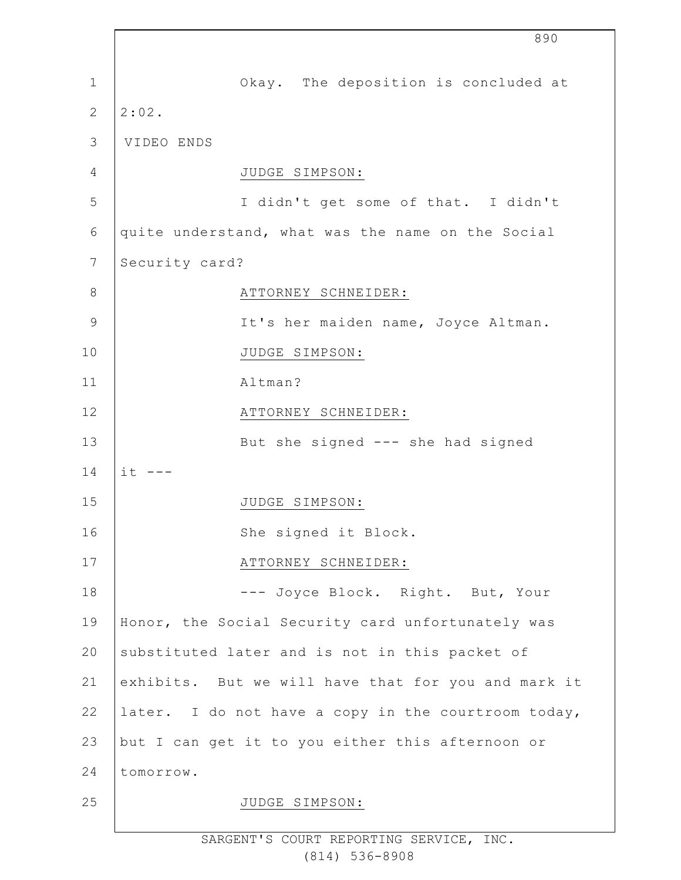|               |                | 890                                                 |
|---------------|----------------|-----------------------------------------------------|
| 1             |                | Okay. The deposition is concluded at                |
| 2             | 2:02.          |                                                     |
| 3             | VIDEO ENDS     |                                                     |
| 4             |                | JUDGE SIMPSON:                                      |
| 5             |                | I didn't get some of that. I didn't                 |
| 6             |                | quite understand, what was the name on the Social   |
| 7             | Security card? |                                                     |
| 8             |                | ATTORNEY SCHNEIDER:                                 |
| $\mathcal{G}$ |                | It's her maiden name, Joyce Altman.                 |
| 10            |                | JUDGE SIMPSON:                                      |
| 11            |                | Altman?                                             |
| 12            |                | ATTORNEY SCHNEIDER:                                 |
| 13            |                | But she signed --- she had signed                   |
| 14            | $it$ $---$     |                                                     |
| 15            |                | JUDGE SIMPSON:                                      |
| 16            |                | She signed it Block.                                |
| 17            |                | ATTORNEY SCHNEIDER:                                 |
| 18            |                | --- Joyce Block. Right. But, Your                   |
| 19            |                | Honor, the Social Security card unfortunately was   |
| 20            |                | substituted later and is not in this packet of      |
| 21            |                | exhibits. But we will have that for you and mark it |
| 22            |                | later. I do not have a copy in the courtroom today, |
| 23            |                | but I can get it to you either this afternoon or    |
| 24            | tomorrow.      |                                                     |
| 25            |                | JUDGE SIMPSON:                                      |
|               |                |                                                     |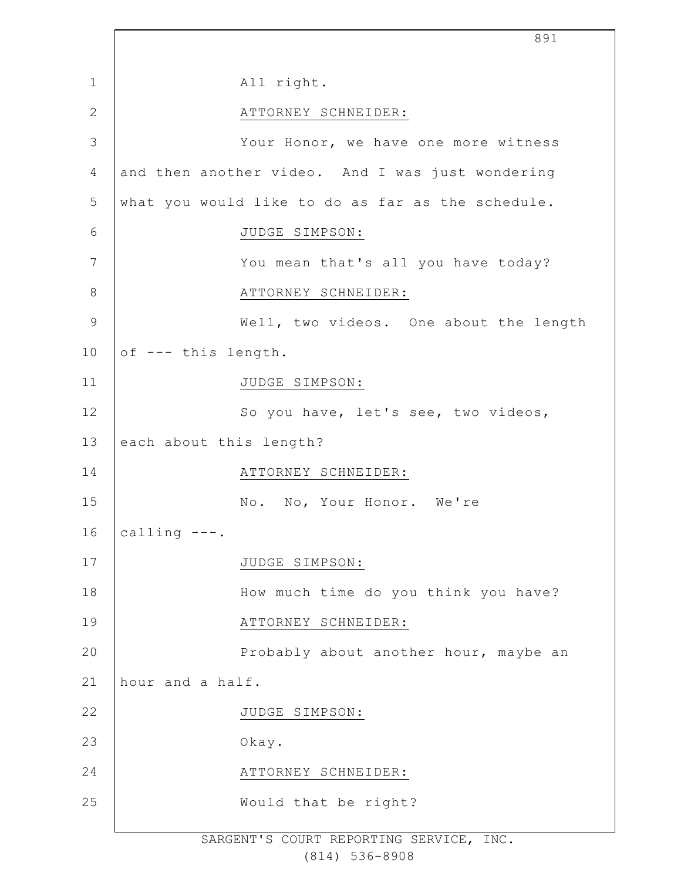|              | 891                                               |
|--------------|---------------------------------------------------|
| $\mathbf 1$  | All right.                                        |
| $\mathbf{2}$ | ATTORNEY SCHNEIDER:                               |
| 3            | Your Honor, we have one more witness              |
| 4            | and then another video. And I was just wondering  |
| 5            | what you would like to do as far as the schedule. |
| 6            | JUDGE SIMPSON:                                    |
| 7            | You mean that's all you have today?               |
| $8\,$        | ATTORNEY SCHNEIDER:                               |
| $\mathsf 9$  | Well, two videos. One about the length            |
| 10           | of --- this length.                               |
| 11           | JUDGE SIMPSON:                                    |
| 12           | So you have, let's see, two videos,               |
| 13           | each about this length?                           |
| 14           | ATTORNEY SCHNEIDER:                               |
| 15           | No. No, Your Honor. We're                         |
| 16           | calling $---$ .                                   |
| 17           | JUDGE SIMPSON:                                    |
| 18           | How much time do you think you have?              |
| 19           | ATTORNEY SCHNEIDER:                               |
| 20           | Probably about another hour, maybe an             |
| 21           | hour and a half.                                  |
| 22           | JUDGE SIMPSON:                                    |
| 23           | Okay.                                             |
| 24           | ATTORNEY SCHNEIDER:                               |
| 25           | Would that be right?                              |
|              |                                                   |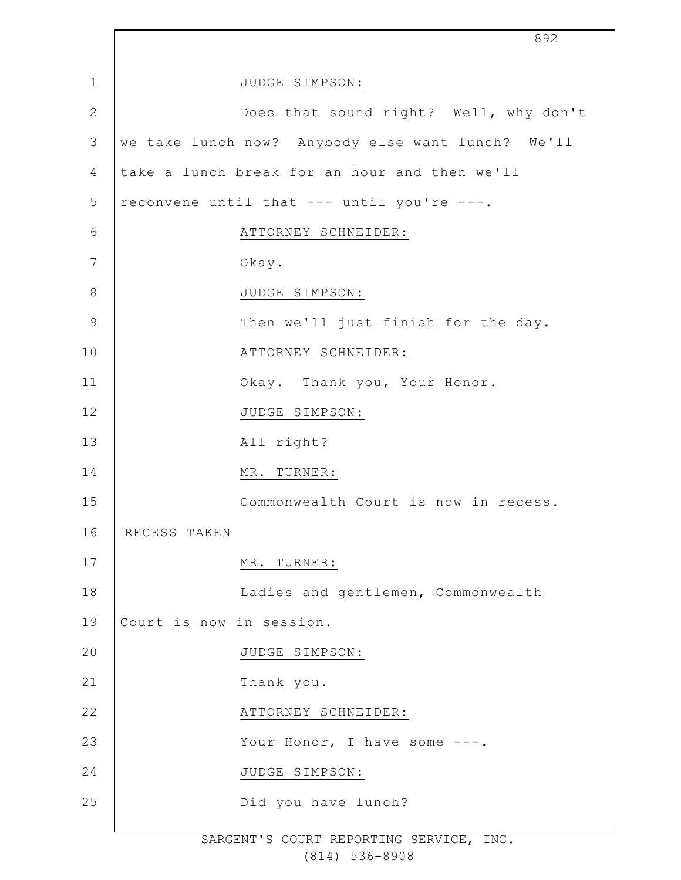|                | 892                                               |
|----------------|---------------------------------------------------|
| $\mathbf 1$    | JUDGE SIMPSON:                                    |
| $\mathbf{2}$   | Does that sound right? Well, why don't            |
| 3              | we take lunch now? Anybody else want lunch? We'll |
| 4              | take a lunch break for an hour and then we'll     |
| 5              | reconvene until that --- until you're ---.        |
| 6              | ATTORNEY SCHNEIDER:                               |
| $\overline{7}$ | Okay.                                             |
| 8              | JUDGE SIMPSON:                                    |
| $\mathcal{G}$  | Then we'll just finish for the day.               |
| 10             | ATTORNEY SCHNEIDER:                               |
| 11             | Okay. Thank you, Your Honor.                      |
| 12             | JUDGE SIMPSON:                                    |
| 13             | All right?                                        |
| 14             | MR. TURNER:                                       |
| 15             | Commonwealth Court is now in recess.              |
| 16             | RECESS TAKEN                                      |
| 17             | MR. TURNER:                                       |
| 18             | Ladies and gentlemen, Commonwealth                |
| 19             | Court is now in session.                          |
| 20             | JUDGE SIMPSON:                                    |
| 21             | Thank you.                                        |
| 22             | ATTORNEY SCHNEIDER:                               |
| 23             | Your Honor, I have some ---.                      |
| 24             | JUDGE SIMPSON:                                    |
| 25             | Did you have lunch?                               |
|                |                                                   |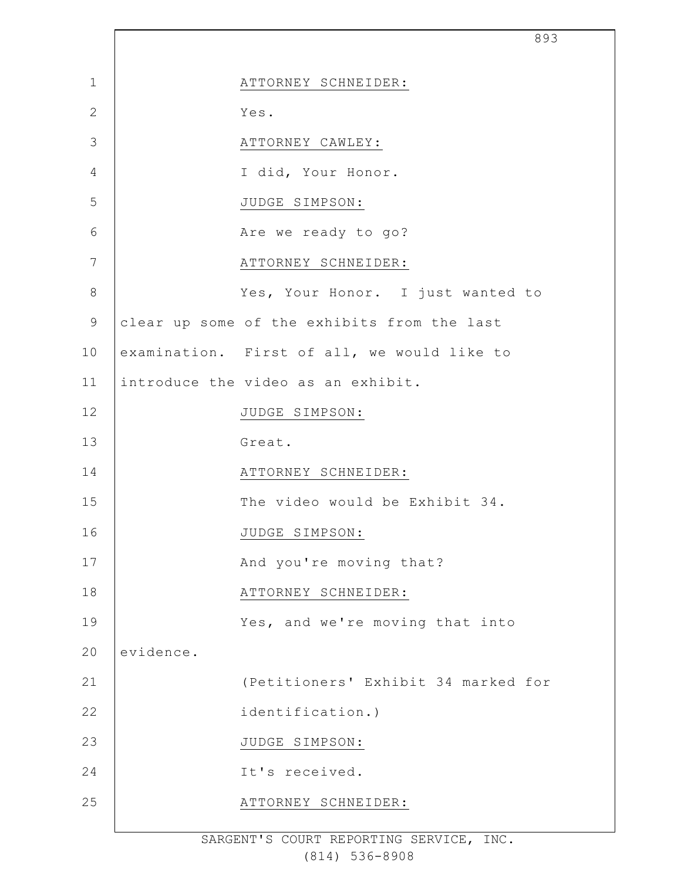|                |           |                                             | 893 |
|----------------|-----------|---------------------------------------------|-----|
| $\mathbf 1$    |           | ATTORNEY SCHNEIDER:                         |     |
| $\overline{2}$ |           | Yes.                                        |     |
| 3              |           | ATTORNEY CAWLEY:                            |     |
| $\overline{4}$ |           | I did, Your Honor.                          |     |
| 5              |           | JUDGE SIMPSON:                              |     |
| 6              |           | Are we ready to go?                         |     |
| 7              |           | ATTORNEY SCHNEIDER:                         |     |
| $\,8\,$        |           | Yes, Your Honor. I just wanted to           |     |
| $\mathsf 9$    |           | clear up some of the exhibits from the last |     |
| 10             |           | examination. First of all, we would like to |     |
| 11             |           | introduce the video as an exhibit.          |     |
| 12             |           | JUDGE SIMPSON:                              |     |
| 13             |           | Great.                                      |     |
| 14             |           | ATTORNEY SCHNEIDER:                         |     |
| 15             |           | The video would be Exhibit 34.              |     |
| 16             |           | JUDGE SIMPSON:                              |     |
| 17             |           | And you're moving that?                     |     |
| 18             |           | ATTORNEY SCHNEIDER:                         |     |
| 19             |           | Yes, and we're moving that into             |     |
| 20             | evidence. |                                             |     |
| 21             |           | (Petitioners' Exhibit 34 marked for         |     |
| 22             |           | identification.)                            |     |
| 23             |           | JUDGE SIMPSON:                              |     |
| 24             |           | It's received.                              |     |
| 25             |           | ATTORNEY SCHNEIDER:                         |     |
|                |           |                                             |     |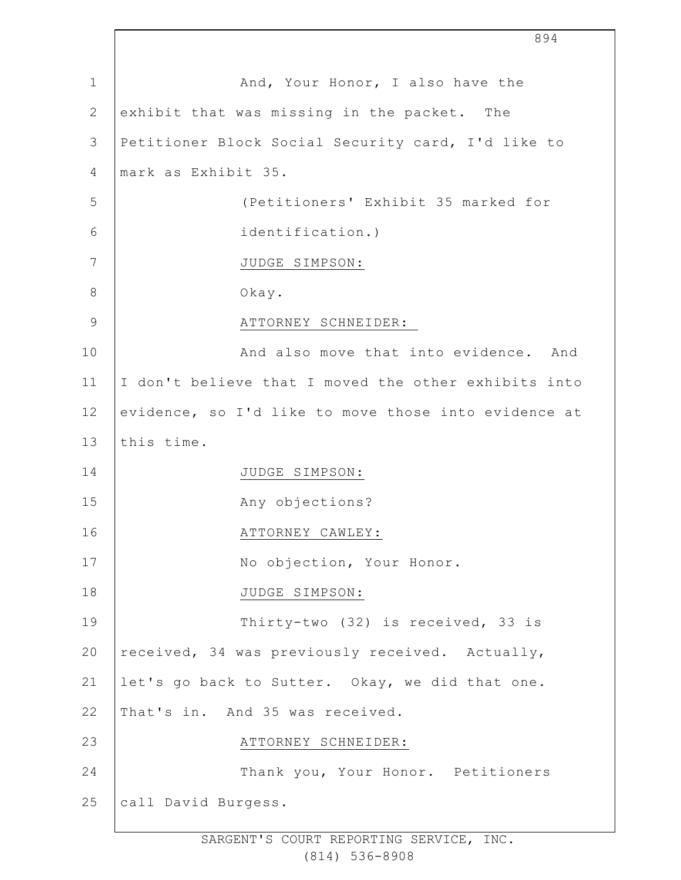|               | 894                                                  |
|---------------|------------------------------------------------------|
| $\mathbf 1$   | And, Your Honor, I also have the                     |
| $\mathbf{2}$  | exhibit that was missing in the packet. The          |
| 3             | Petitioner Block Social Security card, I'd like to   |
| 4             | mark as Exhibit 35.                                  |
| 5             | (Petitioners' Exhibit 35 marked for                  |
| 6             | identification.)                                     |
| 7             | JUDGE SIMPSON:                                       |
| $8\,$         | Okay.                                                |
| $\mathcal{G}$ | ATTORNEY SCHNEIDER:                                  |
| 10            | And also move that into evidence. And                |
| 11            | I don't believe that I moved the other exhibits into |
| 12            | evidence, so I'd like to move those into evidence at |
| 13            | this time.                                           |
| 14            | JUDGE SIMPSON:                                       |
| 15            | Any objections?                                      |
| 16            | ATTORNEY CAWLEY:                                     |
| 17            | No objection, Your Honor.                            |
| 18            | JUDGE SIMPSON:                                       |
| 19            | Thirty-two (32) is received, 33 is                   |
| 20            | received, 34 was previously received. Actually,      |
| 21            | let's go back to Sutter. Okay, we did that one.      |
| 22            | That's in. And 35 was received.                      |
| 23            | ATTORNEY SCHNEIDER:                                  |
| 24            | Thank you, Your Honor. Petitioners                   |
| 25            | call David Burgess.                                  |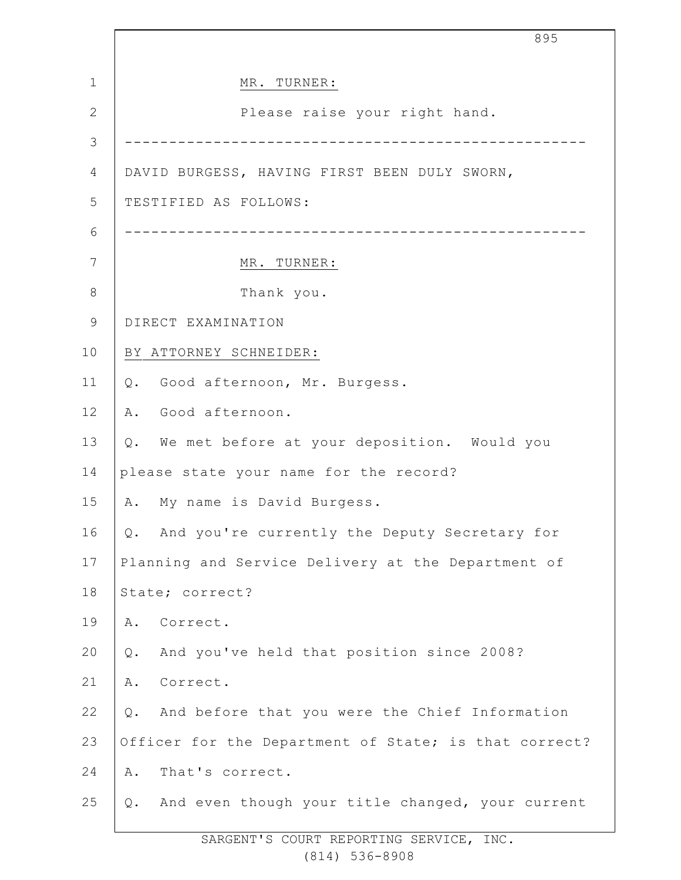|               | 895                                                    |
|---------------|--------------------------------------------------------|
| 1             | MR. TURNER:                                            |
| $\mathbf{2}$  | Please raise your right hand.                          |
| 3             |                                                        |
| 4             | DAVID BURGESS, HAVING FIRST BEEN DULY SWORN,           |
| 5             | TESTIFIED AS FOLLOWS:                                  |
| 6             |                                                        |
| 7             | MR. TURNER:                                            |
| $8\,$         | Thank you.                                             |
| $\mathcal{G}$ | DIRECT EXAMINATION                                     |
| 10            | BY ATTORNEY SCHNEIDER:                                 |
| 11            | Q. Good afternoon, Mr. Burgess.                        |
| 12            | Good afternoon.<br>Α.                                  |
| 13            | Q. We met before at your deposition. Would you         |
| 14            | please state your name for the record?                 |
| 15            | My name is David Burgess.<br>Α.                        |
| 16            | And you're currently the Deputy Secretary for<br>Q.    |
| 17            | Planning and Service Delivery at the Department of     |
| 18            | State; correct?                                        |
| 19            | Α.<br>Correct.                                         |
| 20            | And you've held that position since 2008?<br>Q.        |
| 21            | Correct.<br>Α.                                         |
| 22            | And before that you were the Chief Information<br>Q.   |
| 23            | Officer for the Department of State; is that correct?  |
| 24            | That's correct.<br>Α.                                  |
| 25            | And even though your title changed, your current<br>Q. |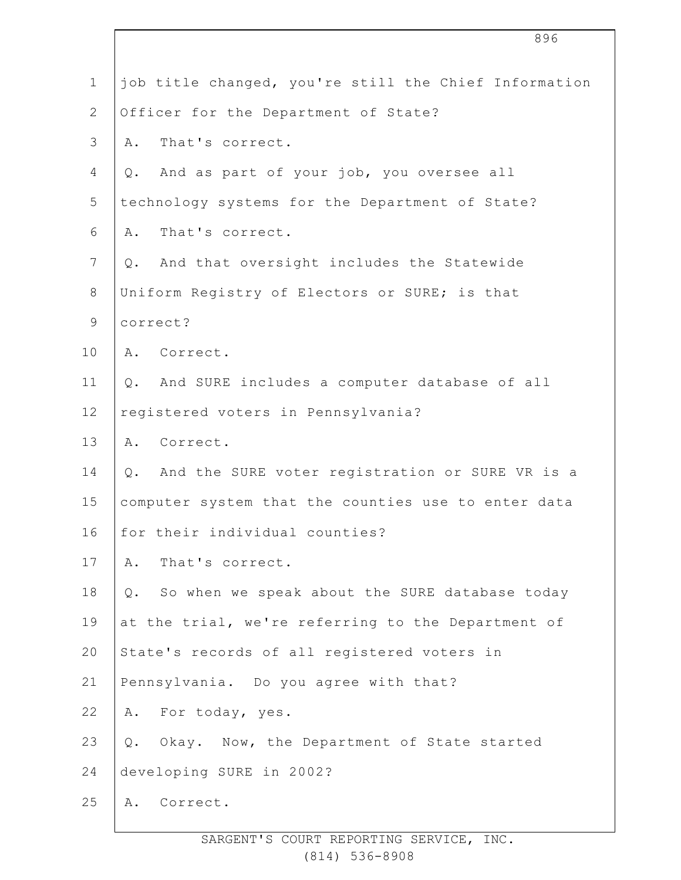|                | 896                                                   |
|----------------|-------------------------------------------------------|
| $\mathbf 1$    | job title changed, you're still the Chief Information |
| $\overline{2}$ | Officer for the Department of State?                  |
| 3              | That's correct.<br>Α.                                 |
| 4              | And as part of your job, you oversee all<br>Q.        |
| 5              | technology systems for the Department of State?       |
| 6              | That's correct.<br>Α.                                 |
| $7\phantom{.}$ | Q. And that oversight includes the Statewide          |
| $8\,$          | Uniform Registry of Electors or SURE; is that         |
| $\mathsf 9$    | correct?                                              |
| 10             | A. Correct.                                           |
| 11             | Q. And SURE includes a computer database of all       |
| 12             | registered voters in Pennsylvania?                    |
| 13             | A. Correct.                                           |
| 14             | And the SURE voter registration or SURE VR is a<br>Q. |
| 15             | computer system that the counties use to enter data   |
| 16             | for their individual counties?                        |
| 17             | That's correct.<br>Α.                                 |
| 18             | So when we speak about the SURE database today<br>Q.  |
| 19             | at the trial, we're referring to the Department of    |
| 20             | State's records of all registered voters in           |
| 21             | Pennsylvania. Do you agree with that?                 |
| 22             | For today, yes.<br>Α.                                 |
| 23             | Okay. Now, the Department of State started<br>Q.      |
| 24             | developing SURE in 2002?                              |
| 25             | Correct.<br>Α.                                        |
|                |                                                       |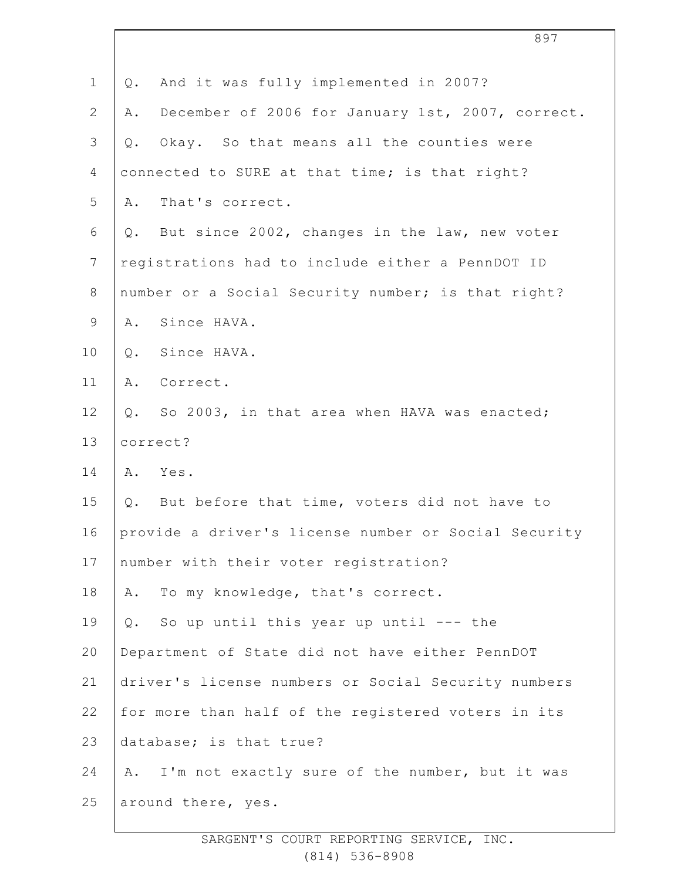| $\mathbf 1$  | And it was fully implemented in 2007?<br>Q.            |
|--------------|--------------------------------------------------------|
| $\mathbf{2}$ | December of 2006 for January 1st, 2007, correct.<br>Α. |
| 3            | Okay. So that means all the counties were<br>$Q$ .     |
| 4            | connected to SURE at that time; is that right?         |
| 5            | That's correct.<br>Α.                                  |
| 6            | Q. But since 2002, changes in the law, new voter       |
| 7            | registrations had to include either a PennDOT ID       |
| $8\,$        | number or a Social Security number; is that right?     |
| 9            | Since HAVA.<br>Α.                                      |
| 10           | Since HAVA.<br>Q.                                      |
| 11           | Correct.<br>Α.                                         |
| 12           | So 2003, in that area when HAVA was enacted;<br>Q.     |
| 13           | correct?                                               |
| 14           | Yes.<br>Α.                                             |
| 15           | Q. But before that time, voters did not have to        |
| 16           | provide a driver's license number or Social Security   |
| 17           | number with their voter registration?                  |
| 18           | To my knowledge, that's correct.<br>Α.                 |
| 19           | So up until this year up until --- the<br>$Q$ .        |
| 20           | Department of State did not have either PennDOT        |
| 21           | driver's license numbers or Social Security numbers    |
| 22           | for more than half of the registered voters in its     |
| 23           | database; is that true?                                |
| 24           | A. I'm not exactly sure of the number, but it was      |
| 25           | around there, yes.                                     |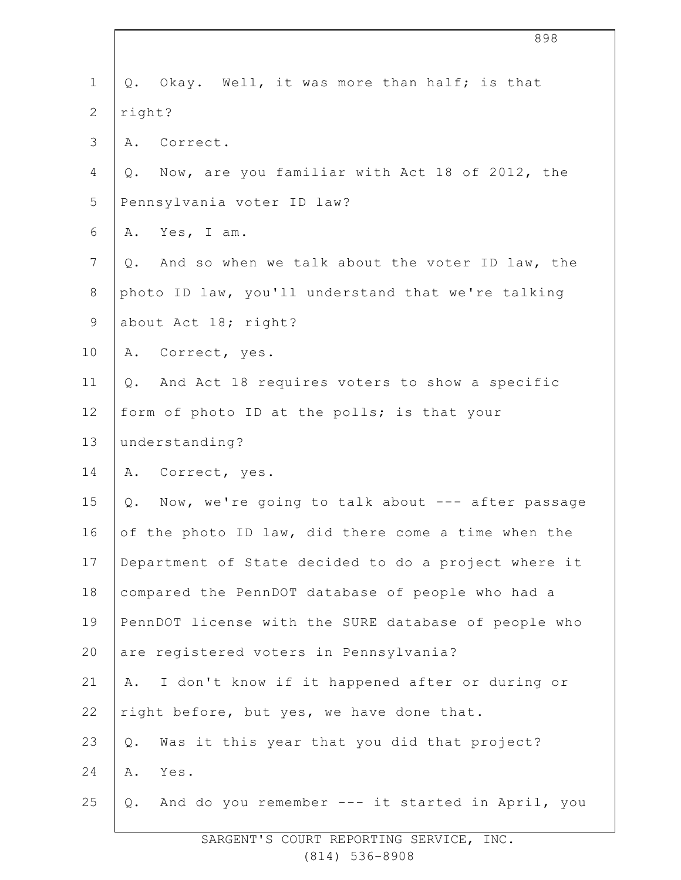| $\mathbf 1$    | Q. Okay. Well, it was more than half; is that                    |
|----------------|------------------------------------------------------------------|
| $\overline{2}$ | right?                                                           |
| $\mathfrak{Z}$ | A. Correct.                                                      |
| 4              | Q. Now, are you familiar with Act 18 of 2012, the                |
| 5              | Pennsylvania voter ID law?                                       |
| 6              | Yes, I am.<br>Α.                                                 |
| $7\phantom{.}$ | And so when we talk about the voter ID law, the<br>$Q_{\bullet}$ |
| $8\,$          | photo ID law, you'll understand that we're talking               |
| $\mathsf 9$    | about Act 18; right?                                             |
| 10             | Correct, yes.<br>Α.                                              |
| 11             | Q. And Act 18 requires voters to show a specific                 |
| 12             | form of photo ID at the polls; is that your                      |
| 13             | understanding?                                                   |
| 14             | Correct, yes.<br>Α.                                              |
| 15             | Now, we're going to talk about --- after passage<br>$Q$ .        |
| 16             | of the photo ID law, did there come a time when the              |
| 17             | Department of State decided to do a project where it             |
| 18             | compared the PennDOT database of people who had a                |
| 19             | PennDOT license with the SURE database of people who             |
| 20             | are registered voters in Pennsylvania?                           |
| 21             | I don't know if it happened after or during or<br>Α.             |
| 22             | right before, but yes, we have done that.                        |
| 23             | Was it this year that you did that project?<br>Q.                |
| 24             | Yes.<br>Α.                                                       |
| 25             | And do you remember --- it started in April, you<br>Q.           |
|                |                                                                  |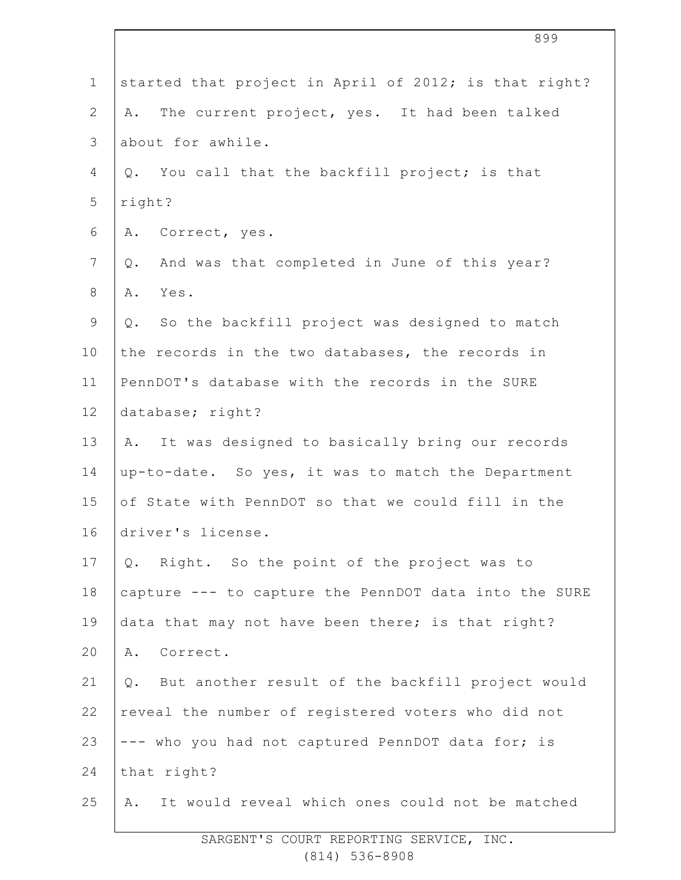| started that project in April of 2012; is that right?  |
|--------------------------------------------------------|
| The current project, yes. It had been talked<br>Α.     |
| about for awhile.                                      |
| You call that the backfill project; is that<br>Q.      |
| right?                                                 |
| Correct, yes.<br>Α.                                    |
| And was that completed in June of this year?<br>Q.     |
| Yes.<br>Α.                                             |
| Q. So the backfill project was designed to match       |
| the records in the two databases, the records in       |
| PennDOT's database with the records in the SURE        |
| database; right?                                       |
| It was designed to basically bring our records<br>A.   |
| up-to-date. So yes, it was to match the Department     |
| of State with PennDOT so that we could fill in the     |
| driver's license.                                      |
| Right. So the point of the project was to<br>Q.        |
| capture --- to capture the PennDOT data into the SURE  |
| data that may not have been there; is that right?      |
| Correct.<br>Α.                                         |
| But another result of the backfill project would<br>Q. |
| reveal the number of registered voters who did not     |
| --- who you had not captured PennDOT data for; is      |
| that right?                                            |
| It would reveal which ones could not be matched<br>Α.  |
|                                                        |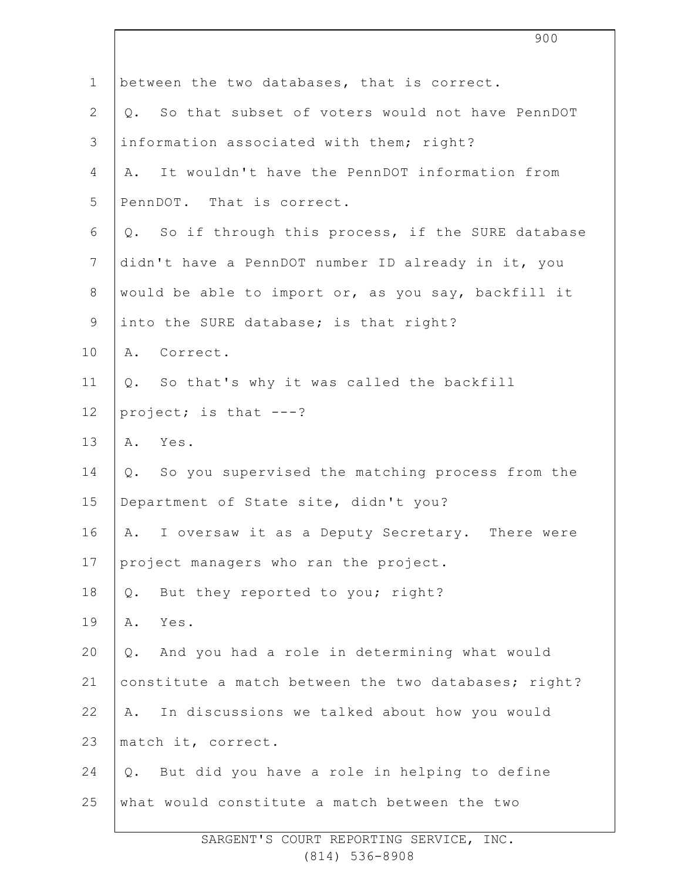| So that subset of voters would not have PennDOT<br>It wouldn't have the PennDOT information from<br>Q. So if through this process, if the SURE database<br>didn't have a PennDOT number ID already in it, you<br>would be able to import or, as you say, backfill it |
|----------------------------------------------------------------------------------------------------------------------------------------------------------------------------------------------------------------------------------------------------------------------|
|                                                                                                                                                                                                                                                                      |
|                                                                                                                                                                                                                                                                      |
|                                                                                                                                                                                                                                                                      |
|                                                                                                                                                                                                                                                                      |
|                                                                                                                                                                                                                                                                      |
|                                                                                                                                                                                                                                                                      |
|                                                                                                                                                                                                                                                                      |
|                                                                                                                                                                                                                                                                      |
|                                                                                                                                                                                                                                                                      |
|                                                                                                                                                                                                                                                                      |
|                                                                                                                                                                                                                                                                      |
|                                                                                                                                                                                                                                                                      |
|                                                                                                                                                                                                                                                                      |
| Q. So you supervised the matching process from the                                                                                                                                                                                                                   |
|                                                                                                                                                                                                                                                                      |
| A. I oversaw it as a Deputy Secretary. There were                                                                                                                                                                                                                    |
|                                                                                                                                                                                                                                                                      |
|                                                                                                                                                                                                                                                                      |
|                                                                                                                                                                                                                                                                      |
| And you had a role in determining what would                                                                                                                                                                                                                         |
| constitute a match between the two databases; right?                                                                                                                                                                                                                 |
| In discussions we talked about how you would                                                                                                                                                                                                                         |
|                                                                                                                                                                                                                                                                      |
| But did you have a role in helping to define                                                                                                                                                                                                                         |
|                                                                                                                                                                                                                                                                      |
|                                                                                                                                                                                                                                                                      |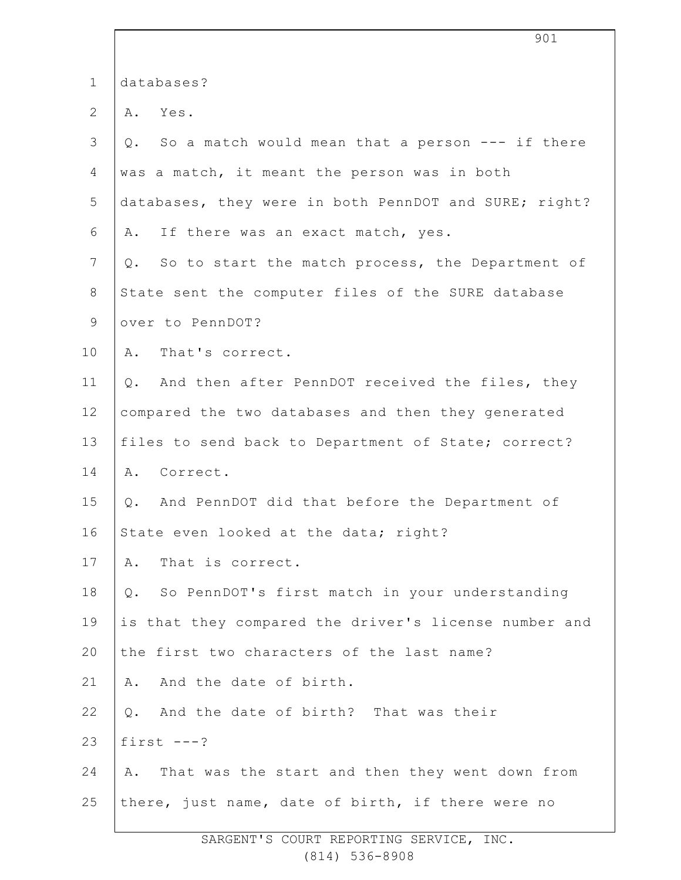|                | ノマエ                                                   |
|----------------|-------------------------------------------------------|
| $\mathbf 1$    | databases?                                            |
| $\overline{2}$ | A. Yes.                                               |
| 3              | Q. So a match would mean that a person --- if there   |
| 4              | was a match, it meant the person was in both          |
| 5              | databases, they were in both PennDOT and SURE; right? |
| 6              | A. If there was an exact match, yes.                  |
| 7              | Q. So to start the match process, the Department of   |
| $8\,$          | State sent the computer files of the SURE database    |
| $\mathsf 9$    | over to PennDOT?                                      |
| 10             | A. That's correct.                                    |
| 11             | Q. And then after PennDOT received the files, they    |
| 12             | compared the two databases and then they generated    |
| 13             | files to send back to Department of State; correct?   |
| 14             | A. Correct.                                           |
| 15             | Q. And PennDOT did that before the Department of      |
| 16             | State even looked at the data; right?                 |
| 17             | That is correct.<br>Α.                                |
| 18             | Q. So PennDOT's first match in your understanding     |
| 19             | is that they compared the driver's license number and |
| 20             | the first two characters of the last name?            |
| 21             | A. And the date of birth.                             |
| 22             | Q. And the date of birth? That was their              |
| 23             | first $---?$                                          |
| 24             | A. That was the start and then they went down from    |
| 25             | there, just name, date of birth, if there were no     |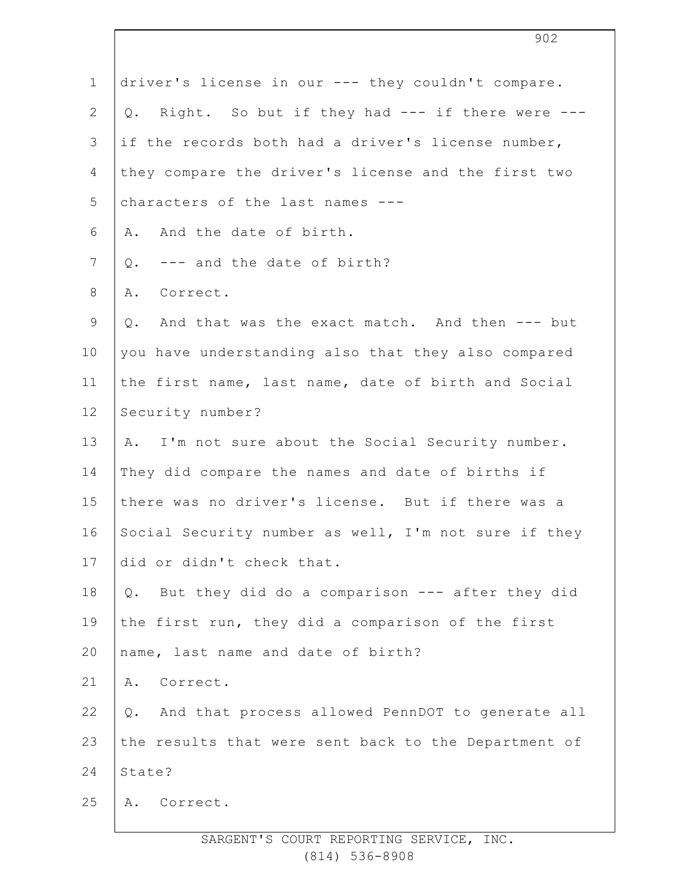| $\mathbf 1$    | driver's license in our --- they couldn't compare.     |
|----------------|--------------------------------------------------------|
| $\overline{2}$ | Q. Right. So but if they had --- if there were ---     |
| 3              | if the records both had a driver's license number,     |
| 4              | they compare the driver's license and the first two    |
| 5              | characters of the last names ---                       |
| 6              | And the date of birth.<br>Α.                           |
| $7\phantom{.}$ | --- and the date of birth?<br>Q.                       |
| $8\,$          | Correct.<br>Α.                                         |
| $\mathsf 9$    | And that was the exact match. And then --- but<br>Q.   |
| 10             | you have understanding also that they also compared    |
| 11             | the first name, last name, date of birth and Social    |
| 12             | Security number?                                       |
| 13             | A. I'm not sure about the Social Security number.      |
| 14             | They did compare the names and date of births if       |
| 15             | there was no driver's license. But if there was a      |
| 16             | Social Security number as well, I'm not sure if they   |
| 17             | did or didn't check that.                              |
| 18             | Q. But they did do a comparison --- after they did     |
| 19             | the first run, they did a comparison of the first      |
| 20             | name, last name and date of birth?                     |
| 21             | Correct.<br>Α.                                         |
| 22             | And that process allowed PennDOT to generate all<br>Q. |
| 23             | the results that were sent back to the Department of   |
| 24             | State?                                                 |
| 25             | A. Correct.                                            |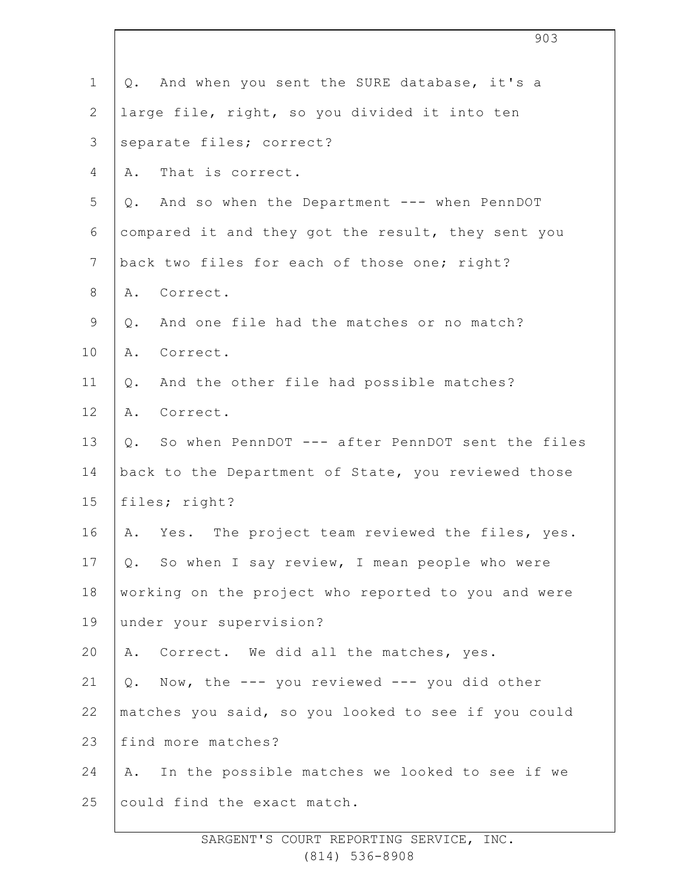|                | 903                                                  |
|----------------|------------------------------------------------------|
| $\mathbf 1$    | Q. And when you sent the SURE database, it's a       |
| $\overline{2}$ | large file, right, so you divided it into ten        |
| 3              | separate files; correct?                             |
| 4              | That is correct.<br>Α.                               |
| 5              | Q. And so when the Department --- when PennDOT       |
| 6              | compared it and they got the result, they sent you   |
| $7\phantom{.}$ | back two files for each of those one; right?         |
| $8\,$          | A. Correct.                                          |
| $\mathsf 9$    | And one file had the matches or no match?<br>Q.      |
| 10             | Correct.<br>Α.                                       |
| 11             | And the other file had possible matches?<br>Q.       |
| 12             | A. Correct.                                          |
| 13             | Q. So when PennDOT --- after PennDOT sent the files  |
| 14             | back to the Department of State, you reviewed those  |
| 15             | files; right?                                        |
| 16             | Yes. The project team reviewed the files, yes.<br>Α. |
| 17             | Q. So when I say review, I mean people who were      |
| 18             | working on the project who reported to you and were  |
| 19             | under your supervision?                              |
| 20             | Correct. We did all the matches, yes.<br>Α.          |
| 21             | Now, the --- you reviewed --- you did other<br>Q.    |
| 22             | matches you said, so you looked to see if you could  |
| 23             | find more matches?                                   |
| 24             | In the possible matches we looked to see if we<br>Α. |
| 25             | could find the exact match.                          |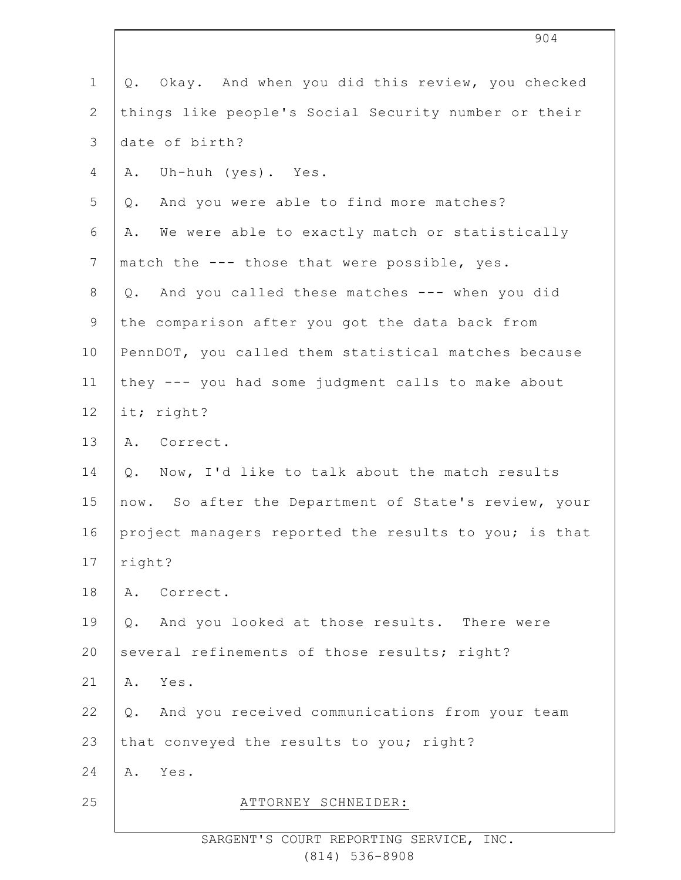| $\mathbf 1$    | Okay. And when you did this review, you checked<br>Q. |
|----------------|-------------------------------------------------------|
| $\overline{2}$ | things like people's Social Security number or their  |
| 3              | date of birth?                                        |
| 4              | Uh-huh (yes). Yes.<br>Α.                              |
| 5              | And you were able to find more matches?<br>Q.         |
| 6              | We were able to exactly match or statistically<br>Α.  |
| $7\phantom{.}$ | match the --- those that were possible, yes.          |
| $8\,$          | Q. And you called these matches --- when you did      |
| 9              | the comparison after you got the data back from       |
| 10             | PennDOT, you called them statistical matches because  |
| 11             | they --- you had some judgment calls to make about    |
| 12             | it; right?                                            |
| 13             | A. Correct.                                           |
| 14             | Now, I'd like to talk about the match results<br>Q.   |
| 15             | now. So after the Department of State's review, your  |
| 16             | project managers reported the results to you; is that |
| 17             | right?                                                |
| 18             | Α.<br>Correct.                                        |
| 19             | Q. And you looked at those results. There were        |
| 20             | several refinements of those results; right?          |
| 21             | Yes.<br>Α.                                            |
| 22             | Q. And you received communications from your team     |
| 23             | that conveyed the results to you; right?              |
| 24             | Yes.<br>Α.                                            |
| 25             | ATTORNEY SCHNEIDER:                                   |
|                |                                                       |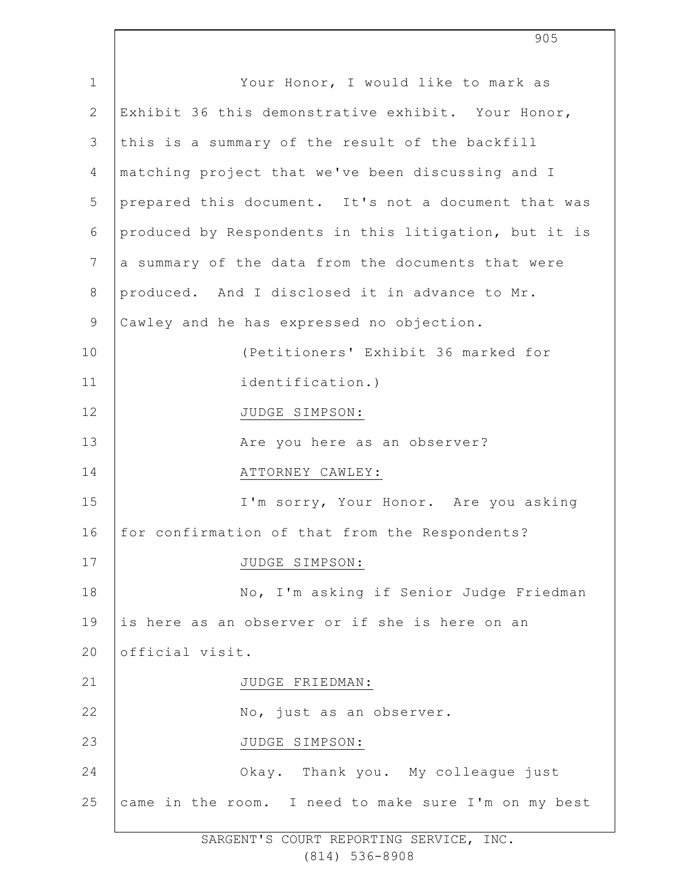| $\mathbf 1$    | Your Honor, I would like to mark as                   |
|----------------|-------------------------------------------------------|
| $\mathbf{2}$   | Exhibit 36 this demonstrative exhibit. Your Honor,    |
| 3              | this is a summary of the result of the backfill       |
| 4              | matching project that we've been discussing and I     |
| 5              | prepared this document. It's not a document that was  |
| 6              | produced by Respondents in this litigation, but it is |
| $7\phantom{.}$ | a summary of the data from the documents that were    |
| 8              | produced. And I disclosed it in advance to Mr.        |
| $\mathsf 9$    | Cawley and he has expressed no objection.             |
| 10             | (Petitioners' Exhibit 36 marked for                   |
| 11             | identification.)                                      |
| 12             | JUDGE SIMPSON:                                        |
| 13             | Are you here as an observer?                          |
| 14             | ATTORNEY CAWLEY:                                      |
| 15             | I'm sorry, Your Honor. Are you asking                 |
| 16             | for confirmation of that from the Respondents?        |
| 17             | JUDGE SIMPSON:                                        |
| 18             | No, I'm asking if Senior Judge Friedman               |
| 19             | is here as an observer or if she is here on an        |
| 20             | official visit.                                       |
| 21             | JUDGE FRIEDMAN:                                       |
| 22             | No, just as an observer.                              |
| 23             | JUDGE SIMPSON:                                        |
| 24             | Okay. Thank you. My colleague just                    |
| 25             | came in the room. I need to make sure I'm on my best  |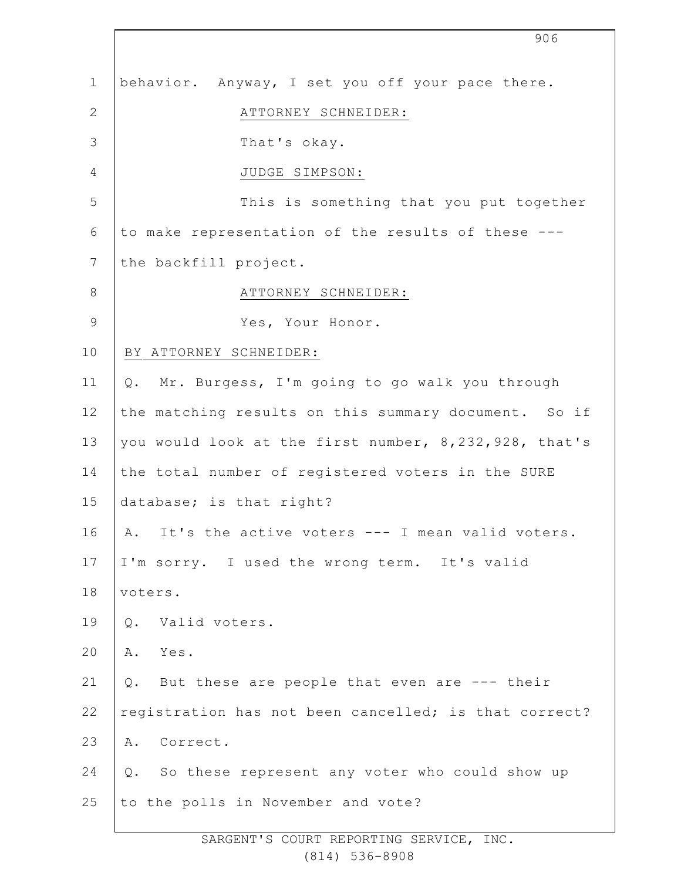|                | 906                                                   |
|----------------|-------------------------------------------------------|
| $\mathbf 1$    | behavior. Anyway, I set you off your pace there.      |
| $\mathbf{2}$   | ATTORNEY SCHNEIDER:                                   |
| 3              | That's okay.                                          |
| 4              | JUDGE SIMPSON:                                        |
| 5              | This is something that you put together               |
| 6              | to make representation of the results of these ---    |
| $7\phantom{.}$ | the backfill project.                                 |
| $8\,$          | ATTORNEY SCHNEIDER:                                   |
| $\mathsf 9$    | Yes, Your Honor.                                      |
| 10             | BY ATTORNEY SCHNEIDER:                                |
| 11             | Mr. Burgess, I'm going to go walk you through<br>Q.   |
| 12             | the matching results on this summary document. So if  |
| 13             | you would look at the first number, 8,232,928, that's |
| 14             | the total number of registered voters in the SURE     |
| 15             | database; is that right?                              |
| 16             | A. It's the active voters --- I mean valid voters.    |
| 17             | I'm sorry. I used the wrong term. It's valid          |
| 18             | voters.                                               |
| 19             | Valid voters.<br>Q.                                   |
| 20             | Α.<br>Yes.                                            |
| 21             | Q. But these are people that even are --- their       |
| 22             | registration has not been cancelled; is that correct? |
| 23             | Correct.<br>Α.                                        |
| 24             | So these represent any voter who could show up<br>Q.  |
| 25             | to the polls in November and vote?                    |
|                |                                                       |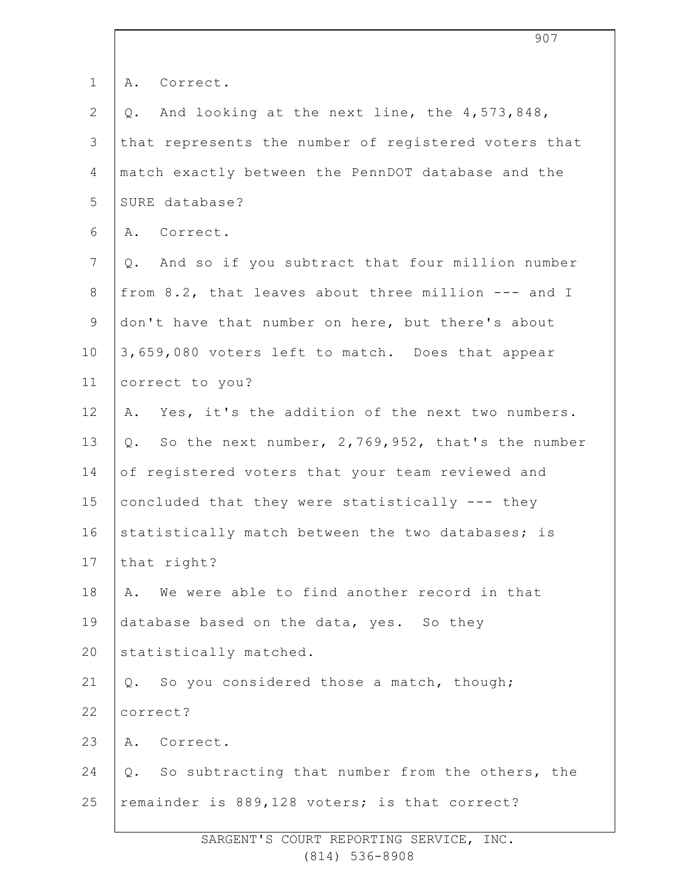| $\mathbf 1$    | Α.<br>Correct.                                        |
|----------------|-------------------------------------------------------|
| $\mathbf{2}$   | And looking at the next line, the 4,573,848,<br>Q.    |
| 3              | that represents the number of registered voters that  |
| 4              | match exactly between the PennDOT database and the    |
| 5              | SURE database?                                        |
| 6              | A. Correct.                                           |
| $\overline{7}$ | Q. And so if you subtract that four million number    |
| 8              | from 8.2, that leaves about three million --- and I   |
| 9              | don't have that number on here, but there's about     |
| 10             | 3,659,080 voters left to match. Does that appear      |
| 11             | correct to you?                                       |
| 12             | Yes, it's the addition of the next two numbers.<br>Α. |
| 13             | Q. So the next number, 2,769,952, that's the number   |
| 14             | of registered voters that your team reviewed and      |
| 15             | concluded that they were statistically --- they       |
| 16             | statistically match between the two databases; is     |
| 17             | that right?                                           |
| 18             | We were able to find another record in that<br>Α.     |
| 19             | database based on the data, yes. So they              |
| 20             | statistically matched.                                |
| 21             | So you considered those a match, though;<br>Q.        |
| 22             | correct?                                              |
| 23             | Α.<br>Correct.                                        |
| 24             | Q. So subtracting that number from the others, the    |
| 25             | remainder is 889,128 voters; is that correct?         |
|                |                                                       |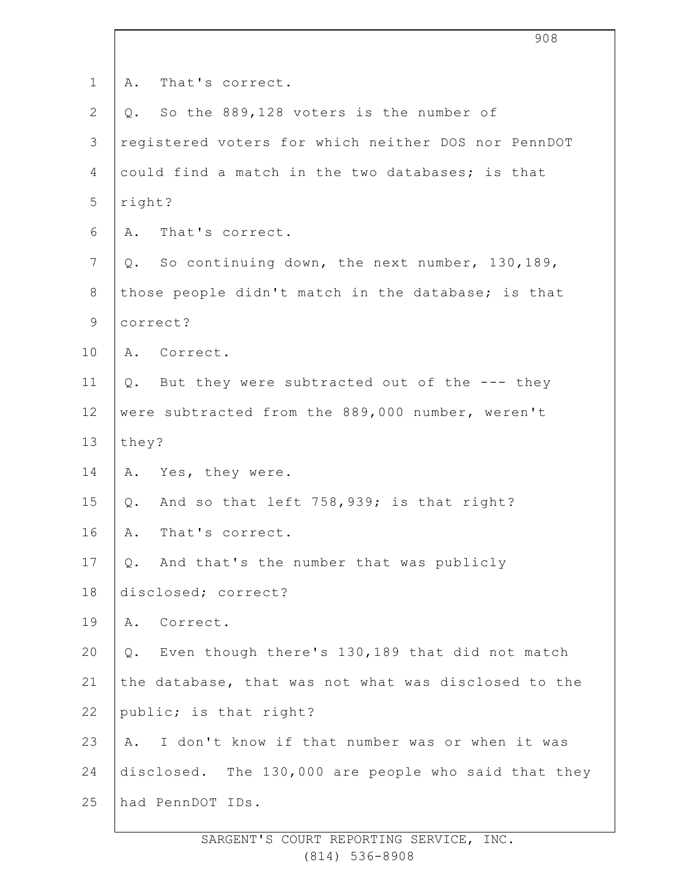| $\mathbf 1$    | That's correct.<br>Α.                                 |
|----------------|-------------------------------------------------------|
| $\mathbf{2}$   | So the 889,128 voters is the number of<br>Q.          |
| $\mathfrak{Z}$ | registered voters for which neither DOS nor PennDOT   |
| 4              | could find a match in the two databases; is that      |
| 5              | right?                                                |
| 6              | That's correct.<br>Α.                                 |
| 7              | So continuing down, the next number, 130,189,<br>Q.   |
| 8              | those people didn't match in the database; is that    |
| $\mathsf 9$    | correct?                                              |
| 10             | A. Correct.                                           |
| 11             | But they were subtracted out of the --- they<br>$Q$ . |
| 12             | were subtracted from the 889,000 number, weren't      |
| 13             | they?                                                 |
| 14             | A. Yes, they were.                                    |
| 15             | And so that left 758,939; is that right?<br>$Q$ .     |
| 16             | That's correct.<br>A.                                 |
| 17             | And that's the number that was publicly<br>Q.         |
| 18             | disclosed; correct?                                   |
| 19             | A. Correct.                                           |
| 20             | Even though there's 130,189 that did not match<br>Q.  |
| 21             | the database, that was not what was disclosed to the  |
| 22             | public; is that right?                                |
| 23             | I don't know if that number was or when it was<br>Α.  |
| 24             | disclosed. The 130,000 are people who said that they  |
| 25             | had PennDOT IDs.                                      |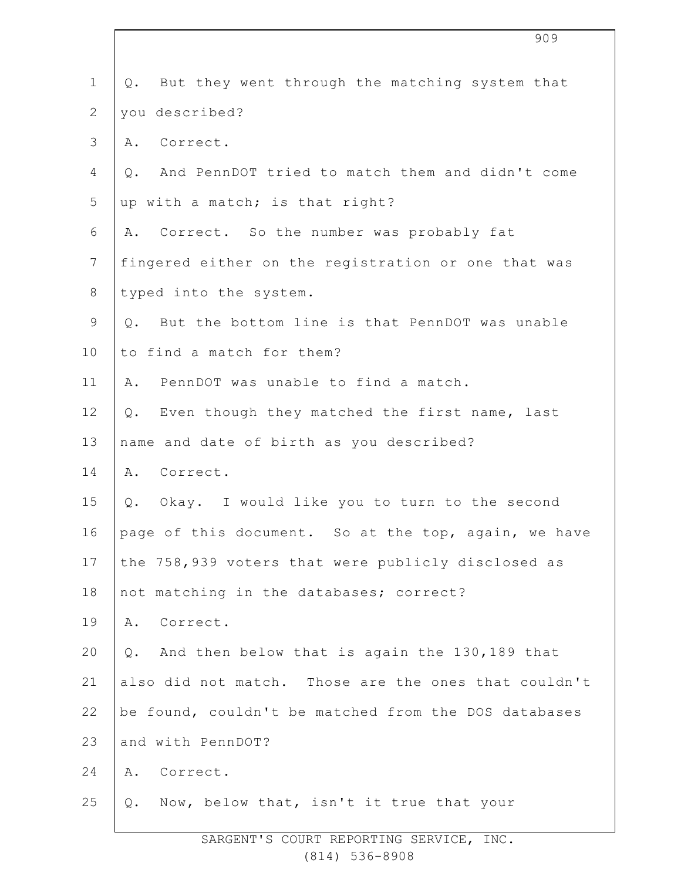| $\mathbf 1$    | But they went through the matching system that<br>Q.  |
|----------------|-------------------------------------------------------|
| $\overline{2}$ | you described?                                        |
| 3              | Correct.<br>Α.                                        |
| 4              | And PennDOT tried to match them and didn't come<br>Q. |
| 5              | up with a match; is that right?                       |
| 6              | A. Correct. So the number was probably fat            |
| $\overline{7}$ | fingered either on the registration or one that was   |
| $8\,$          | typed into the system.                                |
| 9              | But the bottom line is that PennDOT was unable<br>Q.  |
| 10             | to find a match for them?                             |
| 11             | PennDOT was unable to find a match.<br>Α.             |
| 12             | Even though they matched the first name, last<br>Q.   |
| 13             | name and date of birth as you described?              |
| 14             | A. Correct.                                           |
| 15             | Okay. I would like you to turn to the second<br>Q.    |
| 16             | page of this document. So at the top, again, we have  |
| 17             | the 758,939 voters that were publicly disclosed as    |
| 18             | not matching in the databases; correct?               |
| 19             | Correct.<br>Α.                                        |
| 20             | And then below that is again the 130,189 that<br>Q.   |
| 21             | also did not match. Those are the ones that couldn't  |
| 22             | be found, couldn't be matched from the DOS databases  |
| 23             | and with PennDOT?                                     |
| 24             | Correct.<br>Α.                                        |
| 25             | Now, below that, isn't it true that your<br>Q.        |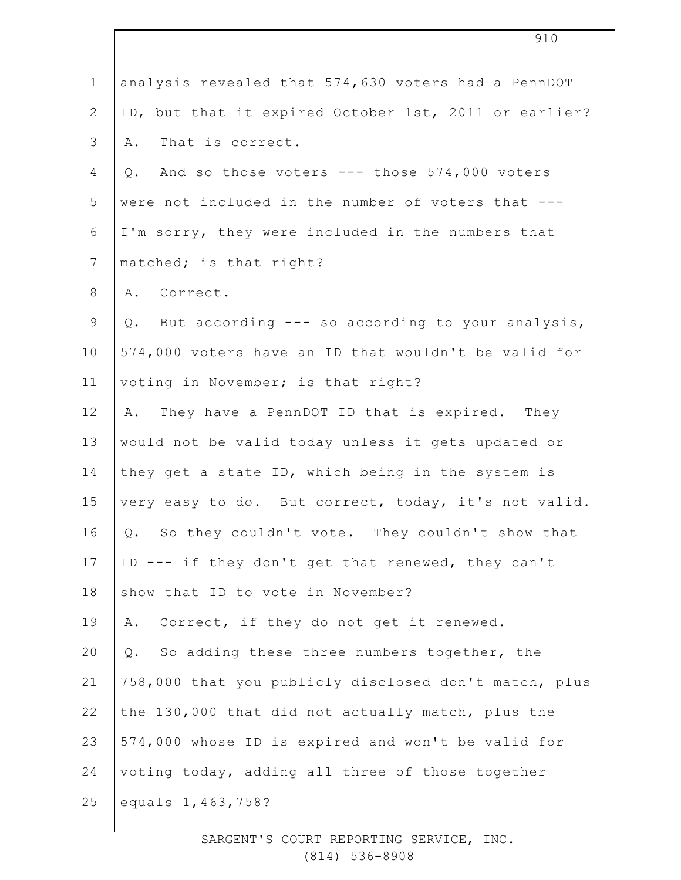| $\mathbf 1$    | analysis revealed that 574,630 voters had a PennDOT   |
|----------------|-------------------------------------------------------|
| $\overline{2}$ | ID, but that it expired October 1st, 2011 or earlier? |
| $\mathsf 3$    | That is correct.<br>Α.                                |
| 4              | And so those voters --- those 574,000 voters<br>Q.    |
| 5              | were not included in the number of voters that ---    |
| 6              | I'm sorry, they were included in the numbers that     |
| $\overline{7}$ | matched; is that right?                               |
| $8\,$          | A. Correct.                                           |
| $\mathsf 9$    | Q. But according --- so according to your analysis,   |
| 10             | 574,000 voters have an ID that wouldn't be valid for  |
| 11             | voting in November; is that right?                    |
| 12             | They have a PennDOT ID that is expired. They<br>Α.    |
| 13             | would not be valid today unless it gets updated or    |
| 14             | they get a state ID, which being in the system is     |
| 15             | very easy to do. But correct, today, it's not valid.  |
| 16             | Q. So they couldn't vote. They couldn't show that     |
| 17             | ID --- if they don't get that renewed, they can't     |
| 18             | show that ID to vote in November?                     |
| 19             | Correct, if they do not get it renewed.<br>Α.         |
| 20             | So adding these three numbers together, the<br>$Q$ .  |
| 21             | 758,000 that you publicly disclosed don't match, plus |
| 22             | the 130,000 that did not actually match, plus the     |
| 23             | 574,000 whose ID is expired and won't be valid for    |
| 24             | voting today, adding all three of those together      |
| 25             | equals 1, 463, 758?                                   |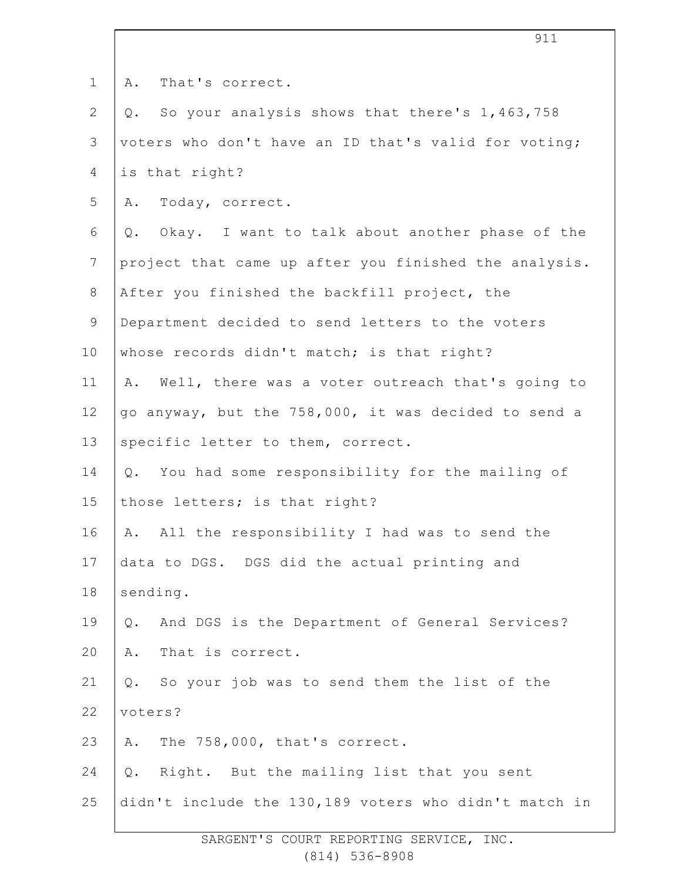| $\mathbf 1$    | That's correct.<br>Α.                                   |
|----------------|---------------------------------------------------------|
| $\mathbf{2}$   | Q. So your analysis shows that there's 1,463,758        |
| 3              | voters who don't have an ID that's valid for voting;    |
| 4              | is that right?                                          |
| 5              | Today, correct.<br>Α.                                   |
| 6              | Q. Okay. I want to talk about another phase of the      |
| $\overline{7}$ | project that came up after you finished the analysis.   |
| $8\,$          | After you finished the backfill project, the            |
| 9              | Department decided to send letters to the voters        |
| 10             | whose records didn't match; is that right?              |
| 11             | Well, there was a voter outreach that's going to<br>Α.  |
| 12             | go anyway, but the 758,000, it was decided to send a    |
| 13             | specific letter to them, correct.                       |
| 14             | Q. You had some responsibility for the mailing of       |
| 15             | those letters; is that right?                           |
| 16             | A. All the responsibility I had was to send the         |
| 17             | data to DGS. DGS did the actual printing and            |
| 18             | sending.                                                |
| 19             | And DGS is the Department of General Services?<br>$Q$ . |
| 20             | That is correct.<br>Α.                                  |
| 21             | So your job was to send them the list of the<br>Q.      |
| 22             | voters?                                                 |
| 23             | The 758,000, that's correct.<br>Α.                      |
| 24             | Right. But the mailing list that you sent<br>Q.         |
| 25             | didn't include the 130,189 voters who didn't match in   |

911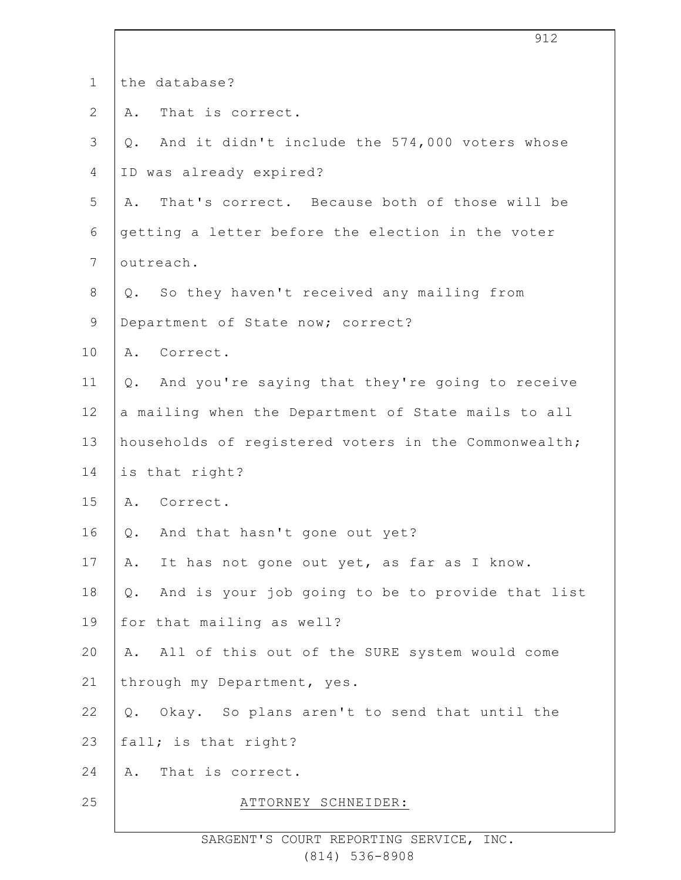|              | 912                                                       |
|--------------|-----------------------------------------------------------|
| $\mathbf 1$  | the database?                                             |
| $\mathbf{2}$ | That is correct.<br>Α.                                    |
| 3            | And it didn't include the 574,000 voters whose<br>Q.      |
| 4            | ID was already expired?                                   |
| 5            | That's correct. Because both of those will be<br>Α.       |
| 6            | getting a letter before the election in the voter         |
| 7            | outreach.                                                 |
| $\,8\,$      | Q. So they haven't received any mailing from              |
| $\mathsf 9$  | Department of State now; correct?                         |
| 10           | A. Correct.                                               |
| 11           | And you're saying that they're going to receive<br>Q.     |
| 12           | a mailing when the Department of State mails to all       |
| 13           | households of registered voters in the Commonwealth;      |
| 14           | is that right?                                            |
| 15           | A. Correct.                                               |
| 16           | And that hasn't gone out yet?<br>Q.                       |
| 17           | It has not gone out yet, as far as I know.<br>Α.          |
| 18           | And is your job going to be to provide that list<br>$Q$ . |
| 19           | for that mailing as well?                                 |
| 20           | All of this out of the SURE system would come<br>Α.       |
| 21           | through my Department, yes.                               |
| 22           | Okay. So plans aren't to send that until the<br>Q.        |
| 23           | fall; is that right?                                      |
| 24           | That is correct.<br>Α.                                    |
| 25           | ATTORNEY SCHNEIDER:                                       |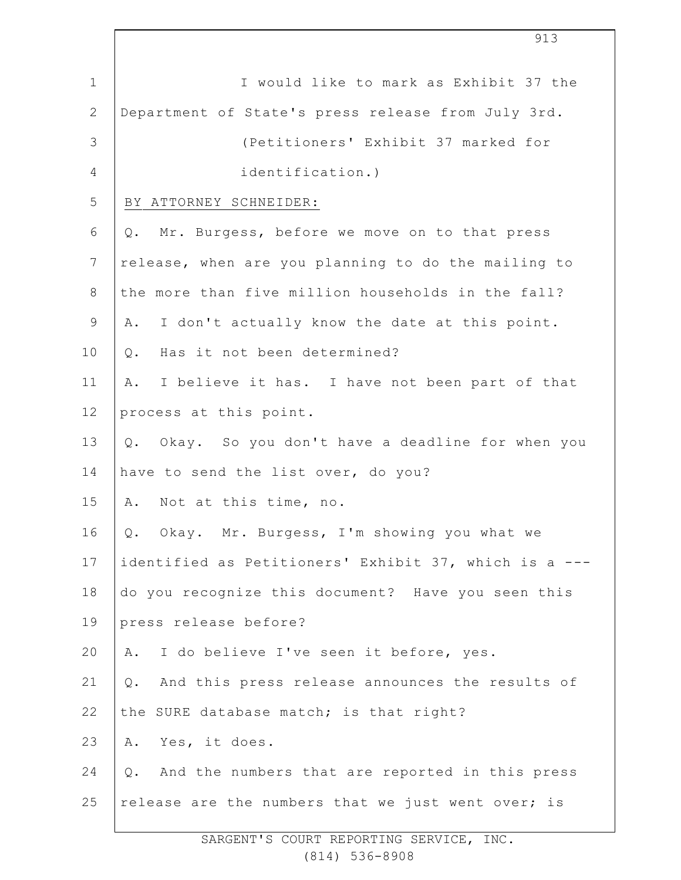|                 | 913                                                   |
|-----------------|-------------------------------------------------------|
| $\mathbf 1$     | I would like to mark as Exhibit 37 the                |
| $\mathbf{2}$    | Department of State's press release from July 3rd.    |
| 3               | (Petitioners' Exhibit 37 marked for                   |
| 4               | identification.)                                      |
| 5               | BY ATTORNEY SCHNEIDER:                                |
| 6               | Mr. Burgess, before we move on to that press<br>Q.    |
| $7\phantom{.0}$ | release, when are you planning to do the mailing to   |
| $\,8\,$         | the more than five million households in the fall?    |
| $\mathsf 9$     | I don't actually know the date at this point.<br>Α.   |
| 10              | Has it not been determined?<br>Q.                     |
| 11              | I believe it has. I have not been part of that<br>Α.  |
| 12              | process at this point.                                |
| 13              | Okay. So you don't have a deadline for when you<br>Q. |
| 14              | have to send the list over, do you?                   |
| 15              | A. Not at this time, no.                              |
| 16              | Q. Okay. Mr. Burgess, I'm showing you what we         |
| 17              | identified as Petitioners' Exhibit 37, which is a --- |
| 18              | do you recognize this document? Have you seen this    |
| 19              | press release before?                                 |
| 20              | I do believe I've seen it before, yes.<br>Α.          |
| 21              | And this press release announces the results of<br>Q. |
| 22              | the SURE database match; is that right?               |
| 23              | Yes, it does.<br>Α.                                   |
| 24              | Q. And the numbers that are reported in this press    |
| 25              | release are the numbers that we just went over; is    |
|                 |                                                       |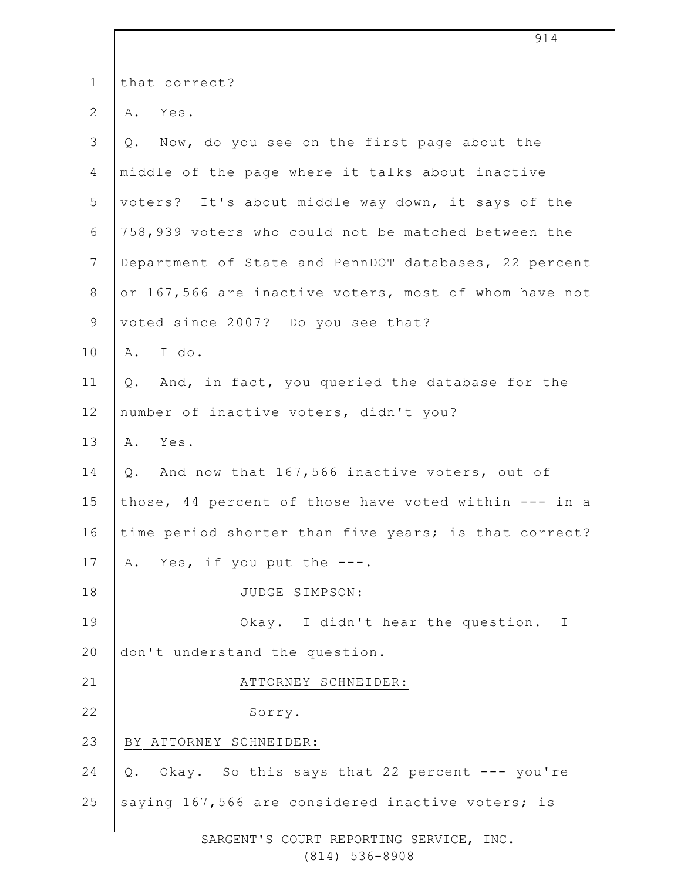|                 | 914                                                    |
|-----------------|--------------------------------------------------------|
| $\mathbf 1$     | that correct?                                          |
| $\overline{2}$  | Yes.<br>Α.                                             |
| 3               | Now, do you see on the first page about the<br>Q.      |
| 4               | middle of the page where it talks about inactive       |
| 5               | voters? It's about middle way down, it says of the     |
| 6               | 758,939 voters who could not be matched between the    |
| $7\phantom{.0}$ | Department of State and PennDOT databases, 22 percent  |
| 8               | or 167,566 are inactive voters, most of whom have not  |
| $\mathsf 9$     | voted since 2007? Do you see that?                     |
| 10              | A. I do.                                               |
| 11              | And, in fact, you queried the database for the<br>Q.   |
| 12              | number of inactive voters, didn't you?                 |
| 13              | Α.<br>Yes.                                             |
| 14              | And now that 167,566 inactive voters, out of<br>Q.     |
| 15              | those, 44 percent of those have voted within --- in a  |
| 16              | time period shorter than five years; is that correct?  |
| 17              | A. Yes, if you put the ---.                            |
| 18              | JUDGE SIMPSON:                                         |
| 19              | Okay. I didn't hear the question. I                    |
| 20              | don't understand the question.                         |
| 21              | ATTORNEY SCHNEIDER:                                    |
| 22              | Sorry.                                                 |
| 23              | BY ATTORNEY SCHNEIDER:                                 |
| 24              | Okay. So this says that 22 percent --- you're<br>$Q$ . |
| 25              | saying 167,566 are considered inactive voters; is      |
|                 |                                                        |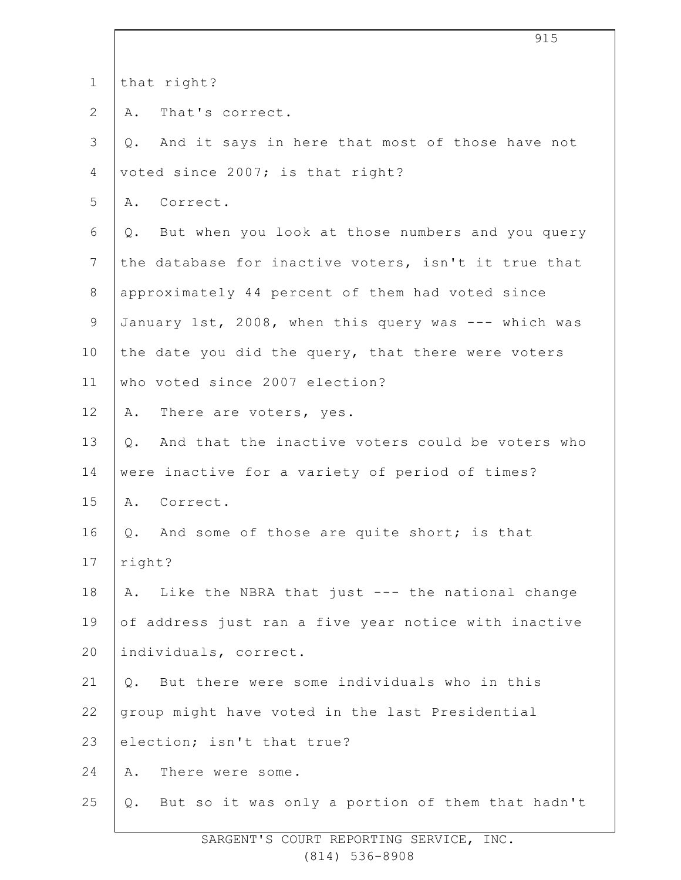|                 | ノエン                                                    |
|-----------------|--------------------------------------------------------|
| $\mathbf 1$     | that right?                                            |
| $\mathbf{2}$    | That's correct.<br>Α.                                  |
| 3               | And it says in here that most of those have not<br>Q.  |
| 4               | voted since 2007; is that right?                       |
| 5               | Correct.<br>Α.                                         |
| 6               | Q. But when you look at those numbers and you query    |
| $7\phantom{.0}$ | the database for inactive voters, isn't it true that   |
| $8\,$           | approximately 44 percent of them had voted since       |
| $\mathsf 9$     | January 1st, 2008, when this query was --- which was   |
| 10              | the date you did the query, that there were voters     |
| 11              | who voted since 2007 election?                         |
| 12              | A. There are voters, yes.                              |
| 13              | And that the inactive voters could be voters who<br>Q. |
| 14              | were inactive for a variety of period of times?        |
| 15              | A. Correct.                                            |
| 16              | And some of those are quite short; is that<br>Q.       |
| 17              | right?                                                 |
| 18              | A. Like the NBRA that just --- the national change     |
| 19              | of address just ran a five year notice with inactive   |
| 20              | individuals, correct.                                  |
| 21              | But there were some individuals who in this<br>Q.      |
| 22              | group might have voted in the last Presidential        |
| 23              | election; isn't that true?                             |
| 24              | There were some.<br>Α.                                 |
| 25              | But so it was only a portion of them that hadn't<br>Q. |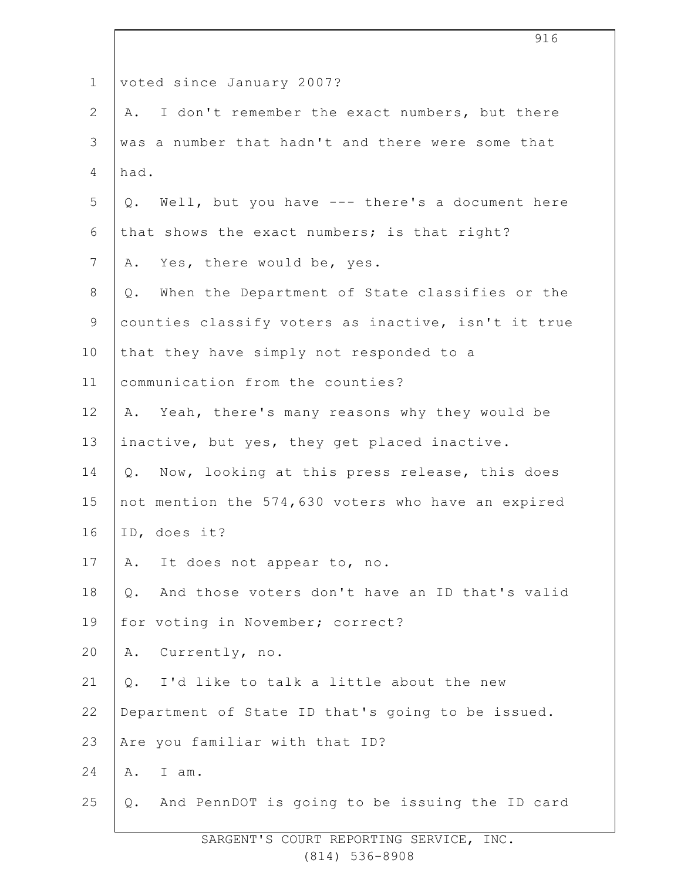| voted since January 2007?                               |
|---------------------------------------------------------|
| I don't remember the exact numbers, but there<br>Α.     |
| was a number that hadn't and there were some that       |
| had.                                                    |
| Q. Well, but you have --- there's a document here       |
| that shows the exact numbers; is that right?            |
| A. Yes, there would be, yes.                            |
| Q. When the Department of State classifies or the       |
| counties classify voters as inactive, isn't it true     |
| that they have simply not responded to a                |
| communication from the counties?                        |
| A. Yeah, there's many reasons why they would be         |
| inactive, but yes, they get placed inactive.            |
| Q. Now, looking at this press release, this does        |
| not mention the 574,630 voters who have an expired      |
| ID, does it?                                            |
| It does not appear to, no.<br>Α.                        |
| And those voters don't have an ID that's valid<br>$Q$ . |
| for voting in November; correct?                        |
| Currently, no.<br>Α.                                    |
| I'd like to talk a little about the new<br>$Q$ .        |
| Department of State ID that's going to be issued.       |
| Are you familiar with that ID?                          |
| Α.<br>I am.                                             |
| And PennDOT is going to be issuing the ID card<br>Q.    |
|                                                         |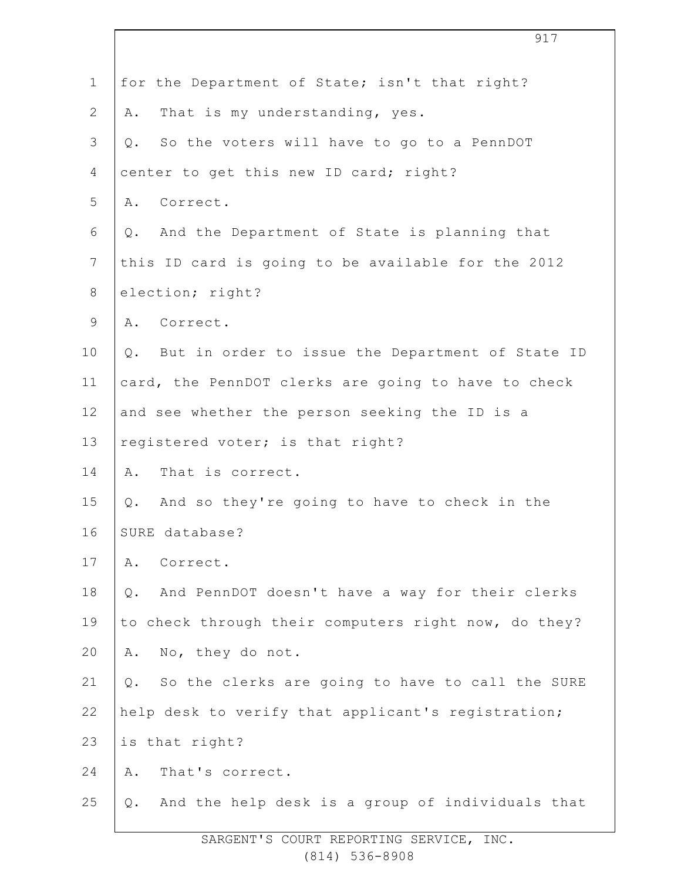|                | 917                                                         |
|----------------|-------------------------------------------------------------|
| $\mathbf 1$    | for the Department of State; isn't that right?              |
| $\overline{2}$ | That is my understanding, yes.<br>Α.                        |
| 3              | So the voters will have to go to a PennDOT<br>$Q_{\bullet}$ |
| 4              | center to get this new ID card; right?                      |
| 5              | A. Correct.                                                 |
| 6              | And the Department of State is planning that<br>Q.          |
| $7\phantom{.}$ | this ID card is going to be available for the 2012          |
| $8\,$          | election; right?                                            |
| $\mathsf 9$    | A. Correct.                                                 |
| 10             | But in order to issue the Department of State ID<br>Q.      |
| 11             | card, the PennDOT clerks are going to have to check         |
| 12             | and see whether the person seeking the ID is a              |
| 13             | registered voter; is that right?                            |
| 14             | That is correct.<br>Α.                                      |
| 15             | And so they're going to have to check in the<br>Q.          |
| 16             | SURE database?                                              |
| 17             | Correct.<br>Α.                                              |
| 18             | And PennDOT doesn't have a way for their clerks<br>$Q$ .    |
| 19             | to check through their computers right now, do they?        |
| 20             | No, they do not.<br>Α.                                      |
| 21             | So the clerks are going to have to call the SURE<br>Q.      |
| 22             | help desk to verify that applicant's registration;          |
| 23             | is that right?                                              |
| 24             | That's correct.<br>Α.                                       |
| 25             | And the help desk is a group of individuals that<br>Q.      |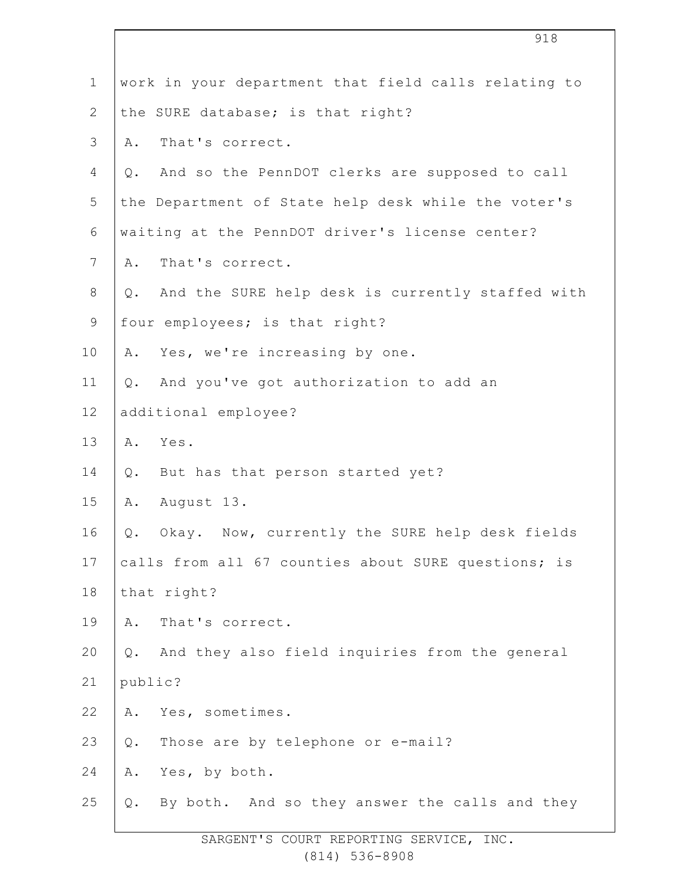|                | 918                                                    |
|----------------|--------------------------------------------------------|
| $\mathbf 1$    | work in your department that field calls relating to   |
| $\overline{2}$ | the SURE database; is that right?                      |
| 3              | That's correct.<br>Α.                                  |
| 4              | And so the PennDOT clerks are supposed to call<br>Q.   |
| 5              | the Department of State help desk while the voter's    |
| 6              | waiting at the PennDOT driver's license center?        |
| $\overline{7}$ | That's correct.<br>Α.                                  |
| $8\,$          | And the SURE help desk is currently staffed with<br>Q. |
| $\mathsf 9$    | four employees; is that right?                         |
| 10             | Yes, we're increasing by one.<br>Α.                    |
| 11             | And you've got authorization to add an<br>Q.           |
| 12             | additional employee?                                   |
| 13             | Yes.<br>A.                                             |
| 14             | But has that person started yet?<br>Q.                 |
| 15             | August 13.<br>Α.                                       |
| 16             | Okay. Now, currently the SURE help desk fields<br>Q.   |
| 17             | calls from all 67 counties about SURE questions; is    |
| 18             | that right?                                            |
| 19             | That's correct.<br>Α.                                  |
| 20             | And they also field inquiries from the general<br>Q.   |
| 21             | public?                                                |
| 22             | Yes, sometimes.<br>Α.                                  |
| 23             | Those are by telephone or e-mail?<br>Q.                |
| 24             | Yes, by both.<br>Α.                                    |
| 25             | By both. And so they answer the calls and they<br>Q.   |
|                |                                                        |

 $\overline{\phantom{a}}$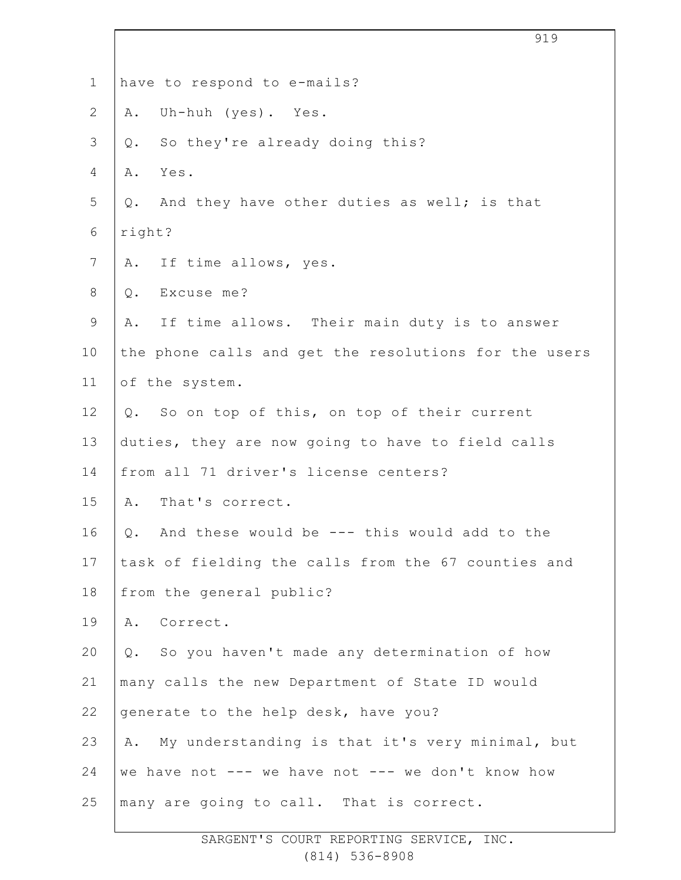|                | 919                                                   |
|----------------|-------------------------------------------------------|
| $\mathbf 1$    | have to respond to e-mails?                           |
| $\mathbf{2}$   | Uh-huh (yes). Yes.<br>Α.                              |
| 3              | So they're already doing this?<br>Q.                  |
| 4              | Yes.<br>Α.                                            |
| 5              | Q. And they have other duties as well; is that        |
| 6              | right?                                                |
| $7\phantom{.}$ | A. If time allows, yes.                               |
| 8              | Excuse me?<br>Q.                                      |
| $\mathsf 9$    | A. If time allows. Their main duty is to answer       |
| 10             | the phone calls and get the resolutions for the users |
| 11             | of the system.                                        |
| 12             | Q. So on top of this, on top of their current         |
| 13             | duties, they are now going to have to field calls     |
| 14             | from all 71 driver's license centers?                 |
| 15             | A. That's correct.                                    |
| 16             | Q. And these would be --- this would add to the       |
| 17             | task of fielding the calls from the 67 counties and   |
| 18             | from the general public?                              |
| 19             | A. Correct.                                           |
| 20             | So you haven't made any determination of how<br>Q.    |
| 21             | many calls the new Department of State ID would       |
| 22             | generate to the help desk, have you?                  |
| 23             | My understanding is that it's very minimal, but<br>Α. |
| 24             | we have not --- we have not --- we don't know how     |
| 25             | many are going to call. That is correct.              |
|                |                                                       |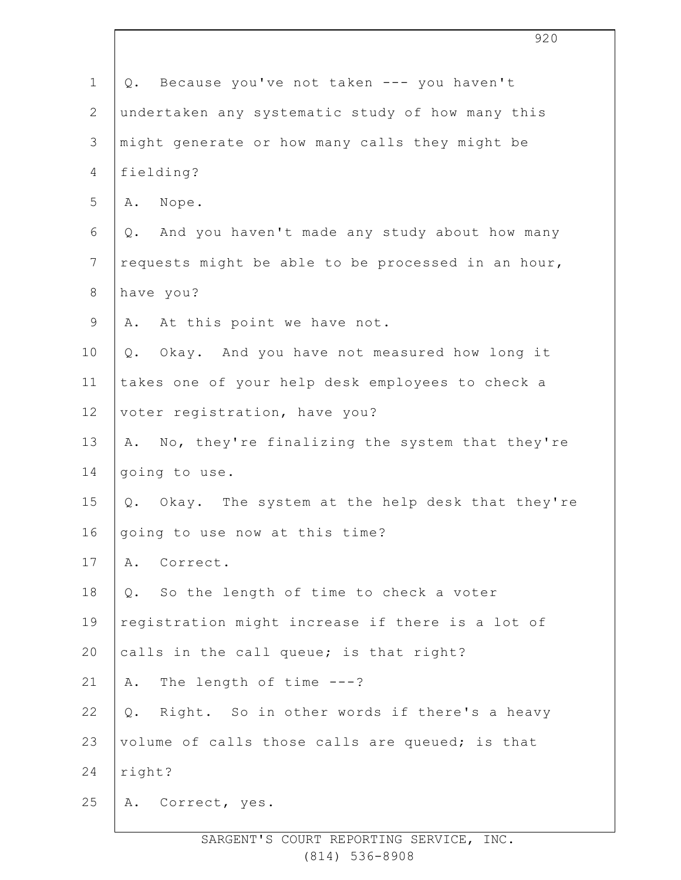| $\mathbf 1$    | Because you've not taken --- you haven't<br>Q.       |
|----------------|------------------------------------------------------|
| $\mathbf{2}$   | undertaken any systematic study of how many this     |
| $\mathcal{S}$  | might generate or how many calls they might be       |
| $\overline{4}$ | fielding?                                            |
| 5              | A. Nope.                                             |
| 6              | And you haven't made any study about how many<br>Q.  |
| $7\phantom{.}$ | requests might be able to be processed in an hour,   |
| $8\,$          | have you?                                            |
| $\mathsf 9$    | A. At this point we have not.                        |
| 10             | Okay. And you have not measured how long it<br>$Q$ . |
| 11             | takes one of your help desk employees to check a     |
| 12             | voter registration, have you?                        |
| 13             | A. No, they're finalizing the system that they're    |
| 14             | going to use.                                        |
| 15             | Okay. The system at the help desk that they're<br>Q. |
| 16             | going to use now at this time?                       |
| 17             | Correct.<br>Α.                                       |
| 18             | So the length of time to check a voter<br>$Q$ .      |
| 19             | registration might increase if there is a lot of     |
| 20             | calls in the call queue; is that right?              |
| 21             | The length of time $---?$<br>Α.                      |
| 22             | Right. So in other words if there's a heavy<br>$Q$ . |
| 23             | volume of calls those calls are queued; is that      |
| 24             | right?                                               |
| 25             | Correct, yes.<br>Α.                                  |
|                |                                                      |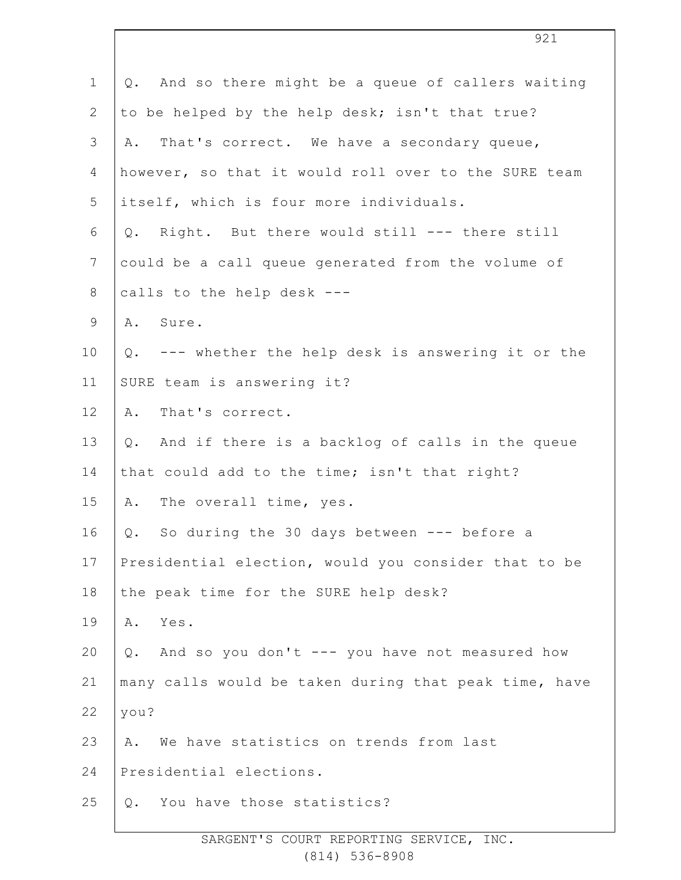| $\mathbf{1}$   | Q. And so there might be a queue of callers waiting   |
|----------------|-------------------------------------------------------|
| $\mathbf{2}$   | to be helped by the help desk; isn't that true?       |
| 3              | That's correct. We have a secondary queue,<br>Α.      |
| 4              | however, so that it would roll over to the SURE team  |
| 5              | itself, which is four more individuals.               |
| 6              | Right. But there would still --- there still<br>Q.    |
| $\overline{7}$ | could be a call queue generated from the volume of    |
| $8\,$          | calls to the help desk ---                            |
| $\mathsf 9$    | A. Sure.                                              |
| 10             | Q. --- whether the help desk is answering it or the   |
| 11             | SURE team is answering it?                            |
| 12             | That's correct.<br>Α.                                 |
| 13             | And if there is a backlog of calls in the queue<br>Q. |
| 14             | that could add to the time; isn't that right?         |
| 15             | A. The overall time, yes.                             |
| 16             | Q. So during the 30 days between --- before a         |
| 17             | Presidential election, would you consider that to be  |
| 18             | the peak time for the SURE help desk?                 |
| 19             | Yes.<br>Α.                                            |
| 20             | And so you don't --- you have not measured how<br>Q.  |
| 21             | many calls would be taken during that peak time, have |
| 22             | you?                                                  |
| 23             | We have statistics on trends from last<br>Α.          |
| 24             | Presidential elections.                               |
| 25             | You have those statistics?<br>Q.                      |
|                |                                                       |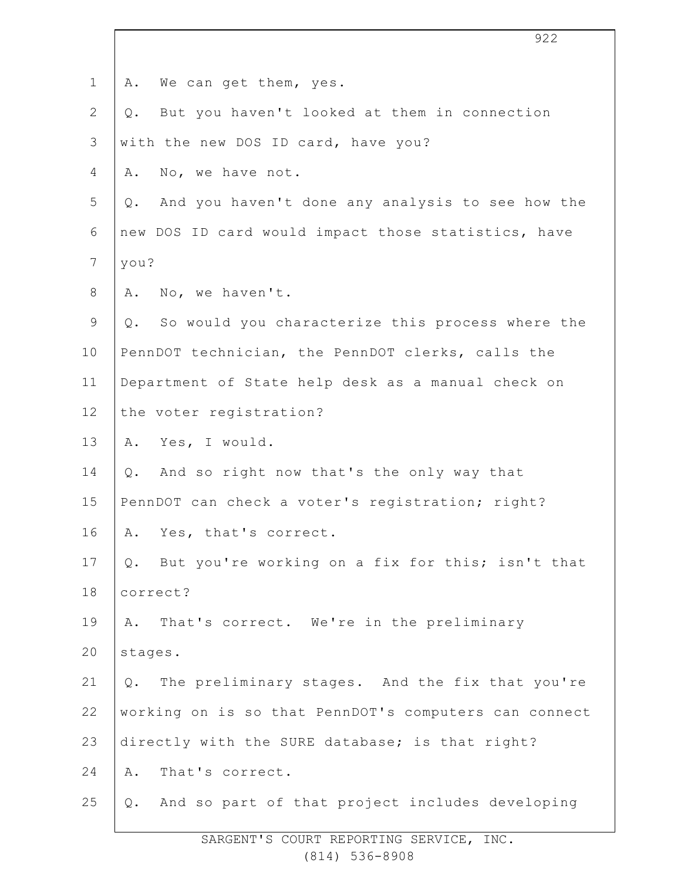| $\mathbf 1$    | We can get them, yes.<br>Α.                               |
|----------------|-----------------------------------------------------------|
| $\overline{2}$ | But you haven't looked at them in connection<br>Q.        |
| $\mathcal{S}$  | with the new DOS ID card, have you?                       |
| 4              | No, we have not.<br>Α.                                    |
| 5              | And you haven't done any analysis to see how the<br>$Q$ . |
| 6              | new DOS ID card would impact those statistics, have       |
| 7              | you?                                                      |
| 8              | No, we haven't.<br>Α.                                     |
| 9              | So would you characterize this process where the<br>$Q$ . |
| 10             | PennDOT technician, the PennDOT clerks, calls the         |
| 11             | Department of State help desk as a manual check on        |
| 12             | the voter registration?                                   |
| 13             | A. Yes, I would.                                          |
| 14             | Q. And so right now that's the only way that              |
| 15             | PennDOT can check a voter's registration; right?          |
| 16             | A. Yes, that's correct.                                   |
| 17             | Q. But you're working on a fix for this; isn't that       |
| 18             | correct?                                                  |
| 19             | That's correct. We're in the preliminary<br>Α.            |
| 20             | stages.                                                   |
| 21             | The preliminary stages. And the fix that you're<br>Q.     |
| 22             | working on is so that PennDOT's computers can connect     |
| 23             | directly with the SURE database; is that right?           |
| 24             | That's correct.<br>Α.                                     |
| 25             | And so part of that project includes developing<br>$Q$ .  |
|                |                                                           |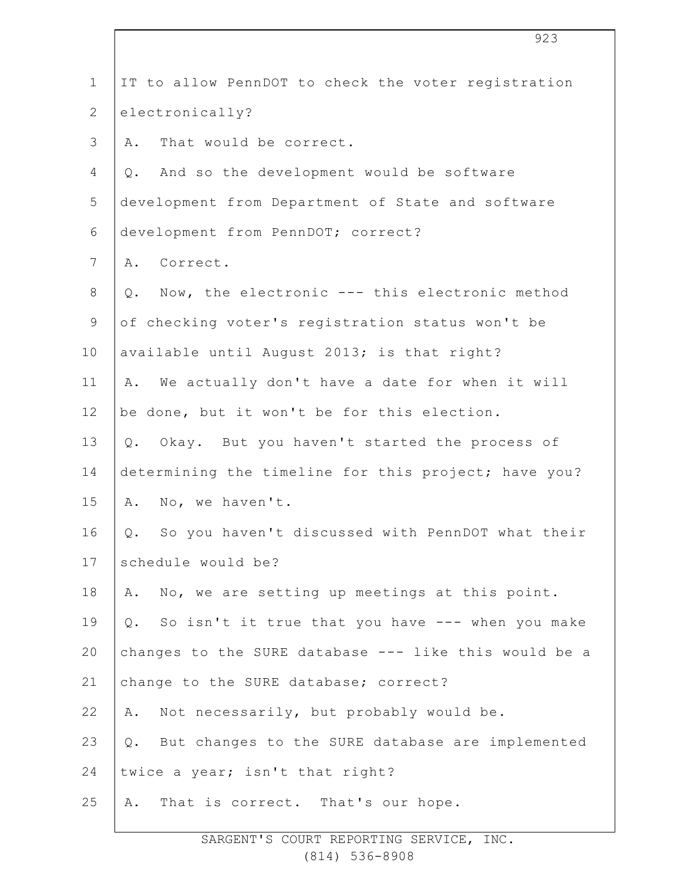| $\mathbf 1$    | IT to allow PennDOT to check the voter registration       |
|----------------|-----------------------------------------------------------|
| $\mathbf{2}$   | electronically?                                           |
| 3              | That would be correct.<br>Α.                              |
| 4              | And so the development would be software<br>$Q$ .         |
| 5              | development from Department of State and software         |
| 6              | development from PennDOT; correct?                        |
| $\overline{7}$ | Correct.<br>Α.                                            |
| $8\,$          | Now, the electronic --- this electronic method<br>Q.      |
| $\mathsf 9$    | of checking voter's registration status won't be          |
| 10             | available until August 2013; is that right?               |
| 11             | We actually don't have a date for when it will<br>Α.      |
| 12             | be done, but it won't be for this election.               |
| 13             | Okay. But you haven't started the process of<br>$Q$ .     |
| 14             | determining the timeline for this project; have you?      |
| 15             | No, we haven't.<br>Α.                                     |
| 16             | So you haven't discussed with PennDOT what their<br>Q.    |
| 17             | schedule would be?                                        |
| 18             | A. No, we are setting up meetings at this point.          |
| 19             | So isn't it true that you have --- when you make<br>$Q$ . |
| 20             | changes to the SURE database --- like this would be a     |
| 21             | change to the SURE database; correct?                     |
| 22             | Not necessarily, but probably would be.<br>Α.             |
| 23             | But changes to the SURE database are implemented<br>$Q$ . |
| 24             | twice a year; isn't that right?                           |
| 25             | That is correct. That's our hope.<br>Α.                   |
|                |                                                           |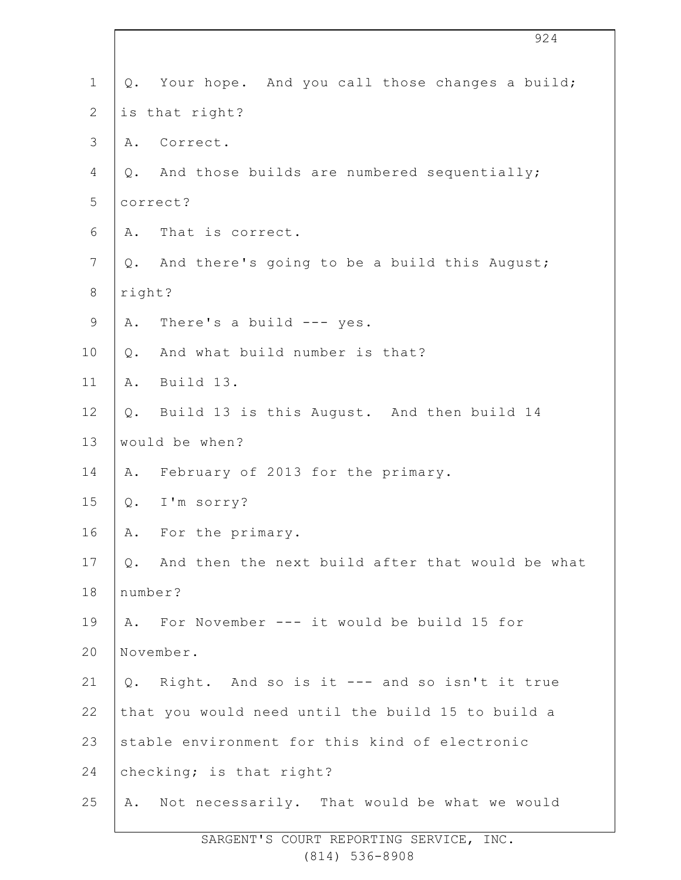| $\mathbf 1$    | Q. Your hope. And you call those changes a build;      |
|----------------|--------------------------------------------------------|
| $\mathbf{2}$   | is that right?                                         |
| $\mathfrak{Z}$ | Correct.<br>Α.                                         |
| 4              | And those builds are numbered sequentially;<br>Q.      |
| 5              | correct?                                               |
| $\epsilon$     | That is correct.<br>Α.                                 |
| 7              | And there's going to be a build this August;<br>Q.     |
| $\,8\,$        | right?                                                 |
| $\mathsf 9$    | There's a build $---$ yes.<br>Α.                       |
| 10             | And what build number is that?<br>Q.                   |
| 11             | Build 13.<br>Α.                                        |
| 12             | Build 13 is this August. And then build 14<br>$Q$ .    |
| 13             | would be when?                                         |
| 14             | A. February of 2013 for the primary.                   |
| 15             | I'm sorry?<br>$Q$ .                                    |
| 16             | A. For the primary.                                    |
| 17             | And then the next build after that would be what<br>Q. |
| 18             | number?                                                |
| 19             | A. For November --- it would be build 15 for           |
| 20             | November.                                              |
| 21             | Right. And so is it --- and so isn't it true<br>$Q$ .  |
| 22             | that you would need until the build 15 to build a      |
| 23             | stable environment for this kind of electronic         |
| 24             | checking; is that right?                               |
| 25             | A. Not necessarily. That would be what we would        |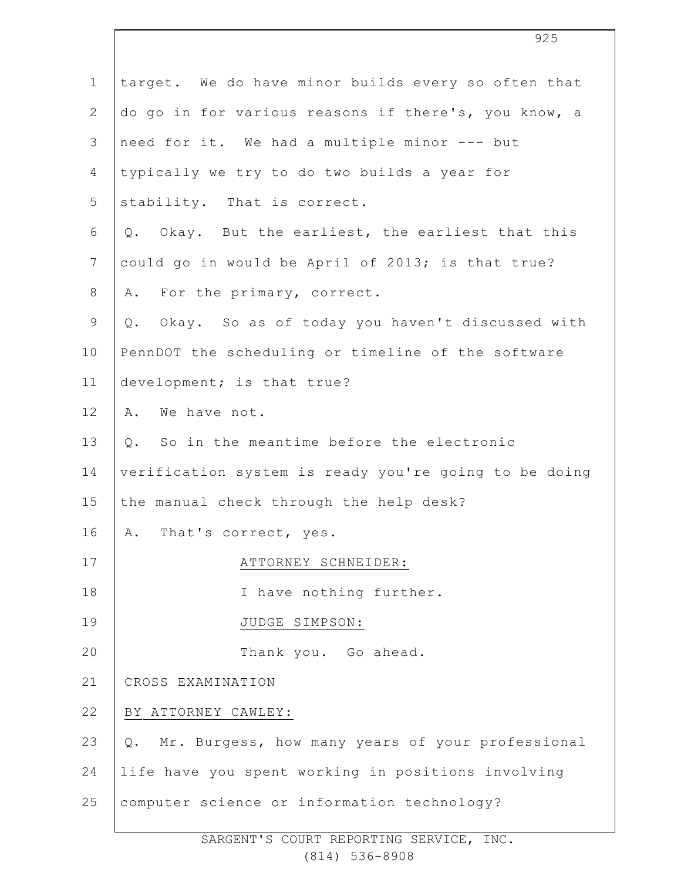| $\mathbf 1$    | target. We do have minor builds every so often that    |
|----------------|--------------------------------------------------------|
| $\mathbf{2}$   | do go in for various reasons if there's, you know, a   |
| 3              | need for it. We had a multiple minor --- but           |
| 4              | typically we try to do two builds a year for           |
| 5              | stability. That is correct.                            |
| 6              | Okay. But the earliest, the earliest that this<br>Q.   |
| $\overline{7}$ | could go in would be April of 2013; is that true?      |
| $8\,$          | For the primary, correct.<br>Α.                        |
| $\mathsf 9$    | Okay. So as of today you haven't discussed with<br>Q.  |
| 10             | PennDOT the scheduling or timeline of the software     |
| 11             | development; is that true?                             |
| 12             | We have not.<br>Α.                                     |
| 13             | So in the meantime before the electronic<br>$Q$ .      |
| 14             | verification system is ready you're going to be doing  |
| 15             | the manual check through the help desk?                |
| 16             | A. That's correct, yes.                                |
| 17             | ATTORNEY SCHNEIDER:                                    |
| 18             | I have nothing further.                                |
| 19             | JUDGE SIMPSON:                                         |
| 20             | Thank you. Go ahead.                                   |
| 21             | CROSS EXAMINATION                                      |
| 22             | BY ATTORNEY CAWLEY:                                    |
| 23             | Mr. Burgess, how many years of your professional<br>Q. |
| 24             | life have you spent working in positions involving     |
| 25             | computer science or information technology?            |
|                |                                                        |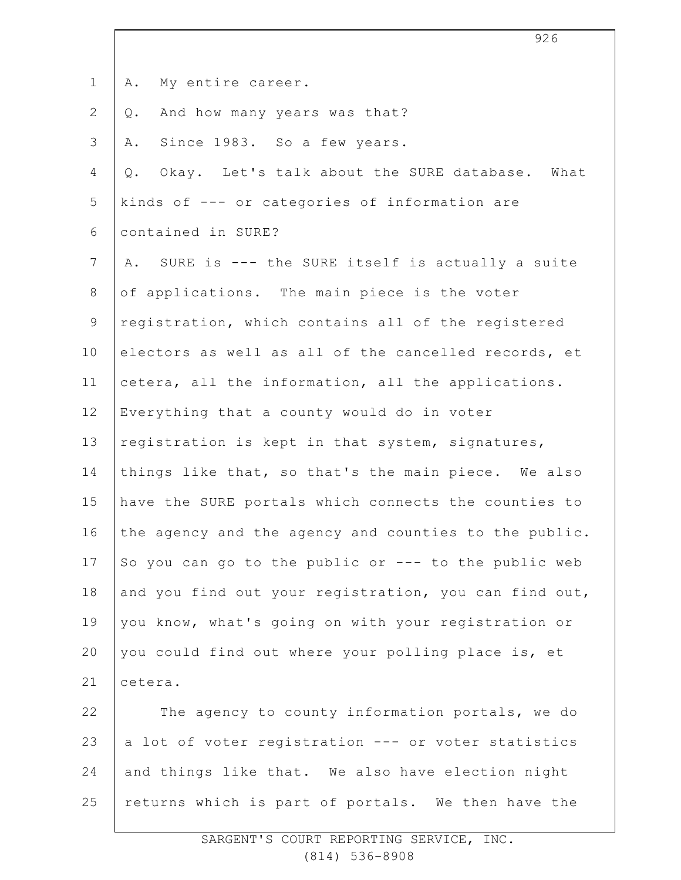| $\mathbf 1$    | My entire career.<br>Α.                                    |
|----------------|------------------------------------------------------------|
| $\mathbf{2}$   | And how many years was that?<br>Q.                         |
| 3              | Since 1983. So a few years.<br>Α.                          |
| 4              | Okay. Let's talk about the SURE database.<br>What<br>$Q$ . |
| 5              | kinds of --- or categories of information are              |
| 6              | contained in SURE?                                         |
| $7\phantom{.}$ | SURE is --- the SURE itself is actually a suite<br>Α.      |
| 8              | of applications. The main piece is the voter               |
| $\mathsf 9$    | registration, which contains all of the registered         |
| 10             | electors as well as all of the cancelled records, et       |
| 11             | cetera, all the information, all the applications.         |
| 12             | Everything that a county would do in voter                 |
| 13             | registration is kept in that system, signatures,           |
| 14             | things like that, so that's the main piece. We also        |
| 15             | have the SURE portals which connects the counties to       |
| 16             | the agency and the agency and counties to the public.      |
| 17             | So you can go to the public or --- to the public web       |
| 18             | and you find out your registration, you can find out,      |
| 19             | you know, what's going on with your registration or        |
| 20             | you could find out where your polling place is, et         |
| 21             | cetera.                                                    |
| 22             | The agency to county information portals, we do            |
| 23             | a lot of voter registration --- or voter statistics        |
| 24             | and things like that. We also have election night          |
| 25             | returns which is part of portals. We then have the         |

926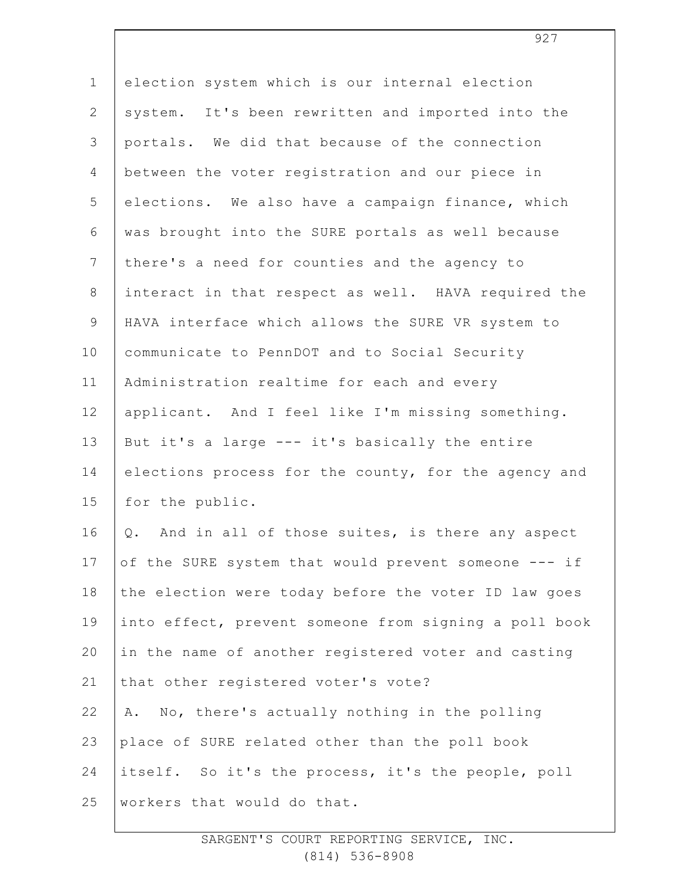| $\mathbf 1$     | election system which is our internal election        |
|-----------------|-------------------------------------------------------|
| $\mathbf{2}$    | system. It's been rewritten and imported into the     |
| 3               | portals. We did that because of the connection        |
| 4               | between the voter registration and our piece in       |
| 5               | elections. We also have a campaign finance, which     |
| 6               | was brought into the SURE portals as well because     |
| $7\phantom{.0}$ | there's a need for counties and the agency to         |
| $8\,$           | interact in that respect as well. HAVA required the   |
| $\mathsf 9$     | HAVA interface which allows the SURE VR system to     |
| 10              | communicate to PennDOT and to Social Security         |
| 11              | Administration realtime for each and every            |
| 12              | applicant. And I feel like I'm missing something.     |
| 13              | But it's a large --- it's basically the entire        |
| 14              | elections process for the county, for the agency and  |
| 15              | for the public.                                       |
| 16              | And in all of those suites, is there any aspect<br>Q. |
| 17              | of the SURE system that would prevent someone --- if  |
| 18              | the election were today before the voter ID law goes  |
| 19              | into effect, prevent someone from signing a poll book |
| 20              | in the name of another registered voter and casting   |
| 21              | that other registered voter's vote?                   |
| 22              | No, there's actually nothing in the polling<br>Α.     |
| 23              | place of SURE related other than the poll book        |
| 24              | itself. So it's the process, it's the people, poll    |
| 25              | workers that would do that.                           |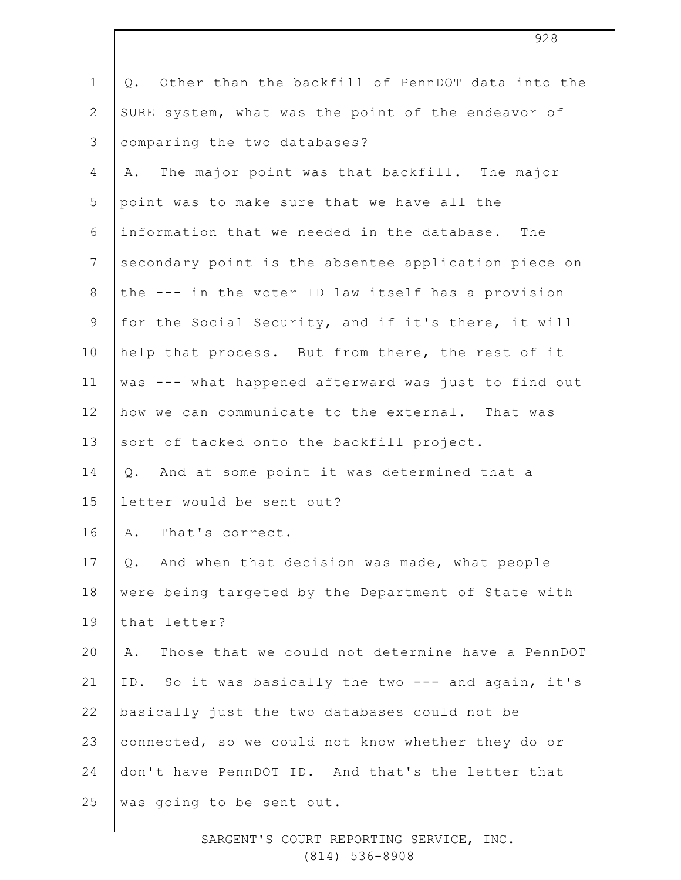| $\mathbf 1$    | Other than the backfill of PennDOT data into the<br>Q. |
|----------------|--------------------------------------------------------|
| $\mathbf{2}$   | SURE system, what was the point of the endeavor of     |
| 3              | comparing the two databases?                           |
| $\overline{4}$ | The major point was that backfill. The major<br>Α.     |
| 5              | point was to make sure that we have all the            |
| 6              | information that we needed in the database. The        |
| $\overline{7}$ | secondary point is the absentee application piece on   |
| $8\,$          | the --- in the voter ID law itself has a provision     |
| $\mathsf 9$    | for the Social Security, and if it's there, it will    |
| 10             | help that process. But from there, the rest of it      |
| 11             | was --- what happened afterward was just to find out   |
| 12             | how we can communicate to the external. That was       |
| 13             | sort of tacked onto the backfill project.              |
| 14             | And at some point it was determined that a<br>Q.       |
| 15             | letter would be sent out?                              |
| 16             | That's correct.<br>Α.                                  |
| 17             | Q. And when that decision was made, what people        |
| 18             | were being targeted by the Department of State with    |
| 19             | that letter?                                           |
| 20             | Those that we could not determine have a PennDOT<br>Α. |
| 21             | ID. So it was basically the two --- and again, it's    |
| 22             | basically just the two databases could not be          |
| 23             | connected, so we could not know whether they do or     |
| 24             | don't have PennDOT ID. And that's the letter that      |
| 25             | was going to be sent out.                              |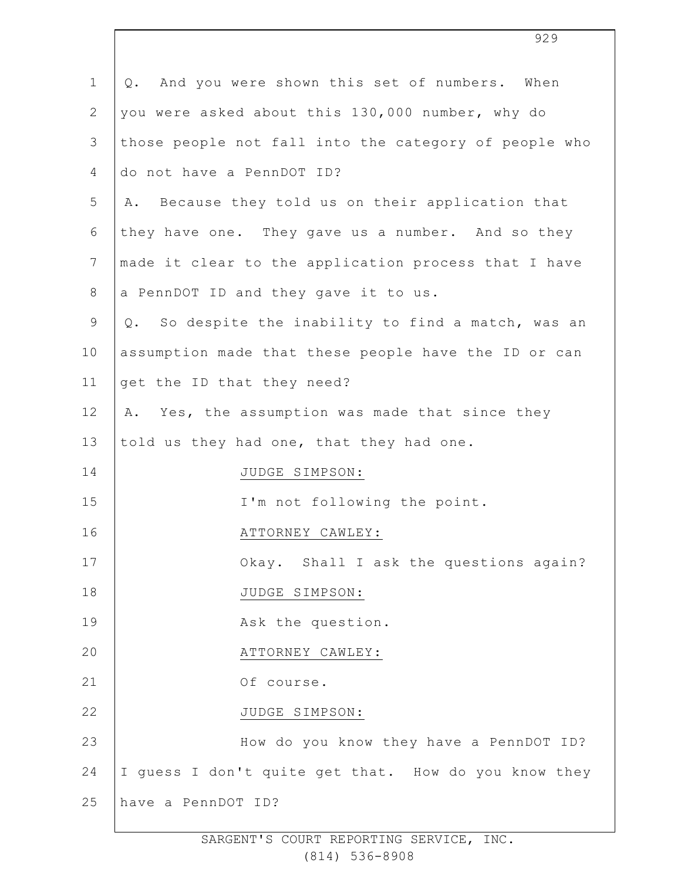| $\mathbf 1$    | And you were shown this set of numbers. When<br>Q.     |
|----------------|--------------------------------------------------------|
| $\overline{2}$ | you were asked about this 130,000 number, why do       |
| 3              | those people not fall into the category of people who  |
| 4              | do not have a PennDOT ID?                              |
| 5              | Because they told us on their application that<br>Α.   |
| 6              | they have one. They gave us a number. And so they      |
| $\overline{7}$ | made it clear to the application process that I have   |
| $8\,$          | a PennDOT ID and they gave it to us.                   |
| 9              | So despite the inability to find a match, was an<br>Q. |
| 10             | assumption made that these people have the ID or can   |
| 11             | get the ID that they need?                             |
| 12             | A. Yes, the assumption was made that since they        |
| 13             | told us they had one, that they had one.               |
| 14             | JUDGE SIMPSON:                                         |
| 15             | I'm not following the point.                           |
| 16             | ATTORNEY CAWLEY:                                       |
| 17             | Okay. Shall I ask the questions again?                 |
| 18             | JUDGE SIMPSON:                                         |
| 19             | Ask the question.                                      |
| 20             | ATTORNEY CAWLEY:                                       |
| 21             | Of course.                                             |
| 22             | JUDGE SIMPSON:                                         |
| 23             | How do you know they have a PennDOT ID?                |
| 24             | I guess I don't quite get that. How do you know they   |
| 25             | have a PennDOT ID?                                     |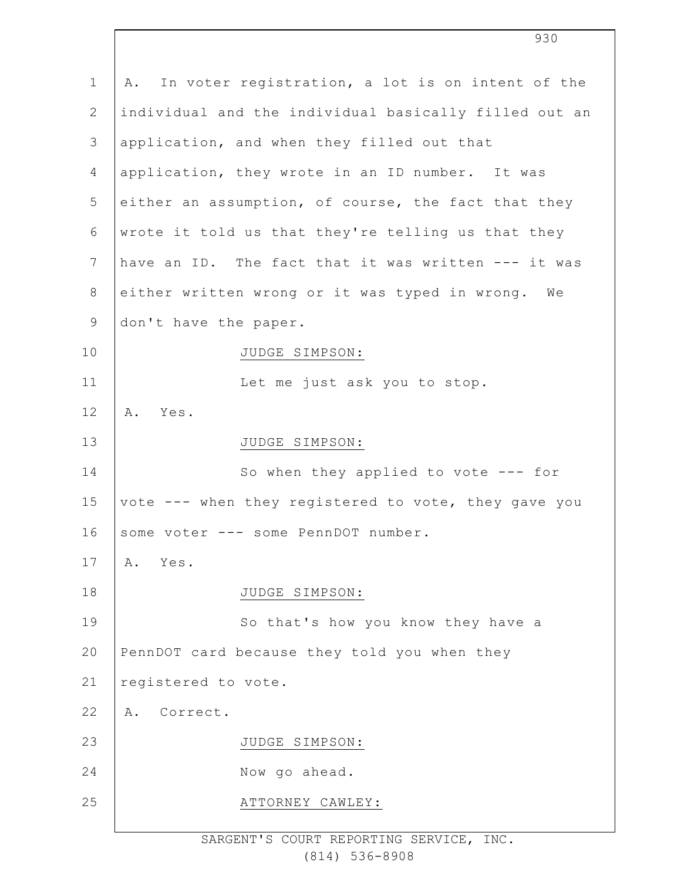| $\mathbf 1$    | A. In voter registration, a lot is on intent of the   |
|----------------|-------------------------------------------------------|
| $\overline{2}$ | individual and the individual basically filled out an |
| 3              | application, and when they filled out that            |
| 4              | application, they wrote in an ID number. It was       |
| 5              | either an assumption, of course, the fact that they   |
| 6              | wrote it told us that they're telling us that they    |
| $\overline{7}$ | have an ID. The fact that it was written --- it was   |
| $8\,$          | either written wrong or it was typed in wrong. We     |
| $\mathsf 9$    | don't have the paper.                                 |
| 10             | JUDGE SIMPSON:                                        |
| 11             | Let me just ask you to stop.                          |
| 12             | Α.<br>Yes.                                            |
| 13             | JUDGE SIMPSON:                                        |
| 14             | So when they applied to vote $---$ for                |
| 15             | vote --- when they registered to vote, they gave you  |
| 16             | some voter --- some PennDOT number.                   |
| 17             | Α.<br>Yes.                                            |
| 18             | JUDGE SIMPSON:                                        |
| 19             | So that's how you know they have a                    |
| 20             | PennDOT card because they told you when they          |
| 21             | registered to vote.                                   |
| 22             | Correct.<br>Α.                                        |
| 23             | JUDGE SIMPSON:                                        |
| 24             | Now go ahead.                                         |
| 25             | ATTORNEY CAWLEY:                                      |
|                |                                                       |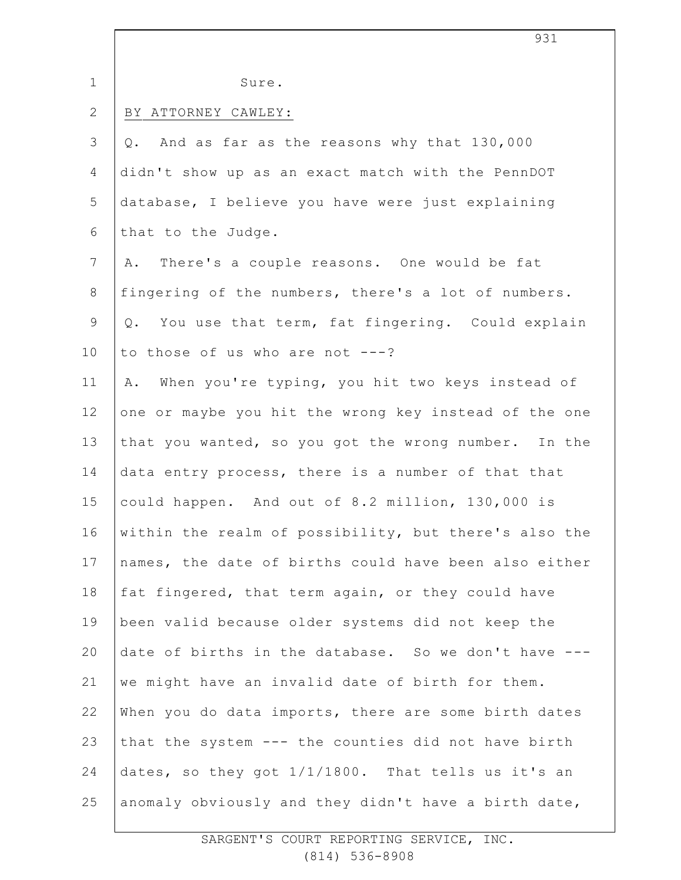|                | 931                                                         |
|----------------|-------------------------------------------------------------|
| $\mathbf 1$    | Sure.                                                       |
| $\mathbf{2}$   | BY ATTORNEY CAWLEY:                                         |
| 3              | And as far as the reasons why that 130,000<br>$Q_{\bullet}$ |
| 4              | didn't show up as an exact match with the PennDOT           |
| 5              | database, I believe you have were just explaining           |
| 6              | that to the Judge.                                          |
| $\overline{7}$ | There's a couple reasons. One would be fat<br>Α.            |
| $8\,$          | fingering of the numbers, there's a lot of numbers.         |
| $\mathsf 9$    | You use that term, fat fingering. Could explain<br>Q.       |
| 10             | to those of us who are not $---?$                           |
| 11             | When you're typing, you hit two keys instead of<br>Α.       |
| 12             | one or maybe you hit the wrong key instead of the one       |
| 13             | that you wanted, so you got the wrong number. In the        |
| 14             | data entry process, there is a number of that that          |
| 15             | could happen. And out of 8.2 million, 130,000 is            |
| 16             | within the realm of possibility, but there's also the       |
| 17             | names, the date of births could have been also either       |
| 18             | fat fingered, that term again, or they could have           |
| 19             | been valid because older systems did not keep the           |
| 20             | date of births in the database. So we don't have ---        |
| 21             | we might have an invalid date of birth for them.            |
| 22             | When you do data imports, there are some birth dates        |
| 23             | that the system --- the counties did not have birth         |
| 24             | dates, so they got $1/1/1800$ . That tells us it's an       |
| 25             | anomaly obviously and they didn't have a birth date,        |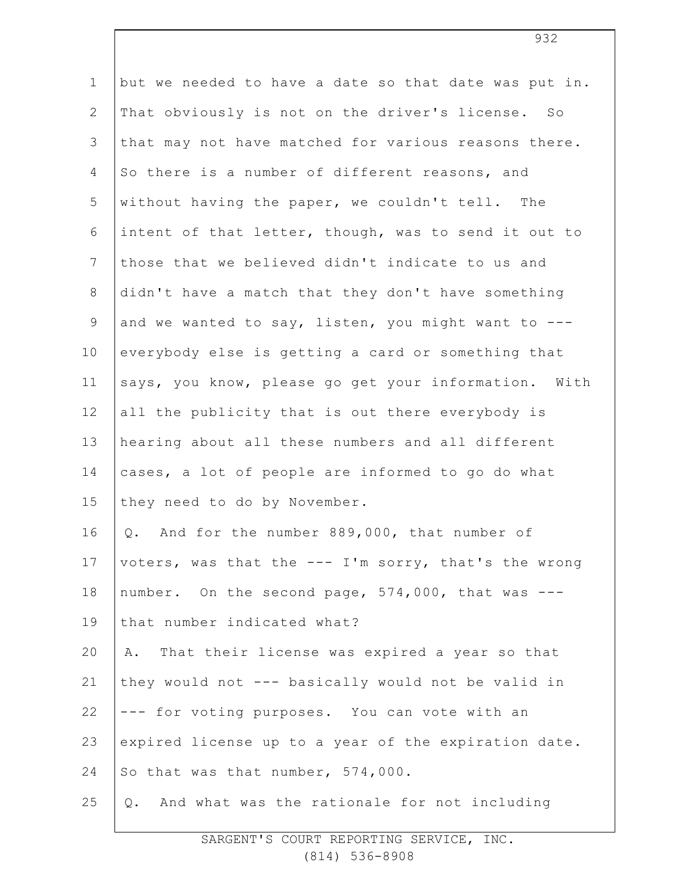| $\mathbf 1$     | but we needed to have a date so that date was put in. |
|-----------------|-------------------------------------------------------|
| $\mathbf{2}$    | That obviously is not on the driver's license. So     |
| 3               | that may not have matched for various reasons there.  |
| $\overline{4}$  | So there is a number of different reasons, and        |
| 5               | without having the paper, we couldn't tell. The       |
| 6               | intent of that letter, though, was to send it out to  |
| $7\phantom{.0}$ | those that we believed didn't indicate to us and      |
| $\,8\,$         | didn't have a match that they don't have something    |
| $\mathsf 9$     | and we wanted to say, listen, you might want to ---   |
| 10              | everybody else is getting a card or something that    |
| 11              | says, you know, please go get your information. With  |
| 12              | all the publicity that is out there everybody is      |
| 13              | hearing about all these numbers and all different     |
| 14              | cases, a lot of people are informed to go do what     |
| 15              | they need to do by November.                          |
| 16              | And for the number 889,000, that number of<br>Q.      |
| 17              | voters, was that the --- I'm sorry, that's the wrong  |
| 18              | number. On the second page, 574,000, that was ---     |
| 19              | that number indicated what?                           |
| 20              | A. That their license was expired a year so that      |
| 21              | they would not --- basically would not be valid in    |
| 22              | --- for voting purposes. You can vote with an         |
| 23              | expired license up to a year of the expiration date.  |
| 24              | So that was that number, 574,000.                     |
| 25              | And what was the rationale for not including<br>Q.    |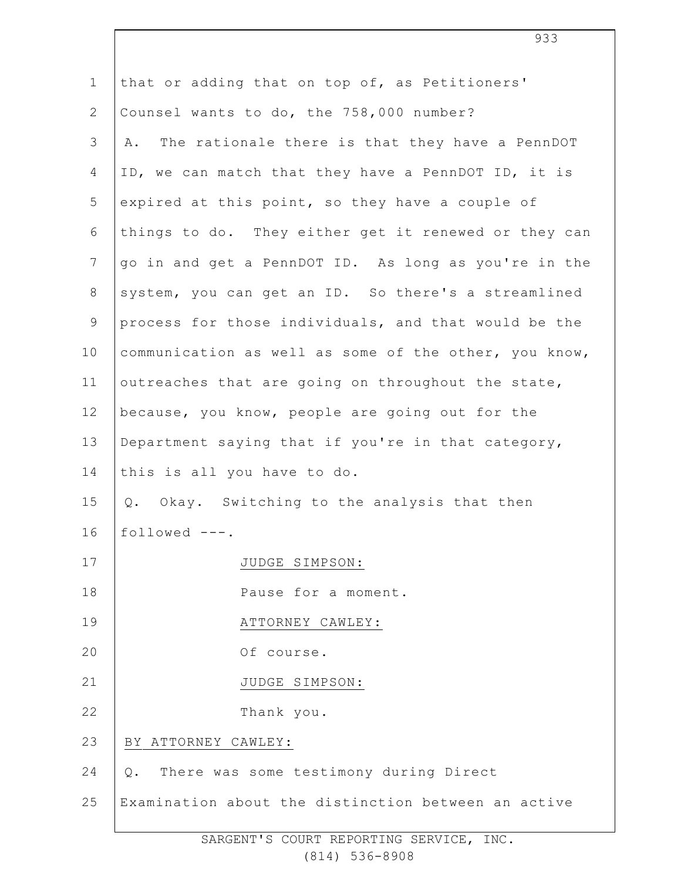| $\mathbf 1$    | that or adding that on top of, as Petitioners'        |
|----------------|-------------------------------------------------------|
| $\mathbf{2}$   | Counsel wants to do, the 758,000 number?              |
| 3              | The rationale there is that they have a PennDOT<br>Α. |
| $\overline{4}$ | ID, we can match that they have a PennDOT ID, it is   |
| 5              | expired at this point, so they have a couple of       |
| 6              | things to do. They either get it renewed or they can  |
| $7\phantom{.}$ | go in and get a PennDOT ID. As long as you're in the  |
| 8              | system, you can get an ID. So there's a streamlined   |
| $\mathsf 9$    | process for those individuals, and that would be the  |
| 10             | communication as well as some of the other, you know, |
| 11             | outreaches that are going on throughout the state,    |
| 12             | because, you know, people are going out for the       |
| 13             | Department saying that if you're in that category,    |
| 14             | this is all you have to do.                           |
| 15             | Q. Okay. Switching to the analysis that then          |
| 16             | followed $---$ .                                      |
| 17             | JUDGE SIMPSON:                                        |
| 18             | Pause for a moment.                                   |
| 19             | ATTORNEY CAWLEY:                                      |
| 20             | Of course.                                            |
| 21             | JUDGE SIMPSON:                                        |
| 22             | Thank you.                                            |
| 23             | ATTORNEY CAWLEY:<br>BY.                               |
| 24             | There was some testimony during Direct<br>Q.          |
| 25             | Examination about the distinction between an active   |
|                |                                                       |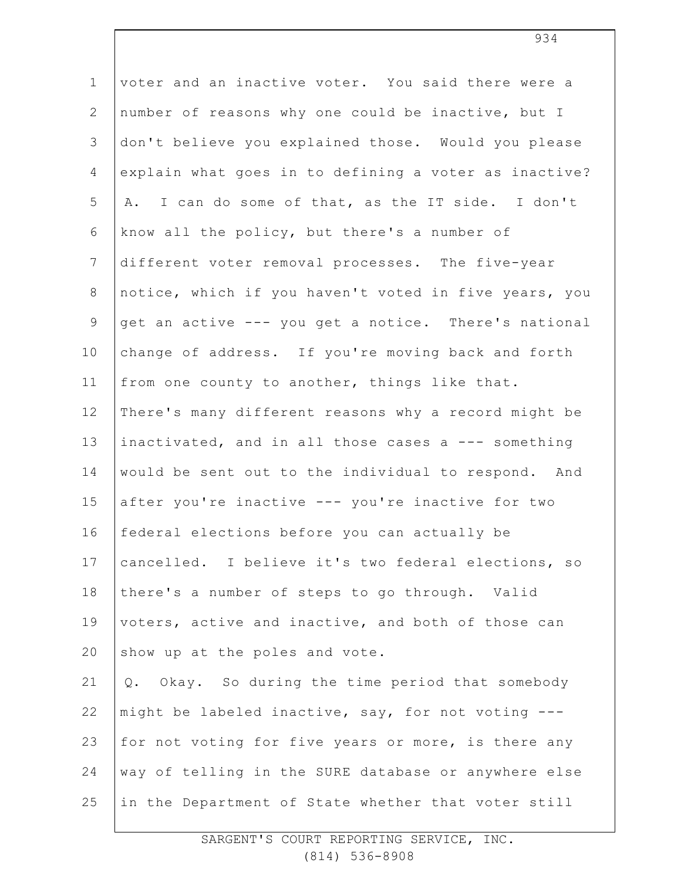| $\mathbf 1$     | voter and an inactive voter. You said there were a    |
|-----------------|-------------------------------------------------------|
| $\mathbf{2}$    | number of reasons why one could be inactive, but I    |
| 3               | don't believe you explained those. Would you please   |
| 4               | explain what goes in to defining a voter as inactive? |
| 5               | A. I can do some of that, as the IT side. I don't     |
| 6               | know all the policy, but there's a number of          |
| $7\phantom{.0}$ | different voter removal processes. The five-year      |
| 8               | notice, which if you haven't voted in five years, you |
| $\mathsf 9$     | get an active --- you get a notice. There's national  |
| 10              | change of address. If you're moving back and forth    |
| 11              | from one county to another, things like that.         |
| 12              | There's many different reasons why a record might be  |
| 13              | inactivated, and in all those cases a --- something   |
| 14              | would be sent out to the individual to respond. And   |
| 15              | after you're inactive --- you're inactive for two     |
| 16              | federal elections before you can actually be          |
| 17              | cancelled. I believe it's two federal elections, so   |
| 18              | there's a number of steps to go through. Valid        |
| 19              | voters, active and inactive, and both of those can    |
| 20              | show up at the poles and vote.                        |
| 21              | Q. Okay. So during the time period that somebody      |
| 22              | might be labeled inactive, say, for not voting ---    |
| 23              | for not voting for five years or more, is there any   |
| 24              | way of telling in the SURE database or anywhere else  |
| 25              | in the Department of State whether that voter still   |
|                 |                                                       |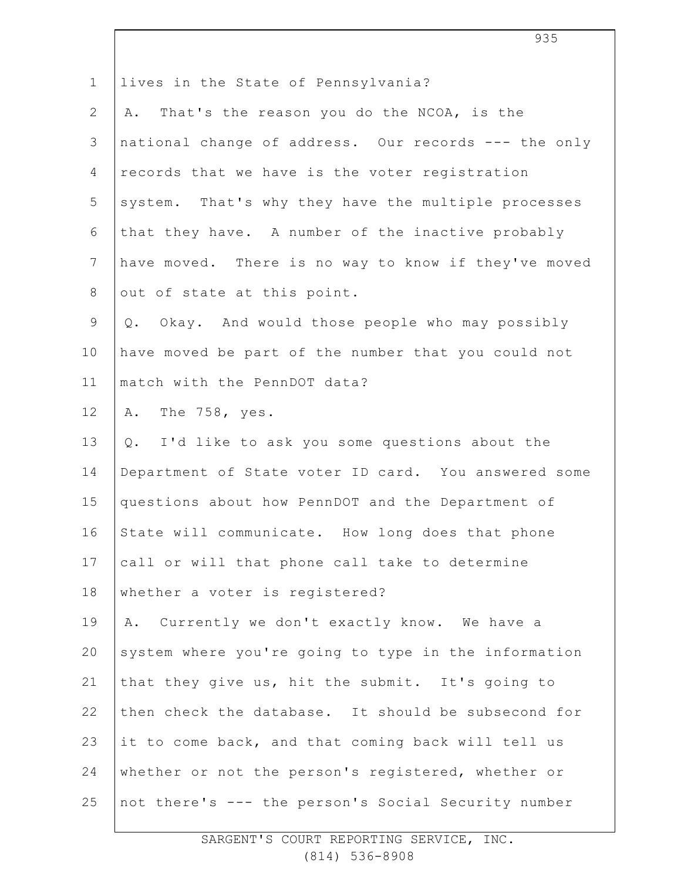| $\mathbf 1$     | lives in the State of Pennsylvania?                  |
|-----------------|------------------------------------------------------|
| $\overline{2}$  | That's the reason you do the NCOA, is the<br>Α.      |
| 3               | national change of address. Our records --- the only |
| 4               | records that we have is the voter registration       |
| 5               | system. That's why they have the multiple processes  |
| 6               | that they have. A number of the inactive probably    |
| $7\phantom{.0}$ | have moved. There is no way to know if they've moved |
| 8               | out of state at this point.                          |
| $\mathcal{G}$   | Q. Okay. And would those people who may possibly     |
| 10              | have moved be part of the number that you could not  |
| 11              | match with the PennDOT data?                         |
| 12              | The 758, yes.<br>Α.                                  |
| 13              | Q. I'd like to ask you some questions about the      |
| 14              | Department of State voter ID card. You answered some |
| 15              | questions about how PennDOT and the Department of    |
| 16              | State will communicate. How long does that phone     |
| 17              | call or will that phone call take to determine       |
| 18              | whether a voter is registered?                       |
| 19              | Currently we don't exactly know. We have a<br>Α.     |
| 20              | system where you're going to type in the information |
| 21              | that they give us, hit the submit. It's going to     |
| 22              | then check the database. It should be subsecond for  |
| 23              | it to come back, and that coming back will tell us   |
| 24              | whether or not the person's registered, whether or   |
| 25              | not there's --- the person's Social Security number  |

935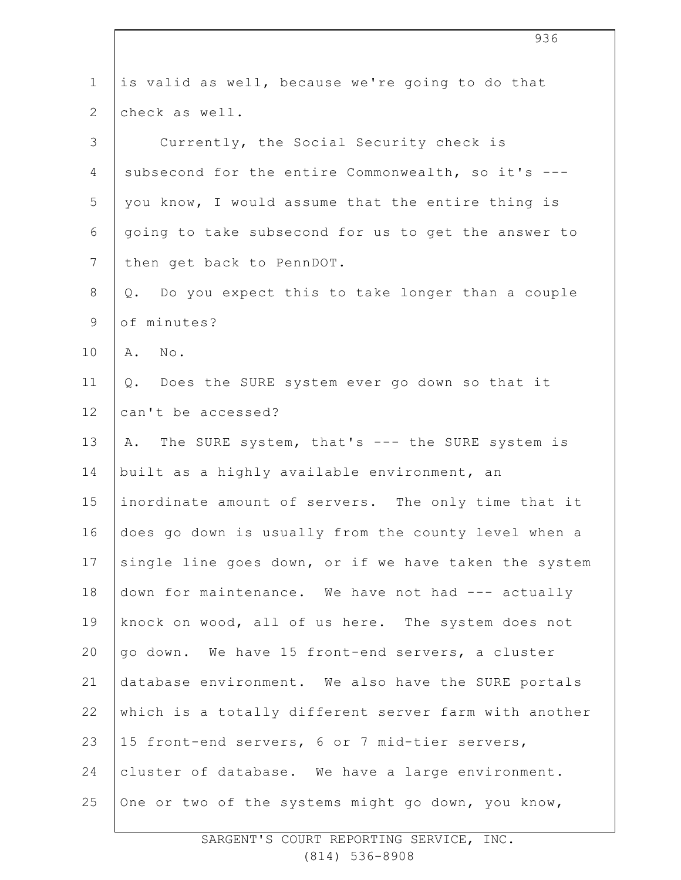| $\mathbf 1$    | is valid as well, because we're going to do that      |
|----------------|-------------------------------------------------------|
| $\overline{2}$ | check as well.                                        |
| 3              | Currently, the Social Security check is               |
| 4              | subsecond for the entire Commonwealth, so it's ---    |
| 5              | you know, I would assume that the entire thing is     |
| 6              | going to take subsecond for us to get the answer to   |
| 7              | then get back to PennDOT.                             |
| 8              | Q. Do you expect this to take longer than a couple    |
| 9              | of minutes?                                           |
| 10             | A. No.                                                |
| 11             | Does the SURE system ever go down so that it<br>$Q$ . |
| 12             | can't be accessed?                                    |
| 13             | A. The SURE system, that's --- the SURE system is     |
| 14             | built as a highly available environment, an           |
| 15             | inordinate amount of servers. The only time that it   |
| 16             | does go down is usually from the county level when a  |
| 17             | single line goes down, or if we have taken the system |
| 18             | down for maintenance. We have not had --- actually    |
| 19             | knock on wood, all of us here. The system does not    |
| 20             | go down. We have 15 front-end servers, a cluster      |
| 21             | database environment. We also have the SURE portals   |
| 22             | which is a totally different server farm with another |
| 23             | 15 front-end servers, 6 or 7 mid-tier servers,        |
| 24             | cluster of database. We have a large environment.     |
| 25             | One or two of the systems might go down, you know,    |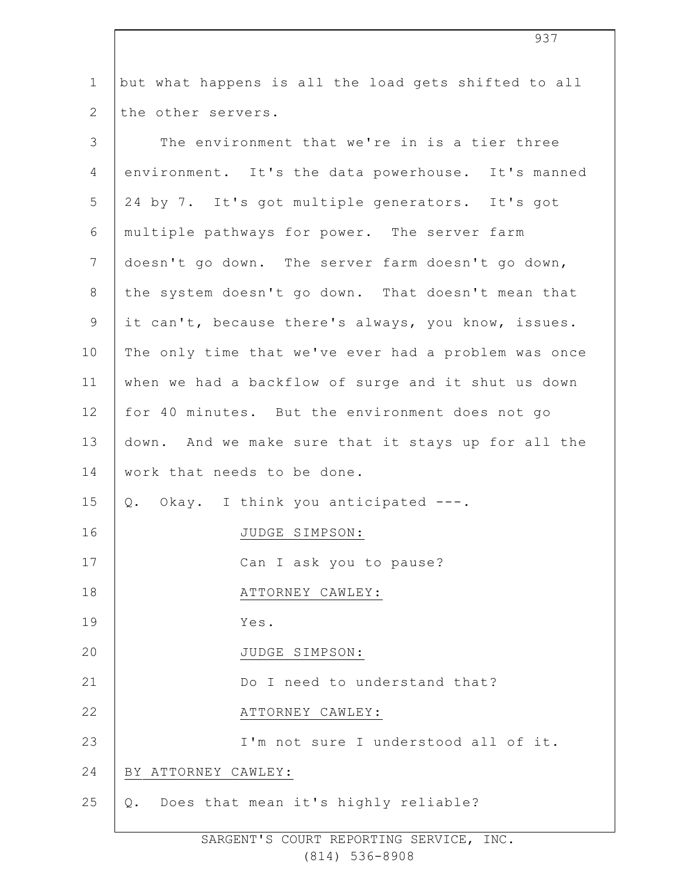| but what happens is all the load gets shifted to all<br>The environment that we're in is a tier three<br>environment. It's the data powerhouse. It's manned<br>24 by 7. It's got multiple generators. It's got<br>multiple pathways for power. The server farm<br>doesn't go down. The server farm doesn't go down, |
|---------------------------------------------------------------------------------------------------------------------------------------------------------------------------------------------------------------------------------------------------------------------------------------------------------------------|
|                                                                                                                                                                                                                                                                                                                     |
|                                                                                                                                                                                                                                                                                                                     |
|                                                                                                                                                                                                                                                                                                                     |
|                                                                                                                                                                                                                                                                                                                     |
|                                                                                                                                                                                                                                                                                                                     |
|                                                                                                                                                                                                                                                                                                                     |
|                                                                                                                                                                                                                                                                                                                     |
| the system doesn't go down. That doesn't mean that                                                                                                                                                                                                                                                                  |
| it can't, because there's always, you know, issues.                                                                                                                                                                                                                                                                 |
| The only time that we've ever had a problem was once                                                                                                                                                                                                                                                                |
| when we had a backflow of surge and it shut us down                                                                                                                                                                                                                                                                 |
| for 40 minutes. But the environment does not go                                                                                                                                                                                                                                                                     |
| down. And we make sure that it stays up for all the                                                                                                                                                                                                                                                                 |
| work that needs to be done.                                                                                                                                                                                                                                                                                         |
| Q. Okay. I think you anticipated ---.                                                                                                                                                                                                                                                                               |
| JUDGE SIMPSON:                                                                                                                                                                                                                                                                                                      |
| Can I ask you to pause?                                                                                                                                                                                                                                                                                             |
| ATTORNEY CAWLEY:                                                                                                                                                                                                                                                                                                    |
|                                                                                                                                                                                                                                                                                                                     |
| JUDGE SIMPSON:                                                                                                                                                                                                                                                                                                      |
| Do I need to understand that?                                                                                                                                                                                                                                                                                       |
| ATTORNEY CAWLEY:                                                                                                                                                                                                                                                                                                    |
| I'm not sure I understood all of it.                                                                                                                                                                                                                                                                                |
|                                                                                                                                                                                                                                                                                                                     |
| Does that mean it's highly reliable?                                                                                                                                                                                                                                                                                |
|                                                                                                                                                                                                                                                                                                                     |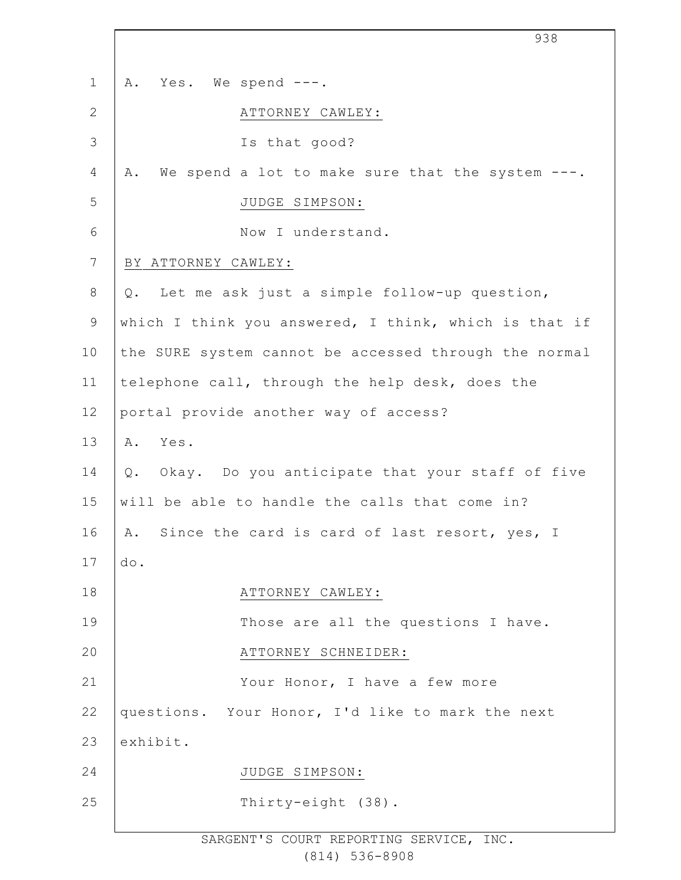|             | 938                                                    |
|-------------|--------------------------------------------------------|
| $\mathbf 1$ | Yes. We spend ---.<br>Α.                               |
| 2           | ATTORNEY CAWLEY:                                       |
| 3           | Is that good?                                          |
| 4           | We spend a lot to make sure that the system ---.<br>Α. |
| 5           | JUDGE SIMPSON:                                         |
| $6\,$       | Now I understand.                                      |
| 7           | BY ATTORNEY CAWLEY:                                    |
| $8\,$       | Q. Let me ask just a simple follow-up question,        |
| $\mathsf 9$ | which I think you answered, I think, which is that if  |
| 10          | the SURE system cannot be accessed through the normal  |
| 11          | telephone call, through the help desk, does the        |
| 12          | portal provide another way of access?                  |
| 13          | A. Yes.                                                |
| 14          | Q. Okay. Do you anticipate that your staff of five     |
| 15          | will be able to handle the calls that come in?         |
| 16          | A. Since the card is card of last resort, yes, I       |
| 17          | do.                                                    |
| 18          | ATTORNEY CAWLEY:                                       |
| 19          | Those are all the questions I have.                    |
| 20          | ATTORNEY SCHNEIDER:                                    |
| 21          | Your Honor, I have a few more                          |
| 22          | questions. Your Honor, I'd like to mark the next       |
| 23          | exhibit.                                               |
| 24          | JUDGE SIMPSON:                                         |
| 25          | Thirty-eight (38).                                     |
|             |                                                        |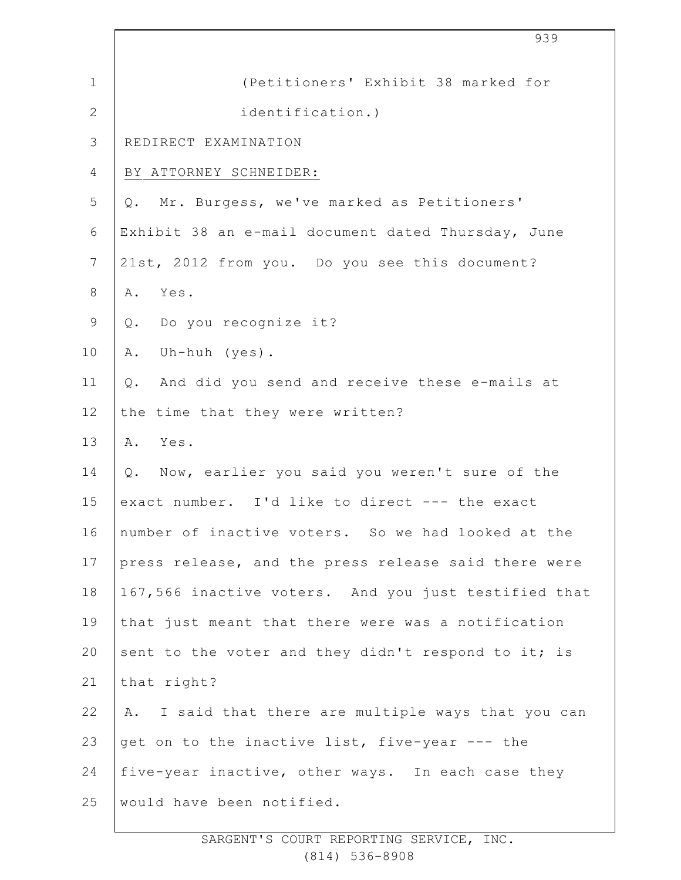|                | 939                                                  |
|----------------|------------------------------------------------------|
| $\mathbf{1}$   | (Petitioners' Exhibit 38 marked for                  |
| $\mathbf{2}$   | identification.)                                     |
| $\mathcal{S}$  | REDIRECT EXAMINATION                                 |
| 4              | BY ATTORNEY SCHNEIDER:                               |
| 5              | Q. Mr. Burgess, we've marked as Petitioners'         |
| 6              | Exhibit 38 an e-mail document dated Thursday, June   |
| $7\phantom{.}$ | 21st, 2012 from you. Do you see this document?       |
| 8              | Yes.<br>Α.                                           |
| $\mathsf 9$    | Q. Do you recognize it?                              |
| 10             | Uh-huh (yes).<br>Α.                                  |
| 11             | And did you send and receive these e-mails at<br>Q.  |
| 12             | the time that they were written?                     |
| 13             | Yes.<br>Α.                                           |
| 14             | Q. Now, earlier you said you weren't sure of the     |
| 15             | exact number. I'd like to direct --- the exact       |
| 16             | number of inactive voters. So we had looked at the   |
| 17             | press release, and the press release said there were |
| 18             | 167,566 inactive voters. And you just testified that |
| 19             | that just meant that there were was a notification   |
| 20             | sent to the voter and they didn't respond to it; is  |
| 21             | that right?                                          |
| 22             | A. I said that there are multiple ways that you can  |
| 23             | get on to the inactive list, five-year --- the       |
| 24             | five-year inactive, other ways. In each case they    |
| 25             | would have been notified.                            |
|                |                                                      |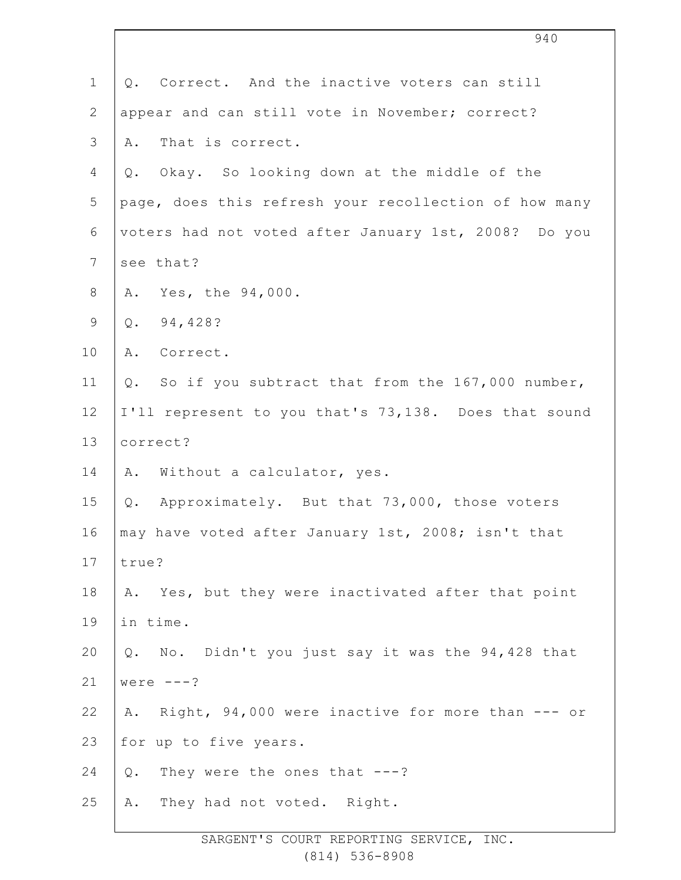|                 | 940                                                    |
|-----------------|--------------------------------------------------------|
| $\mathbf 1$     | Q. Correct. And the inactive voters can still          |
| $\mathbf{2}$    | appear and can still vote in November; correct?        |
| $\mathcal{S}$   | That is correct.<br>Α.                                 |
| 4               | Okay. So looking down at the middle of the<br>Q.       |
| 5               | page, does this refresh your recollection of how many  |
| $\sqrt{6}$      | voters had not voted after January 1st, 2008? Do you   |
| $7\phantom{.0}$ | see that?                                              |
| $\,8\,$         | Yes, the 94,000.<br>Α.                                 |
| $\mathsf 9$     | 94,428?<br>Q.                                          |
| 10              | Α.<br>Correct.                                         |
| 11              | So if you subtract that from the 167,000 number,<br>Q. |
| 12              | I'll represent to you that's 73,138. Does that sound   |
| 13              | correct?                                               |
| 14              | Without a calculator, yes.<br>Α.                       |
| 15              | Approximately. But that 73,000, those voters<br>Q.     |
| 16              | may have voted after January 1st, 2008; isn't that     |
| 17              | true?                                                  |
| 18              | A. Yes, but they were inactivated after that point     |
| 19              | in time.                                               |
| 20              | Q. No. Didn't you just say it was the 94,428 that      |
| 21              | were $---?$                                            |
| 22              | Right, 94,000 were inactive for more than --- or<br>Α. |
| 23              | for up to five years.                                  |
| 24              | They were the ones that $---?$<br>$\mathsf{Q}$ .       |
| 25              | They had not voted. Right.<br>Α.                       |
|                 |                                                        |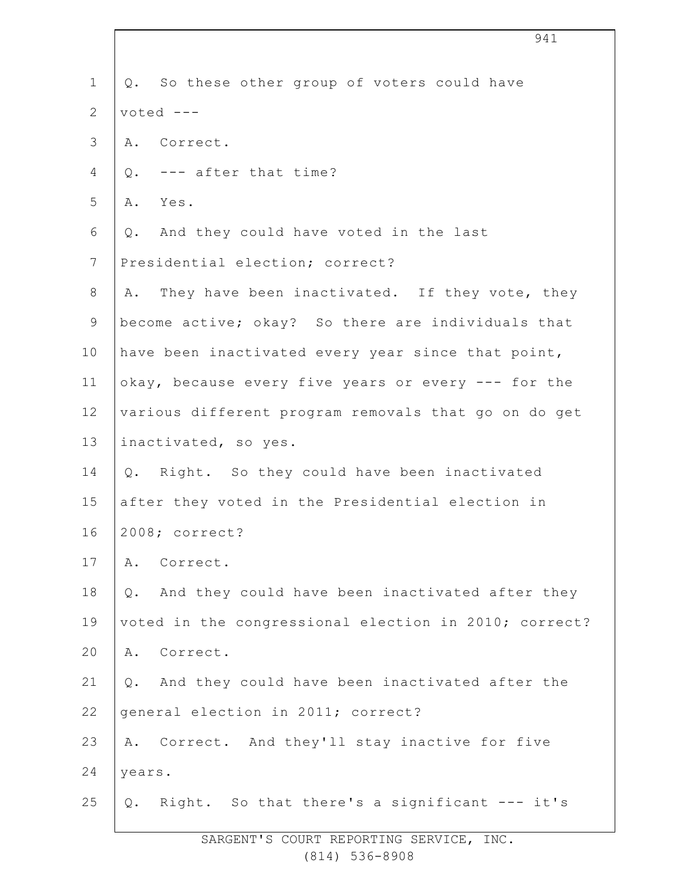| $\mathbf 1$    | Q. So these other group of voters could have          |  |
|----------------|-------------------------------------------------------|--|
| $\overline{2}$ | $voted$ ---                                           |  |
| 3              | A. Correct.                                           |  |
| 4              | Q. --- after that time?                               |  |
| 5              | A. Yes.                                               |  |
| 6              | And they could have voted in the last<br>Q.           |  |
| 7              | Presidential election; correct?                       |  |
| $8\,$          | A. They have been inactivated. If they vote, they     |  |
| 9              | become active; okay? So there are individuals that    |  |
| 10             | have been inactivated every year since that point,    |  |
| 11             | okay, because every five years or every --- for the   |  |
| 12             | various different program removals that go on do get  |  |
| 13             | inactivated, so yes.                                  |  |
| 14             | Q. Right. So they could have been inactivated         |  |
| 15             | after they voted in the Presidential election in      |  |
| 16             | 2008; correct?                                        |  |
| 17             | Α.<br>Correct.                                        |  |
| 18             | And they could have been inactivated after they<br>Q. |  |
| 19             | voted in the congressional election in 2010; correct? |  |
| 20             | Correct.<br>Α.                                        |  |
| 21             | Q. And they could have been inactivated after the     |  |
| 22             | general election in 2011; correct?                    |  |
| 23             | A. Correct. And they'll stay inactive for five        |  |
| 24             | years.                                                |  |
| 25             | Right. So that there's a significant --- it's<br>Q.   |  |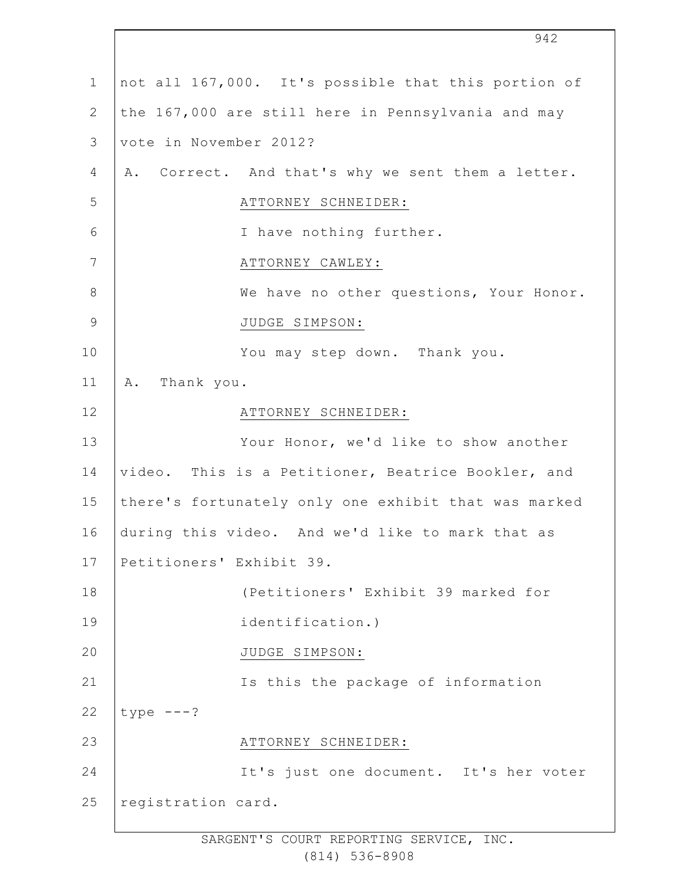|               | 942                                                  |
|---------------|------------------------------------------------------|
| $\mathbf 1$   | not all 167,000. It's possible that this portion of  |
| $\mathbf{2}$  | the 167,000 are still here in Pennsylvania and may   |
| 3             | vote in November 2012?                               |
| 4             | A. Correct. And that's why we sent them a letter.    |
| 5             | ATTORNEY SCHNEIDER:                                  |
| 6             | I have nothing further.                              |
| 7             | ATTORNEY CAWLEY:                                     |
| $8\,$         | We have no other questions, Your Honor.              |
| $\mathcal{G}$ | JUDGE SIMPSON:                                       |
| 10            | You may step down. Thank you.                        |
| 11            | Thank you.<br>Α.                                     |
| 12            | ATTORNEY SCHNEIDER:                                  |
| 13            | Your Honor, we'd like to show another                |
| 14            | video. This is a Petitioner, Beatrice Bookler, and   |
| 15            | there's fortunately only one exhibit that was marked |
| 16            | during this video. And we'd like to mark that as     |
| 17            | Petitioners' Exhibit 39.                             |
| 18            | (Petitioners' Exhibit 39 marked for                  |
| 19            | identification.)                                     |
| 20            | JUDGE SIMPSON:                                       |
| 21            | Is this the package of information                   |
| 22            | type $---?$                                          |
| 23            | ATTORNEY SCHNEIDER:                                  |
| 24            | It's just one document. It's her voter               |
| 25            | registration card.                                   |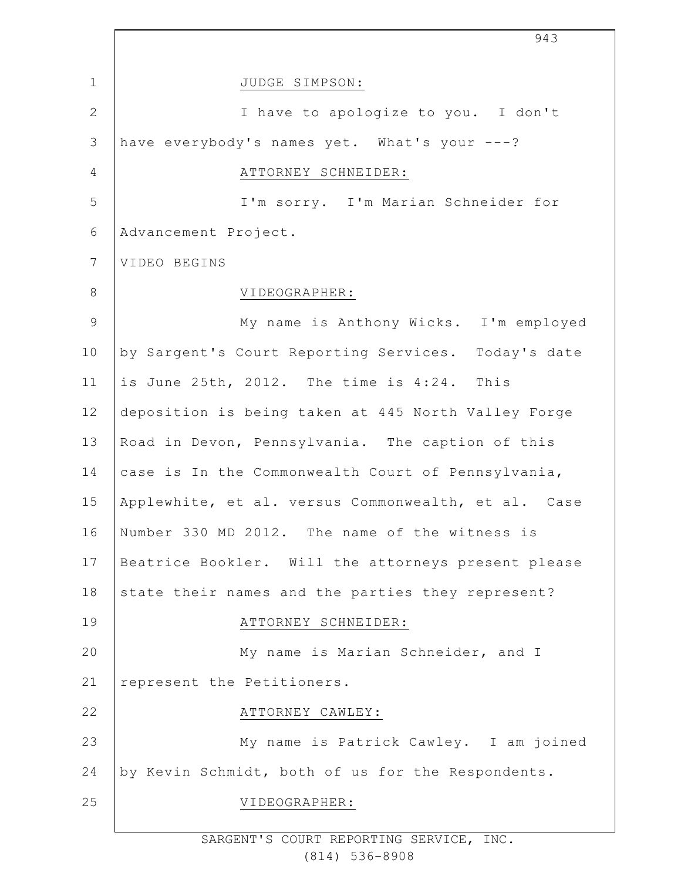|                | 943                                                 |
|----------------|-----------------------------------------------------|
| $\mathbf{1}$   | JUDGE SIMPSON:                                      |
| $\mathbf{2}$   | I have to apologize to you. I don't                 |
| 3              | have everybody's names yet. What's your ---?        |
| 4              | ATTORNEY SCHNEIDER:                                 |
| 5              | I'm sorry. I'm Marian Schneider for                 |
| $6\,$          | Advancement Project.                                |
| $\overline{7}$ | VIDEO BEGINS                                        |
| 8              | VIDEOGRAPHER:                                       |
| $\mathcal{G}$  | My name is Anthony Wicks. I'm employed              |
| 10             | by Sargent's Court Reporting Services. Today's date |
| 11             | is June 25th, 2012. The time is 4:24. This          |
| 12             | deposition is being taken at 445 North Valley Forge |
| 13             | Road in Devon, Pennsylvania. The caption of this    |
| 14             | case is In the Commonwealth Court of Pennsylvania,  |
| 15             | Applewhite, et al. versus Commonwealth, et al. Case |
| 16             | Number 330 MD 2012. The name of the witness is      |
| 17             | Beatrice Bookler. Will the attorneys present please |
| 18             | state their names and the parties they represent?   |
| 19             | ATTORNEY SCHNEIDER:                                 |
| 20             | My name is Marian Schneider, and I                  |
| 21             | represent the Petitioners.                          |
| 22             | ATTORNEY CAWLEY:                                    |
| 23             | My name is Patrick Cawley. I am joined              |
| 24             | by Kevin Schmidt, both of us for the Respondents.   |
| 25             | VIDEOGRAPHER:                                       |
|                |                                                     |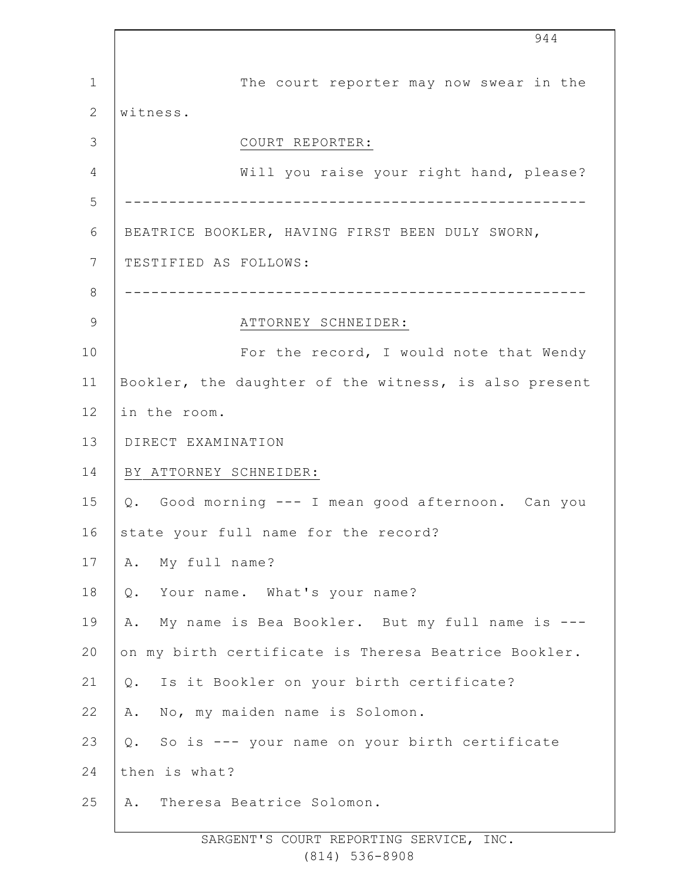1 2 3 4 5 6 7 8 9 10 11 12 13 14 15 16 17 18 19 20 21 22 23 24 25 944 The court reporter may now swear in the witness. COURT REPORTER: Will you raise your right hand, please? ---------------------------------------------------- BEATRICE BOOKLER, HAVING FIRST BEEN DULY SWORN, TESTIFIED AS FOLLOWS: ---------------------------------------------------- ATTORNEY SCHNEIDER: For the record, I would note that Wendy Bookler, the daughter of the witness, is also present in the room. DIRECT EXAMINATION BY ATTORNEY SCHNEIDER: Q. Good morning --- I mean good afternoon. Can you state your full name for the record? A. My full name? Q. Your name. What's your name? A. My name is Bea Bookler. But my full name is -- on my birth certificate is Theresa Beatrice Bookler. Q. Is it Bookler on your birth certificate? A. No, my maiden name is Solomon. Q. So is --- your name on your birth certificate then is what? A. Theresa Beatrice Solomon.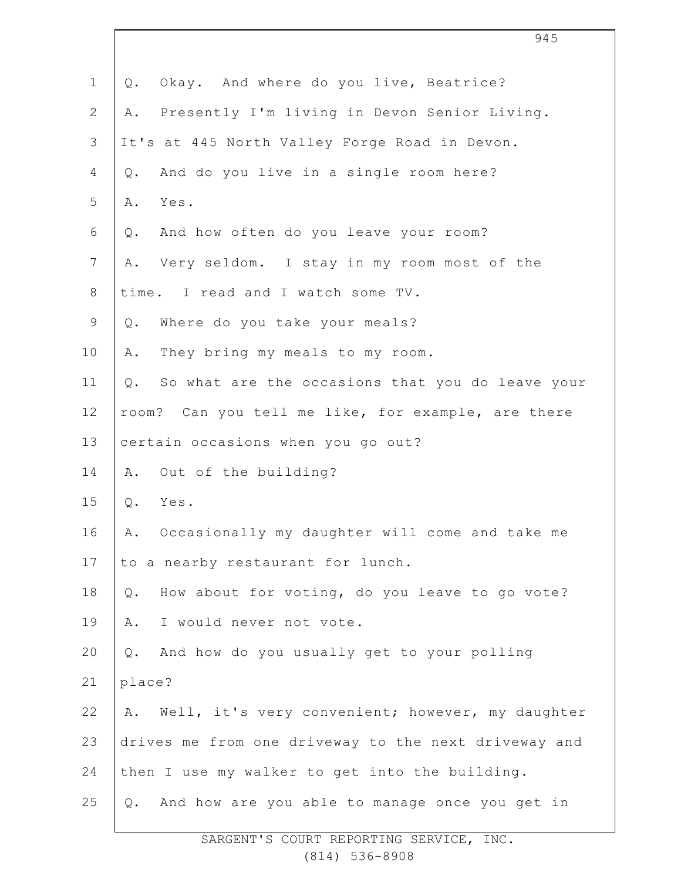| $\mathbf{1}$    | Okay. And where do you live, Beatrice?<br>Q.           |
|-----------------|--------------------------------------------------------|
| $\mathbf{2}$    | Presently I'm living in Devon Senior Living.<br>Α.     |
| $\mathcal{S}$   | It's at 445 North Valley Forge Road in Devon.          |
| 4               | And do you live in a single room here?<br>$Q$ .        |
| 5               | Yes.<br>Α.                                             |
| 6               | And how often do you leave your room?<br>Q.            |
| $7\phantom{.0}$ | Very seldom. I stay in my room most of the<br>Α.       |
| $\,8\,$         | time. I read and I watch some TV.                      |
| $\mathsf 9$     | Where do you take your meals?<br>Q.                    |
| 10              | They bring my meals to my room.<br>Α.                  |
| 11              | So what are the occasions that you do leave your<br>Q. |
| 12              | room? Can you tell me like, for example, are there     |
| 13              | certain occasions when you go out?                     |
| 14              | Out of the building?<br>Α.                             |
| 15              | Q.<br>Yes.                                             |
| 16              | Occasionally my daughter will come and take me<br>Α.   |
| 17              | to a nearby restaurant for lunch.                      |
| 18              | How about for voting, do you leave to go vote?<br>Q.   |
| 19              | I would never not vote.<br>Α.                          |
| 20              | And how do you usually get to your polling<br>Q.       |
| 21              | place?                                                 |
| 22              | Well, it's very convenient; however, my daughter<br>Α. |
| 23              | drives me from one driveway to the next driveway and   |
| 24              | then I use my walker to get into the building.         |
| 25              | And how are you able to manage once you get in<br>Q.   |
|                 |                                                        |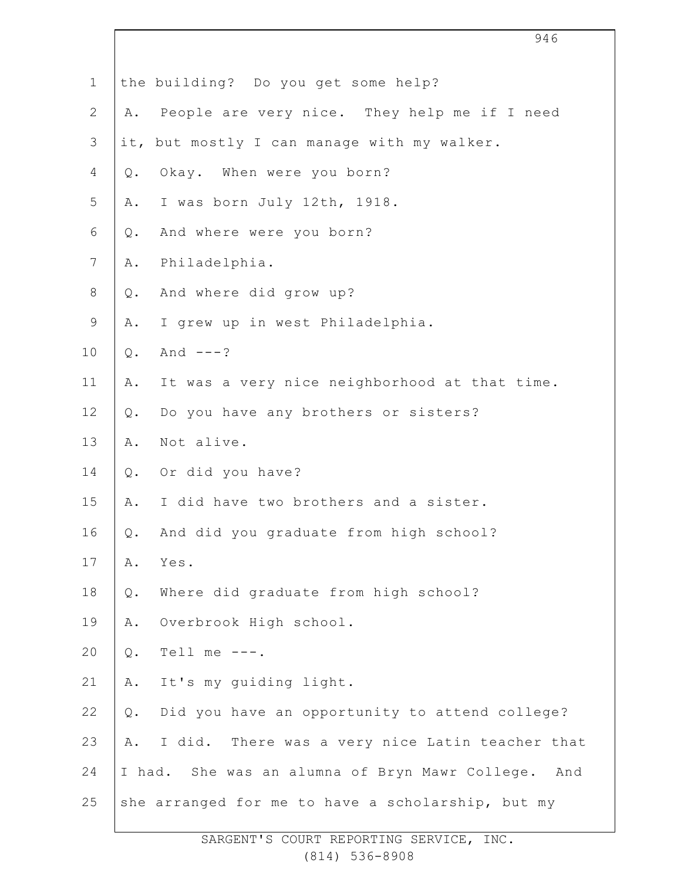|                |       | 946                                                |
|----------------|-------|----------------------------------------------------|
| $\mathbf 1$    |       | the building? Do you get some help?                |
| $\overline{2}$ | Α.    | People are very nice. They help me if I need       |
| $\mathcal{S}$  |       | it, but mostly I can manage with my walker.        |
| 4              | Q.    | Okay. When were you born?                          |
| 5              | Α.    | I was born July 12th, 1918.                        |
| 6              | Q.    | And where were you born?                           |
| $7\phantom{.}$ | Α.    | Philadelphia.                                      |
| $\,8\,$        | $Q$ . | And where did grow up?                             |
| $\mathsf 9$    | Α.    | I grew up in west Philadelphia.                    |
| 10             | $Q$ . | And $---?$                                         |
| 11             | Α.    | It was a very nice neighborhood at that time.      |
| 12             | $Q$ . | Do you have any brothers or sisters?               |
| 13             | Α.    | Not alive.                                         |
| 14             | Q.    | Or did you have?                                   |
| 15             | Α.    | I did have two brothers and a sister.              |
| 16             | Q.    | And did you graduate from high school?             |
| 17             | Α.    | Yes.                                               |
| 18             | $Q$ . | Where did graduate from high school?               |
| 19             | Α.    | Overbrook High school.                             |
| 20             | $Q$ . | Tell me $---$ .                                    |
| 21             | Α.    | It's my quiding light.                             |
| 22             | $Q$ . | Did you have an opportunity to attend college?     |
| 23             | Α.    | I did. There was a very nice Latin teacher that    |
| 24             |       | I had. She was an alumna of Bryn Mawr College. And |
| 25             |       | she arranged for me to have a scholarship, but my  |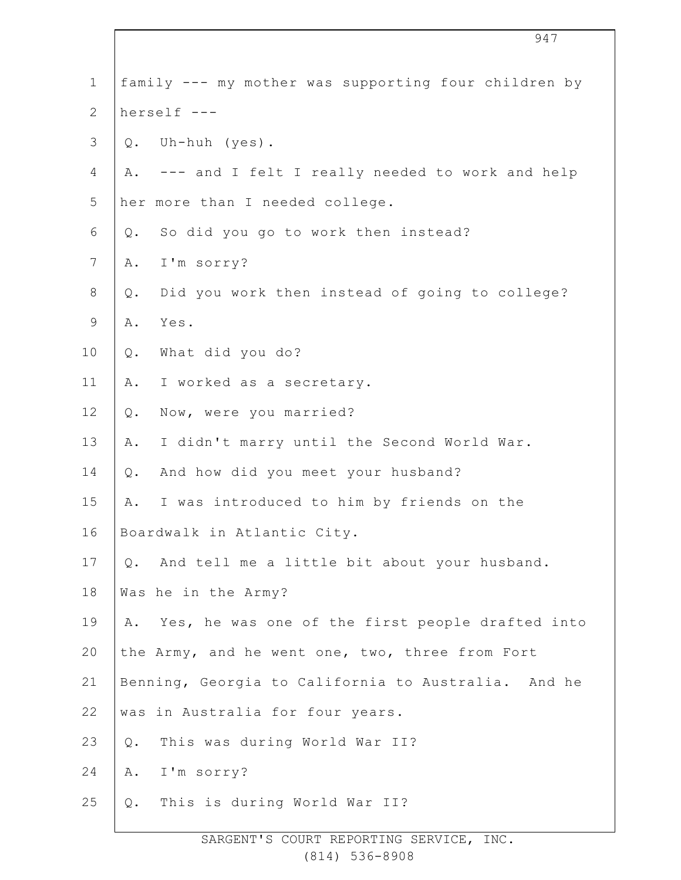| $\mathbf 1$    |       | family --- my mother was supporting four children by |
|----------------|-------|------------------------------------------------------|
| $\mathbf{2}$   |       | herself ---                                          |
| $\mathfrak{Z}$ |       | Q. Uh-huh (yes).                                     |
| 4              | Α.    | --- and I felt I really needed to work and help      |
| 5              |       | her more than I needed college.                      |
| 6              | Q.    | So did you go to work then instead?                  |
| $\overline{7}$ | Α.    | I'm sorry?                                           |
| $8\,$          | $Q$ . | Did you work then instead of going to college?       |
| $\mathsf 9$    | Α.    | Yes.                                                 |
| 10             | Q.    | What did you do?                                     |
| 11             | Α.    | I worked as a secretary.                             |
| 12             | $Q$ . | Now, were you married?                               |
| 13             | Α.    | I didn't marry until the Second World War.           |
| 14             | Q.    | And how did you meet your husband?                   |
| 15             | Α.    | I was introduced to him by friends on the            |
| 16             |       | Boardwalk in Atlantic City.                          |
| 17             | Q.    | And tell me a little bit about your husband.         |
| 18             |       | Was he in the Army?                                  |
| 19             | Α.    | Yes, he was one of the first people drafted into     |
| 20             |       | the Army, and he went one, two, three from Fort      |
| 21             |       | Benning, Georgia to California to Australia. And he  |
| 22             |       | was in Australia for four years.                     |
| 23             | Q.    | This was during World War II?                        |
| 24             | Α.    | I'm sorry?                                           |
| 25             | Q.    | This is during World War II?                         |
|                |       |                                                      |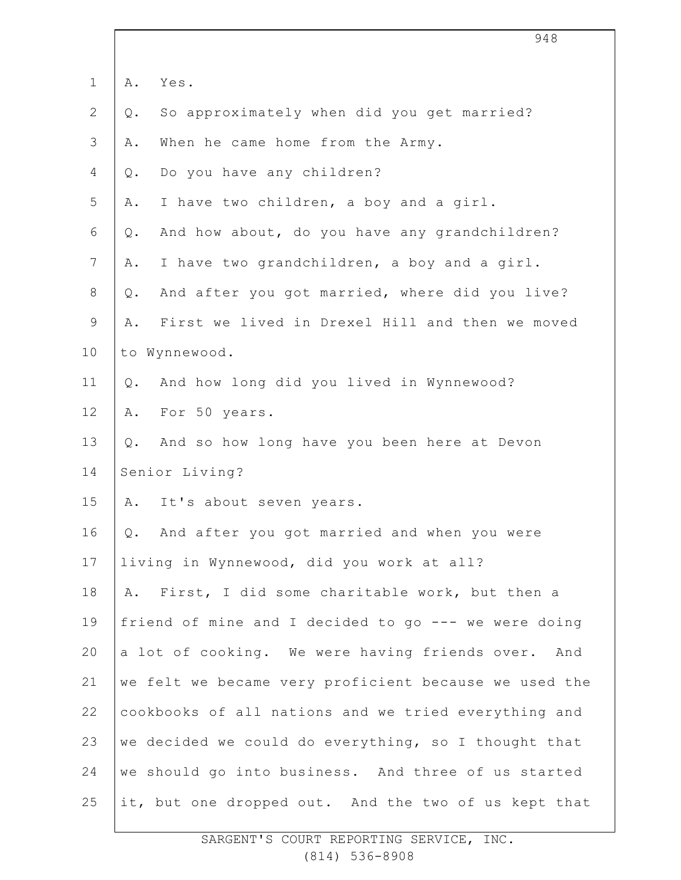|                | 948                                                   |  |
|----------------|-------------------------------------------------------|--|
| $\mathbf 1$    | Yes.<br>Α.                                            |  |
| $\overline{2}$ | So approximately when did you get married?<br>Q.      |  |
| 3              | When he came home from the Army.<br>Α.                |  |
| 4              | Do you have any children?<br>Q.                       |  |
| 5              | I have two children, a boy and a girl.<br>Α.          |  |
| 6              | And how about, do you have any grandchildren?<br>Q.   |  |
| $7\phantom{.}$ | I have two grandchildren, a boy and a girl.<br>Α.     |  |
| 8              | And after you got married, where did you live?<br>Q.  |  |
| 9              | First we lived in Drexel Hill and then we moved<br>Α. |  |
| 10             | to Wynnewood.                                         |  |
| 11             | And how long did you lived in Wynnewood?<br>0.        |  |
| 12             | For 50 years.<br>Α.                                   |  |
| 13             | And so how long have you been here at Devon<br>Q.     |  |
| 14             | Senior Living?                                        |  |
| 15             | It's about seven years.<br>Α.                         |  |
| 16             | Q. And after you got married and when you were        |  |
| 17             | living in Wynnewood, did you work at all?             |  |
| 18             | First, I did some charitable work, but then a<br>Α.   |  |
| 19             | friend of mine and I decided to go --- we were doing  |  |
| 20             | a lot of cooking. We were having friends over. And    |  |
| 21             | we felt we became very proficient because we used the |  |
| 22             | cookbooks of all nations and we tried everything and  |  |
| 23             | we decided we could do everything, so I thought that  |  |
| 24             | we should go into business. And three of us started   |  |
| 25             | it, but one dropped out. And the two of us kept that  |  |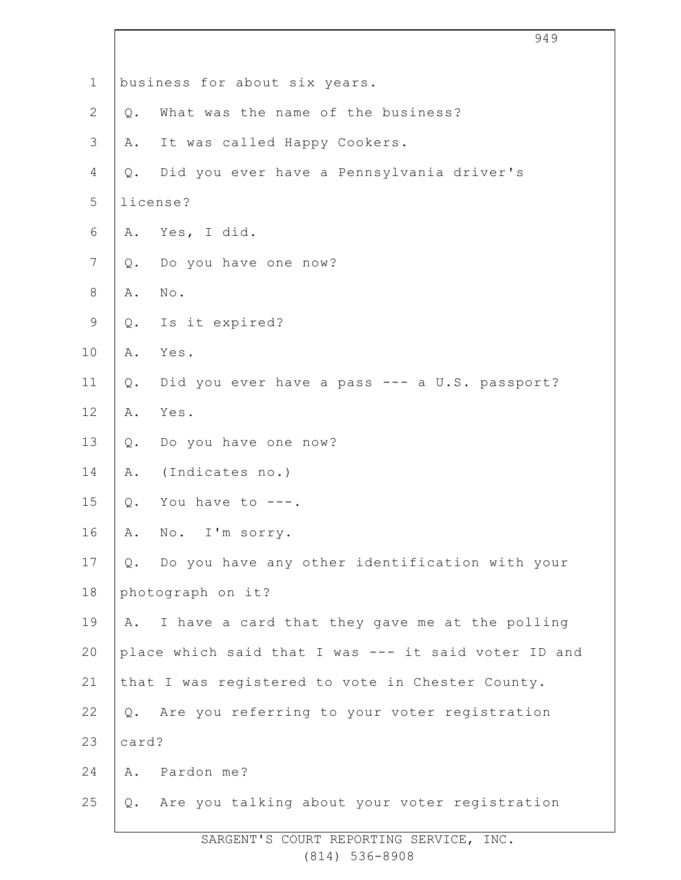|              |                                                      | 949                                               |
|--------------|------------------------------------------------------|---------------------------------------------------|
| $\mathbf 1$  |                                                      | business for about six years.                     |
| $\mathbf{2}$ |                                                      | Q. What was the name of the business?             |
| 3            |                                                      | A. It was called Happy Cookers.                   |
| 4            |                                                      | Q. Did you ever have a Pennsylvania driver's      |
| 5            |                                                      | license?                                          |
| 6            |                                                      | A. Yes, I did.                                    |
| 7            |                                                      | Q. Do you have one now?                           |
| 8            |                                                      | A. No.                                            |
| 9            |                                                      | Q. Is it expired?                                 |
| 10           |                                                      | A. Yes.                                           |
| 11           |                                                      | Q. Did you ever have a pass --- a U.S. passport?  |
| 12           |                                                      | A. Yes.                                           |
| 13           |                                                      | Q. Do you have one now?                           |
| 14           |                                                      | A. (Indicates no.)                                |
| 15           |                                                      | Q. You have to $---$ .                            |
| 16           | Α.                                                   | No. I'm sorry.                                    |
| 17           |                                                      | Q. Do you have any other identification with your |
| 18           |                                                      | photograph on it?                                 |
| 19           | Α.                                                   | I have a card that they gave me at the polling    |
| 20           | place which said that I was --- it said voter ID and |                                                   |
| 21           |                                                      | that I was registered to vote in Chester County.  |
| 22           |                                                      | Q. Are you referring to your voter registration   |
| 23           | card?                                                |                                                   |
| 24           |                                                      | A. Pardon me?                                     |
| 25           |                                                      | Q. Are you talking about your voter registration  |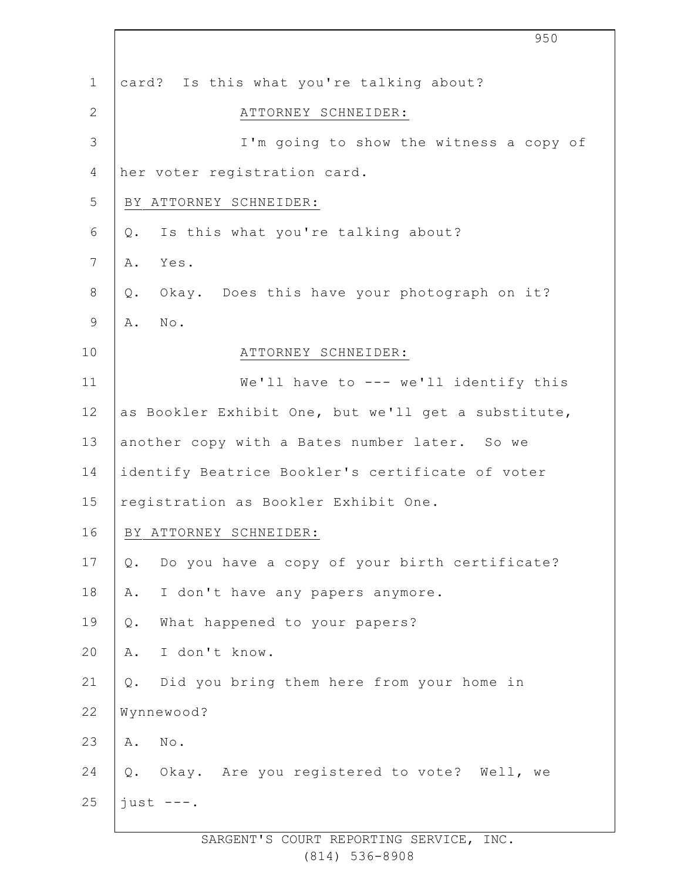|                 | 950                                                    |
|-----------------|--------------------------------------------------------|
| $\mathbf 1$     | card? Is this what you're talking about?               |
| $\mathbf{2}$    | ATTORNEY SCHNEIDER:                                    |
| 3               | I'm going to show the witness a copy of                |
| 4               | her voter registration card.                           |
| 5               | BY ATTORNEY SCHNEIDER:                                 |
| 6               | Is this what you're talking about?<br>Q.               |
| $7\phantom{.0}$ | Yes.<br>Α.                                             |
| 8               | Okay. Does this have your photograph on it?<br>$Q$ .   |
| $\mathsf 9$     | No.<br>Α.                                              |
| 10              | ATTORNEY SCHNEIDER:                                    |
| 11              | We'll have to --- we'll identify this                  |
| 12              | as Bookler Exhibit One, but we'll get a substitute,    |
| 13              | another copy with a Bates number later. So we          |
| 14              | identify Beatrice Bookler's certificate of voter       |
| 15              | registration as Bookler Exhibit One.                   |
| 16              | BY ATTORNEY SCHNEIDER:                                 |
| 17              | Do you have a copy of your birth certificate?<br>$Q$ . |
| 18              | I don't have any papers anymore.<br>Α.                 |
| 19              | What happened to your papers?<br>Q.                    |
| 20              | I don't know.<br>Α.                                    |
| 21              | Did you bring them here from your home in<br>Q.        |
| 22              | Wynnewood?                                             |
| 23              | No.<br>Α.                                              |
| 24              | Q. Okay. Are you registered to vote? Well, we          |
| 25              | $just$ ---.                                            |
|                 |                                                        |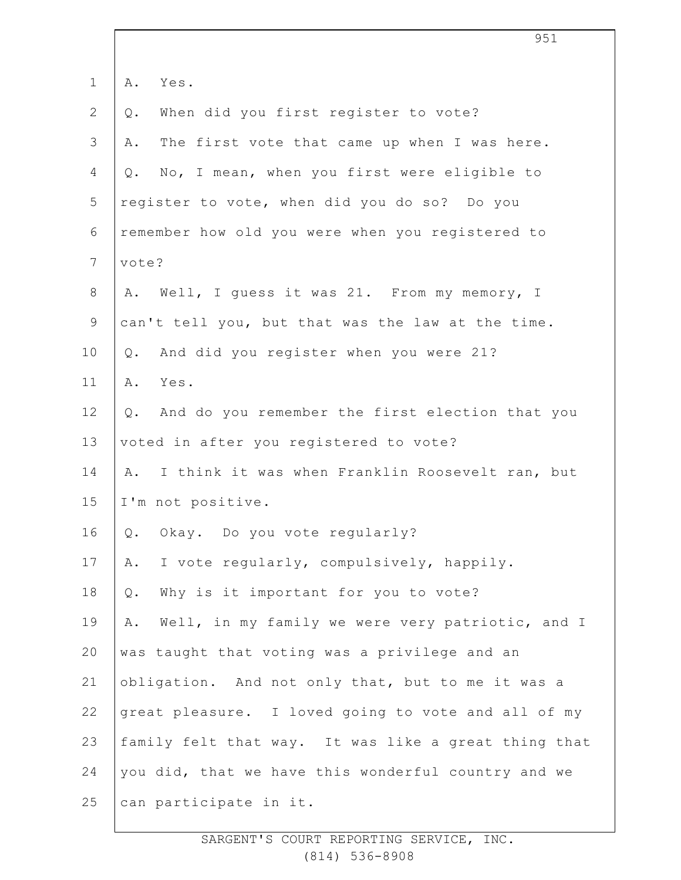|                |       | 951                                                  |
|----------------|-------|------------------------------------------------------|
| $\mathbf 1$    | Α.    | Yes.                                                 |
| $\mathbf{2}$   | Q.    | When did you first register to vote?                 |
| 3              | Α.    | The first vote that came up when I was here.         |
| 4              | $Q$ . | No, I mean, when you first were eligible to          |
| 5              |       | register to vote, when did you do so? Do you         |
| 6              |       | remember how old you were when you registered to     |
| $\overline{7}$ | vote? |                                                      |
| 8              | Α.    | Well, I guess it was 21. From my memory, I           |
| $\mathsf 9$    |       | can't tell you, but that was the law at the time.    |
| 10             | Q.    | And did you register when you were 21?               |
| 11             | Α.    | Yes.                                                 |
| 12             | Q.    | And do you remember the first election that you      |
| 13             |       | voted in after you registered to vote?               |
| 14             | Α.    | I think it was when Franklin Roosevelt ran, but      |
| 15             |       | I'm not positive.                                    |
| 16             | Q.    | Okay. Do you vote regularly?                         |
| 17             | Α.    | I vote regularly, compulsively, happily.             |
| 18             | $Q$ . | Why is it important for you to vote?                 |
| 19             | Α.    | Well, in my family we were very patriotic, and I     |
| 20             |       | was taught that voting was a privilege and an        |
| 21             |       | obligation. And not only that, but to me it was a    |
| 22             |       | great pleasure. I loved going to vote and all of my  |
| 23             |       | family felt that way. It was like a great thing that |
| 24             |       | you did, that we have this wonderful country and we  |
| 25             |       | can participate in it.                               |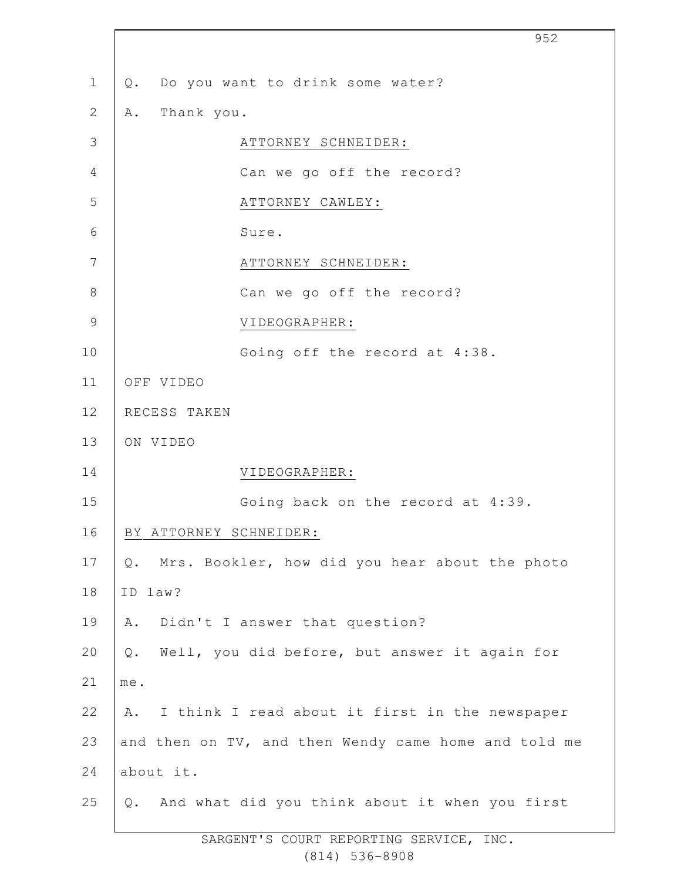|                | 952                                                  |
|----------------|------------------------------------------------------|
| $\mathbf 1$    | Do you want to drink some water?<br>Q.               |
| $\mathbf{2}$   | Thank you.<br>Α.                                     |
| 3              | ATTORNEY SCHNEIDER:                                  |
| $\overline{4}$ | Can we go off the record?                            |
| 5              | ATTORNEY CAWLEY:                                     |
| $6\,$          | Sure.                                                |
| 7              | ATTORNEY SCHNEIDER:                                  |
| $8\,$          | Can we go off the record?                            |
| $\mathcal{G}$  | VIDEOGRAPHER:                                        |
| 10             | Going off the record at 4:38.                        |
| 11             | OFF VIDEO                                            |
| 12             | RECESS TAKEN                                         |
| 13             | ON VIDEO                                             |
| 14             | VIDEOGRAPHER:                                        |
| 15             | Going back on the record at 4:39.                    |
| 16             | BY ATTORNEY SCHNEIDER:                               |
| 17             | Mrs. Bookler, how did you hear about the photo<br>Q. |
| 18             | ID law?                                              |
| 19             | Didn't I answer that question?<br>Α.                 |
| 20             | Well, you did before, but answer it again for<br>Q.  |
| 21             | me.                                                  |
| 22             | I think I read about it first in the newspaper<br>Α. |
| 23             | and then on TV, and then Wendy came home and told me |
| 24             | about it.                                            |
| 25             | Q. And what did you think about it when you first    |
|                |                                                      |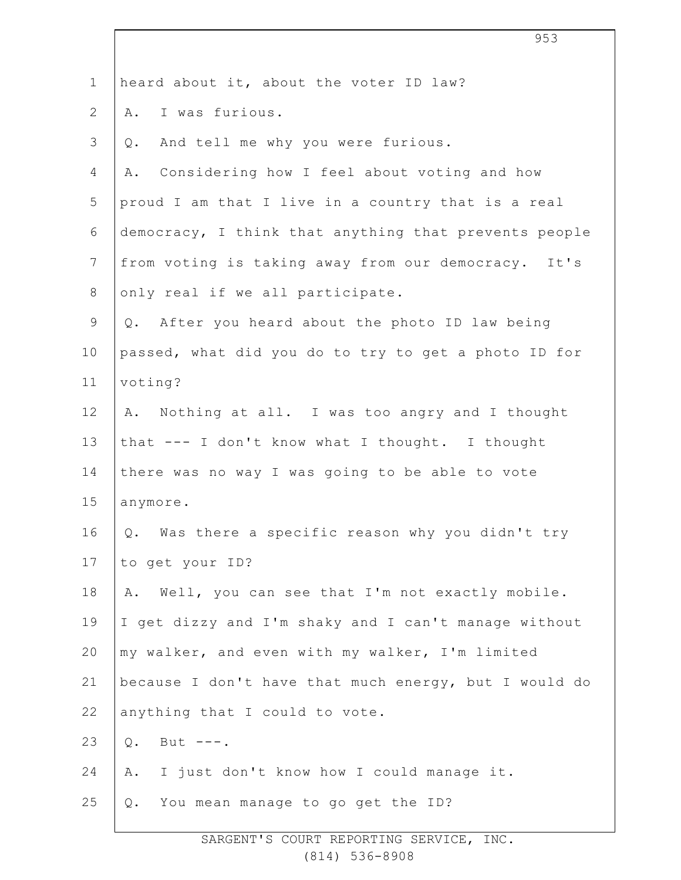|                | 953                                                   |
|----------------|-------------------------------------------------------|
| $\mathbf 1$    | heard about it, about the voter ID law?               |
| $\overline{2}$ | I was furious.<br>Α.                                  |
| 3              | And tell me why you were furious.<br>Q.               |
| 4              | Considering how I feel about voting and how<br>Α.     |
| 5              | proud I am that I live in a country that is a real    |
| 6              | democracy, I think that anything that prevents people |
| $\overline{7}$ | from voting is taking away from our democracy. It's   |
| $8\,$          | only real if we all participate.                      |
| $\mathsf 9$    | Q. After you heard about the photo ID law being       |
| 10             | passed, what did you do to try to get a photo ID for  |
| 11             | voting?                                               |
| 12             | Nothing at all. I was too angry and I thought<br>Α.   |
| 13             | that --- I don't know what I thought. I thought       |
| 14             | there was no way I was going to be able to vote       |
| 15             | anymore.                                              |
| 16             | Q. Was there a specific reason why you didn't try     |
| 17             | to get your ID?                                       |
| 18             | Well, you can see that I'm not exactly mobile.<br>Α.  |
| 19             | I get dizzy and I'm shaky and I can't manage without  |
| 20             | my walker, and even with my walker, I'm limited       |
| 21             | because I don't have that much energy, but I would do |
| 22             | anything that I could to vote.                        |
| 23             | But $---$ .<br>$Q$ .                                  |
| 24             | I just don't know how I could manage it.<br>Α.        |
| 25             | You mean manage to go get the ID?<br>Q.               |
|                |                                                       |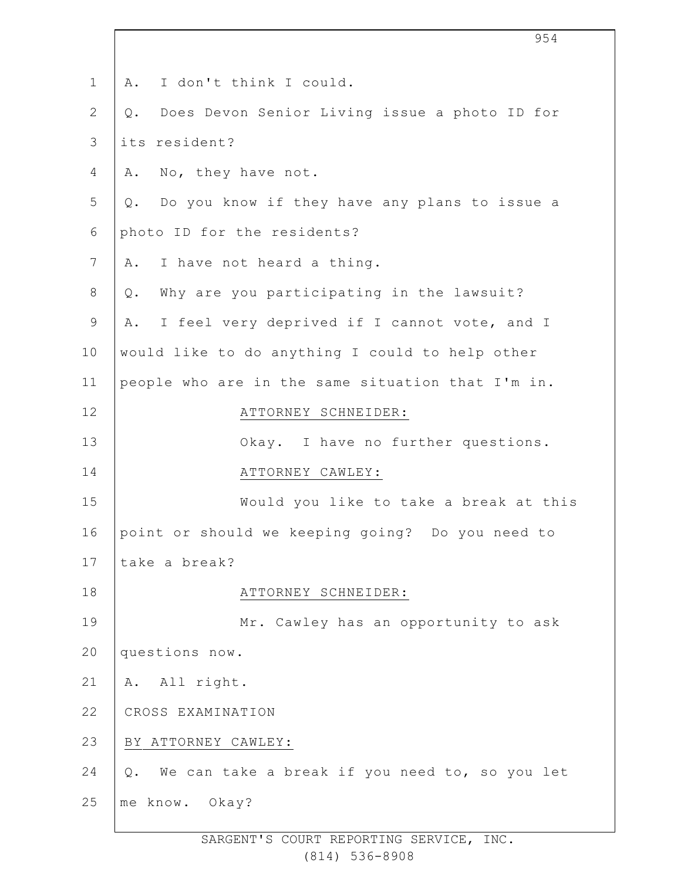| $\mathbf 1$    | I don't think I could.<br>Α.                         |
|----------------|------------------------------------------------------|
| $\overline{2}$ | Does Devon Senior Living issue a photo ID for<br>Q.  |
| 3              | its resident?                                        |
| 4              | No, they have not.<br>Α.                             |
| 5              | Do you know if they have any plans to issue a<br>Q.  |
| 6              | photo ID for the residents?                          |
| 7              | I have not heard a thing.<br>Α.                      |
| $8\,$          | Why are you participating in the lawsuit?<br>$Q$ .   |
| 9              | I feel very deprived if I cannot vote, and I<br>Α.   |
| 10             | would like to do anything I could to help other      |
| 11             | people who are in the same situation that I'm in.    |
| 12             | ATTORNEY SCHNEIDER:                                  |
| 13             | Okay. I have no further questions.                   |
| 14             | ATTORNEY CAWLEY:                                     |
| 15             | Would you like to take a break at this               |
| 16             | point or should we keeping going? Do you need to     |
| 17             | take a break?                                        |
| 18             | ATTORNEY SCHNEIDER:                                  |
| 19             | Mr. Cawley has an opportunity to ask                 |
| 20             | questions now.                                       |
| 21             | A. All right.                                        |
| 22             | CROSS EXAMINATION                                    |
| 23             | BY ATTORNEY CAWLEY:                                  |
| 24             | We can take a break if you need to, so you let<br>Q. |
| 25             | me know. Okay?                                       |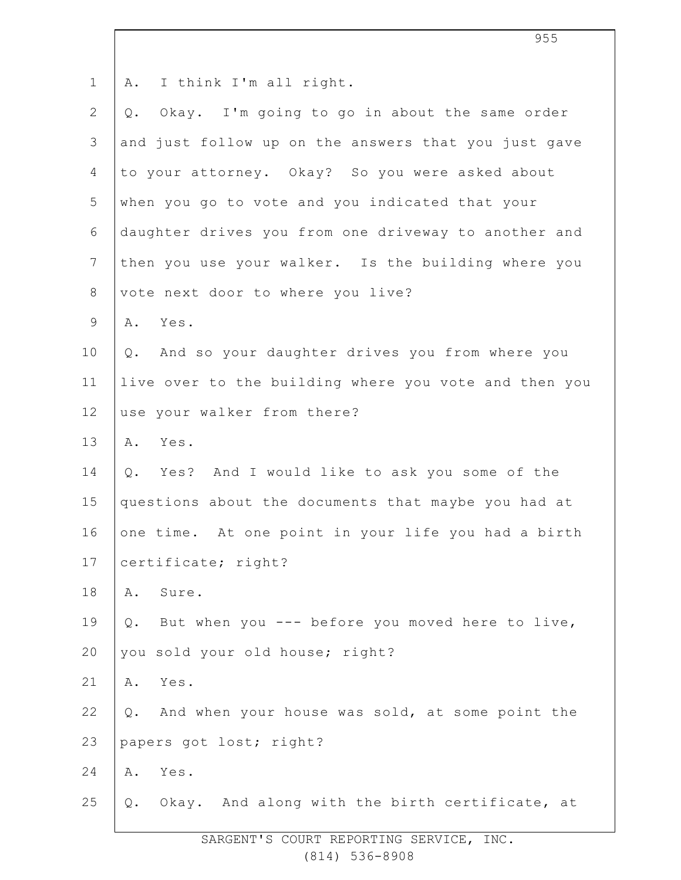| $\mathbf 1$     | I think I'm all right.<br>Α.                          |
|-----------------|-------------------------------------------------------|
| $\mathbf{2}$    | Okay. I'm going to go in about the same order<br>Q.   |
| 3               | and just follow up on the answers that you just gave  |
| 4               | to your attorney. Okay? So you were asked about       |
| 5               | when you go to vote and you indicated that your       |
| 6               | daughter drives you from one driveway to another and  |
| $7\phantom{.0}$ | then you use your walker. Is the building where you   |
| 8               | vote next door to where you live?                     |
| $\mathsf 9$     | Yes.<br>Α.                                            |
| 10              | Q. And so your daughter drives you from where you     |
| 11              | live over to the building where you vote and then you |
| 12              | use your walker from there?                           |
| 13              | Yes.<br>Α.                                            |
| 14              | Q. Yes? And I would like to ask you some of the       |
| 15              | questions about the documents that maybe you had at   |
| 16              | one time. At one point in your life you had a birth   |
| 17              | certificate; right?                                   |
| 18              | Sure.<br>Α.                                           |
| 19              | But when you --- before you moved here to live,<br>Q. |
| 20              | you sold your old house; right?                       |
| 21              | Yes.<br>Α.                                            |
| 22              | And when your house was sold, at some point the<br>Q. |
| 23              | papers got lost; right?                               |
| 24              | Yes.<br>Α.                                            |
| 25              | Okay. And along with the birth certificate, at<br>Q.  |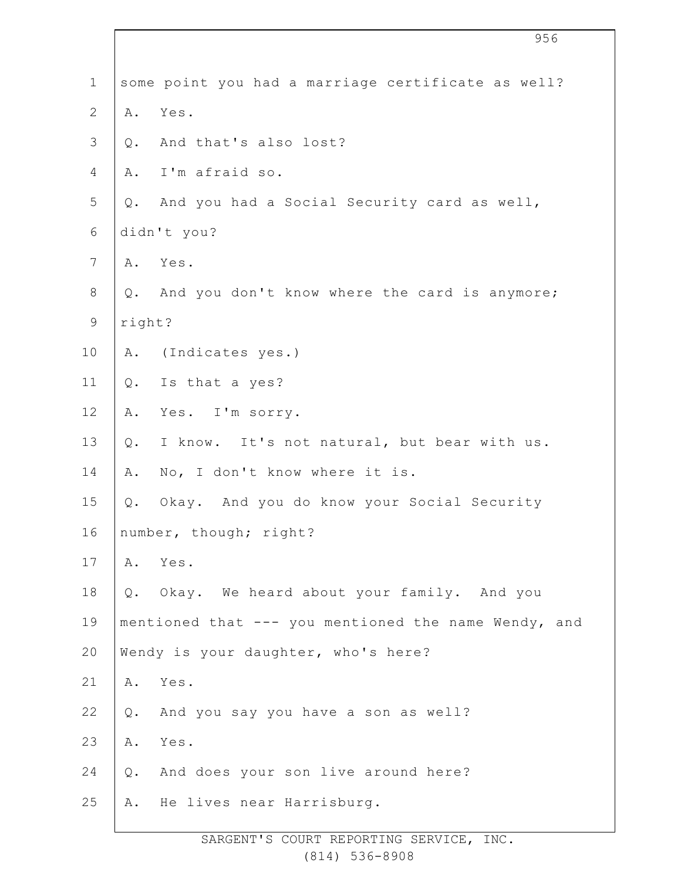|                |        | 956                                                  |
|----------------|--------|------------------------------------------------------|
| $\mathbf 1$    |        | some point you had a marriage certificate as well?   |
| $\mathbf{2}$   | Α.     | Yes.                                                 |
| $\mathfrak{Z}$ | $Q$ .  | And that's also lost?                                |
| 4              | Α.     | I'm afraid so.                                       |
| 5              | Q.     | And you had a Social Security card as well,          |
| 6              |        | didn't you?                                          |
| 7              | Α.     | Yes.                                                 |
| $\,8\,$        | Q.     | And you don't know where the card is anymore;        |
| $\mathsf 9$    | right? |                                                      |
| 10             | Α.     | (Indicates yes.)                                     |
| 11             | $Q$ .  | Is that a yes?                                       |
| 12             | Α.     | Yes. I'm sorry.                                      |
| 13             | $Q$ .  | I know. It's not natural, but bear with us.          |
| 14             | Α.     | No, I don't know where it is.                        |
| 15             | Q.     | Okay. And you do know your Social Security           |
| 16             |        | number, though; right?                               |
| 17             | Α.     | Yes.                                                 |
| 18             | Q.     | Okay. We heard about your family. And you            |
| 19             |        | mentioned that --- you mentioned the name Wendy, and |
| 20             |        | Wendy is your daughter, who's here?                  |
| 21             | Α.     | Yes.                                                 |
| 22             | Q.     | And you say you have a son as well?                  |
| 23             | Α.     | Yes.                                                 |
| 24             | $Q$ .  | And does your son live around here?                  |
| 25             | Α.     | He lives near Harrisburg.                            |
|                |        |                                                      |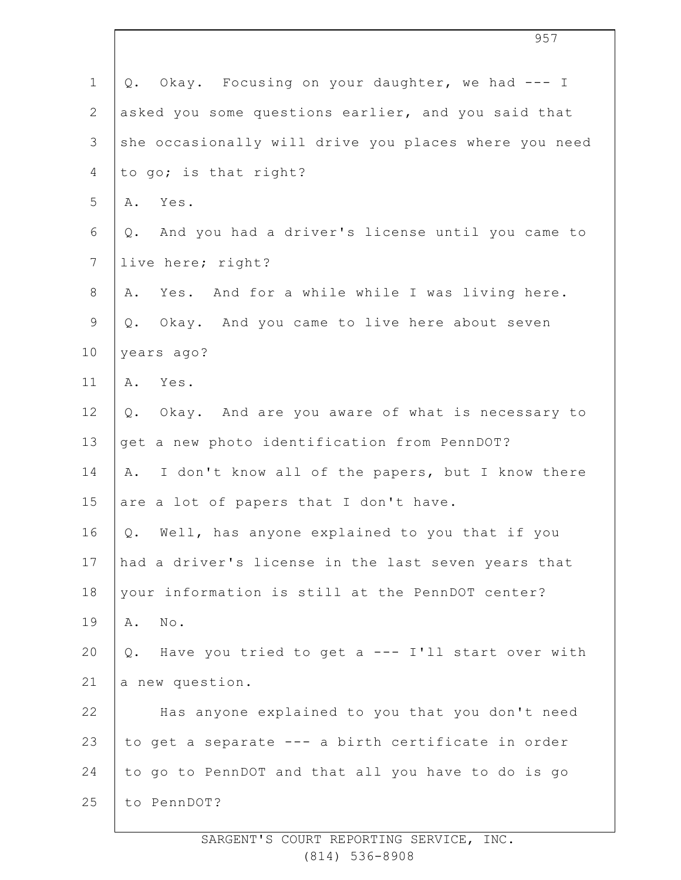| $\mathbf 1$    | Okay. Focusing on your daughter, we had --- I<br>Q.      |
|----------------|----------------------------------------------------------|
| $\overline{2}$ | asked you some questions earlier, and you said that      |
| $\mathcal{S}$  | she occasionally will drive you places where you need    |
| 4              | to go; is that right?                                    |
| 5              | Yes.<br>Α.                                               |
| 6              | And you had a driver's license until you came to<br>Q.   |
| $\overline{7}$ | live here; right?                                        |
| $8\,$          | Yes. And for a while while I was living here.<br>Α.      |
| $\mathsf 9$    | Q. Okay. And you came to live here about seven           |
| 10             | years ago?                                               |
| 11             | A. Yes.                                                  |
| 12             | Okay. And are you aware of what is necessary to<br>$Q$ . |
| 13             | get a new photo identification from PennDOT?             |
| 14             | I don't know all of the papers, but I know there<br>Α.   |
| 15             | are a lot of papers that I don't have.                   |
| 16             | Q. Well, has anyone explained to you that if you         |
| 17             | had a driver's license in the last seven years that      |
| 18             | your information is still at the PennDOT center?         |
| 19             | No.<br>Α.                                                |
| 20             | Q. Have you tried to get a --- I'll start over with      |
| 21             | a new question.                                          |
| 22             | Has anyone explained to you that you don't need          |
| 23             | to get a separate --- a birth certificate in order       |
| 24             | to go to PennDOT and that all you have to do is go       |
| 25             | to PennDOT?                                              |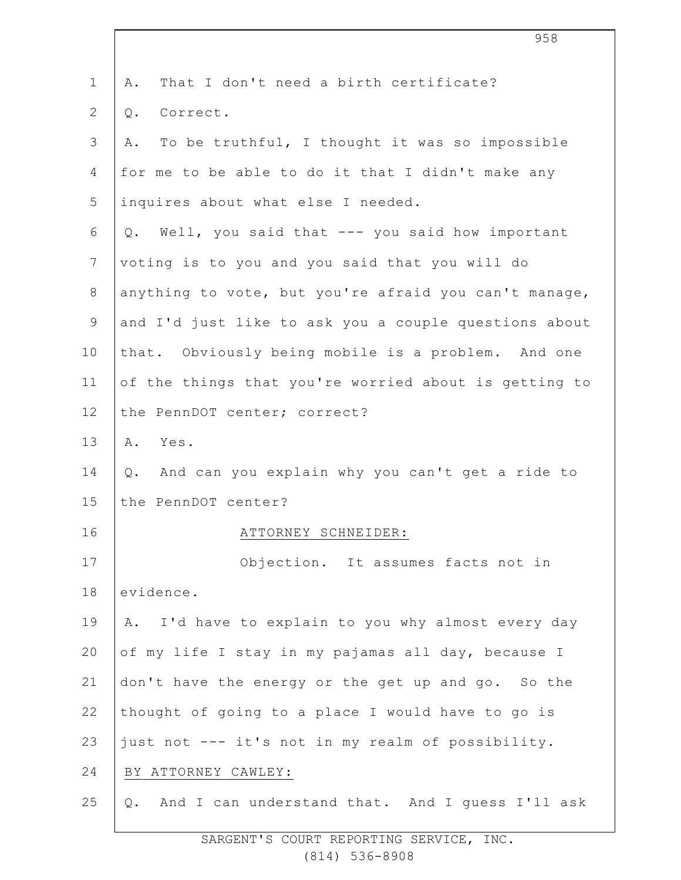| $\mathbf 1$    | That I don't need a birth certificate?<br>Α.          |
|----------------|-------------------------------------------------------|
| $\overline{2}$ | Correct.<br>Q.                                        |
| 3              | To be truthful, I thought it was so impossible<br>Α.  |
| 4              | for me to be able to do it that I didn't make any     |
| 5              | inquires about what else I needed.                    |
| 6              | Q. Well, you said that --- you said how important     |
| $\overline{7}$ | voting is to you and you said that you will do        |
| $8\,$          | anything to vote, but you're afraid you can't manage, |
| 9              | and I'd just like to ask you a couple questions about |
| 10             | that. Obviously being mobile is a problem. And one    |
| 11             | of the things that you're worried about is getting to |
| 12             | the PennDOT center; correct?                          |
| 13             | A. Yes.                                               |
| 14             | Q. And can you explain why you can't get a ride to    |
| 15             | the PennDOT center?                                   |
| 16             | ATTORNEY SCHNEIDER:                                   |
| 17             | Objection. It assumes facts not in                    |
| 18             | evidence.                                             |
| 19             | A. I'd have to explain to you why almost every day    |
| 20             | of my life I stay in my pajamas all day, because I    |
| 21             | don't have the energy or the get up and go. So the    |
| 22             | thought of going to a place I would have to go is     |
| 23             | just not --- it's not in my realm of possibility.     |
| 24             | BY ATTORNEY CAWLEY:                                   |
| 25             | And I can understand that. And I guess I'll ask<br>Q. |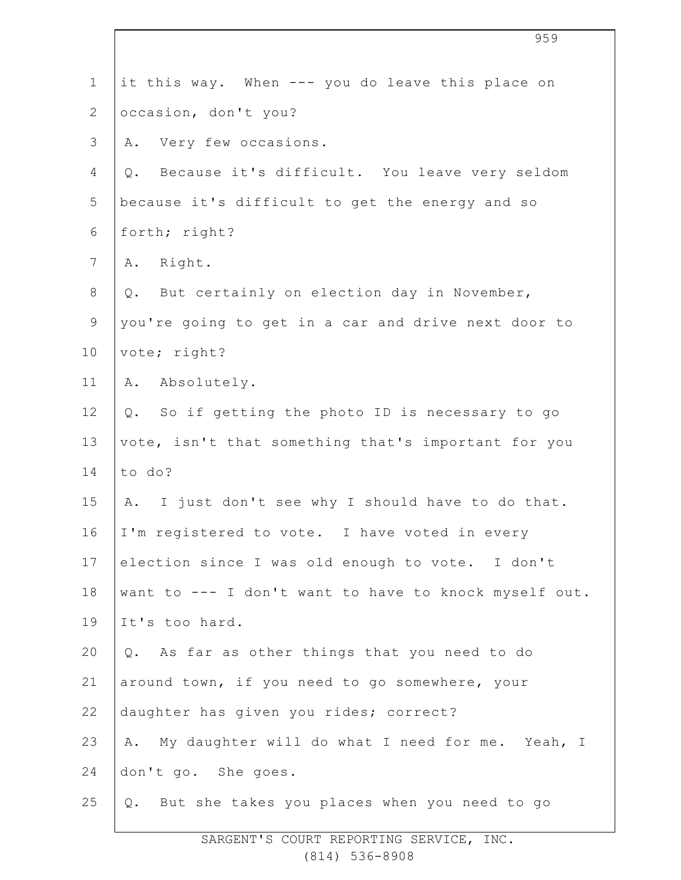| $\mathbf 1$    | it this way. When --- you do leave this place on      |
|----------------|-------------------------------------------------------|
| $\overline{2}$ | occasion, don't you?                                  |
| 3              | Very few occasions.<br>Α.                             |
| 4              | Because it's difficult. You leave very seldom<br>Q.   |
| 5              | because it's difficult to get the energy and so       |
| 6              | forth; right?                                         |
| $7\phantom{.}$ | A. Right.                                             |
| $8\,$          | Q. But certainly on election day in November,         |
| $\mathsf 9$    | you're going to get in a car and drive next door to   |
| 10             | vote; right?                                          |
| 11             | A. Absolutely.                                        |
| 12             | So if getting the photo ID is necessary to go<br>Q.   |
| 13             | vote, isn't that something that's important for you   |
| 14             | to do?                                                |
| 15             | I just don't see why I should have to do that.<br>Α.  |
| 16             | I'm registered to vote. I have voted in every         |
| 17             | election since I was old enough to vote. I don't      |
| 18             | want to --- I don't want to have to knock myself out. |
| 19             | It's too hard.                                        |
| 20             | Q. As far as other things that you need to do         |
| 21             | around town, if you need to go somewhere, your        |
| 22             | daughter has given you rides; correct?                |
| 23             | My daughter will do what I need for me. Yeah, I<br>Α. |
| 24             | don't go. She goes.                                   |
| 25             | Q. But she takes you places when you need to go       |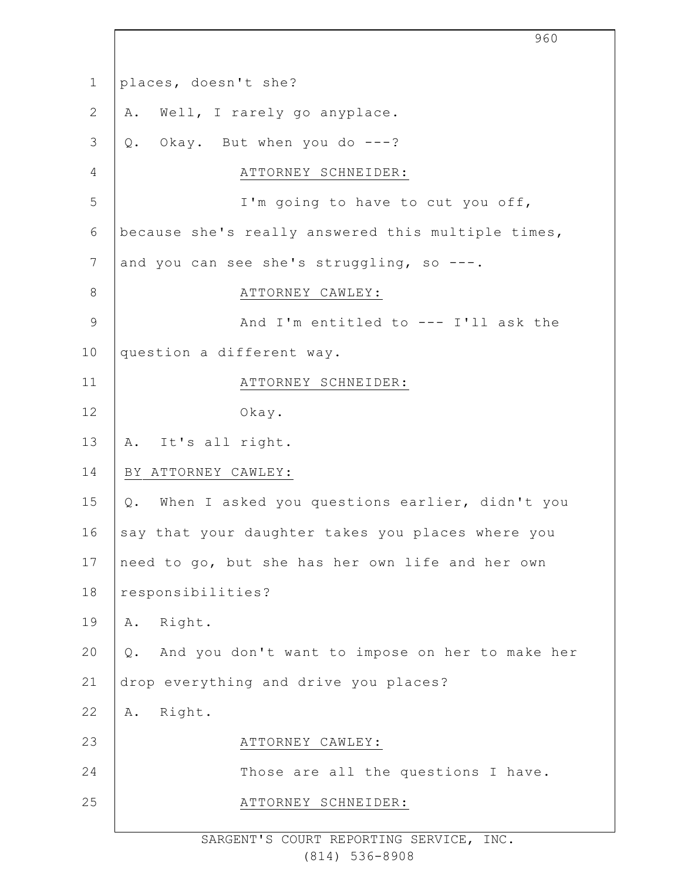| $\mathbf 1$    | places, doesn't she?                                    |
|----------------|---------------------------------------------------------|
| $\overline{2}$ | Well, I rarely go anyplace.<br>Α.                       |
| 3              | Okay. But when you do ---?<br>$Q$ .                     |
| 4              | ATTORNEY SCHNEIDER:                                     |
| 5              | I'm going to have to cut you off,                       |
| $\sqrt{6}$     | because she's really answered this multiple times,      |
| 7              | and you can see she's struggling, so ---.               |
| $8\,$          | ATTORNEY CAWLEY:                                        |
| $\mathsf 9$    | And I'm entitled to $---$ I'll ask the                  |
| 10             | question a different way.                               |
| 11             | ATTORNEY SCHNEIDER:                                     |
| 12             | Okay.                                                   |
| 13             | It's all right.<br>Α.                                   |
| 14             | BY ATTORNEY CAWLEY:                                     |
| 15             | When I asked you questions earlier, didn't you<br>$Q$ . |
| 16             | say that your daughter takes you places where you       |
| 17             | need to go, but she has her own life and her own        |
| 18             | responsibilities?                                       |
| 19             | Right.<br>Α.                                            |
| 20             | And you don't want to impose on her to make her<br>Q.   |
| 21             | drop everything and drive you places?                   |
| 22             | Right.<br>Α.                                            |
| 23             | ATTORNEY CAWLEY:                                        |
| 24             | Those are all the questions I have.                     |
| 25             | ATTORNEY SCHNEIDER:                                     |
|                |                                                         |

960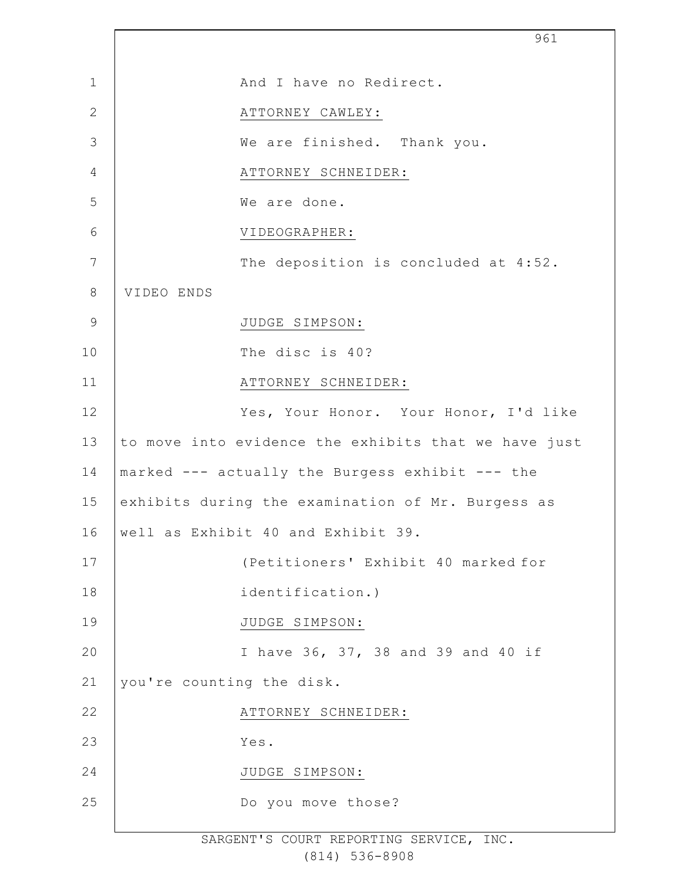|                | 961                                                  |  |
|----------------|------------------------------------------------------|--|
| $\mathbf 1$    | And I have no Redirect.                              |  |
| $\mathbf{2}$   | ATTORNEY CAWLEY:                                     |  |
| 3              | We are finished. Thank you.                          |  |
| $\overline{4}$ | ATTORNEY SCHNEIDER:                                  |  |
| 5              | We are done.                                         |  |
| 6              | VIDEOGRAPHER:                                        |  |
| 7              | The deposition is concluded at 4:52.                 |  |
| $\,8\,$        | VIDEO ENDS                                           |  |
| $\mathsf 9$    | JUDGE SIMPSON:                                       |  |
| 10             | The disc is 40?                                      |  |
| 11             | ATTORNEY SCHNEIDER:                                  |  |
| 12             | Yes, Your Honor. Your Honor, I'd like                |  |
| 13             | to move into evidence the exhibits that we have just |  |
| 14             | marked --- actually the Burgess exhibit --- the      |  |
| 15             | exhibits during the examination of Mr. Burgess as    |  |
| 16             | well as Exhibit 40 and Exhibit 39.                   |  |
| 17             | (Petitioners' Exhibit 40 marked for                  |  |
| 18             | identification.)                                     |  |
| 19             | JUDGE SIMPSON:                                       |  |
| 20             | I have 36, 37, 38 and 39 and 40 if                   |  |
| 21             | you're counting the disk.                            |  |
| 22             | ATTORNEY SCHNEIDER:                                  |  |
| 23             | Yes.                                                 |  |
| 24             | JUDGE SIMPSON:                                       |  |
| 25             | Do you move those?                                   |  |
|                |                                                      |  |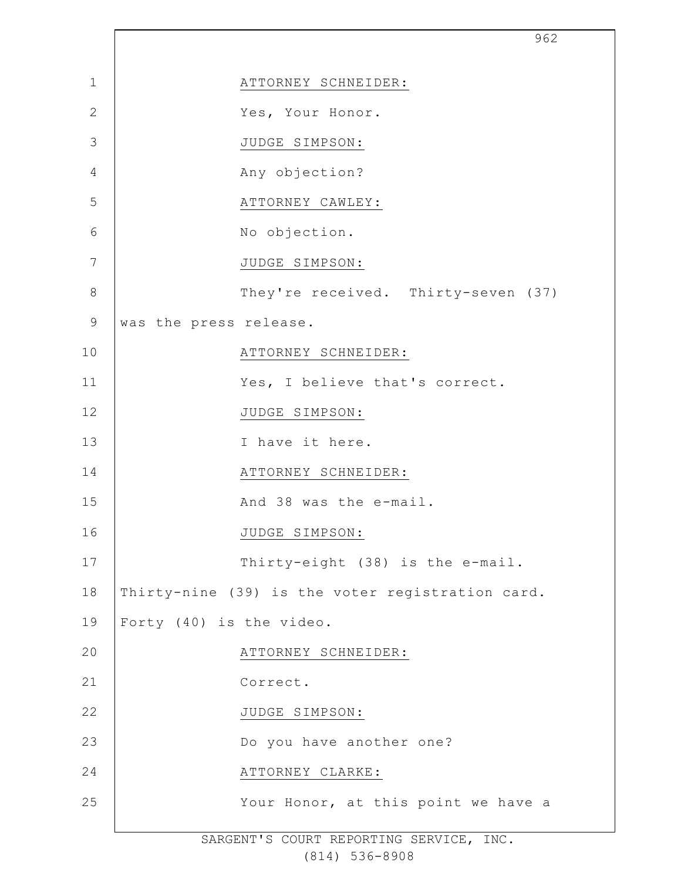|                | 962                                              |
|----------------|--------------------------------------------------|
| $\mathbf{1}$   | ATTORNEY SCHNEIDER:                              |
| $\mathbf{2}$   | Yes, Your Honor.                                 |
| 3              | JUDGE SIMPSON:                                   |
| $\overline{4}$ | Any objection?                                   |
| 5              | ATTORNEY CAWLEY:                                 |
| 6              | No objection.                                    |
| 7              | JUDGE SIMPSON:                                   |
| $8\,$          | They're received. Thirty-seven (37)              |
| $\mathsf 9$    | was the press release.                           |
| 10             | ATTORNEY SCHNEIDER:                              |
| 11             | Yes, I believe that's correct.                   |
| 12             | JUDGE SIMPSON:                                   |
| 13             | I have it here.                                  |
| 14             | ATTORNEY SCHNEIDER:                              |
| 15             | And 38 was the e-mail.                           |
| 16             | JUDGE SIMPSON:                                   |
| 17             | Thirty-eight (38) is the e-mail.                 |
| 18             | Thirty-nine (39) is the voter registration card. |
| 19             | Forty (40) is the video.                         |
| 20             | ATTORNEY SCHNEIDER:                              |
| 21             | Correct.                                         |
| 22             | JUDGE SIMPSON:                                   |
| 23             | Do you have another one?                         |
| 24             | ATTORNEY CLARKE:                                 |
| 25             | Your Honor, at this point we have a              |
|                |                                                  |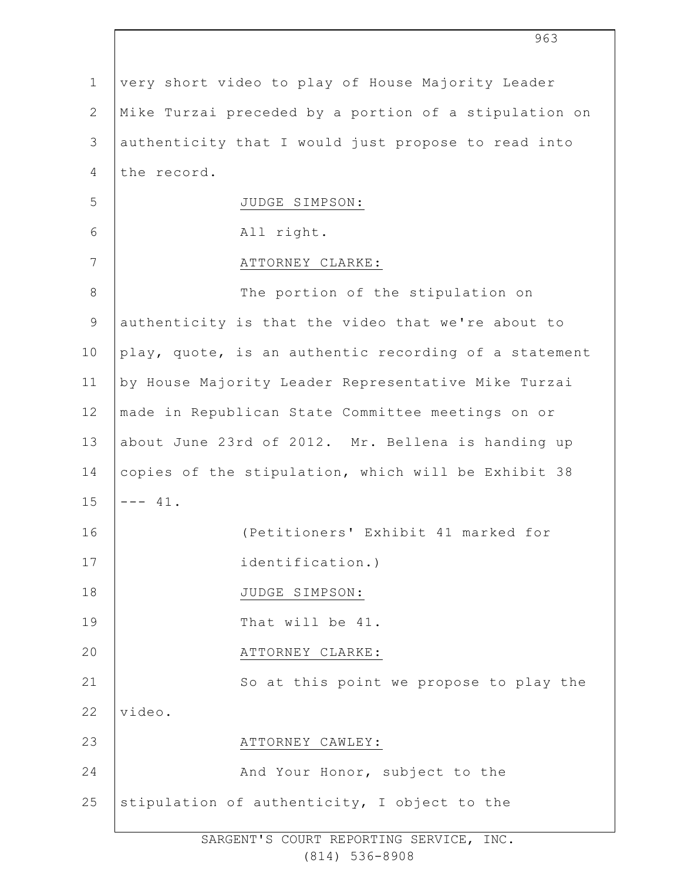| $\mathbf 1$    | very short video to play of House Majority Leader     |
|----------------|-------------------------------------------------------|
| $\overline{2}$ | Mike Turzai preceded by a portion of a stipulation on |
| 3              | authenticity that I would just propose to read into   |
| 4              | the record.                                           |
| 5              | JUDGE SIMPSON:                                        |
| 6              | All right.                                            |
| 7              | ATTORNEY CLARKE:                                      |
| $\,8\,$        | The portion of the stipulation on                     |
| $\mathsf 9$    | authenticity is that the video that we're about to    |
| 10             | play, quote, is an authentic recording of a statement |
| 11             | by House Majority Leader Representative Mike Turzai   |
| 12             | made in Republican State Committee meetings on or     |
| 13             | about June 23rd of 2012. Mr. Bellena is handing up    |
| 14             | copies of the stipulation, which will be Exhibit 38   |
| 15             | $--- 41.$                                             |
| 16             | (Petitioners' Exhibit 41 marked for                   |
| 17             | identification.)                                      |
| 18             | JUDGE SIMPSON:                                        |
| 19             | That will be 41.                                      |
| 20             | ATTORNEY CLARKE:                                      |
| 21             | So at this point we propose to play the               |
| 22             | video.                                                |
| 23             | ATTORNEY CAWLEY:                                      |
| 24             | And Your Honor, subject to the                        |
| 25             | stipulation of authenticity, I object to the          |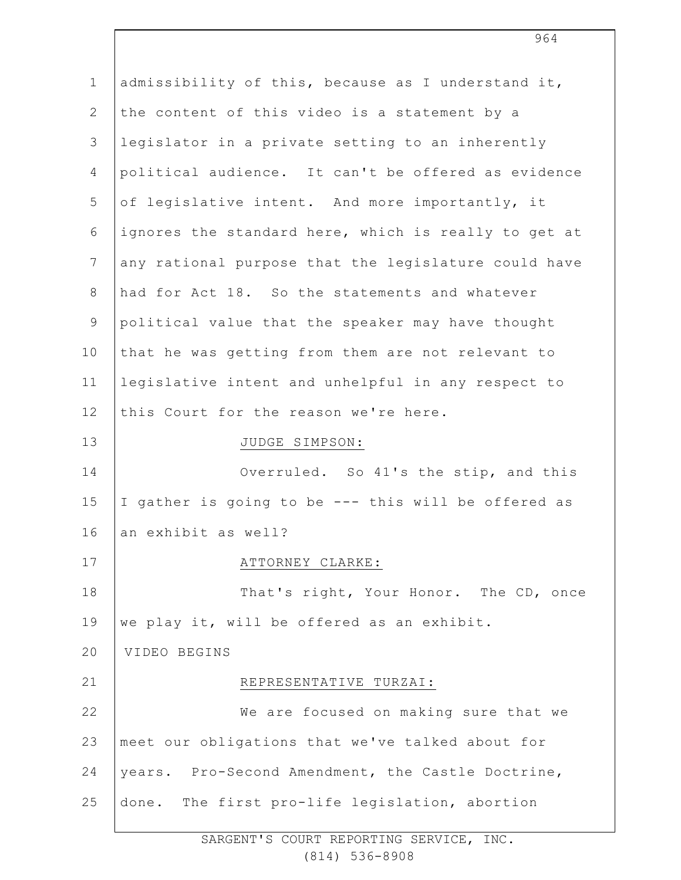| $\mathbf 1$    | admissibility of this, because as I understand it,   |
|----------------|------------------------------------------------------|
| $\mathbf{2}$   | the content of this video is a statement by a        |
| 3              | legislator in a private setting to an inherently     |
| 4              | political audience. It can't be offered as evidence  |
| 5              | of legislative intent. And more importantly, it      |
| 6              | ignores the standard here, which is really to get at |
| $7\phantom{.}$ | any rational purpose that the legislature could have |
| $8\,$          | had for Act 18. So the statements and whatever       |
| 9              | political value that the speaker may have thought    |
| 10             | that he was getting from them are not relevant to    |
| 11             | legislative intent and unhelpful in any respect to   |
| 12             | this Court for the reason we're here.                |
| 13             | JUDGE SIMPSON:                                       |
| 14             | Overruled. So 41's the stip, and this                |
| 15             | I gather is going to be --- this will be offered as  |
| 16             | an exhibit as well?                                  |
| 17             | ATTORNEY CLARKE:                                     |
| 18             | That's right, Your Honor. The CD, once               |
| 19             | we play it, will be offered as an exhibit.           |
| 20             | VIDEO BEGINS                                         |
| 21             | REPRESENTATIVE TURZAI:                               |
| 22             | We are focused on making sure that we                |
| 23             | meet our obligations that we've talked about for     |
| 24             | years. Pro-Second Amendment, the Castle Doctrine,    |
| 25             | done. The first pro-life legislation, abortion       |
|                |                                                      |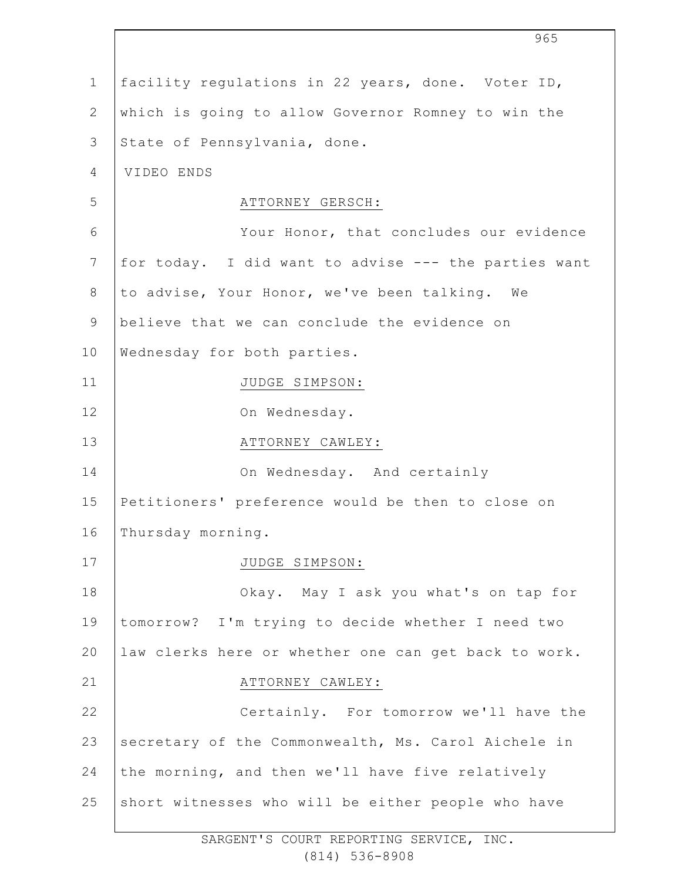|                | 965                                                  |
|----------------|------------------------------------------------------|
| $\mathbf 1$    | facility regulations in 22 years, done. Voter ID,    |
| $\mathbf{2}$   | which is going to allow Governor Romney to win the   |
| 3              | State of Pennsylvania, done.                         |
| 4              | VIDEO ENDS                                           |
| 5              | ATTORNEY GERSCH:                                     |
| 6              | Your Honor, that concludes our evidence              |
| $7\phantom{.}$ | for today. I did want to advise --- the parties want |
| $8\,$          | to advise, Your Honor, we've been talking. We        |
| $\mathsf 9$    | believe that we can conclude the evidence on         |
| 10             | Wednesday for both parties.                          |
| 11             | JUDGE SIMPSON:                                       |
| 12             | On Wednesday.                                        |
| 13             | ATTORNEY CAWLEY:                                     |
| 14             | On Wednesday. And certainly                          |
| 15             | Petitioners' preference would be then to close on    |
| 16             | Thursday morning.                                    |
| 17             | JUDGE SIMPSON:                                       |
| 18             | Okay. May I ask you what's on tap for                |
| 19             | tomorrow? I'm trying to decide whether I need two    |
| 20             | law clerks here or whether one can get back to work. |
| 21             | ATTORNEY CAWLEY:                                     |
| 22             | Certainly. For tomorrow we'll have the               |
| 23             | secretary of the Commonwealth, Ms. Carol Aichele in  |
| 24             | the morning, and then we'll have five relatively     |
| 25             | short witnesses who will be either people who have   |
|                |                                                      |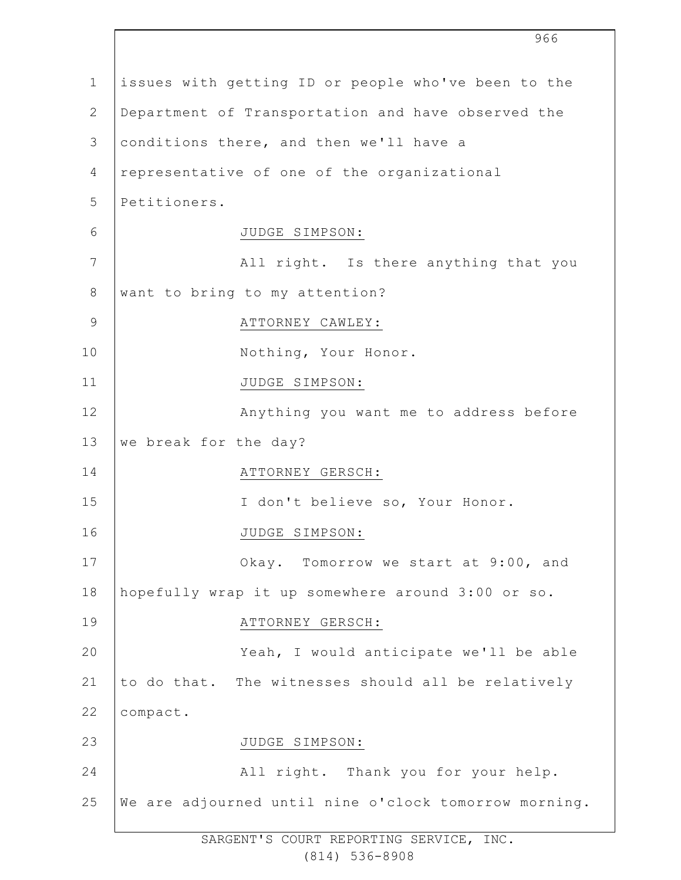|                 | 966                                                   |
|-----------------|-------------------------------------------------------|
| $\mathbf{1}$    | issues with getting ID or people who've been to the   |
| $\mathbf{2}$    | Department of Transportation and have observed the    |
| 3               | conditions there, and then we'll have a               |
| $\overline{4}$  | representative of one of the organizational           |
| 5               | Petitioners.                                          |
| 6               | JUDGE SIMPSON:                                        |
| $7\phantom{.0}$ | All right. Is there anything that you                 |
| 8               | want to bring to my attention?                        |
| $\mathsf 9$     | ATTORNEY CAWLEY:                                      |
| 10              | Nothing, Your Honor.                                  |
| 11              | JUDGE SIMPSON:                                        |
| 12              | Anything you want me to address before                |
| 13              | we break for the day?                                 |
| 14              | ATTORNEY GERSCH:                                      |
| 15              | I don't believe so, Your Honor.                       |
| 16              | JUDGE SIMPSON:                                        |
| 17              | Okay. Tomorrow we start at 9:00, and                  |
| 18              | hopefully wrap it up somewhere around 3:00 or so.     |
| 19              | ATTORNEY GERSCH:                                      |
| 20              | Yeah, I would anticipate we'll be able                |
| 21              | to do that. The witnesses should all be relatively    |
| 22              | compact.                                              |
| 23              | JUDGE SIMPSON:                                        |
| 24              | All right. Thank you for your help.                   |
| 25              | We are adjourned until nine o'clock tomorrow morning. |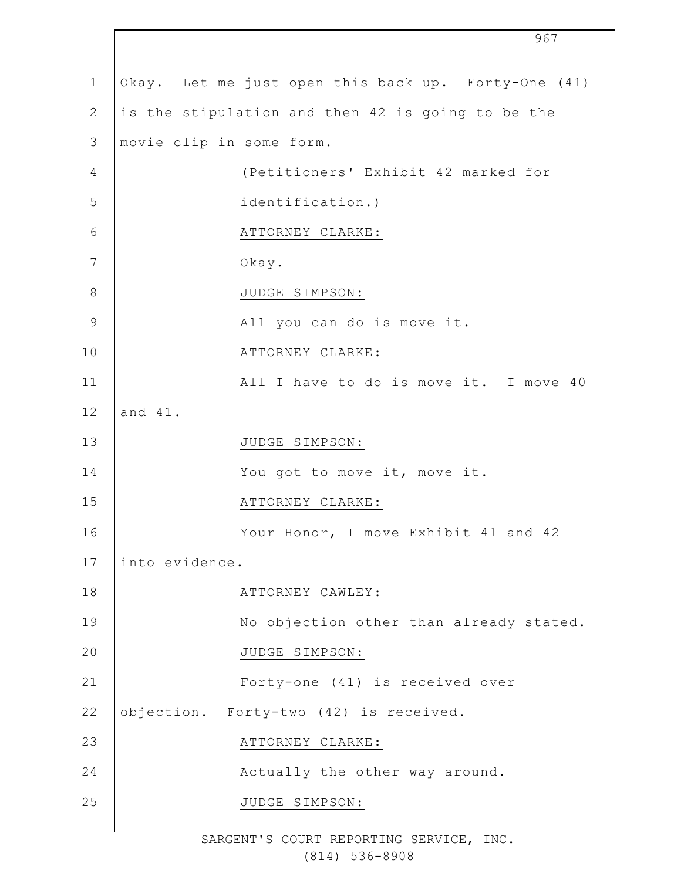|                |                                                     | 967                                    |
|----------------|-----------------------------------------------------|----------------------------------------|
| $\mathbf 1$    | Okay. Let me just open this back up. Forty-One (41) |                                        |
| $\mathbf{2}$   | is the stipulation and then 42 is going to be the   |                                        |
| 3              | movie clip in some form.                            |                                        |
| $\overline{4}$ | (Petitioners' Exhibit 42 marked for                 |                                        |
| 5              | identification.)                                    |                                        |
| 6              | ATTORNEY CLARKE:                                    |                                        |
| 7              | Okay.                                               |                                        |
| $\,8\,$        | JUDGE SIMPSON:                                      |                                        |
| $\mathsf 9$    | All you can do is move it.                          |                                        |
| 10             | ATTORNEY CLARKE:                                    |                                        |
| 11             |                                                     | All I have to do is move it. I move 40 |
| 12             | and 41.                                             |                                        |
| 13             | JUDGE SIMPSON:                                      |                                        |
| 14             | You got to move it, move it.                        |                                        |
| 15             | ATTORNEY CLARKE:                                    |                                        |
| 16             | Your Honor, I move Exhibit 41 and 42                |                                        |
| 17             | into evidence.                                      |                                        |
| 18             | ATTORNEY CAWLEY:                                    |                                        |
| 19             | No objection other than already stated.             |                                        |
| 20             | JUDGE SIMPSON:                                      |                                        |
| 21             | Forty-one (41) is received over                     |                                        |
| 22             | objection. Forty-two (42) is received.              |                                        |
| 23             | ATTORNEY CLARKE:                                    |                                        |
| 24             | Actually the other way around.                      |                                        |
| 25             | JUDGE SIMPSON:                                      |                                        |
|                |                                                     |                                        |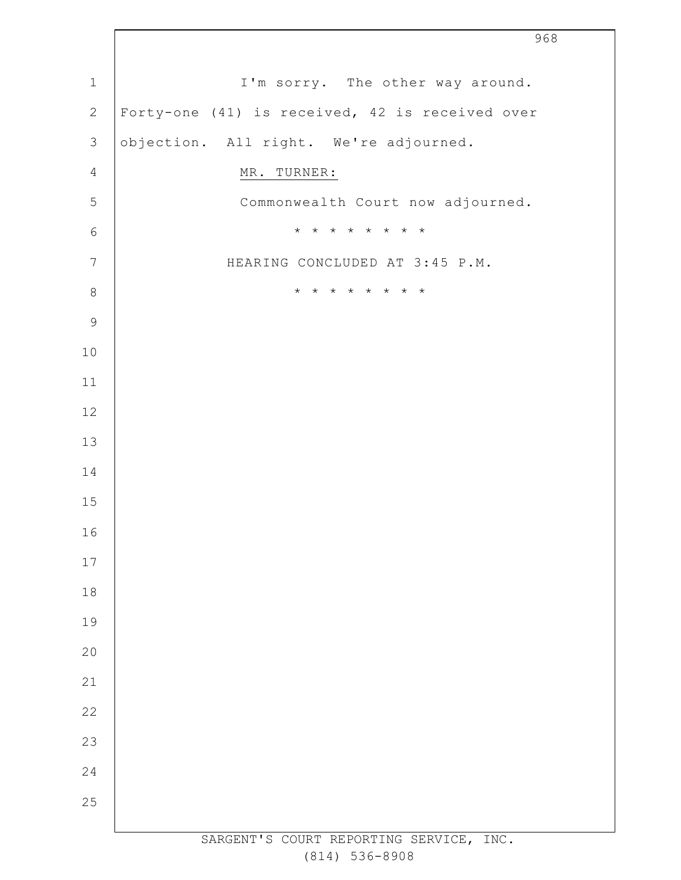|                            | 968                                             |
|----------------------------|-------------------------------------------------|
| $\ensuremath{\mathbbm{1}}$ | I'm sorry. The other way around.                |
| $\mathbf{2}$               | Forty-one (41) is received, 42 is received over |
| $\mathfrak{Z}$             | objection. All right. We're adjourned.          |
| $\overline{4}$             | MR. TURNER:                                     |
| 5                          | Commonwealth Court now adjourned.               |
| $\sqrt{6}$                 | * * * * * * * *                                 |
| $\overline{7}$             | HEARING CONCLUDED AT 3:45 P.M.                  |
| $\,8\,$                    | * * * * * * * *                                 |
| $\mathsf 9$                |                                                 |
| $10$                       |                                                 |
| 11                         |                                                 |
| $12\,$                     |                                                 |
| 13                         |                                                 |
| 14                         |                                                 |
| 15                         |                                                 |
| 16                         |                                                 |
| 17                         |                                                 |
| $18\,$                     |                                                 |
| 19                         |                                                 |
| 20                         |                                                 |
| 21                         |                                                 |
| 22                         |                                                 |
| 23                         |                                                 |
| 24                         |                                                 |
| 25                         |                                                 |
|                            | SARGENT'S COURT REPORTING SERVICE, INC.         |